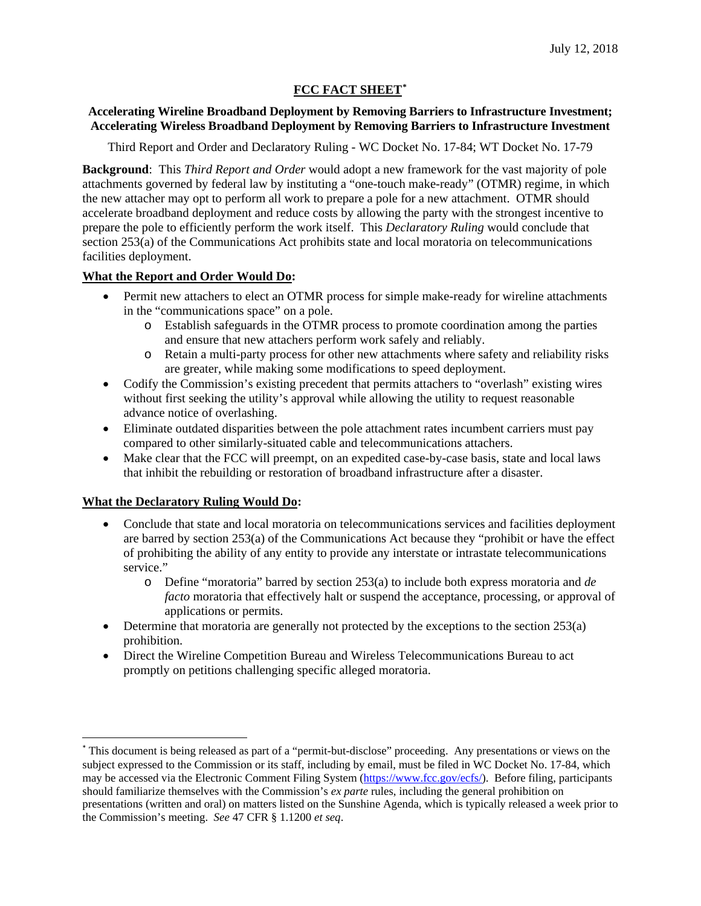# **FCC FACT SHEET[\\*](#page-0-0)**

## **Accelerating Wireline Broadband Deployment by Removing Barriers to Infrastructure Investment; Accelerating Wireless Broadband Deployment by Removing Barriers to Infrastructure Investment**

Third Report and Order and Declaratory Ruling - WC Docket No. 17-84; WT Docket No. 17-79

**Background**: This *Third Report and Order* would adopt a new framework for the vast majority of pole attachments governed by federal law by instituting a "one-touch make-ready" (OTMR) regime, in which the new attacher may opt to perform all work to prepare a pole for a new attachment. OTMR should accelerate broadband deployment and reduce costs by allowing the party with the strongest incentive to prepare the pole to efficiently perform the work itself. This *Declaratory Ruling* would conclude that section 253(a) of the Communications Act prohibits state and local moratoria on telecommunications facilities deployment.

## **What the Report and Order Would Do:**

- Permit new attachers to elect an OTMR process for simple make-ready for wireline attachments in the "communications space" on a pole.
	- o Establish safeguards in the OTMR process to promote coordination among the parties and ensure that new attachers perform work safely and reliably.
	- o Retain a multi-party process for other new attachments where safety and reliability risks are greater, while making some modifications to speed deployment.
- Codify the Commission's existing precedent that permits attachers to "overlash" existing wires without first seeking the utility's approval while allowing the utility to request reasonable advance notice of overlashing.
- Eliminate outdated disparities between the pole attachment rates incumbent carriers must pay compared to other similarly-situated cable and telecommunications attachers.
- Make clear that the FCC will preempt, on an expedited case-by-case basis, state and local laws that inhibit the rebuilding or restoration of broadband infrastructure after a disaster.

## **What the Declaratory Ruling Would Do:**

- Conclude that state and local moratoria on telecommunications services and facilities deployment are barred by section 253(a) of the Communications Act because they "prohibit or have the effect of prohibiting the ability of any entity to provide any interstate or intrastate telecommunications service."
	- o Define "moratoria" barred by section 253(a) to include both express moratoria and *de facto* moratoria that effectively halt or suspend the acceptance, processing, or approval of applications or permits.
- Determine that moratoria are generally not protected by the exceptions to the section 253(a) prohibition.
- Direct the Wireline Competition Bureau and Wireless Telecommunications Bureau to act promptly on petitions challenging specific alleged moratoria.

<span id="page-0-0"></span> <sup>\*</sup> This document is being released as part of a "permit-but-disclose" proceeding. Any presentations or views on the subject expressed to the Commission or its staff, including by email, must be filed in WC Docket No. 17-84, which may be accessed via the Electronic Comment Filing System [\(https://www.fcc.gov/ecfs/\)](https://www.fcc.gov/ecfs/). Before filing, participants should familiarize themselves with the Commission's *ex parte* rules, including the general prohibition on presentations (written and oral) on matters listed on the Sunshine Agenda, which is typically released a week prior to the Commission's meeting. *See* 47 CFR § 1.1200 *et seq*.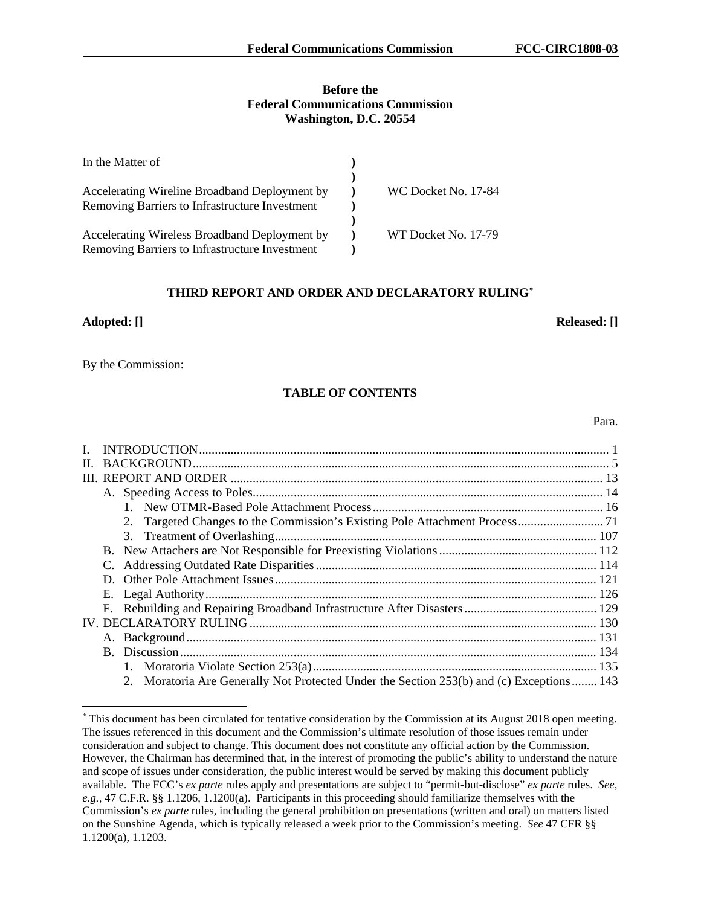#### **Before the Federal Communications Commission Washington, D.C. 20554**

| In the Matter of                               |                     |
|------------------------------------------------|---------------------|
|                                                |                     |
| Accelerating Wireline Broadband Deployment by  | WC Docket No. 17-84 |
| Removing Barriers to Infrastructure Investment |                     |
|                                                |                     |
| Accelerating Wireless Broadband Deployment by  | WT Docket No. 17-79 |
| Removing Barriers to Infrastructure Investment |                     |

### **THIRD REPORT AND ORDER AND DECLARATORY RULING[\\*](#page-1-0)**

#### **Adopted: [] Released: []**

By the Commission:

## **TABLE OF CONTENTS**

Para.

| $\mathbf{L}$ |  |                                                                                          |  |  |  |  |
|--------------|--|------------------------------------------------------------------------------------------|--|--|--|--|
|              |  |                                                                                          |  |  |  |  |
|              |  |                                                                                          |  |  |  |  |
|              |  |                                                                                          |  |  |  |  |
|              |  |                                                                                          |  |  |  |  |
|              |  |                                                                                          |  |  |  |  |
|              |  |                                                                                          |  |  |  |  |
|              |  |                                                                                          |  |  |  |  |
|              |  |                                                                                          |  |  |  |  |
|              |  |                                                                                          |  |  |  |  |
|              |  |                                                                                          |  |  |  |  |
|              |  |                                                                                          |  |  |  |  |
|              |  |                                                                                          |  |  |  |  |
|              |  |                                                                                          |  |  |  |  |
|              |  |                                                                                          |  |  |  |  |
|              |  |                                                                                          |  |  |  |  |
|              |  | 2. Moratoria Are Generally Not Protected Under the Section 253(b) and (c) Exceptions 143 |  |  |  |  |

<span id="page-1-0"></span> <sup>\*</sup> This document has been circulated for tentative consideration by the Commission at its August 2018 open meeting. The issues referenced in this document and the Commission's ultimate resolution of those issues remain under consideration and subject to change. This document does not constitute any official action by the Commission. However, the Chairman has determined that, in the interest of promoting the public's ability to understand the nature and scope of issues under consideration, the public interest would be served by making this document publicly available. The FCC's *ex parte* rules apply and presentations are subject to "permit-but-disclose" *ex parte* rules. *See, e.g.,* 47 C.F.R. §§ 1.1206, 1.1200(a). Participants in this proceeding should familiarize themselves with the Commission's *ex parte* rules, including the general prohibition on presentations (written and oral) on matters listed on the Sunshine Agenda, which is typically released a week prior to the Commission's meeting. *See* 47 CFR §§ 1.1200(a), 1.1203.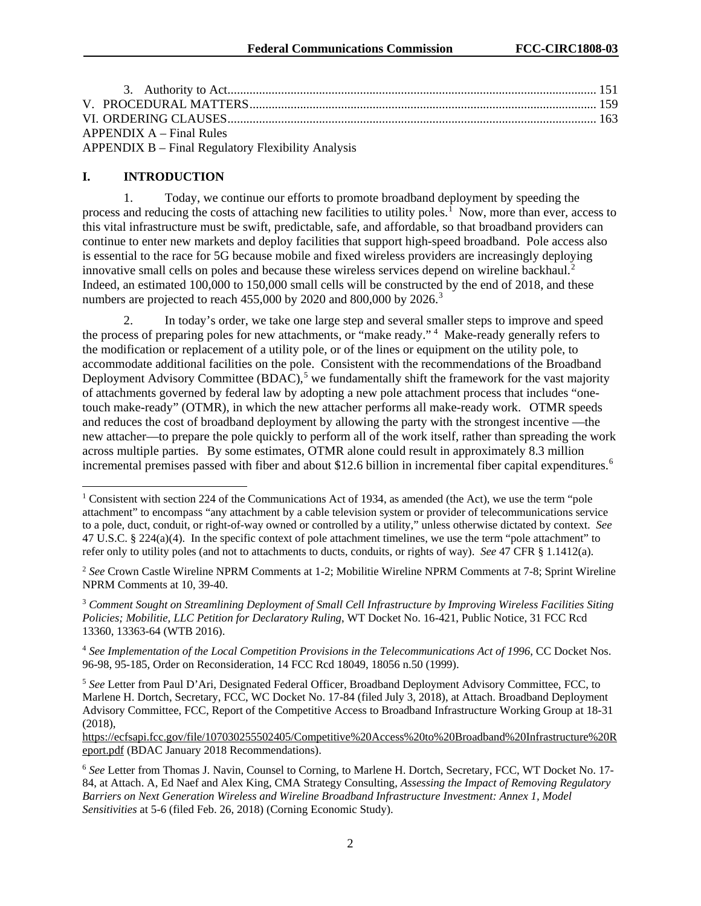| $APPENDIX A - Final Rules$                         |  |
|----------------------------------------------------|--|
| APPENDIX B – Final Regulatory Flexibility Analysis |  |

## **I. INTRODUCTION**

1. Today, we continue our efforts to promote broadband deployment by speeding the process and reducing the costs of attaching new facilities to utility poles.<sup>[1](#page-2-0)</sup> Now, more than ever, access to this vital infrastructure must be swift, predictable, safe, and affordable, so that broadband providers can continue to enter new markets and deploy facilities that support high-speed broadband. Pole access also is essential to the race for 5G because mobile and fixed wireless providers are increasingly deploying innovative small cells on poles and because these wireless services depend on wireline backhaul.<sup>[2](#page-2-1)</sup> Indeed, an estimated 100,000 to 150,000 small cells will be constructed by the end of 2018, and these numbers are projected to reach 455,000 by 2020 and 800,000 by 2026.<sup>[3](#page-2-2)</sup>

2. In today's order, we take one large step and several smaller steps to improve and speed the process of preparing poles for new attachments, or "make ready."<sup>[4](#page-2-3)</sup> Make-ready generally refers to the modification or replacement of a utility pole, or of the lines or equipment on the utility pole, to accommodate additional facilities on the pole. Consistent with the recommendations of the Broadband Deployment Advisory Committee (BDAC),<sup>[5](#page-2-4)</sup> we fundamentally shift the framework for the vast majority of attachments governed by federal law by adopting a new pole attachment process that includes "onetouch make-ready" (OTMR), in which the new attacher performs all make-ready work. OTMR speeds and reduces the cost of broadband deployment by allowing the party with the strongest incentive —the new attacher—to prepare the pole quickly to perform all of the work itself, rather than spreading the work across multiple parties. By some estimates, OTMR alone could result in approximately 8.3 million incremental premises passed with fiber and about \$12.[6](#page-2-5) billion in incremental fiber capital expenditures.<sup>6</sup>

<span id="page-2-2"></span><sup>3</sup> *Comment Sought on Streamlining Deployment of Small Cell Infrastructure by Improving Wireless Facilities Siting Policies; Mobilitie, LLC Petition for Declaratory Ruling*, WT Docket No. 16-421, Public Notice, 31 FCC Rcd 13360, 13363-64 (WTB 2016).

<span id="page-2-3"></span><sup>4</sup> *See Implementation of the Local Competition Provisions in the Telecommunications Act of 1996*, CC Docket Nos. 96-98, 95-185, Order on Reconsideration, 14 FCC Rcd 18049, 18056 n.50 (1999).

[https://ecfsapi.fcc.gov/file/107030255502405/Competitive%20Access%20to%20Broadband%20Infrastructure%20R](https://ecfsapi.fcc.gov/file/107030255502405/Competitive%20Access%20to%20Broadband%20Infrastructure%20Report.pdf) [eport.pdf](https://ecfsapi.fcc.gov/file/107030255502405/Competitive%20Access%20to%20Broadband%20Infrastructure%20Report.pdf) (BDAC January 2018 Recommendations).

<span id="page-2-0"></span><sup>&</sup>lt;sup>1</sup> Consistent with section 224 of the Communications Act of 1934, as amended (the Act), we use the term "pole attachment" to encompass "any attachment by a cable television system or provider of telecommunications service to a pole, duct, conduit, or right-of-way owned or controlled by a utility," unless otherwise dictated by context. *See*  47 U.S.C. § 224(a)(4). In the specific context of pole attachment timelines, we use the term "pole attachment" to refer only to utility poles (and not to attachments to ducts, conduits, or rights of way). *See* 47 CFR § 1.1412(a).

<span id="page-2-1"></span><sup>2</sup> *See* Crown Castle Wireline NPRM Comments at 1-2; Mobilitie Wireline NPRM Comments at 7-8; Sprint Wireline NPRM Comments at 10, 39-40.

<span id="page-2-4"></span><sup>5</sup> *See* Letter from Paul D'Ari, Designated Federal Officer, Broadband Deployment Advisory Committee, FCC, to Marlene H. Dortch, Secretary, FCC, WC Docket No. 17-84 (filed July 3, 2018), at Attach. Broadband Deployment Advisory Committee, FCC, Report of the Competitive Access to Broadband Infrastructure Working Group at 18-31 (2018),

<span id="page-2-5"></span><sup>6</sup> *See* Letter from Thomas J. Navin, Counsel to Corning, to Marlene H. Dortch, Secretary, FCC, WT Docket No. 17- 84, at Attach. A, Ed Naef and Alex King, CMA Strategy Consulting, *Assessing the Impact of Removing Regulatory Barriers on Next Generation Wireless and Wireline Broadband Infrastructure Investment: Annex 1, Model Sensitivities* at 5-6 (filed Feb. 26, 2018) (Corning Economic Study).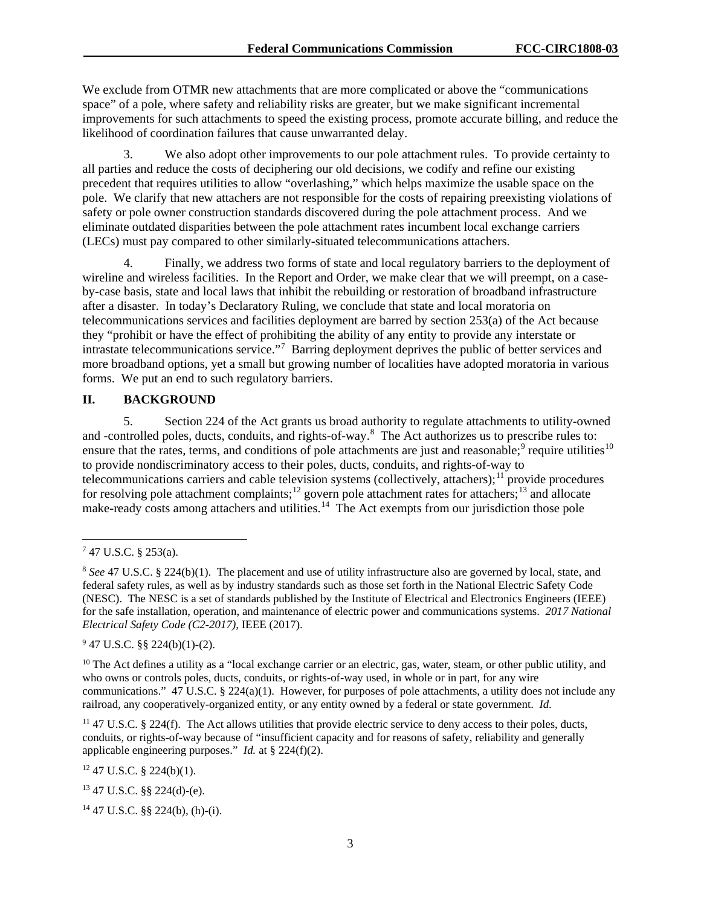We exclude from OTMR new attachments that are more complicated or above the "communications space" of a pole, where safety and reliability risks are greater, but we make significant incremental improvements for such attachments to speed the existing process, promote accurate billing, and reduce the likelihood of coordination failures that cause unwarranted delay.

3. We also adopt other improvements to our pole attachment rules. To provide certainty to all parties and reduce the costs of deciphering our old decisions, we codify and refine our existing precedent that requires utilities to allow "overlashing," which helps maximize the usable space on the pole. We clarify that new attachers are not responsible for the costs of repairing preexisting violations of safety or pole owner construction standards discovered during the pole attachment process. And we eliminate outdated disparities between the pole attachment rates incumbent local exchange carriers (LECs) must pay compared to other similarly-situated telecommunications attachers.

4. Finally, we address two forms of state and local regulatory barriers to the deployment of wireline and wireless facilities. In the Report and Order, we make clear that we will preempt, on a caseby-case basis, state and local laws that inhibit the rebuilding or restoration of broadband infrastructure after a disaster. In today's Declaratory Ruling, we conclude that state and local moratoria on telecommunications services and facilities deployment are barred by section 253(a) of the Act because they "prohibit or have the effect of prohibiting the ability of any entity to provide any interstate or intrastate telecommunications service."<sup>[7](#page-3-0)</sup> Barring deployment deprives the public of better services and more broadband options, yet a small but growing number of localities have adopted moratoria in various forms. We put an end to such regulatory barriers.

## **II. BACKGROUND**

5. Section 224 of the Act grants us broad authority to regulate attachments to utility-owned and -controlled poles, ducts, conduits, and rights-of-way.<sup>[8](#page-3-1)</sup> The Act authorizes us to prescribe rules to: ensure that the rates, terms, and conditions of pole attachments are just and reasonable;<sup>[9](#page-3-2)</sup> require utilities<sup>[10](#page-3-3)</sup> to provide nondiscriminatory access to their poles, ducts, conduits, and rights-of-way to telecommunications carriers and cable television systems (collectively, attachers);[11](#page-3-4) provide procedures for resolving pole attachment complaints;<sup>[12](#page-3-5)</sup> govern pole attachment rates for attachers;<sup>[13](#page-3-6)</sup> and allocate make-ready costs among attachers and utilities.<sup>14</sup> The Act exempts from our jurisdiction those pole

<span id="page-3-2"></span> $947$  U.S.C. §§ 224(b)(1)-(2).

<span id="page-3-3"></span> $10$  The Act defines a utility as a "local exchange carrier or an electric, gas, water, steam, or other public utility, and who owns or controls poles, ducts, conduits, or rights-of-way used, in whole or in part, for any wire communications." 47 U.S.C. § 224(a)(1). However, for purposes of pole attachments, a utility does not include any railroad, any cooperatively-organized entity, or any entity owned by a federal or state government. *Id.*

<span id="page-3-4"></span><sup>11</sup> 47 U.S.C. § 224(f). The Act allows utilities that provide electric service to deny access to their poles, ducts, conduits, or rights-of-way because of "insufficient capacity and for reasons of safety, reliability and generally applicable engineering purposes." *Id.* at § 224(f)(2).

<span id="page-3-5"></span> $12$  47 U.S.C. § 224(b)(1).

<span id="page-3-6"></span><sup>13</sup> 47 U.S.C. §§ 224(d)-(e).

<span id="page-3-7"></span> $14$  47 U.S.C. §§ 224(b), (h)-(i).

<span id="page-3-0"></span> <sup>7</sup> 47 U.S.C. § 253(a).

<span id="page-3-1"></span><sup>8</sup> *See* 47 U.S.C. § 224(b)(1). The placement and use of utility infrastructure also are governed by local, state, and federal safety rules, as well as by industry standards such as those set forth in the National Electric Safety Code (NESC). The NESC is a set of standards published by the Institute of Electrical and Electronics Engineers (IEEE) for the safe installation, operation, and maintenance of electric power and communications systems. *2017 National Electrical Safety Code (C2-2017)*, IEEE (2017).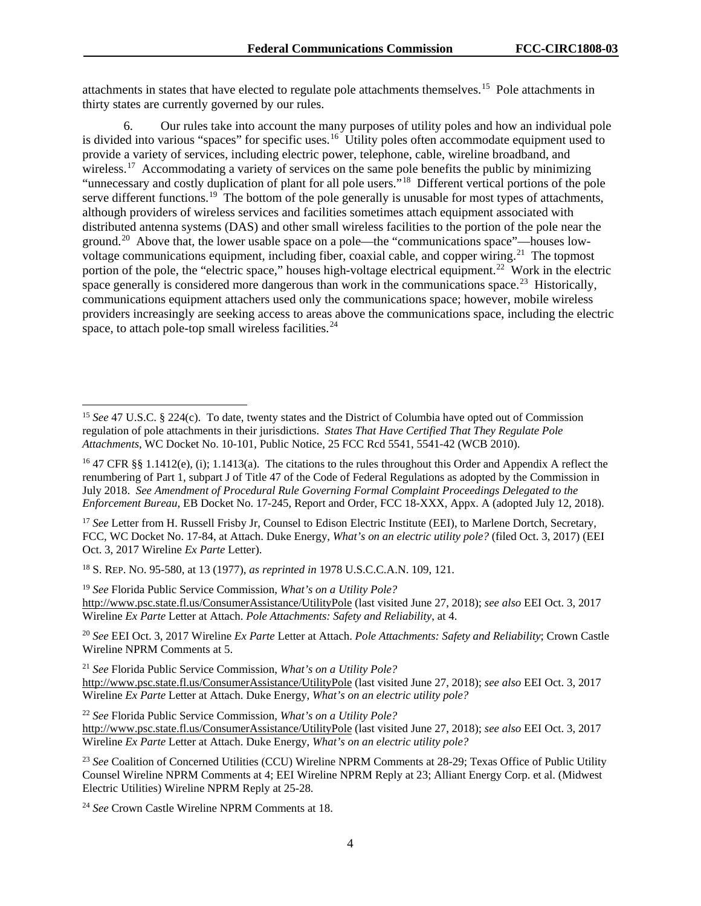attachments in states that have elected to regulate pole attachments themselves.[15](#page-4-0) Pole attachments in thirty states are currently governed by our rules.

6. Our rules take into account the many purposes of utility poles and how an individual pole is divided into various "spaces" for specific uses.<sup>16</sup> Utility poles often accommodate equipment used to provide a variety of services, including electric power, telephone, cable, wireline broadband, and wireless.<sup>[17](#page-4-2)</sup> Accommodating a variety of services on the same pole benefits the public by minimizing "unnecessary and costly duplication of plant for all pole users."<sup>18</sup> Different vertical portions of the pole serve different functions.<sup>19</sup> The bottom of the pole generally is unusable for most types of attachments, although providers of wireless services and facilities sometimes attach equipment associated with distributed antenna systems (DAS) and other small wireless facilities to the portion of the pole near the ground.[20](#page-4-5) Above that, the lower usable space on a pole—the "communications space"—houses lowvoltage communications equipment, including fiber, coaxial cable, and copper wiring.<sup>21</sup> The topmost portion of the pole, the "electric space," houses high-voltage electrical equipment.<sup>[22](#page-4-7)</sup> Work in the electric space generally is considered more dangerous than work in the communications space.<sup>[23](#page-4-8)</sup> Historically, communications equipment attachers used only the communications space; however, mobile wireless providers increasingly are seeking access to areas above the communications space, including the electric space, to attach pole-top small wireless facilities. $^{24}$  $^{24}$  $^{24}$ 

<span id="page-4-2"></span><sup>17</sup> See Letter from H. Russell Frisby Jr, Counsel to Edison Electric Institute (EEI), to Marlene Dortch, Secretary, FCC, WC Docket No. 17-84, at Attach. Duke Energy, *What's on an electric utility pole?* (filed Oct. 3, 2017) (EEI Oct. 3, 2017 Wireline *Ex Parte* Letter).

<span id="page-4-3"></span><sup>18</sup> S. REP. NO. 95-580, at 13 (1977), *as reprinted in* 1978 U.S.C.C.A.N. 109, 121.

<span id="page-4-4"></span><sup>19</sup> *See* Florida Public Service Commission, *What's on a Utility Pole?*  <http://www.psc.state.fl.us/ConsumerAssistance/UtilityPole> (last visited June 27, 2018); *see also* EEI Oct. 3, 2017 Wireline *Ex Parte* Letter at Attach. *Pole Attachments: Safety and Reliability*, at 4.

<span id="page-4-5"></span><sup>20</sup> *See* EEI Oct. 3, 2017 Wireline *Ex Parte* Letter at Attach. *Pole Attachments: Safety and Reliability*; Crown Castle Wireline NPRM Comments at 5.

<span id="page-4-6"></span><sup>21</sup> *See* Florida Public Service Commission, *What's on a Utility Pole?*  <http://www.psc.state.fl.us/ConsumerAssistance/UtilityPole> (last visited June 27, 2018); *see also* EEI Oct. 3, 2017 Wireline *Ex Parte* Letter at Attach. Duke Energy, *What's on an electric utility pole?*

<span id="page-4-7"></span><sup>22</sup> *See* Florida Public Service Commission, *What's on a Utility Pole?*  <http://www.psc.state.fl.us/ConsumerAssistance/UtilityPole> (last visited June 27, 2018); *see also* EEI Oct. 3, 2017 Wireline *Ex Parte* Letter at Attach. Duke Energy, *What's on an electric utility pole?*

<span id="page-4-8"></span><sup>23</sup> See Coalition of Concerned Utilities (CCU) Wireline NPRM Comments at 28-29; Texas Office of Public Utility Counsel Wireline NPRM Comments at 4; EEI Wireline NPRM Reply at 23; Alliant Energy Corp. et al. (Midwest Electric Utilities) Wireline NPRM Reply at 25-28.

<span id="page-4-9"></span><sup>24</sup> *See* Crown Castle Wireline NPRM Comments at 18.

<span id="page-4-0"></span><sup>&</sup>lt;sup>15</sup> See 47 U.S.C. § 224(c). To date, twenty states and the District of Columbia have opted out of Commission regulation of pole attachments in their jurisdictions. *States That Have Certified That They Regulate Pole Attachments*, WC Docket No. 10-101, Public Notice, 25 FCC Rcd 5541, 5541-42 (WCB 2010).

<span id="page-4-1"></span><sup>&</sup>lt;sup>16</sup> 47 CFR §§ 1.1412(e), (i); 1.1413(a). The citations to the rules throughout this Order and Appendix A reflect the renumbering of Part 1, subpart J of Title 47 of the Code of Federal Regulations as adopted by the Commission in July 2018. *See Amendment of Procedural Rule Governing Formal Complaint Proceedings Delegated to the Enforcement Bureau*, EB Docket No. 17-245, Report and Order, FCC 18-XXX, Appx. A (adopted July 12, 2018).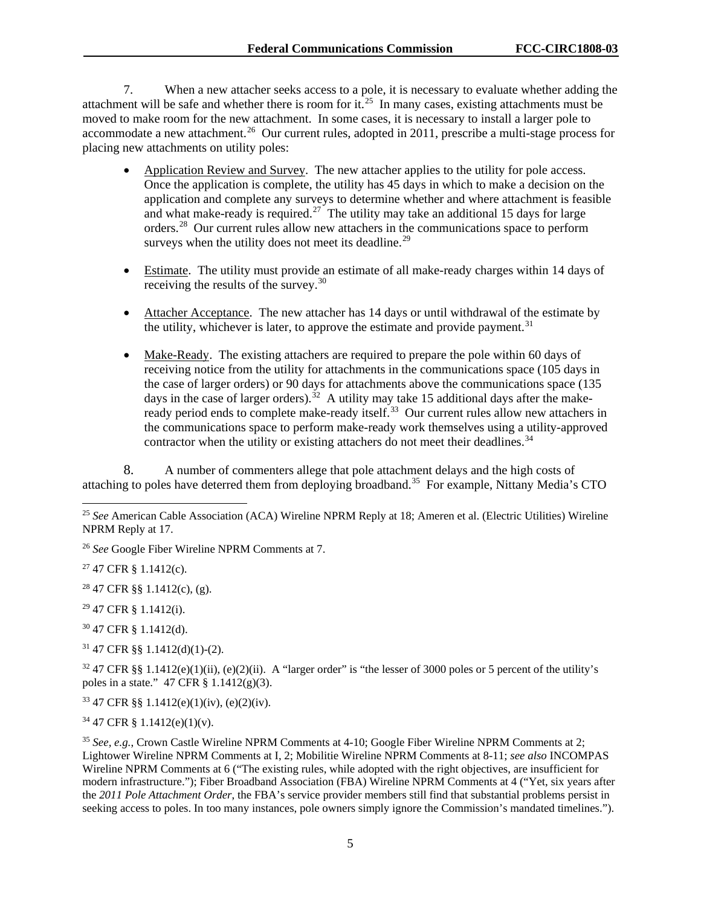7. When a new attacher seeks access to a pole, it is necessary to evaluate whether adding the attachment will be safe and whether there is room for  $it^{25}$  $it^{25}$  $it^{25}$ . In many cases, existing attachments must be moved to make room for the new attachment. In some cases, it is necessary to install a larger pole to accommodate a new attachment.<sup>[26](#page-5-1)</sup> Our current rules, adopted in 2011, prescribe a multi-stage process for placing new attachments on utility poles:

- Application Review and Survey. The new attacher applies to the utility for pole access. Once the application is complete, the utility has 45 days in which to make a decision on the application and complete any surveys to determine whether and where attachment is feasible and what make-ready is required.<sup>27</sup> The utility may take an additional 15 days for large orders.[28](#page-5-3) Our current rules allow new attachers in the communications space to perform surveys when the utility does not meet its deadline.<sup>[29](#page-5-4)</sup>
- Estimate. The utility must provide an estimate of all make-ready charges within 14 days of receiving the results of the survey.<sup>[30](#page-5-5)</sup>
- Attacher Acceptance. The new attacher has 14 days or until withdrawal of the estimate by the utility, whichever is later, to approve the estimate and provide payment.<sup>[31](#page-5-6)</sup>
- Make-Ready. The existing attachers are required to prepare the pole within 60 days of receiving notice from the utility for attachments in the communications space (105 days in the case of larger orders) or 90 days for attachments above the communications space (135 days in the case of larger orders).<sup>32</sup> A utility may take 15 additional days after the make-ready period ends to complete make-ready itself.<sup>[33](#page-5-8)</sup> Our current rules allow new attachers in the communications space to perform make-ready work themselves using a utility-approved contractor when the utility or existing attachers do not meet their deadlines.<sup>[34](#page-5-9)</sup>

8. A number of commenters allege that pole attachment delays and the high costs of attaching to poles have deterred them from deploying broadband.<sup>[35](#page-5-10)</sup> For example, Nittany Media's CTO

<span id="page-5-2"></span><sup>27</sup> 47 CFR § 1.1412(c).

<span id="page-5-3"></span> $28$  47 CFR §§ 1.1412(c), (g).

<span id="page-5-4"></span><sup>29</sup> 47 CFR § 1.1412(i).

<span id="page-5-5"></span><sup>30</sup> 47 CFR § 1.1412(d).

<span id="page-5-6"></span><sup>31</sup> 47 CFR §§ 1.1412(d)(1)-(2).

<span id="page-5-7"></span> $32\,47$  CFR §§ 1.1412(e)(1)(ii), (e)(2)(ii). A "larger order" is "the lesser of 3000 poles or 5 percent of the utility's poles in a state."  $47$  CFR  $\S$  1.1412(g)(3).

<span id="page-5-8"></span> $33\,47$  CFR §§ 1.1412(e)(1)(iv), (e)(2)(iv).

<span id="page-5-9"></span> $34$  47 CFR § 1.1412(e)(1)(v).

<span id="page-5-10"></span><sup>35</sup> *See, e.g.*, Crown Castle Wireline NPRM Comments at 4-10; Google Fiber Wireline NPRM Comments at 2; Lightower Wireline NPRM Comments at I, 2; Mobilitie Wireline NPRM Comments at 8-11; *see also* INCOMPAS Wireline NPRM Comments at 6 ("The existing rules, while adopted with the right objectives, are insufficient for modern infrastructure."); Fiber Broadband Association (FBA) Wireline NPRM Comments at 4 ("Yet, six years after the *2011 Pole Attachment Order*, the FBA's service provider members still find that substantial problems persist in seeking access to poles. In too many instances, pole owners simply ignore the Commission's mandated timelines.").

<span id="page-5-0"></span> <sup>25</sup> *See* American Cable Association (ACA) Wireline NPRM Reply at 18; Ameren et al. (Electric Utilities) Wireline NPRM Reply at 17.

<span id="page-5-1"></span><sup>26</sup> *See* Google Fiber Wireline NPRM Comments at 7.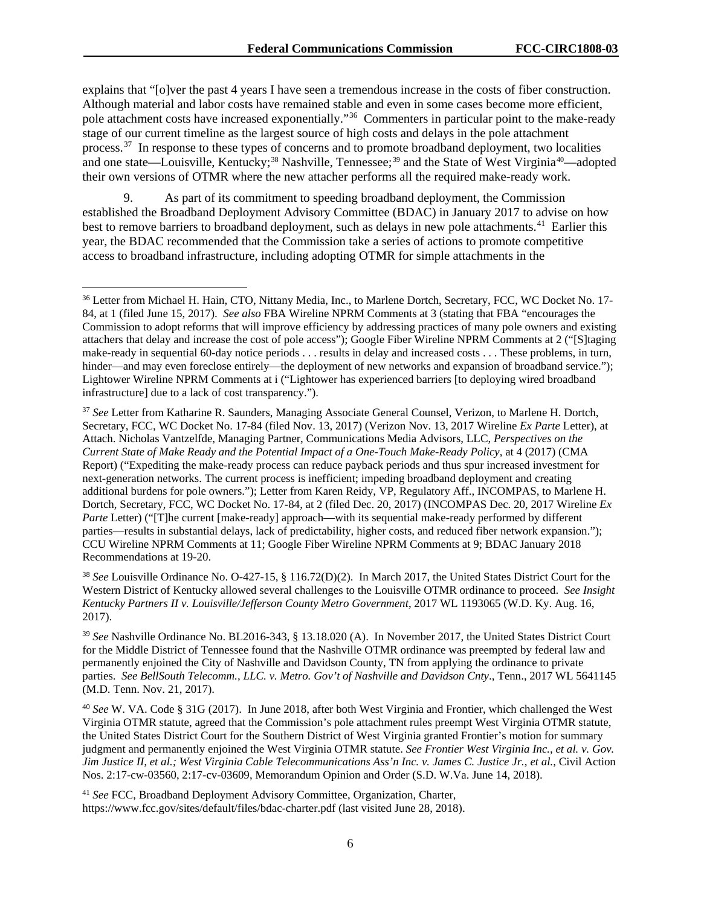explains that "[o]ver the past 4 years I have seen a tremendous increase in the costs of fiber construction. Although material and labor costs have remained stable and even in some cases become more efficient, pole attachment costs have increased exponentially."[36](#page-6-0) Commenters in particular point to the make-ready stage of our current timeline as the largest source of high costs and delays in the pole attachment process.[37](#page-6-1) In response to these types of concerns and to promote broadband deployment, two localities and one state—Louisville, Kentucky;<sup>[38](#page-6-2)</sup> Nashville, Tennessee;<sup>[39](#page-6-3)</sup> and the State of West Virginia<sup>40</sup>—adopted their own versions of OTMR where the new attacher performs all the required make-ready work.

9. As part of its commitment to speeding broadband deployment, the Commission established the Broadband Deployment Advisory Committee (BDAC) in January 2017 to advise on how best to remove barriers to broadband deployment, such as delays in new pole attachments.<sup>[41](#page-6-5)</sup> Earlier this year, the BDAC recommended that the Commission take a series of actions to promote competitive access to broadband infrastructure, including adopting OTMR for simple attachments in the

<span id="page-6-2"></span><sup>38</sup> *See* Louisville Ordinance No. O-427-15, § 116.72(D)(2). In March 2017, the United States District Court for the Western District of Kentucky allowed several challenges to the Louisville OTMR ordinance to proceed. *See Insight Kentucky Partners II v. Louisville/Jefferson County Metro Government*, 2017 WL 1193065 (W.D. Ky. Aug. 16, 2017).

<span id="page-6-3"></span><sup>39</sup> *See* Nashville Ordinance No. BL2016-343, § 13.18.020 (A). In November 2017, the United States District Court for the Middle District of Tennessee found that the Nashville OTMR ordinance was preempted by federal law and permanently enjoined the City of Nashville and Davidson County, TN from applying the ordinance to private parties. *See BellSouth Telecomm., LLC. v. Metro. Gov't of Nashville and Davidson Cnty*., Tenn., 2017 WL 5641145 (M.D. Tenn. Nov. 21, 2017).

<span id="page-6-4"></span><sup>40</sup> *See* W. VA. Code § 31G (2017). In June 2018, after both West Virginia and Frontier, which challenged the West Virginia OTMR statute, agreed that the Commission's pole attachment rules preempt West Virginia OTMR statute, the United States District Court for the Southern District of West Virginia granted Frontier's motion for summary judgment and permanently enjoined the West Virginia OTMR statute. *See Frontier West Virginia Inc., et al. v. Gov. Jim Justice II, et al.; West Virginia Cable Telecommunications Ass'n Inc. v. James C. Justice Jr., et al.*, Civil Action Nos. 2:17-cw-03560, 2:17-cv-03609, Memorandum Opinion and Order (S.D. W.Va. June 14, 2018).

<span id="page-6-5"></span><sup>41</sup> *See* FCC, Broadband Deployment Advisory Committee, Organization, Charter, https://www.fcc.gov/sites/default/files/bdac-charter.pdf (last visited June 28, 2018).

<span id="page-6-0"></span> <sup>36</sup> Letter from Michael H. Hain, CTO, Nittany Media, Inc., to Marlene Dortch, Secretary, FCC, WC Docket No. 17- 84, at 1 (filed June 15, 2017). *See also* FBA Wireline NPRM Comments at 3 (stating that FBA "encourages the Commission to adopt reforms that will improve efficiency by addressing practices of many pole owners and existing attachers that delay and increase the cost of pole access"); Google Fiber Wireline NPRM Comments at 2 ("[S]taging make-ready in sequential 60-day notice periods . . . results in delay and increased costs . . . These problems, in turn, hinder—and may even foreclose entirely—the deployment of new networks and expansion of broadband service."); Lightower Wireline NPRM Comments at i ("Lightower has experienced barriers [to deploying wired broadband infrastructure] due to a lack of cost transparency.").

<span id="page-6-1"></span><sup>37</sup> *See* Letter from Katharine R. Saunders, Managing Associate General Counsel, Verizon, to Marlene H. Dortch, Secretary, FCC, WC Docket No. 17-84 (filed Nov. 13, 2017) (Verizon Nov. 13, 2017 Wireline *Ex Parte* Letter), at Attach. Nicholas Vantzelfde, Managing Partner, Communications Media Advisors, LLC, *Perspectives on the Current State of Make Ready and the Potential Impact of a One-Touch Make-Ready Policy*, at 4 (2017) (CMA Report) ("Expediting the make-ready process can reduce payback periods and thus spur increased investment for next-generation networks. The current process is inefficient; impeding broadband deployment and creating additional burdens for pole owners."); Letter from Karen Reidy, VP, Regulatory Aff., INCOMPAS, to Marlene H. Dortch, Secretary, FCC, WC Docket No. 17-84, at 2 (filed Dec. 20, 2017) (INCOMPAS Dec. 20, 2017 Wireline *Ex Parte* Letter) ("[T]he current [make-ready] approach—with its sequential make-ready performed by different parties—results in substantial delays, lack of predictability, higher costs, and reduced fiber network expansion."); CCU Wireline NPRM Comments at 11; Google Fiber Wireline NPRM Comments at 9; BDAC January 2018 Recommendations at 19-20.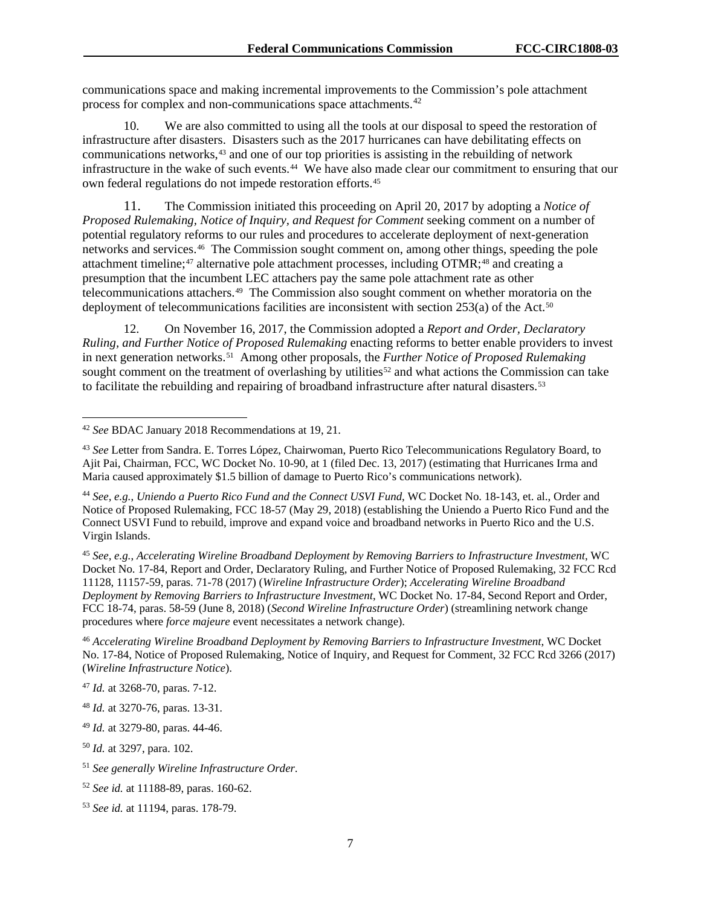communications space and making incremental improvements to the Commission's pole attachment process for complex and non-communications space attachments.<sup>[42](#page-7-0)</sup>

10. We are also committed to using all the tools at our disposal to speed the restoration of infrastructure after disasters. Disasters such as the 2017 hurricanes can have debilitating effects on communications networks, $43$  and one of our top priorities is assisting in the rebuilding of network infrastructure in the wake of such events.[44](#page-7-2) We have also made clear our commitment to ensuring that our own federal regulations do not impede restoration efforts. [45](#page-7-3)

11. The Commission initiated this proceeding on April 20, 2017 by adopting a *Notice of Proposed Rulemaking, Notice of Inquiry, and Request for Comment* seeking comment on a number of potential regulatory reforms to our rules and procedures to accelerate deployment of next-generation networks and services.[46](#page-7-4) The Commission sought comment on, among other things, speeding the pole attachment timeline;<sup>[47](#page-7-5)</sup> alternative pole attachment processes, including OTMR;<sup>[48](#page-7-6)</sup> and creating a presumption that the incumbent LEC attachers pay the same pole attachment rate as other telecommunications attachers. [49](#page-7-7) The Commission also sought comment on whether moratoria on the deployment of telecommunications facilities are inconsistent with section  $253(a)$  of the Act.<sup>[50](#page-7-8)</sup>

12. On November 16, 2017, the Commission adopted a *Report and Order, Declaratory Ruling, and Further Notice of Proposed Rulemaking* enacting reforms to better enable providers to invest in next generation networks.[51](#page-7-9) Among other proposals, the *Further Notice of Proposed Rulemaking*  sought comment on the treatment of overlashing by utilities<sup>[52](#page-7-10)</sup> and what actions the Commission can take to facilitate the rebuilding and repairing of broadband infrastructure after natural disasters.<sup>[53](#page-7-11)</sup>

<span id="page-7-3"></span><sup>45</sup> *See, e.g.*, *Accelerating Wireline Broadband Deployment by Removing Barriers to Infrastructure Investment*, WC Docket No. 17-84, Report and Order, Declaratory Ruling, and Further Notice of Proposed Rulemaking, 32 FCC Rcd 11128, 11157-59, paras. 71-78 (2017) (*Wireline Infrastructure Order*); *Accelerating Wireline Broadband Deployment by Removing Barriers to Infrastructure Investment*, WC Docket No. 17-84, Second Report and Order, FCC 18-74, paras. 58-59 (June 8, 2018) (*Second Wireline Infrastructure Order*) (streamlining network change procedures where *force majeure* event necessitates a network change).

<span id="page-7-4"></span><sup>46</sup> *Accelerating Wireline Broadband Deployment by Removing Barriers to Infrastructure Investment*, WC Docket No. 17-84, Notice of Proposed Rulemaking, Notice of Inquiry, and Request for Comment, 32 FCC Rcd 3266 (2017) (*Wireline Infrastructure Notice*).

<span id="page-7-0"></span> <sup>42</sup> *See* BDAC January 2018 Recommendations at 19, 21.

<span id="page-7-1"></span><sup>43</sup> *See* Letter from Sandra. E. Torres López, Chairwoman, Puerto Rico Telecommunications Regulatory Board, to Ajit Pai, Chairman, FCC, WC Docket No. 10-90, at 1 (filed Dec. 13, 2017) (estimating that Hurricanes Irma and Maria caused approximately \$1.5 billion of damage to Puerto Rico's communications network).

<span id="page-7-2"></span><sup>44</sup> *See, e.g.*, *Uniendo a Puerto Rico Fund and the Connect USVI Fund*, WC Docket No. 18-143, et. al., Order and Notice of Proposed Rulemaking, FCC 18-57 (May 29, 2018) (establishing the Uniendo a Puerto Rico Fund and the Connect USVI Fund to rebuild, improve and expand voice and broadband networks in Puerto Rico and the U.S. Virgin Islands.

<span id="page-7-5"></span><sup>47</sup> *Id.* at 3268-70, paras. 7-12.

<span id="page-7-6"></span><sup>48</sup> *Id.* at 3270-76, paras. 13-31.

<span id="page-7-7"></span><sup>49</sup> *Id.* at 3279-80, paras. 44-46.

<span id="page-7-8"></span><sup>50</sup> *Id.* at 3297, para. 102.

<span id="page-7-9"></span><sup>51</sup> *See generally Wireline Infrastructure Order*.

<span id="page-7-10"></span><sup>52</sup> *See id.* at 11188-89, paras. 160-62.

<span id="page-7-11"></span><sup>53</sup> *See id.* at 11194, paras. 178-79.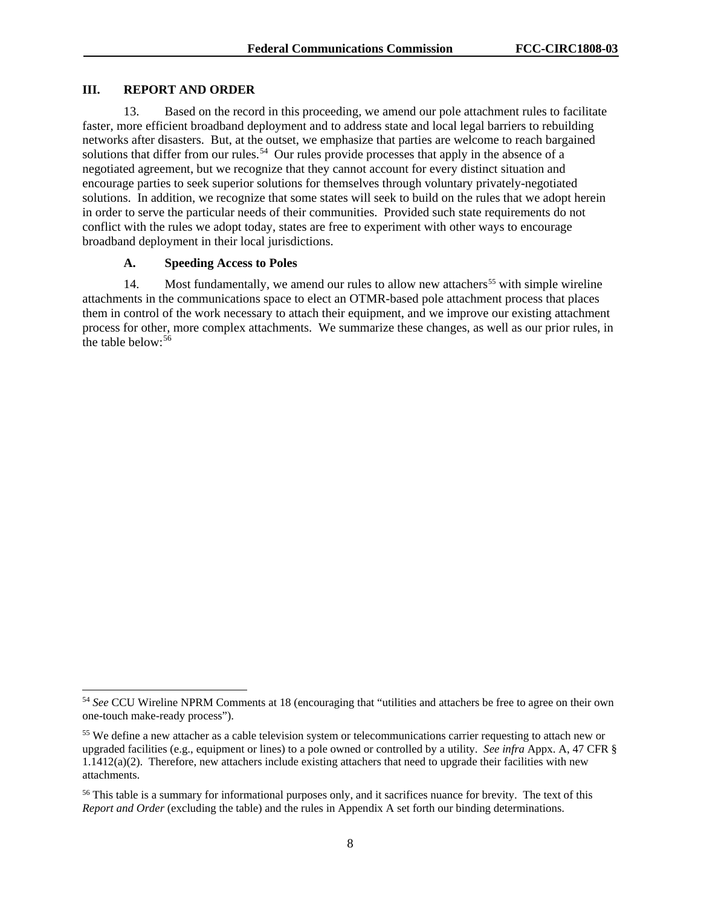#### **III. REPORT AND ORDER**

13. Based on the record in this proceeding, we amend our pole attachment rules to facilitate faster, more efficient broadband deployment and to address state and local legal barriers to rebuilding networks after disasters. But, at the outset, we emphasize that parties are welcome to reach bargained solutions that differ from our rules.<sup>[54](#page-8-0)</sup> Our rules provide processes that apply in the absence of a negotiated agreement, but we recognize that they cannot account for every distinct situation and encourage parties to seek superior solutions for themselves through voluntary privately-negotiated solutions. In addition, we recognize that some states will seek to build on the rules that we adopt herein in order to serve the particular needs of their communities. Provided such state requirements do not conflict with the rules we adopt today, states are free to experiment with other ways to encourage broadband deployment in their local jurisdictions.

### **A. Speeding Access to Poles**

14. Most fundamentally, we amend our rules to allow new attachers<sup>[55](#page-8-1)</sup> with simple wireline attachments in the communications space to elect an OTMR-based pole attachment process that places them in control of the work necessary to attach their equipment, and we improve our existing attachment process for other, more complex attachments. We summarize these changes, as well as our prior rules, in the table below: [56](#page-8-2) 

<span id="page-8-0"></span> <sup>54</sup> *See* CCU Wireline NPRM Comments at 18 (encouraging that "utilities and attachers be free to agree on their own one-touch make-ready process").

<span id="page-8-1"></span><sup>&</sup>lt;sup>55</sup> We define a new attacher as a cable television system or telecommunications carrier requesting to attach new or upgraded facilities (e.g., equipment or lines) to a pole owned or controlled by a utility. *See infra* Appx. A, 47 CFR § 1.1412(a)(2). Therefore, new attachers include existing attachers that need to upgrade their facilities with new attachments.

<span id="page-8-2"></span><sup>&</sup>lt;sup>56</sup> This table is a summary for informational purposes only, and it sacrifices nuance for brevity. The text of this *Report and Order* (excluding the table) and the rules in Appendix A set forth our binding determinations.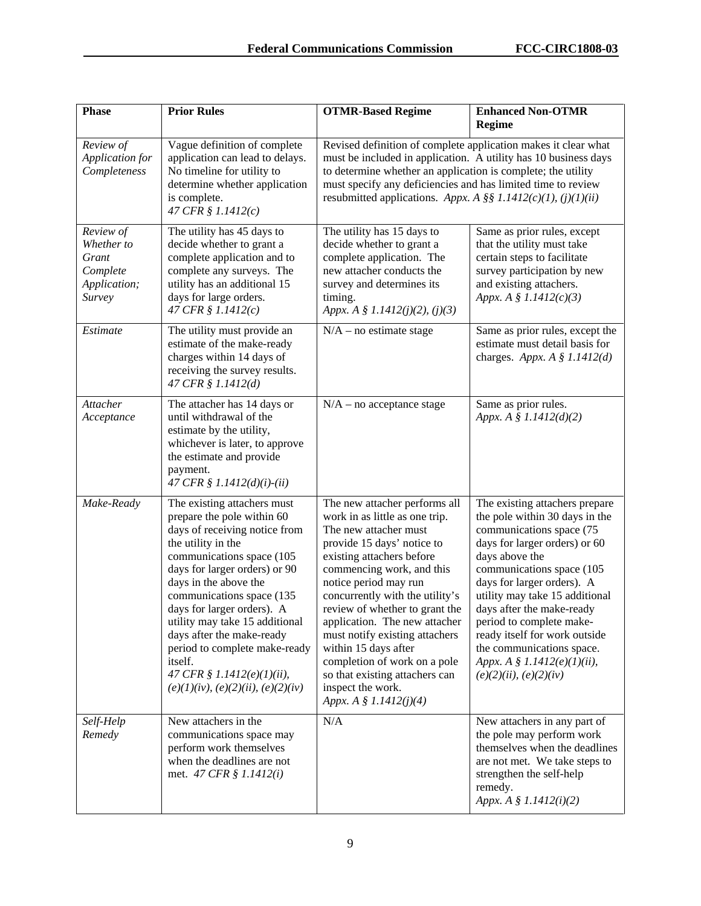| <b>Phase</b>                                                           | <b>Prior Rules</b>                                                                                                                                                                                                                                                                                                                                                                                                                                    | <b>OTMR-Based Regime</b>                                                                                                                                                                                                                                                                                                                                                                                                                                                                   | <b>Enhanced Non-OTMR</b><br><b>Regime</b>                                                                                                                                                                                                                                                                                                                                                                                        |
|------------------------------------------------------------------------|-------------------------------------------------------------------------------------------------------------------------------------------------------------------------------------------------------------------------------------------------------------------------------------------------------------------------------------------------------------------------------------------------------------------------------------------------------|--------------------------------------------------------------------------------------------------------------------------------------------------------------------------------------------------------------------------------------------------------------------------------------------------------------------------------------------------------------------------------------------------------------------------------------------------------------------------------------------|----------------------------------------------------------------------------------------------------------------------------------------------------------------------------------------------------------------------------------------------------------------------------------------------------------------------------------------------------------------------------------------------------------------------------------|
| Review of<br>Application for<br>Completeness                           | Vague definition of complete<br>application can lead to delays.<br>No timeline for utility to<br>determine whether application<br>is complete.<br>47 CFR § 1.1412(c)                                                                                                                                                                                                                                                                                  | Revised definition of complete application makes it clear what<br>must be included in application. A utility has 10 business days<br>to determine whether an application is complete; the utility<br>must specify any deficiencies and has limited time to review<br>resubmitted applications. Appx. A §§ 1.1412(c)(1), (j)(1)(ii)                                                                                                                                                         |                                                                                                                                                                                                                                                                                                                                                                                                                                  |
| Review of<br>Whether to<br>Grant<br>Complete<br>Application;<br>Survey | The utility has 45 days to<br>decide whether to grant a<br>complete application and to<br>complete any surveys. The<br>utility has an additional 15<br>days for large orders.<br>47 CFR $$1.1412(c)$                                                                                                                                                                                                                                                  | The utility has 15 days to<br>decide whether to grant a<br>complete application. The<br>new attacher conducts the<br>survey and determines its<br>timing.<br>Appx. A § 1.1412(j)(2), (j)(3)                                                                                                                                                                                                                                                                                                | Same as prior rules, except<br>that the utility must take<br>certain steps to facilitate<br>survey participation by new<br>and existing attachers.<br>Appx. A $$ 1.1412(c)(3)$                                                                                                                                                                                                                                                   |
| Estimate                                                               | The utility must provide an<br>estimate of the make-ready<br>charges within 14 days of<br>receiving the survey results.<br>47 CFR § 1.1412(d)                                                                                                                                                                                                                                                                                                         | $N/A$ – no estimate stage                                                                                                                                                                                                                                                                                                                                                                                                                                                                  | Same as prior rules, except the<br>estimate must detail basis for<br>charges. Appx. A $\S$ 1.1412(d)                                                                                                                                                                                                                                                                                                                             |
| Attacher<br>Acceptance                                                 | The attacher has 14 days or<br>until withdrawal of the<br>estimate by the utility,<br>whichever is later, to approve<br>the estimate and provide<br>payment.<br>47 CFR § 1.1412(d)(i)-(ii)                                                                                                                                                                                                                                                            | $N/A$ – no acceptance stage                                                                                                                                                                                                                                                                                                                                                                                                                                                                | Same as prior rules.<br>Appx. A § 1.1412(d)(2)                                                                                                                                                                                                                                                                                                                                                                                   |
| Make-Ready                                                             | The existing attachers must<br>prepare the pole within 60<br>days of receiving notice from<br>the utility in the<br>communications space (105<br>days for larger orders) or 90<br>days in the above the<br>communications space (135<br>days for larger orders). A<br>utility may take 15 additional<br>days after the make-ready<br>period to complete make-ready<br>itself.<br>47 CFR § 1.1412 $(e)(1)(ii)$ ,<br>(e)(1)(iv), (e)(2)(ii), (e)(2)(iv) | The new attacher performs all<br>work in as little as one trip.<br>The new attacher must<br>provide 15 days' notice to<br>existing attachers before<br>commencing work, and this<br>notice period may run<br>concurrently with the utility's<br>review of whether to grant the<br>application. The new attacher<br>must notify existing attachers<br>within 15 days after<br>completion of work on a pole<br>so that existing attachers can<br>inspect the work.<br>Appx. A § 1.1412(j)(4) | The existing attachers prepare<br>the pole within 30 days in the<br>communications space (75<br>days for larger orders) or 60<br>days above the<br>communications space (105<br>days for larger orders). A<br>utility may take 15 additional<br>days after the make-ready<br>period to complete make-<br>ready itself for work outside<br>the communications space.<br>Appx. A § 1.1412 $(e)(1)(ii)$ ,<br>(e)(2)(ii), (e)(2)(iv) |
| Self-Help<br>Remedy                                                    | New attachers in the<br>communications space may<br>perform work themselves<br>when the deadlines are not<br>met. 47 CFR § 1.1412(i)                                                                                                                                                                                                                                                                                                                  | N/A                                                                                                                                                                                                                                                                                                                                                                                                                                                                                        | New attachers in any part of<br>the pole may perform work<br>themselves when the deadlines<br>are not met. We take steps to<br>strengthen the self-help<br>remedy.<br>Appx. A $$ 1.1412(i)(2)$                                                                                                                                                                                                                                   |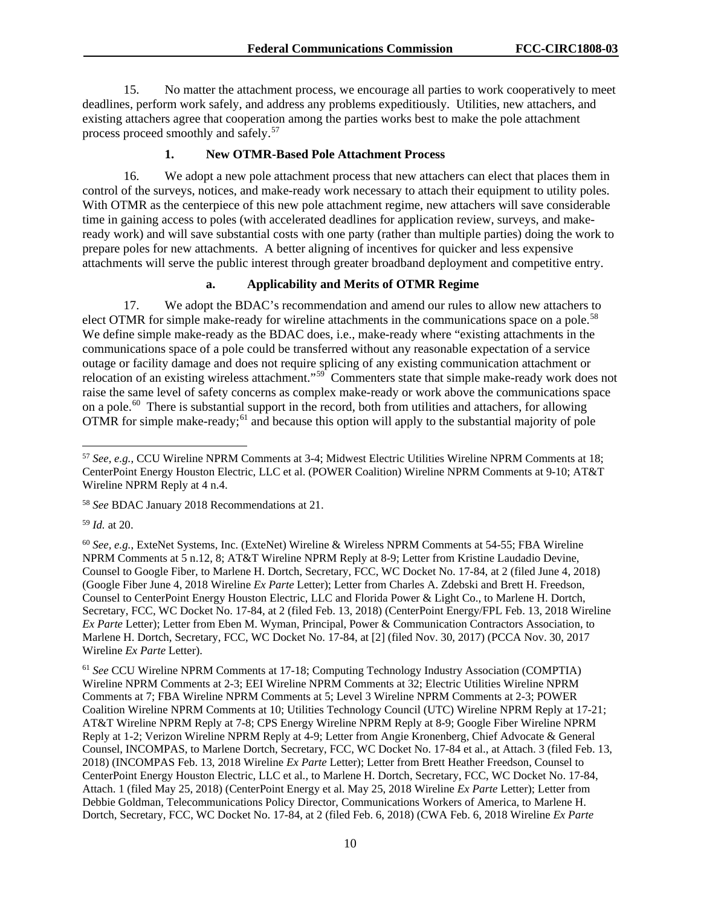15. No matter the attachment process, we encourage all parties to work cooperatively to meet deadlines, perform work safely, and address any problems expeditiously. Utilities, new attachers, and existing attachers agree that cooperation among the parties works best to make the pole attachment process proceed smoothly and safely.<sup>[57](#page-10-0)</sup>

## **1. New OTMR-Based Pole Attachment Process**

16. We adopt a new pole attachment process that new attachers can elect that places them in control of the surveys, notices, and make-ready work necessary to attach their equipment to utility poles. With OTMR as the centerpiece of this new pole attachment regime, new attachers will save considerable time in gaining access to poles (with accelerated deadlines for application review, surveys, and makeready work) and will save substantial costs with one party (rather than multiple parties) doing the work to prepare poles for new attachments. A better aligning of incentives for quicker and less expensive attachments will serve the public interest through greater broadband deployment and competitive entry.

### **a. Applicability and Merits of OTMR Regime**

17. We adopt the BDAC's recommendation and amend our rules to allow new attachers to elect OTMR for simple make-ready for wireline attachments in the communications space on a pole.<sup>58</sup> We define simple make-ready as the BDAC does, i.e., make-ready where "existing attachments in the communications space of a pole could be transferred without any reasonable expectation of a service outage or facility damage and does not require splicing of any existing communication attachment or relocation of an existing wireless attachment."<sup>59</sup> Commenters state that simple make-ready work does not raise the same level of safety concerns as complex make-ready or work above the communications space on a pole.[60](#page-10-3) There is substantial support in the record, both from utilities and attachers, for allowing OTMR for simple make-ready;<sup>[61](#page-10-4)</sup> and because this option will apply to the substantial majority of pole

<span id="page-10-2"></span><sup>59</sup> *Id.* at 20.

<span id="page-10-0"></span> <sup>57</sup> *See, e.g.*, CCU Wireline NPRM Comments at 3-4; Midwest Electric Utilities Wireline NPRM Comments at 18; CenterPoint Energy Houston Electric, LLC et al. (POWER Coalition) Wireline NPRM Comments at 9-10; AT&T Wireline NPRM Reply at 4 n.4.

<span id="page-10-1"></span><sup>58</sup> *See* BDAC January 2018 Recommendations at 21.

<span id="page-10-3"></span><sup>60</sup> *See, e.g.*, ExteNet Systems, Inc. (ExteNet) Wireline & Wireless NPRM Comments at 54-55; FBA Wireline NPRM Comments at 5 n.12, 8; AT&T Wireline NPRM Reply at 8-9; Letter from Kristine Laudadio Devine, Counsel to Google Fiber, to Marlene H. Dortch, Secretary, FCC, WC Docket No. 17-84, at 2 (filed June 4, 2018) (Google Fiber June 4, 2018 Wireline *Ex Parte* Letter); Letter from Charles A. Zdebski and Brett H. Freedson, Counsel to CenterPoint Energy Houston Electric, LLC and Florida Power & Light Co., to Marlene H. Dortch, Secretary, FCC, WC Docket No. 17-84, at 2 (filed Feb. 13, 2018) (CenterPoint Energy/FPL Feb. 13, 2018 Wireline *Ex Parte* Letter); Letter from Eben M. Wyman, Principal, Power & Communication Contractors Association, to Marlene H. Dortch, Secretary, FCC, WC Docket No. 17-84, at [2] (filed Nov. 30, 2017) (PCCA Nov. 30, 2017 Wireline *Ex Parte* Letter).

<span id="page-10-4"></span><sup>61</sup> *See* CCU Wireline NPRM Comments at 17-18; Computing Technology Industry Association (COMPTIA) Wireline NPRM Comments at 2-3; EEI Wireline NPRM Comments at 32; Electric Utilities Wireline NPRM Comments at 7; FBA Wireline NPRM Comments at 5; Level 3 Wireline NPRM Comments at 2-3; POWER Coalition Wireline NPRM Comments at 10; Utilities Technology Council (UTC) Wireline NPRM Reply at 17-21; AT&T Wireline NPRM Reply at 7-8; CPS Energy Wireline NPRM Reply at 8-9; Google Fiber Wireline NPRM Reply at 1-2; Verizon Wireline NPRM Reply at 4-9; Letter from Angie Kronenberg, Chief Advocate & General Counsel, INCOMPAS, to Marlene Dortch, Secretary, FCC, WC Docket No. 17-84 et al., at Attach. 3 (filed Feb. 13, 2018) (INCOMPAS Feb. 13, 2018 Wireline *Ex Parte* Letter); Letter from Brett Heather Freedson, Counsel to CenterPoint Energy Houston Electric, LLC et al., to Marlene H. Dortch, Secretary, FCC, WC Docket No. 17-84, Attach. 1 (filed May 25, 2018) (CenterPoint Energy et al. May 25, 2018 Wireline *Ex Parte* Letter); Letter from Debbie Goldman, Telecommunications Policy Director, Communications Workers of America, to Marlene H. Dortch, Secretary, FCC, WC Docket No. 17-84, at 2 (filed Feb. 6, 2018) (CWA Feb. 6, 2018 Wireline *Ex Parte*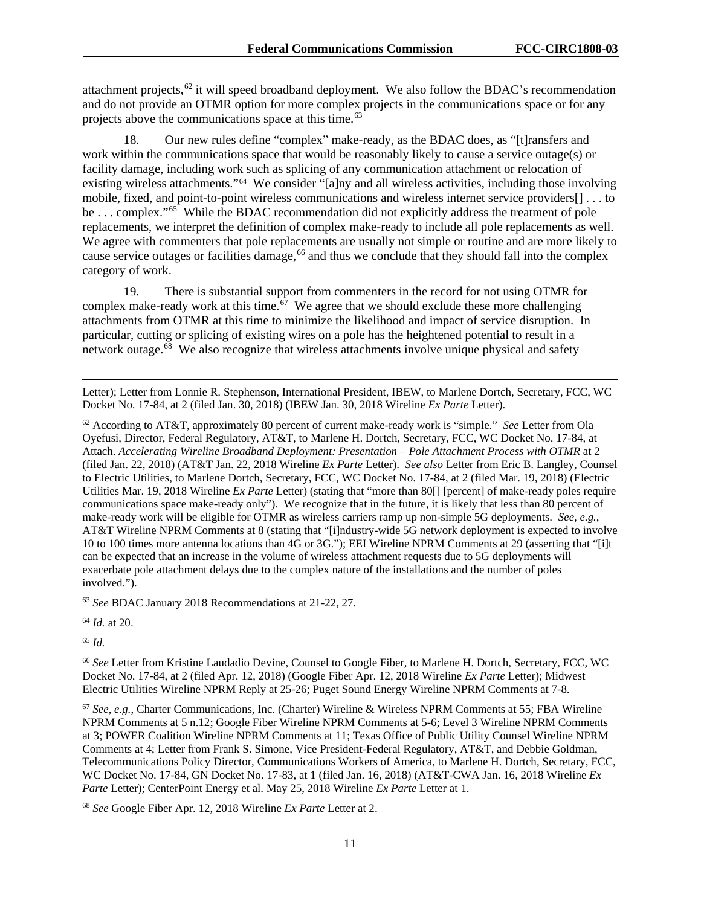attachment projects, $62$  it will speed broadband deployment. We also follow the BDAC's recommendation and do not provide an OTMR option for more complex projects in the communications space or for any projects above the communications space at this time.<sup>[63](#page-11-1)</sup>

18. Our new rules define "complex" make-ready, as the BDAC does, as "[t]ransfers and work within the communications space that would be reasonably likely to cause a service outage(s) or facility damage, including work such as splicing of any communication attachment or relocation of existing wireless attachments."[64](#page-11-2) We consider "[a]ny and all wireless activities, including those involving mobile, fixed, and point-to-point wireless communications and wireless internet service providers[] . . . to be . . . complex."<sup>65</sup> While the BDAC recommendation did not explicitly address the treatment of pole replacements, we interpret the definition of complex make-ready to include all pole replacements as well. We agree with commenters that pole replacements are usually not simple or routine and are more likely to cause service outages or facilities damage,<sup>[66](#page-11-4)</sup> and thus we conclude that they should fall into the complex category of work.

19. There is substantial support from commenters in the record for not using OTMR for complex make-ready work at this time.<sup>67</sup> We agree that we should exclude these more challenging attachments from OTMR at this time to minimize the likelihood and impact of service disruption. In particular, cutting or splicing of existing wires on a pole has the heightened potential to result in a network outage. $68$  We also recognize that wireless attachments involve unique physical and safety

Letter); Letter from Lonnie R. Stephenson, International President, IBEW, to Marlene Dortch, Secretary, FCC, WC Docket No. 17-84, at 2 (filed Jan. 30, 2018) (IBEW Jan. 30, 2018 Wireline *Ex Parte* Letter).

<span id="page-11-0"></span><sup>62</sup> According to AT&T, approximately 80 percent of current make-ready work is "simple." *See* Letter from Ola Oyefusi, Director, Federal Regulatory, AT&T, to Marlene H. Dortch, Secretary, FCC, WC Docket No. 17-84, at Attach. *Accelerating Wireline Broadband Deployment: Presentation – Pole Attachment Process with OTMR* at 2 (filed Jan. 22, 2018) (AT&T Jan. 22, 2018 Wireline *Ex Parte* Letter). *See also* Letter from Eric B. Langley, Counsel to Electric Utilities, to Marlene Dortch, Secretary, FCC, WC Docket No. 17-84, at 2 (filed Mar. 19, 2018) (Electric Utilities Mar. 19, 2018 Wireline *Ex Parte* Letter) (stating that "more than 80[] [percent] of make-ready poles require communications space make-ready only"). We recognize that in the future, it is likely that less than 80 percent of make-ready work will be eligible for OTMR as wireless carriers ramp up non-simple 5G deployments. *See, e.g.*, AT&T Wireline NPRM Comments at 8 (stating that "[i]ndustry-wide 5G network deployment is expected to involve 10 to 100 times more antenna locations than 4G or 3G."); EEI Wireline NPRM Comments at 29 (asserting that "[i]t can be expected that an increase in the volume of wireless attachment requests due to 5G deployments will exacerbate pole attachment delays due to the complex nature of the installations and the number of poles involved.").

<span id="page-11-1"></span><sup>63</sup> *See* BDAC January 2018 Recommendations at 21-22, 27.

<span id="page-11-2"></span><sup>64</sup> *Id.* at 20.

<span id="page-11-3"></span><sup>65</sup> *Id.*

 $\overline{a}$ 

<span id="page-11-4"></span><sup>66</sup> *See* Letter from Kristine Laudadio Devine, Counsel to Google Fiber, to Marlene H. Dortch, Secretary, FCC, WC Docket No. 17-84, at 2 (filed Apr. 12, 2018) (Google Fiber Apr. 12, 2018 Wireline *Ex Parte* Letter); Midwest Electric Utilities Wireline NPRM Reply at 25-26; Puget Sound Energy Wireline NPRM Comments at 7-8.

<span id="page-11-5"></span><sup>67</sup> *See, e.g.*, Charter Communications, Inc. (Charter) Wireline & Wireless NPRM Comments at 55; FBA Wireline NPRM Comments at 5 n.12; Google Fiber Wireline NPRM Comments at 5-6; Level 3 Wireline NPRM Comments at 3; POWER Coalition Wireline NPRM Comments at 11; Texas Office of Public Utility Counsel Wireline NPRM Comments at 4; Letter from Frank S. Simone, Vice President-Federal Regulatory, AT&T, and Debbie Goldman, Telecommunications Policy Director, Communications Workers of America, to Marlene H. Dortch, Secretary, FCC, WC Docket No. 17-84, GN Docket No. 17-83, at 1 (filed Jan. 16, 2018) (AT&T-CWA Jan. 16, 2018 Wireline *Ex Parte Letter)*; CenterPoint Energy et al. May 25, 2018 Wireline *Ex Parte Letter* at 1.

<span id="page-11-6"></span><sup>68</sup> *See* Google Fiber Apr. 12, 2018 Wireline *Ex Parte* Letter at 2.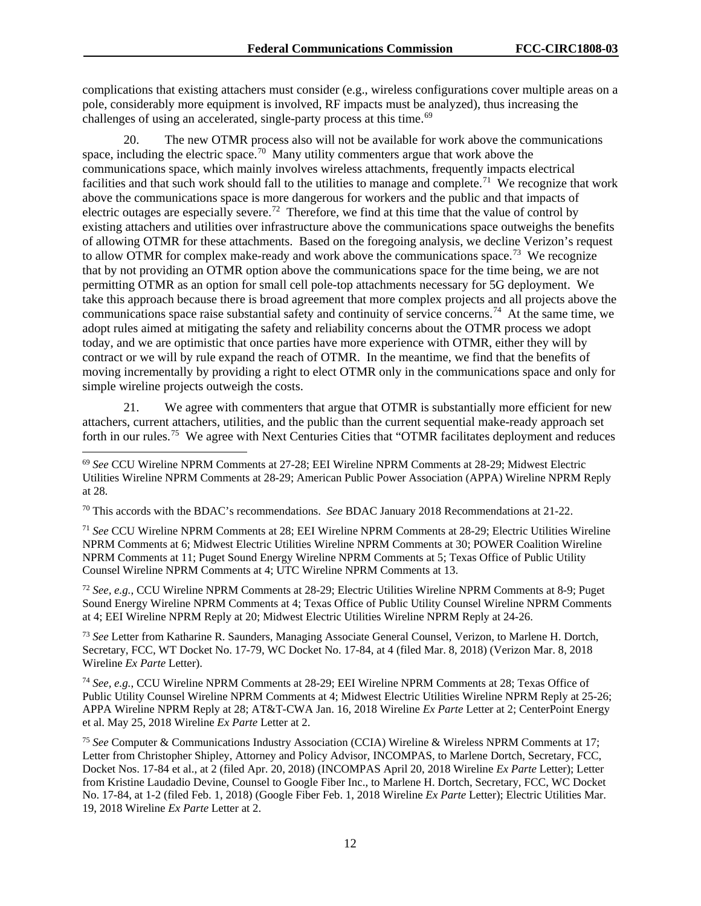complications that existing attachers must consider (e.g., wireless configurations cover multiple areas on a pole, considerably more equipment is involved, RF impacts must be analyzed), thus increasing the challenges of using an accelerated, single-party process at this time.<sup>[69](#page-12-0)</sup>

20. The new OTMR process also will not be available for work above the communications space, including the electric space.<sup>[70](#page-12-1)</sup> Many utility commenters argue that work above the communications space, which mainly involves wireless attachments, frequently impacts electrical facilities and that such work should fall to the utilities to manage and complete.<sup>[71](#page-12-2)</sup> We recognize that work above the communications space is more dangerous for workers and the public and that impacts of electric outages are especially severe.<sup>72</sup> Therefore, we find at this time that the value of control by existing attachers and utilities over infrastructure above the communications space outweighs the benefits of allowing OTMR for these attachments. Based on the foregoing analysis, we decline Verizon's request to allow OTMR for complex make-ready and work above the communications space.<sup>[73](#page-12-4)</sup> We recognize that by not providing an OTMR option above the communications space for the time being, we are not permitting OTMR as an option for small cell pole-top attachments necessary for 5G deployment. We take this approach because there is broad agreement that more complex projects and all projects above the communications space raise substantial safety and continuity of service concerns.[74](#page-12-5) At the same time, we adopt rules aimed at mitigating the safety and reliability concerns about the OTMR process we adopt today, and we are optimistic that once parties have more experience with OTMR, either they will by contract or we will by rule expand the reach of OTMR. In the meantime, we find that the benefits of moving incrementally by providing a right to elect OTMR only in the communications space and only for simple wireline projects outweigh the costs.

21. We agree with commenters that argue that OTMR is substantially more efficient for new attachers, current attachers, utilities, and the public than the current sequential make-ready approach set forth in our rules.<sup>75</sup> We agree with Next Centuries Cities that "OTMR facilitates deployment and reduces

<span id="page-12-1"></span><sup>70</sup> This accords with the BDAC's recommendations. *See* BDAC January 2018 Recommendations at 21-22.

<span id="page-12-2"></span><sup>71</sup> *See* CCU Wireline NPRM Comments at 28; EEI Wireline NPRM Comments at 28-29; Electric Utilities Wireline NPRM Comments at 6; Midwest Electric Utilities Wireline NPRM Comments at 30; POWER Coalition Wireline NPRM Comments at 11; Puget Sound Energy Wireline NPRM Comments at 5; Texas Office of Public Utility Counsel Wireline NPRM Comments at 4; UTC Wireline NPRM Comments at 13.

<span id="page-12-3"></span><sup>72</sup> *See, e.g.*, CCU Wireline NPRM Comments at 28-29; Electric Utilities Wireline NPRM Comments at 8-9; Puget Sound Energy Wireline NPRM Comments at 4; Texas Office of Public Utility Counsel Wireline NPRM Comments at 4; EEI Wireline NPRM Reply at 20; Midwest Electric Utilities Wireline NPRM Reply at 24-26.

<span id="page-12-4"></span><sup>73</sup> *See* Letter from Katharine R. Saunders, Managing Associate General Counsel, Verizon, to Marlene H. Dortch, Secretary, FCC, WT Docket No. 17-79, WC Docket No. 17-84, at 4 (filed Mar. 8, 2018) (Verizon Mar. 8, 2018 Wireline *Ex Parte* Letter).

<span id="page-12-5"></span><sup>74</sup> *See, e.g.*, CCU Wireline NPRM Comments at 28-29; EEI Wireline NPRM Comments at 28; Texas Office of Public Utility Counsel Wireline NPRM Comments at 4; Midwest Electric Utilities Wireline NPRM Reply at 25-26; APPA Wireline NPRM Reply at 28; AT&T-CWA Jan. 16, 2018 Wireline *Ex Parte* Letter at 2; CenterPoint Energy et al. May 25, 2018 Wireline *Ex Parte* Letter at 2.

<span id="page-12-0"></span> <sup>69</sup> *See* CCU Wireline NPRM Comments at 27-28; EEI Wireline NPRM Comments at 28-29; Midwest Electric Utilities Wireline NPRM Comments at 28-29; American Public Power Association (APPA) Wireline NPRM Reply at 28.

<span id="page-12-6"></span><sup>75</sup> *See* Computer & Communications Industry Association (CCIA) Wireline & Wireless NPRM Comments at 17; Letter from Christopher Shipley, Attorney and Policy Advisor, INCOMPAS, to Marlene Dortch, Secretary, FCC, Docket Nos. 17-84 et al., at 2 (filed Apr. 20, 2018) (INCOMPAS April 20, 2018 Wireline *Ex Parte* Letter); Letter from Kristine Laudadio Devine, Counsel to Google Fiber Inc., to Marlene H. Dortch, Secretary, FCC, WC Docket No. 17-84, at 1-2 (filed Feb. 1, 2018) (Google Fiber Feb. 1, 2018 Wireline *Ex Parte* Letter); Electric Utilities Mar. 19, 2018 Wireline *Ex Parte* Letter at 2.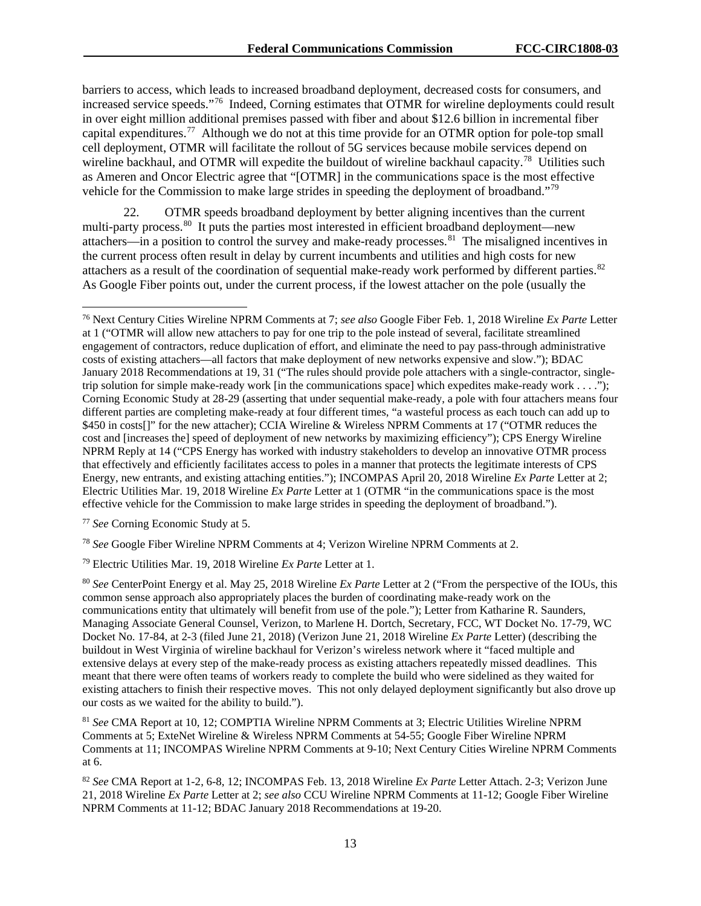barriers to access, which leads to increased broadband deployment, decreased costs for consumers, and increased service speeds."[76](#page-13-0) Indeed, Corning estimates that OTMR for wireline deployments could result in over eight million additional premises passed with fiber and about \$12.6 billion in incremental fiber capital expenditures.[77](#page-13-1) Although we do not at this time provide for an OTMR option for pole-top small cell deployment, OTMR will facilitate the rollout of 5G services because mobile services depend on wireline backhaul, and OTMR will expedite the buildout of wireline backhaul capacity.<sup>78</sup> Utilities such as Ameren and Oncor Electric agree that "[OTMR] in the communications space is the most effective vehicle for the Commission to make large strides in speeding the deployment of broadband."[79](#page-13-3)

22. OTMR speeds broadband deployment by better aligning incentives than the current multi-party process.<sup>80</sup> It puts the parties most interested in efficient broadband deployment—new attachers—in a position to control the survey and make-ready processes.<sup>[81](#page-13-5)</sup> The misaligned incentives in the current process often result in delay by current incumbents and utilities and high costs for new attachers as a result of the coordination of sequential make-ready work performed by different parties.<sup>82</sup> As Google Fiber points out, under the current process, if the lowest attacher on the pole (usually the

<span id="page-13-1"></span><sup>77</sup> *See* Corning Economic Study at 5.

<span id="page-13-2"></span><sup>78</sup> *See* Google Fiber Wireline NPRM Comments at 4; Verizon Wireline NPRM Comments at 2.

<span id="page-13-3"></span><sup>79</sup> Electric Utilities Mar. 19, 2018 Wireline *Ex Parte* Letter at 1.

<span id="page-13-5"></span><sup>81</sup> *See* CMA Report at 10, 12; COMPTIA Wireline NPRM Comments at 3; Electric Utilities Wireline NPRM Comments at 5; ExteNet Wireline & Wireless NPRM Comments at 54-55; Google Fiber Wireline NPRM Comments at 11; INCOMPAS Wireline NPRM Comments at 9-10; Next Century Cities Wireline NPRM Comments at 6.

<span id="page-13-6"></span><sup>82</sup> *See* CMA Report at 1-2, 6-8, 12; INCOMPAS Feb. 13, 2018 Wireline *Ex Parte* Letter Attach. 2-3; Verizon June 21, 2018 Wireline *Ex Parte* Letter at 2; *see also* CCU Wireline NPRM Comments at 11-12; Google Fiber Wireline NPRM Comments at 11-12; BDAC January 2018 Recommendations at 19-20.

<span id="page-13-0"></span> <sup>76</sup> Next Century Cities Wireline NPRM Comments at 7; *see also* Google Fiber Feb. 1, 2018 Wireline *Ex Parte* Letter at 1 ("OTMR will allow new attachers to pay for one trip to the pole instead of several, facilitate streamlined engagement of contractors, reduce duplication of effort, and eliminate the need to pay pass-through administrative costs of existing attachers—all factors that make deployment of new networks expensive and slow."); BDAC January 2018 Recommendations at 19, 31 ("The rules should provide pole attachers with a single-contractor, singletrip solution for simple make-ready work [in the communications space] which expedites make-ready work . . . ."); Corning Economic Study at 28-29 (asserting that under sequential make-ready, a pole with four attachers means four different parties are completing make-ready at four different times, "a wasteful process as each touch can add up to \$450 in costs[]" for the new attacher); CCIA Wireline & Wireless NPRM Comments at 17 ("OTMR reduces the cost and [increases the] speed of deployment of new networks by maximizing efficiency"); CPS Energy Wireline NPRM Reply at 14 ("CPS Energy has worked with industry stakeholders to develop an innovative OTMR process that effectively and efficiently facilitates access to poles in a manner that protects the legitimate interests of CPS Energy, new entrants, and existing attaching entities."); INCOMPAS April 20, 2018 Wireline *Ex Parte* Letter at 2; Electric Utilities Mar. 19, 2018 Wireline *Ex Parte* Letter at 1 (OTMR "in the communications space is the most effective vehicle for the Commission to make large strides in speeding the deployment of broadband.").

<span id="page-13-4"></span><sup>80</sup> *See* CenterPoint Energy et al. May 25, 2018 Wireline *Ex Parte* Letter at 2 ("From the perspective of the IOUs, this common sense approach also appropriately places the burden of coordinating make-ready work on the communications entity that ultimately will benefit from use of the pole."); Letter from Katharine R. Saunders, Managing Associate General Counsel, Verizon, to Marlene H. Dortch, Secretary, FCC, WT Docket No. 17-79, WC Docket No. 17-84, at 2-3 (filed June 21, 2018) (Verizon June 21, 2018 Wireline *Ex Parte* Letter) (describing the buildout in West Virginia of wireline backhaul for Verizon's wireless network where it "faced multiple and extensive delays at every step of the make-ready process as existing attachers repeatedly missed deadlines. This meant that there were often teams of workers ready to complete the build who were sidelined as they waited for existing attachers to finish their respective moves. This not only delayed deployment significantly but also drove up our costs as we waited for the ability to build.").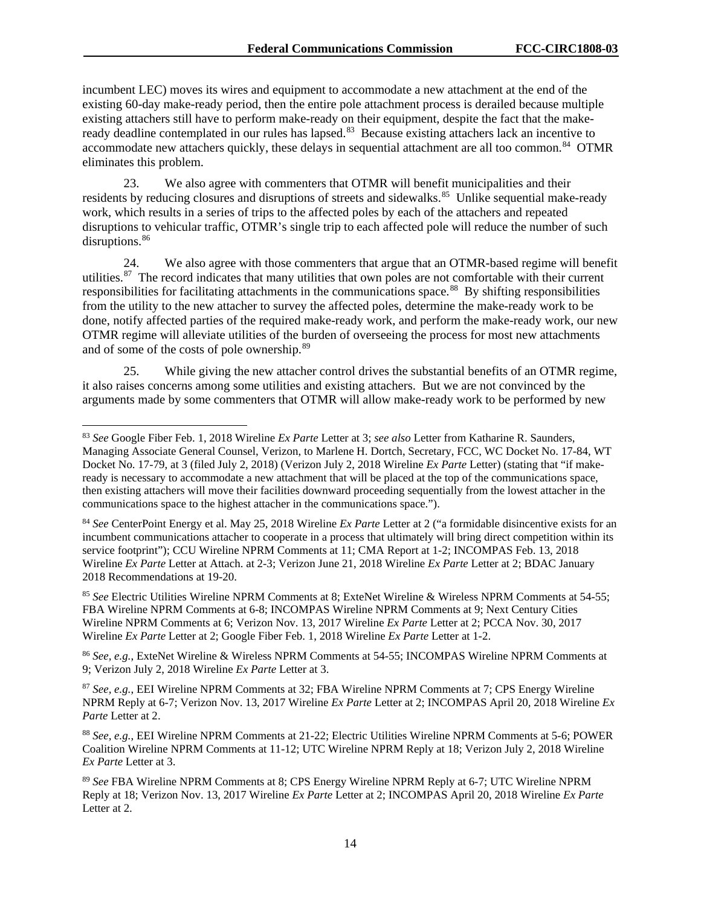incumbent LEC) moves its wires and equipment to accommodate a new attachment at the end of the existing 60-day make-ready period, then the entire pole attachment process is derailed because multiple existing attachers still have to perform make-ready on their equipment, despite the fact that the makeready deadline contemplated in our rules has lapsed.<sup>83</sup> Because existing attachers lack an incentive to accommodate new attachers quickly, these delays in sequential attachment are all too common.<sup>84</sup> OTMR eliminates this problem.

23. We also agree with commenters that OTMR will benefit municipalities and their residents by reducing closures and disruptions of streets and sidewalks.<sup>[85](#page-14-2)</sup> Unlike sequential make-ready work, which results in a series of trips to the affected poles by each of the attachers and repeated disruptions to vehicular traffic, OTMR's single trip to each affected pole will reduce the number of such disruptions.<sup>[86](#page-14-3)</sup>

24. We also agree with those commenters that argue that an OTMR-based regime will benefit utilities.<sup>[87](#page-14-4)</sup> The record indicates that many utilities that own poles are not comfortable with their current responsibilities for facilitating attachments in the communications space.<sup>[88](#page-14-5)</sup> By shifting responsibilities from the utility to the new attacher to survey the affected poles, determine the make-ready work to be done, notify affected parties of the required make-ready work, and perform the make-ready work, our new OTMR regime will alleviate utilities of the burden of overseeing the process for most new attachments and of some of the costs of pole ownership.[89](#page-14-6)

25. While giving the new attacher control drives the substantial benefits of an OTMR regime, it also raises concerns among some utilities and existing attachers. But we are not convinced by the arguments made by some commenters that OTMR will allow make-ready work to be performed by new

<span id="page-14-2"></span><sup>85</sup> *See* Electric Utilities Wireline NPRM Comments at 8; ExteNet Wireline & Wireless NPRM Comments at 54-55; FBA Wireline NPRM Comments at 6-8; INCOMPAS Wireline NPRM Comments at 9; Next Century Cities Wireline NPRM Comments at 6; Verizon Nov. 13, 2017 Wireline *Ex Parte* Letter at 2; PCCA Nov. 30, 2017 Wireline *Ex Parte* Letter at 2; Google Fiber Feb. 1, 2018 Wireline *Ex Parte* Letter at 1-2.

<span id="page-14-3"></span><sup>86</sup> *See, e.g.*, ExteNet Wireline & Wireless NPRM Comments at 54-55; INCOMPAS Wireline NPRM Comments at 9; Verizon July 2, 2018 Wireline *Ex Parte* Letter at 3.

<span id="page-14-4"></span><sup>87</sup> *See, e.g.*, EEI Wireline NPRM Comments at 32; FBA Wireline NPRM Comments at 7; CPS Energy Wireline NPRM Reply at 6-7; Verizon Nov. 13, 2017 Wireline *Ex Parte* Letter at 2; INCOMPAS April 20, 2018 Wireline *Ex Parte* Letter at 2.

<span id="page-14-0"></span> <sup>83</sup> *See* Google Fiber Feb. 1, 2018 Wireline *Ex Parte* Letter at 3; *see also* Letter from Katharine R. Saunders, Managing Associate General Counsel, Verizon, to Marlene H. Dortch, Secretary, FCC, WC Docket No. 17-84, WT Docket No. 17-79, at 3 (filed July 2, 2018) (Verizon July 2, 2018 Wireline *Ex Parte* Letter) (stating that "if makeready is necessary to accommodate a new attachment that will be placed at the top of the communications space, then existing attachers will move their facilities downward proceeding sequentially from the lowest attacher in the communications space to the highest attacher in the communications space.").

<span id="page-14-1"></span><sup>84</sup> *See* CenterPoint Energy et al. May 25, 2018 Wireline *Ex Parte* Letter at 2 ("a formidable disincentive exists for an incumbent communications attacher to cooperate in a process that ultimately will bring direct competition within its service footprint"); CCU Wireline NPRM Comments at 11; CMA Report at 1-2; INCOMPAS Feb. 13, 2018 Wireline *Ex Parte* Letter at Attach. at 2-3; Verizon June 21, 2018 Wireline *Ex Parte* Letter at 2; BDAC January 2018 Recommendations at 19-20.

<span id="page-14-5"></span><sup>88</sup> *See, e.g.*, EEI Wireline NPRM Comments at 21-22; Electric Utilities Wireline NPRM Comments at 5-6; POWER Coalition Wireline NPRM Comments at 11-12; UTC Wireline NPRM Reply at 18; Verizon July 2, 2018 Wireline *Ex Parte* Letter at 3.

<span id="page-14-6"></span><sup>89</sup> *See* FBA Wireline NPRM Comments at 8; CPS Energy Wireline NPRM Reply at 6-7; UTC Wireline NPRM Reply at 18; Verizon Nov. 13, 2017 Wireline *Ex Parte* Letter at 2; INCOMPAS April 20, 2018 Wireline *Ex Parte*  Letter at 2.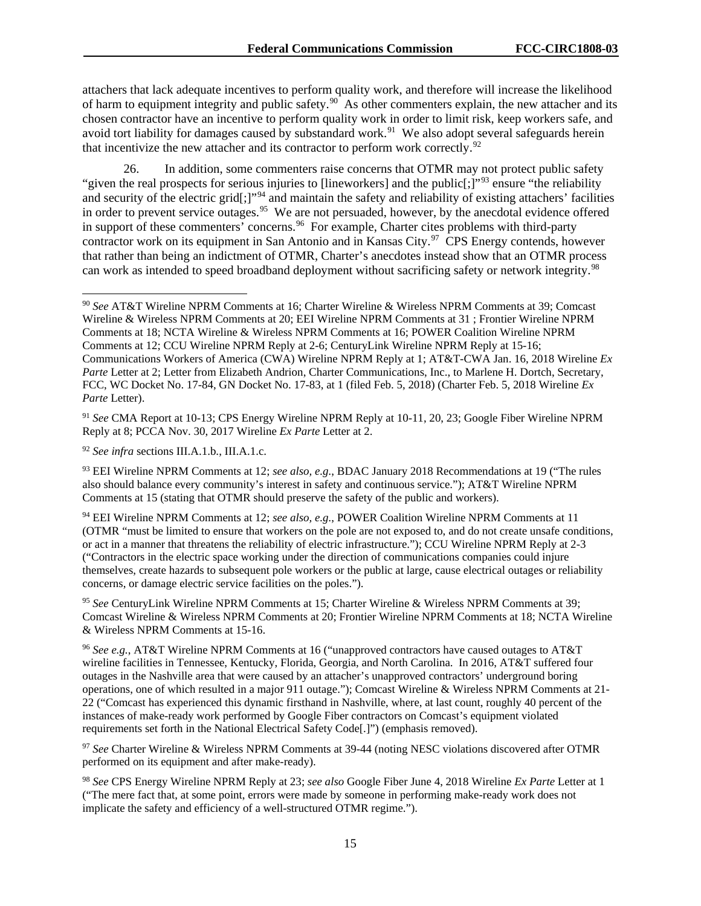attachers that lack adequate incentives to perform quality work, and therefore will increase the likelihood of harm to equipment integrity and public safety.<sup>[90](#page-15-0)</sup> As other commenters explain, the new attacher and its chosen contractor have an incentive to perform quality work in order to limit risk, keep workers safe, and avoid tort liability for damages caused by substandard work.<sup>91</sup> We also adopt several safeguards herein that incentivize the new attacher and its contractor to perform work correctly.<sup>[92](#page-15-2)</sup>

26. In addition, some commenters raise concerns that OTMR may not protect public safety "given the real prospects for serious injuries to [lineworkers] and the public<sup>[;]"[93](#page-15-3)</sup> ensure "the reliability" and security of the electric grid[;]"<sup>[94](#page-15-4)</sup> and maintain the safety and reliability of existing attachers' facilities in order to prevent service outages.<sup>[95](#page-15-5)</sup> We are not persuaded, however, by the anecdotal evidence offered in support of these commenters' concerns.<sup>96</sup> For example, Charter cites problems with third-party contractor work on its equipment in San Antonio and in Kansas City.<sup>97</sup> CPS Energy contends, however that rather than being an indictment of OTMR, Charter's anecdotes instead show that an OTMR process can work as intended to speed broadband deployment without sacrificing safety or network integrity.<sup>98</sup>

<span id="page-15-2"></span><sup>92</sup> *See infra* sections III.A.1.b., III.A.1.c.

<span id="page-15-3"></span><sup>93</sup> EEI Wireline NPRM Comments at 12; *see also, e.g.*, BDAC January 2018 Recommendations at 19 ("The rules also should balance every community's interest in safety and continuous service."); AT&T Wireline NPRM Comments at 15 (stating that OTMR should preserve the safety of the public and workers).

<span id="page-15-5"></span><sup>95</sup> *See* CenturyLink Wireline NPRM Comments at 15; Charter Wireline & Wireless NPRM Comments at 39; Comcast Wireline & Wireless NPRM Comments at 20; Frontier Wireline NPRM Comments at 18; NCTA Wireline & Wireless NPRM Comments at 15-16.

<span id="page-15-6"></span><sup>96</sup> *See e.g.*, AT&T Wireline NPRM Comments at 16 ("unapproved contractors have caused outages to AT&T wireline facilities in Tennessee, Kentucky, Florida, Georgia, and North Carolina. In 2016, AT&T suffered four outages in the Nashville area that were caused by an attacher's unapproved contractors' underground boring operations, one of which resulted in a major 911 outage."); Comcast Wireline & Wireless NPRM Comments at 21- 22 ("Comcast has experienced this dynamic firsthand in Nashville, where, at last count, roughly 40 percent of the instances of make-ready work performed by Google Fiber contractors on Comcast's equipment violated requirements set forth in the National Electrical Safety Code[.]") (emphasis removed).

<span id="page-15-7"></span><sup>97</sup> *See* Charter Wireline & Wireless NPRM Comments at 39-44 (noting NESC violations discovered after OTMR performed on its equipment and after make-ready).

<span id="page-15-8"></span><sup>98</sup> *See* CPS Energy Wireline NPRM Reply at 23; *see also* Google Fiber June 4, 2018 Wireline *Ex Parte* Letter at 1 ("The mere fact that, at some point, errors were made by someone in performing make-ready work does not implicate the safety and efficiency of a well-structured OTMR regime.").

<span id="page-15-0"></span> <sup>90</sup> *See* AT&T Wireline NPRM Comments at 16; Charter Wireline & Wireless NPRM Comments at 39; Comcast Wireline & Wireless NPRM Comments at 20; EEI Wireline NPRM Comments at 31 ; Frontier Wireline NPRM Comments at 18; NCTA Wireline & Wireless NPRM Comments at 16; POWER Coalition Wireline NPRM Comments at 12; CCU Wireline NPRM Reply at 2-6; CenturyLink Wireline NPRM Reply at 15-16; Communications Workers of America (CWA) Wireline NPRM Reply at 1; AT&T-CWA Jan. 16, 2018 Wireline *Ex Parte* Letter at 2; Letter from Elizabeth Andrion, Charter Communications, Inc., to Marlene H. Dortch, Secretary, FCC, WC Docket No. 17-84, GN Docket No. 17-83, at 1 (filed Feb. 5, 2018) (Charter Feb. 5, 2018 Wireline *Ex Parte* Letter).

<span id="page-15-1"></span><sup>91</sup> *See* CMA Report at 10-13; CPS Energy Wireline NPRM Reply at 10-11, 20, 23; Google Fiber Wireline NPRM Reply at 8; PCCA Nov. 30, 2017 Wireline *Ex Parte* Letter at 2.

<span id="page-15-4"></span><sup>94</sup> EEI Wireline NPRM Comments at 12; *see also, e.g.*, POWER Coalition Wireline NPRM Comments at 11 (OTMR "must be limited to ensure that workers on the pole are not exposed to, and do not create unsafe conditions, or act in a manner that threatens the reliability of electric infrastructure."); CCU Wireline NPRM Reply at 2-3 ("Contractors in the electric space working under the direction of communications companies could injure themselves, create hazards to subsequent pole workers or the public at large, cause electrical outages or reliability concerns, or damage electric service facilities on the poles.").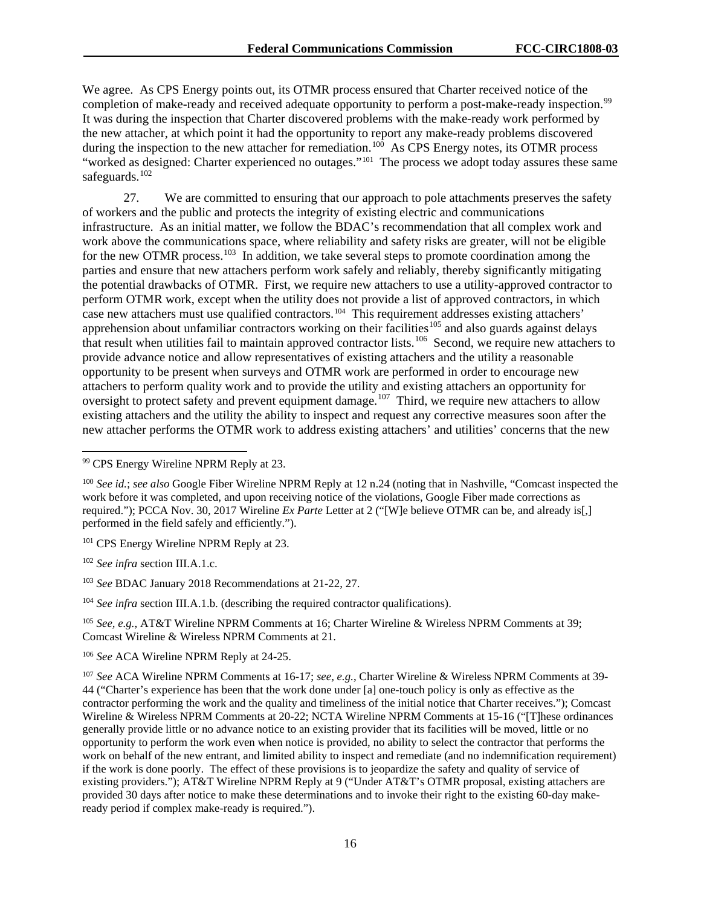We agree. As CPS Energy points out, its OTMR process ensured that Charter received notice of the completion of make-ready and received adequate opportunity to perform a post-make-ready inspection.<sup>99</sup> It was during the inspection that Charter discovered problems with the make-ready work performed by the new attacher, at which point it had the opportunity to report any make-ready problems discovered during the inspection to the new attacher for remediation.<sup>100</sup> As CPS Energy notes, its OTMR process "worked as designed: Charter experienced no outages."<sup>[101](#page-16-2)</sup> The process we adopt today assures these same safeguards.<sup>102</sup>

27. We are committed to ensuring that our approach to pole attachments preserves the safety of workers and the public and protects the integrity of existing electric and communications infrastructure. As an initial matter, we follow the BDAC's recommendation that all complex work and work above the communications space, where reliability and safety risks are greater, will not be eligible for the new OTMR process.<sup>[103](#page-16-4)</sup> In addition, we take several steps to promote coordination among the parties and ensure that new attachers perform work safely and reliably, thereby significantly mitigating the potential drawbacks of OTMR. First, we require new attachers to use a utility-approved contractor to perform OTMR work, except when the utility does not provide a list of approved contractors, in which case new attachers must use qualified contractors.[104](#page-16-5) This requirement addresses existing attachers' apprehension about unfamiliar contractors working on their facilities<sup>[105](#page-16-6)</sup> and also guards against delays that result when utilities fail to maintain approved contractor lists.[106](#page-16-7) Second, we require new attachers to provide advance notice and allow representatives of existing attachers and the utility a reasonable opportunity to be present when surveys and OTMR work are performed in order to encourage new attachers to perform quality work and to provide the utility and existing attachers an opportunity for oversight to protect safety and prevent equipment damage.<sup>107</sup> Third, we require new attachers to allow existing attachers and the utility the ability to inspect and request any corrective measures soon after the new attacher performs the OTMR work to address existing attachers' and utilities' concerns that the new

<span id="page-16-2"></span><sup>101</sup> CPS Energy Wireline NPRM Reply at 23.

<span id="page-16-3"></span><sup>102</sup> *See infra* section III.A.1.c.

<span id="page-16-4"></span><sup>103</sup> *See* BDAC January 2018 Recommendations at 21-22, 27.

<span id="page-16-5"></span><sup>104</sup> *See infra section III.A.1.b.* (describing the required contractor qualifications).

<span id="page-16-6"></span><sup>105</sup> *See, e.g.*, AT&T Wireline NPRM Comments at 16; Charter Wireline & Wireless NPRM Comments at 39; Comcast Wireline & Wireless NPRM Comments at 21.

<span id="page-16-7"></span><sup>106</sup> *See* ACA Wireline NPRM Reply at 24-25.

<span id="page-16-8"></span><sup>107</sup> *See* ACA Wireline NPRM Comments at 16-17; *see, e.g.*, Charter Wireline & Wireless NPRM Comments at 39- 44 ("Charter's experience has been that the work done under [a] one-touch policy is only as effective as the contractor performing the work and the quality and timeliness of the initial notice that Charter receives."); Comcast Wireline & Wireless NPRM Comments at 20-22; NCTA Wireline NPRM Comments at 15-16 ("[T]hese ordinances generally provide little or no advance notice to an existing provider that its facilities will be moved, little or no opportunity to perform the work even when notice is provided, no ability to select the contractor that performs the work on behalf of the new entrant, and limited ability to inspect and remediate (and no indemnification requirement) if the work is done poorly. The effect of these provisions is to jeopardize the safety and quality of service of existing providers."); AT&T Wireline NPRM Reply at 9 ("Under AT&T's OTMR proposal, existing attachers are provided 30 days after notice to make these determinations and to invoke their right to the existing 60-day makeready period if complex make-ready is required.").

<span id="page-16-0"></span> <sup>99</sup> CPS Energy Wireline NPRM Reply at 23.

<span id="page-16-1"></span><sup>100</sup> *See id.*; *see also* Google Fiber Wireline NPRM Reply at 12 n.24 (noting that in Nashville, "Comcast inspected the work before it was completed, and upon receiving notice of the violations, Google Fiber made corrections as required."); PCCA Nov. 30, 2017 Wireline *Ex Parte* Letter at 2 ("[W]e believe OTMR can be, and already is[,] performed in the field safely and efficiently.").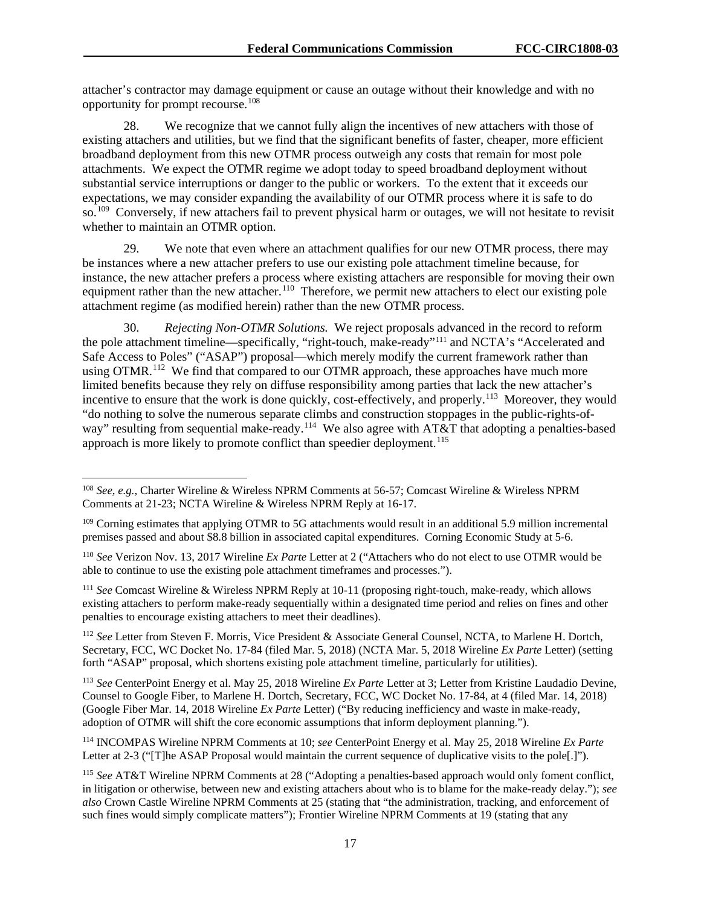attacher's contractor may damage equipment or cause an outage without their knowledge and with no opportunity for prompt recourse.<sup>[108](#page-17-0)</sup>

28. We recognize that we cannot fully align the incentives of new attachers with those of existing attachers and utilities, but we find that the significant benefits of faster, cheaper, more efficient broadband deployment from this new OTMR process outweigh any costs that remain for most pole attachments. We expect the OTMR regime we adopt today to speed broadband deployment without substantial service interruptions or danger to the public or workers. To the extent that it exceeds our expectations, we may consider expanding the availability of our OTMR process where it is safe to do so.<sup>109</sup> Conversely, if new attachers fail to prevent physical harm or outages, we will not hesitate to revisit whether to maintain an OTMR option.

29. We note that even where an attachment qualifies for our new OTMR process, there may be instances where a new attacher prefers to use our existing pole attachment timeline because, for instance, the new attacher prefers a process where existing attachers are responsible for moving their own equipment rather than the new attacher.<sup>[110](#page-17-2)</sup> Therefore, we permit new attachers to elect our existing pole attachment regime (as modified herein) rather than the new OTMR process.

30. *Rejecting Non-OTMR Solutions.* We reject proposals advanced in the record to reform the pole attachment timeline—specifically, "right-touch, make-ready"[111](#page-17-3) and NCTA's "Accelerated and Safe Access to Poles" ("ASAP") proposal—which merely modify the current framework rather than using OTMR.<sup>[112](#page-17-4)</sup> We find that compared to our OTMR approach, these approaches have much more limited benefits because they rely on diffuse responsibility among parties that lack the new attacher's incentive to ensure that the work is done quickly, cost-effectively, and properly.<sup>[113](#page-17-5)</sup> Moreover, they would "do nothing to solve the numerous separate climbs and construction stoppages in the public-rights-of-way" resulting from sequential make-ready.<sup>[114](#page-17-6)</sup> We also agree with AT&T that adopting a penalties-based approach is more likely to promote conflict than speedier deployment.<sup>[115](#page-17-7)</sup>

<span id="page-17-3"></span><sup>111</sup> *See* Comcast Wireline & Wireless NPRM Reply at 10-11 (proposing right-touch, make-ready, which allows existing attachers to perform make-ready sequentially within a designated time period and relies on fines and other penalties to encourage existing attachers to meet their deadlines).

<span id="page-17-4"></span><sup>112</sup> *See* Letter from Steven F. Morris, Vice President & Associate General Counsel, NCTA, to Marlene H. Dortch, Secretary, FCC, WC Docket No. 17-84 (filed Mar. 5, 2018) (NCTA Mar. 5, 2018 Wireline *Ex Parte* Letter) (setting forth "ASAP" proposal, which shortens existing pole attachment timeline, particularly for utilities).

<span id="page-17-5"></span><sup>113</sup> *See* CenterPoint Energy et al. May 25, 2018 Wireline *Ex Parte* Letter at 3; Letter from Kristine Laudadio Devine, Counsel to Google Fiber, to Marlene H. Dortch, Secretary, FCC, WC Docket No. 17-84, at 4 (filed Mar. 14, 2018) (Google Fiber Mar. 14, 2018 Wireline *Ex Parte* Letter) ("By reducing inefficiency and waste in make-ready, adoption of OTMR will shift the core economic assumptions that inform deployment planning.").

<span id="page-17-6"></span><sup>114</sup> INCOMPAS Wireline NPRM Comments at 10; *see* CenterPoint Energy et al. May 25, 2018 Wireline *Ex Parte* Letter at 2-3 ("[T]he ASAP Proposal would maintain the current sequence of duplicative visits to the pole[.]").

<span id="page-17-0"></span> <sup>108</sup> *See, e.g.*, Charter Wireline & Wireless NPRM Comments at 56-57; Comcast Wireline & Wireless NPRM Comments at 21-23; NCTA Wireline & Wireless NPRM Reply at 16-17.

<span id="page-17-1"></span><sup>&</sup>lt;sup>109</sup> Corning estimates that applying OTMR to 5G attachments would result in an additional 5.9 million incremental premises passed and about \$8.8 billion in associated capital expenditures. Corning Economic Study at 5-6.

<span id="page-17-2"></span><sup>110</sup> *See* Verizon Nov. 13, 2017 Wireline *Ex Parte* Letter at 2 ("Attachers who do not elect to use OTMR would be able to continue to use the existing pole attachment timeframes and processes.").

<span id="page-17-7"></span><sup>115</sup> *See* AT&T Wireline NPRM Comments at 28 ("Adopting a penalties-based approach would only foment conflict, in litigation or otherwise, between new and existing attachers about who is to blame for the make-ready delay."); *see also* Crown Castle Wireline NPRM Comments at 25 (stating that "the administration, tracking, and enforcement of such fines would simply complicate matters"); Frontier Wireline NPRM Comments at 19 (stating that any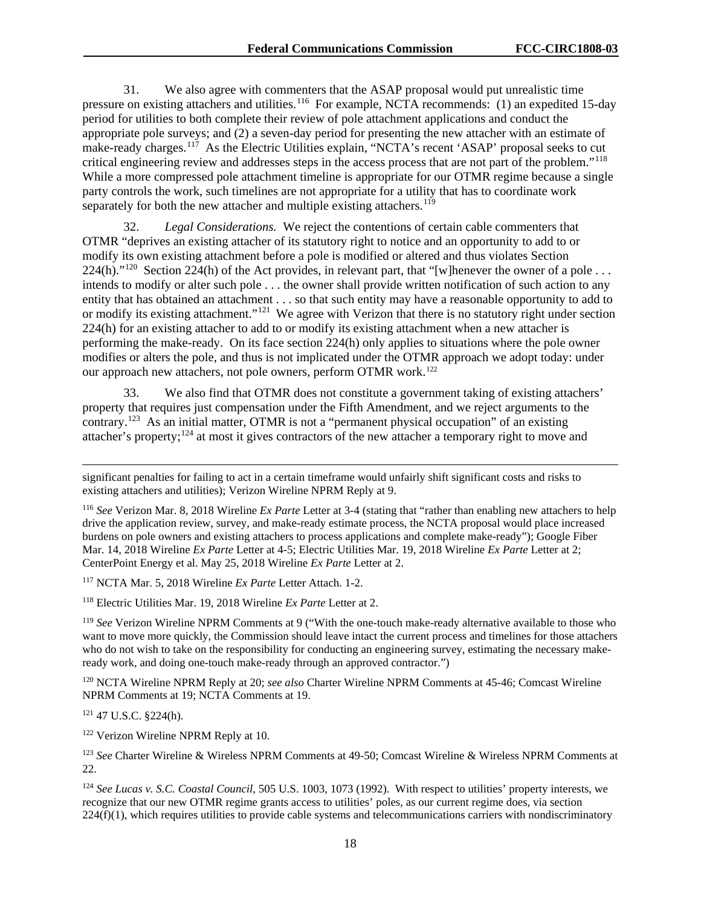31. We also agree with commenters that the ASAP proposal would put unrealistic time pressure on existing attachers and utilities.<sup>[116](#page-18-0)</sup> For example, NCTA recommends: (1) an expedited 15-day period for utilities to both complete their review of pole attachment applications and conduct the appropriate pole surveys; and (2) a seven-day period for presenting the new attacher with an estimate of make-ready charges.<sup>[117](#page-18-1)</sup> As the Electric Utilities explain, "NCTA's recent 'ASAP' proposal seeks to cut critical engineering review and addresses steps in the access process that are not part of the problem."[118](#page-18-2)  While a more compressed pole attachment timeline is appropriate for our OTMR regime because a single party controls the work, such timelines are not appropriate for a utility that has to coordinate work separately for both the new attacher and multiple existing attachers.<sup>[119](#page-18-3)</sup>

32. *Legal Considerations.* We reject the contentions of certain cable commenters that OTMR "deprives an existing attacher of its statutory right to notice and an opportunity to add to or modify its own existing attachment before a pole is modified or altered and thus violates Section 224(h)."<sup>[120](#page-18-4)</sup> Section 224(h) of the Act provides, in relevant part, that "[w]henever the owner of a pole ... intends to modify or alter such pole . . . the owner shall provide written notification of such action to any entity that has obtained an attachment . . . so that such entity may have a reasonable opportunity to add to or modify its existing attachment."[121](#page-18-5) We agree with Verizon that there is no statutory right under section 224(h) for an existing attacher to add to or modify its existing attachment when a new attacher is performing the make-ready. On its face section 224(h) only applies to situations where the pole owner modifies or alters the pole, and thus is not implicated under the OTMR approach we adopt today: under our approach new attachers, not pole owners, perform OTMR work.[122](#page-18-6)

33. We also find that OTMR does not constitute a government taking of existing attachers' property that requires just compensation under the Fifth Amendment, and we reject arguments to the contrary.<sup>123</sup> As an initial matter, OTMR is not a "permanent physical occupation" of an existing attacher's property;[124](#page-18-8) at most it gives contractors of the new attacher a temporary right to move and

<span id="page-18-1"></span><sup>117</sup> NCTA Mar. 5, 2018 Wireline *Ex Parte* Letter Attach. 1-2.

<span id="page-18-2"></span><sup>118</sup> Electric Utilities Mar. 19, 2018 Wireline *Ex Parte* Letter at 2.

<span id="page-18-3"></span><sup>119</sup> *See* Verizon Wireline NPRM Comments at 9 ("With the one-touch make-ready alternative available to those who want to move more quickly, the Commission should leave intact the current process and timelines for those attachers who do not wish to take on the responsibility for conducting an engineering survey, estimating the necessary makeready work, and doing one-touch make-ready through an approved contractor.")

<span id="page-18-4"></span><sup>120</sup> NCTA Wireline NPRM Reply at 20; *see also* Charter Wireline NPRM Comments at 45-46; Comcast Wireline NPRM Comments at 19; NCTA Comments at 19.

<span id="page-18-5"></span><sup>121</sup> 47 U.S.C. §224(h).

 $\overline{a}$ 

<span id="page-18-6"></span><sup>122</sup> Verizon Wireline NPRM Reply at 10.

<span id="page-18-7"></span><sup>123</sup> *See* Charter Wireline & Wireless NPRM Comments at 49-50; Comcast Wireline & Wireless NPRM Comments at 22.

<span id="page-18-8"></span><sup>124</sup> *See Lucas v. S.C. Coastal Council*, 505 U.S. 1003, 1073 (1992). With respect to utilities' property interests, we recognize that our new OTMR regime grants access to utilities' poles, as our current regime does, via section 224(f)(1), which requires utilities to provide cable systems and telecommunications carriers with nondiscriminatory

significant penalties for failing to act in a certain timeframe would unfairly shift significant costs and risks to existing attachers and utilities); Verizon Wireline NPRM Reply at 9.

<span id="page-18-0"></span><sup>116</sup> *See* Verizon Mar. 8, 2018 Wireline *Ex Parte* Letter at 3-4 (stating that "rather than enabling new attachers to help drive the application review, survey, and make-ready estimate process, the NCTA proposal would place increased burdens on pole owners and existing attachers to process applications and complete make-ready"); Google Fiber Mar. 14, 2018 Wireline *Ex Parte* Letter at 4-5; Electric Utilities Mar. 19, 2018 Wireline *Ex Parte* Letter at 2; CenterPoint Energy et al. May 25, 2018 Wireline *Ex Parte* Letter at 2.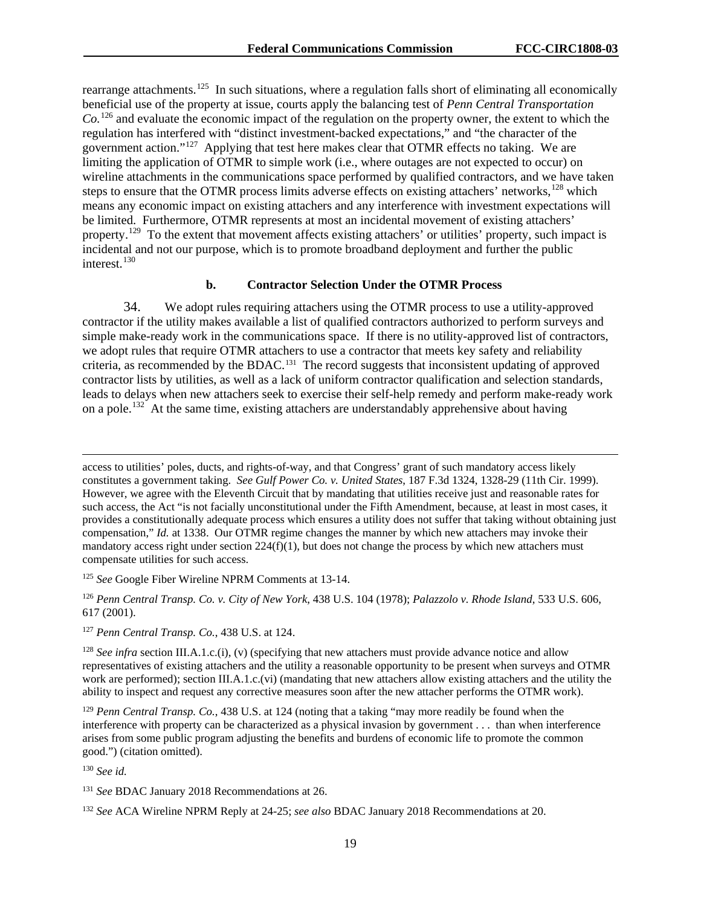rearrange attachments.<sup>125</sup> In such situations, where a regulation falls short of eliminating all economically beneficial use of the property at issue, courts apply the balancing test of *Penn Central Transportation Co.*[126](#page-19-1) and evaluate the economic impact of the regulation on the property owner, the extent to which the regulation has interfered with "distinct investment-backed expectations," and "the character of the government action."[127](#page-19-2) Applying that test here makes clear that OTMR effects no taking. We are limiting the application of OTMR to simple work (i.e., where outages are not expected to occur) on wireline attachments in the communications space performed by qualified contractors, and we have taken steps to ensure that the OTMR process limits adverse effects on existing attachers' networks,<sup>[128](#page-19-3)</sup> which means any economic impact on existing attachers and any interference with investment expectations will be limited. Furthermore, OTMR represents at most an incidental movement of existing attachers' property.<sup>[129](#page-19-4)</sup> To the extent that movement affects existing attachers' or utilities' property, such impact is incidental and not our purpose, which is to promote broadband deployment and further the public interest. $130$ 

#### **b. Contractor Selection Under the OTMR Process**

34. We adopt rules requiring attachers using the OTMR process to use a utility-approved contractor if the utility makes available a list of qualified contractors authorized to perform surveys and simple make-ready work in the communications space. If there is no utility-approved list of contractors, we adopt rules that require OTMR attachers to use a contractor that meets key safety and reliability criteria, as recommended by the BDAC.[131](#page-19-6) The record suggests that inconsistent updating of approved contractor lists by utilities, as well as a lack of uniform contractor qualification and selection standards, leads to delays when new attachers seek to exercise their self-help remedy and perform make-ready work on a pole.<sup>[132](#page-19-7)</sup> At the same time, existing attachers are understandably apprehensive about having

access to utilities' poles, ducts, and rights-of-way, and that Congress' grant of such mandatory access likely constitutes a government taking. *See Gulf Power Co. v. United States*, 187 F.3d 1324, 1328-29 (11th Cir. 1999). However, we agree with the Eleventh Circuit that by mandating that utilities receive just and reasonable rates for such access, the Act "is not facially unconstitutional under the Fifth Amendment, because, at least in most cases, it provides a constitutionally adequate process which ensures a utility does not suffer that taking without obtaining just compensation," *Id.* at 1338. Our OTMR regime changes the manner by which new attachers may invoke their mandatory access right under section  $224(f)(1)$ , but does not change the process by which new attachers must compensate utilities for such access.

<span id="page-19-0"></span><sup>125</sup> *See* Google Fiber Wireline NPRM Comments at 13-14.

<span id="page-19-1"></span><sup>126</sup> *Penn Central Transp. Co. v. City of New York*, 438 U.S. 104 (1978); *Palazzolo v. Rhode Island*, 533 U.S. 606, 617 (2001).

<span id="page-19-2"></span><sup>127</sup> *Penn Central Transp. Co.*, 438 U.S. at 124.

<span id="page-19-3"></span><sup>128</sup> *See infra* section III.A.1.c.(i), (v) (specifying that new attachers must provide advance notice and allow representatives of existing attachers and the utility a reasonable opportunity to be present when surveys and OTMR work are performed); section III.A.1.c.(vi) (mandating that new attachers allow existing attachers and the utility the ability to inspect and request any corrective measures soon after the new attacher performs the OTMR work).

<span id="page-19-4"></span><sup>129</sup> *Penn Central Transp. Co.*, 438 U.S. at 124 (noting that a taking "may more readily be found when the interference with property can be characterized as a physical invasion by government . . . than when interference arises from some public program adjusting the benefits and burdens of economic life to promote the common good.") (citation omitted).

<span id="page-19-5"></span><sup>130</sup> *See id.*

 $\overline{a}$ 

<span id="page-19-6"></span><sup>131</sup> *See* BDAC January 2018 Recommendations at 26.

<span id="page-19-7"></span><sup>132</sup> *See* ACA Wireline NPRM Reply at 24-25; *see also* BDAC January 2018 Recommendations at 20.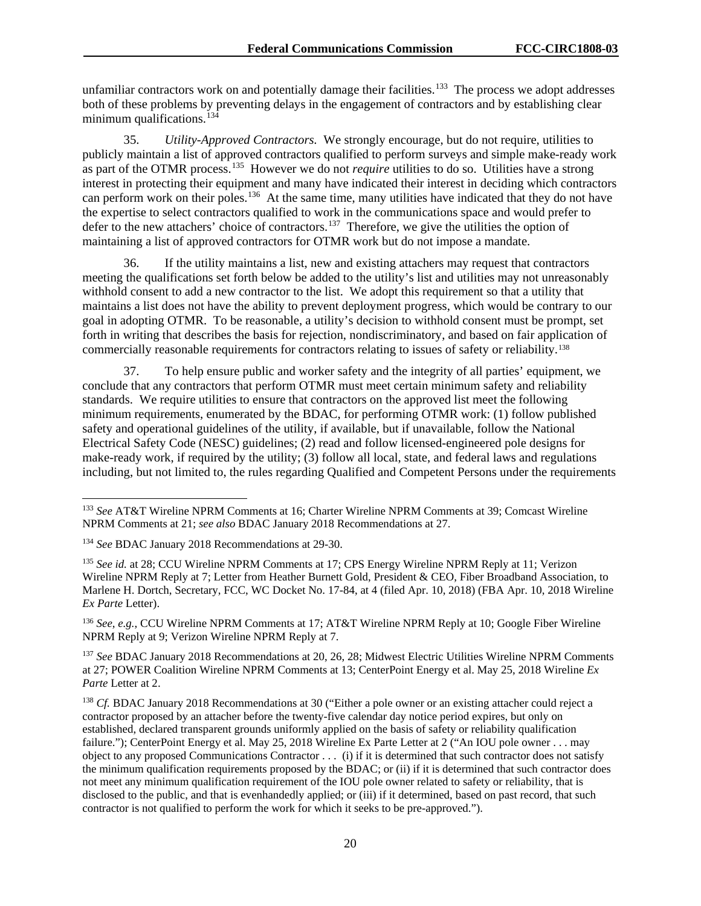unfamiliar contractors work on and potentially damage their facilities.<sup>[133](#page-20-0)</sup> The process we adopt addresses both of these problems by preventing delays in the engagement of contractors and by establishing clear minimum qualifications. $^{13}$ 

35. *Utility-Approved Contractors.* We strongly encourage, but do not require, utilities to publicly maintain a list of approved contractors qualified to perform surveys and simple make-ready work as part of the OTMR process.<sup>[135](#page-20-2)</sup> However we do not *require* utilities to do so. Utilities have a strong interest in protecting their equipment and many have indicated their interest in deciding which contractors can perform work on their poles.<sup>[136](#page-20-3)</sup> At the same time, many utilities have indicated that they do not have the expertise to select contractors qualified to work in the communications space and would prefer to defer to the new attachers' choice of contractors.<sup>[137](#page-20-4)</sup> Therefore, we give the utilities the option of maintaining a list of approved contractors for OTMR work but do not impose a mandate.

36. If the utility maintains a list, new and existing attachers may request that contractors meeting the qualifications set forth below be added to the utility's list and utilities may not unreasonably withhold consent to add a new contractor to the list. We adopt this requirement so that a utility that maintains a list does not have the ability to prevent deployment progress, which would be contrary to our goal in adopting OTMR. To be reasonable, a utility's decision to withhold consent must be prompt, set forth in writing that describes the basis for rejection, nondiscriminatory, and based on fair application of commercially reasonable requirements for contractors relating to issues of safety or reliability. [138](#page-20-5) 

37. To help ensure public and worker safety and the integrity of all parties' equipment, we conclude that any contractors that perform OTMR must meet certain minimum safety and reliability standards. We require utilities to ensure that contractors on the approved list meet the following minimum requirements, enumerated by the BDAC, for performing OTMR work: (1) follow published safety and operational guidelines of the utility, if available, but if unavailable, follow the National Electrical Safety Code (NESC) guidelines; (2) read and follow licensed-engineered pole designs for make-ready work, if required by the utility; (3) follow all local, state, and federal laws and regulations including, but not limited to, the rules regarding Qualified and Competent Persons under the requirements

<span id="page-20-3"></span><sup>136</sup> *See*, *e.g.*, CCU Wireline NPRM Comments at 17; AT&T Wireline NPRM Reply at 10; Google Fiber Wireline NPRM Reply at 9; Verizon Wireline NPRM Reply at 7.

<span id="page-20-4"></span><sup>137</sup> *See* BDAC January 2018 Recommendations at 20, 26, 28; Midwest Electric Utilities Wireline NPRM Comments at 27; POWER Coalition Wireline NPRM Comments at 13; CenterPoint Energy et al. May 25, 2018 Wireline *Ex Parte* Letter at 2.

<span id="page-20-5"></span><sup>138</sup> *Cf.* BDAC January 2018 Recommendations at 30 ("Either a pole owner or an existing attacher could reject a contractor proposed by an attacher before the twenty-five calendar day notice period expires, but only on established, declared transparent grounds uniformly applied on the basis of safety or reliability qualification failure."); CenterPoint Energy et al. May 25, 2018 Wireline Ex Parte Letter at 2 ("An IOU pole owner . . . may object to any proposed Communications Contractor . . . (i) if it is determined that such contractor does not satisfy the minimum qualification requirements proposed by the BDAC; or (ii) if it is determined that such contractor does not meet any minimum qualification requirement of the IOU pole owner related to safety or reliability, that is disclosed to the public, and that is evenhandedly applied; or (iii) if it determined, based on past record, that such contractor is not qualified to perform the work for which it seeks to be pre-approved.").

<span id="page-20-0"></span> <sup>133</sup> *See* AT&T Wireline NPRM Comments at 16; Charter Wireline NPRM Comments at 39; Comcast Wireline NPRM Comments at 21; *see also* BDAC January 2018 Recommendations at 27.

<span id="page-20-1"></span><sup>134</sup> *See* BDAC January 2018 Recommendations at 29-30.

<span id="page-20-2"></span><sup>&</sup>lt;sup>135</sup> See id. at 28; CCU Wireline NPRM Comments at 17; CPS Energy Wireline NPRM Reply at 11; Verizon Wireline NPRM Reply at 7; Letter from Heather Burnett Gold, President & CEO, Fiber Broadband Association, to Marlene H. Dortch, Secretary, FCC, WC Docket No. 17-84, at 4 (filed Apr. 10, 2018) (FBA Apr. 10, 2018 Wireline *Ex Parte* Letter).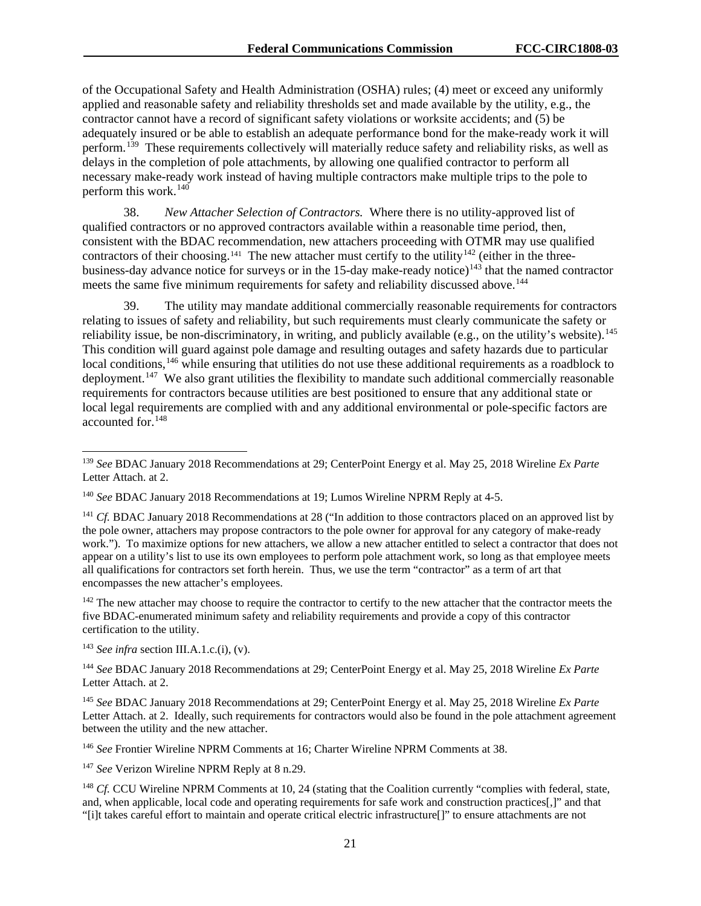of the Occupational Safety and Health Administration (OSHA) rules; (4) meet or exceed any uniformly applied and reasonable safety and reliability thresholds set and made available by the utility, e.g., the contractor cannot have a record of significant safety violations or worksite accidents; and (5) be adequately insured or be able to establish an adequate performance bond for the make-ready work it will perform.<sup>[139](#page-21-0)</sup> These requirements collectively will materially reduce safety and reliability risks, as well as delays in the completion of pole attachments, by allowing one qualified contractor to perform all necessary make-ready work instead of having multiple contractors make multiple trips to the pole to perform this work. $140$ 

38. *New Attacher Selection of Contractors.* Where there is no utility-approved list of qualified contractors or no approved contractors available within a reasonable time period, then, consistent with the BDAC recommendation, new attachers proceeding with OTMR may use qualified contractors of their choosing.<sup>[141](#page-21-2)</sup> The new attacher must certify to the utility<sup>[142](#page-21-3)</sup> (either in the three-business-day advance notice for surveys or in the 15-day make-ready notice)<sup>[143](#page-21-4)</sup> that the named contractor meets the same five minimum requirements for safety and reliability discussed above.<sup>[144](#page-21-5)</sup>

39. The utility may mandate additional commercially reasonable requirements for contractors relating to issues of safety and reliability, but such requirements must clearly communicate the safety or reliability issue, be non-discriminatory, in writing, and publicly available (e.g., on the utility's website).<sup>145</sup> This condition will guard against pole damage and resulting outages and safety hazards due to particular local conditions, <sup>[146](#page-21-7)</sup> while ensuring that utilities do not use these additional requirements as a roadblock to deployment.<sup>147</sup> We also grant utilities the flexibility to mandate such additional commercially reasonable requirements for contractors because utilities are best positioned to ensure that any additional state or local legal requirements are complied with and any additional environmental or pole-specific factors are accounted for.<sup>[148](#page-21-9)</sup>

<span id="page-21-2"></span><sup>141</sup> *Cf.* BDAC January 2018 Recommendations at 28 ("In addition to those contractors placed on an approved list by the pole owner, attachers may propose contractors to the pole owner for approval for any category of make-ready work."). To maximize options for new attachers, we allow a new attacher entitled to select a contractor that does not appear on a utility's list to use its own employees to perform pole attachment work, so long as that employee meets all qualifications for contractors set forth herein. Thus, we use the term "contractor" as a term of art that encompasses the new attacher's employees.

<span id="page-21-3"></span><sup>142</sup> The new attacher may choose to require the contractor to certify to the new attacher that the contractor meets the five BDAC-enumerated minimum safety and reliability requirements and provide a copy of this contractor certification to the utility.

<span id="page-21-4"></span><sup>143</sup> *See infra* section III.A.1.c.(i), (v).

<span id="page-21-5"></span><sup>144</sup> *See* BDAC January 2018 Recommendations at 29; CenterPoint Energy et al. May 25, 2018 Wireline *Ex Parte* Letter Attach. at 2.

<span id="page-21-6"></span><sup>145</sup> *See* BDAC January 2018 Recommendations at 29; CenterPoint Energy et al. May 25, 2018 Wireline *Ex Parte* Letter Attach. at 2. Ideally, such requirements for contractors would also be found in the pole attachment agreement between the utility and the new attacher.

<span id="page-21-7"></span><sup>146</sup> *See* Frontier Wireline NPRM Comments at 16; Charter Wireline NPRM Comments at 38.

<span id="page-21-8"></span><sup>147</sup> *See* Verizon Wireline NPRM Reply at 8 n.29.

<span id="page-21-9"></span><sup>148</sup> *Cf.* CCU Wireline NPRM Comments at 10, 24 (stating that the Coalition currently "complies with federal, state, and, when applicable, local code and operating requirements for safe work and construction practices[,]" and that "[i]t takes careful effort to maintain and operate critical electric infrastructure[]" to ensure attachments are not

<span id="page-21-0"></span> <sup>139</sup> *See* BDAC January 2018 Recommendations at 29; CenterPoint Energy et al. May 25, 2018 Wireline *Ex Parte* Letter Attach. at 2.

<span id="page-21-1"></span><sup>140</sup> *See* BDAC January 2018 Recommendations at 19; Lumos Wireline NPRM Reply at 4-5.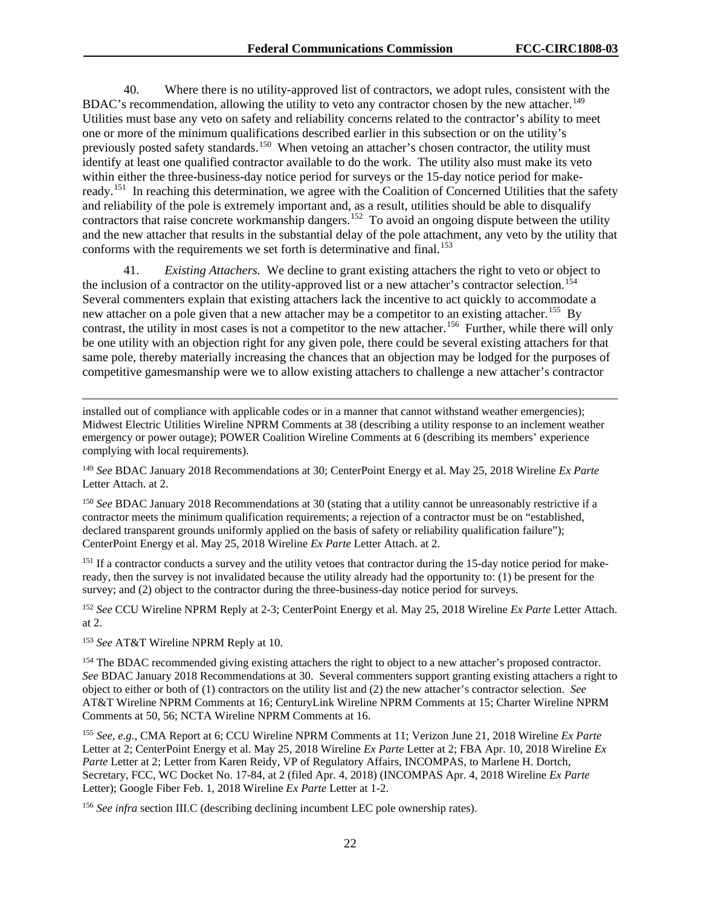40. Where there is no utility-approved list of contractors, we adopt rules, consistent with the BDAC's recommendation, allowing the utility to veto any contractor chosen by the new attacher.<sup>[149](#page-22-0)</sup> Utilities must base any veto on safety and reliability concerns related to the contractor's ability to meet one or more of the minimum qualifications described earlier in this subsection or on the utility's previously posted safety standards.<sup>[150](#page-22-1)</sup> When vetoing an attacher's chosen contractor, the utility must identify at least one qualified contractor available to do the work. The utility also must make its veto within either the three-business-day notice period for surveys or the 15-day notice period for make-ready.<sup>[151](#page-22-2)</sup> In reaching this determination, we agree with the Coalition of Concerned Utilities that the safety and reliability of the pole is extremely important and, as a result, utilities should be able to disqualify contractors that raise concrete workmanship dangers.<sup>[152](#page-22-3)</sup> To avoid an ongoing dispute between the utility and the new attacher that results in the substantial delay of the pole attachment, any veto by the utility that conforms with the requirements we set forth is determinative and final.<sup>[153](#page-22-4)</sup>

41. *Existing Attachers.* We decline to grant existing attachers the right to veto or object to the inclusion of a contractor on the utility-approved list or a new attacher's contractor selection.<sup>[154](#page-22-5)</sup> Several commenters explain that existing attachers lack the incentive to act quickly to accommodate a new attacher on a pole given that a new attacher may be a competitor to an existing attacher.<sup>155</sup> By contrast, the utility in most cases is not a competitor to the new attacher.<sup>[156](#page-22-7)</sup> Further, while there will only be one utility with an objection right for any given pole, there could be several existing attachers for that same pole, thereby materially increasing the chances that an objection may be lodged for the purposes of competitive gamesmanship were we to allow existing attachers to challenge a new attacher's contractor

installed out of compliance with applicable codes or in a manner that cannot withstand weather emergencies); Midwest Electric Utilities Wireline NPRM Comments at 38 (describing a utility response to an inclement weather emergency or power outage); POWER Coalition Wireline Comments at 6 (describing its members' experience complying with local requirements).

<span id="page-22-0"></span><sup>149</sup> *See* BDAC January 2018 Recommendations at 30; CenterPoint Energy et al. May 25, 2018 Wireline *Ex Parte* Letter Attach. at 2.

<span id="page-22-1"></span><sup>150</sup> See BDAC January 2018 Recommendations at 30 (stating that a utility cannot be unreasonably restrictive if a contractor meets the minimum qualification requirements; a rejection of a contractor must be on "established, declared transparent grounds uniformly applied on the basis of safety or reliability qualification failure"); CenterPoint Energy et al. May 25, 2018 Wireline *Ex Parte* Letter Attach. at 2.

<span id="page-22-2"></span><sup>151</sup> If a contractor conducts a survey and the utility vetoes that contractor during the 15-day notice period for makeready, then the survey is not invalidated because the utility already had the opportunity to: (1) be present for the survey; and (2) object to the contractor during the three-business-day notice period for surveys.

<span id="page-22-3"></span><sup>152</sup> *See* CCU Wireline NPRM Reply at 2-3; CenterPoint Energy et al. May 25, 2018 Wireline *Ex Parte* Letter Attach. at 2.

<span id="page-22-4"></span><sup>153</sup> *See* AT&T Wireline NPRM Reply at 10.

 $\overline{a}$ 

<span id="page-22-5"></span><sup>154</sup> The BDAC recommended giving existing attachers the right to object to a new attacher's proposed contractor. *See* BDAC January 2018 Recommendations at 30. Several commenters support granting existing attachers a right to object to either or both of (1) contractors on the utility list and (2) the new attacher's contractor selection. *See*  AT&T Wireline NPRM Comments at 16; CenturyLink Wireline NPRM Comments at 15; Charter Wireline NPRM Comments at 50, 56; NCTA Wireline NPRM Comments at 16.

<span id="page-22-6"></span><sup>155</sup> *See, e.g.*, CMA Report at 6; CCU Wireline NPRM Comments at 11; Verizon June 21, 2018 Wireline *Ex Parte* Letter at 2; CenterPoint Energy et al. May 25, 2018 Wireline *Ex Parte* Letter at 2; FBA Apr. 10, 2018 Wireline *Ex Parte* Letter at 2; Letter from Karen Reidy, VP of Regulatory Affairs, INCOMPAS, to Marlene H. Dortch, Secretary, FCC, WC Docket No. 17-84, at 2 (filed Apr. 4, 2018) (INCOMPAS Apr. 4, 2018 Wireline *Ex Parte* Letter); Google Fiber Feb. 1, 2018 Wireline *Ex Parte* Letter at 1-2.

<span id="page-22-7"></span><sup>156</sup> *See infra* section III.C (describing declining incumbent LEC pole ownership rates).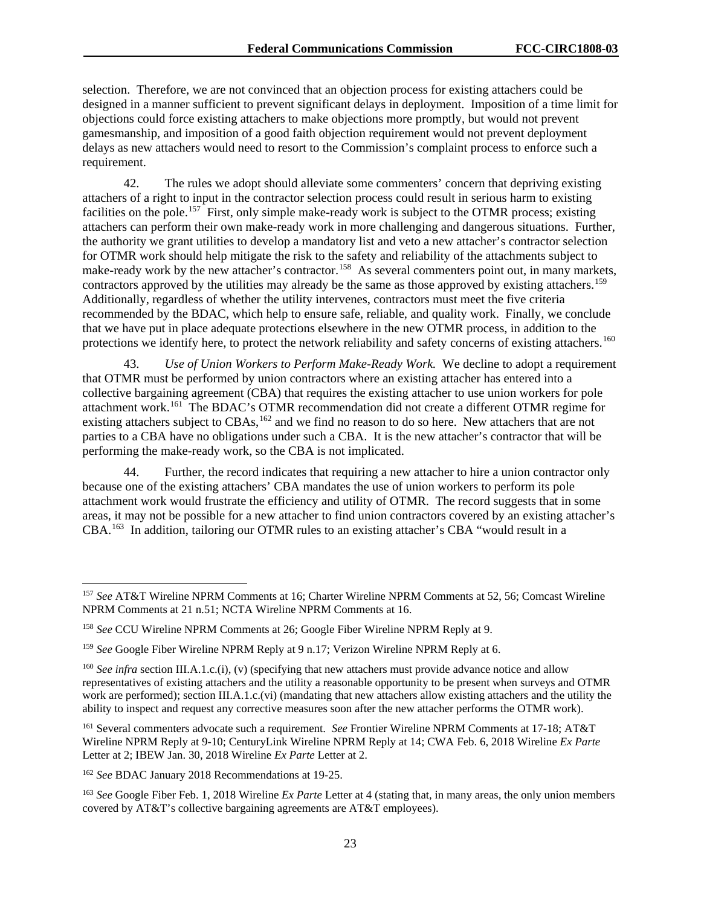selection. Therefore, we are not convinced that an objection process for existing attachers could be designed in a manner sufficient to prevent significant delays in deployment. Imposition of a time limit for objections could force existing attachers to make objections more promptly, but would not prevent gamesmanship, and imposition of a good faith objection requirement would not prevent deployment delays as new attachers would need to resort to the Commission's complaint process to enforce such a requirement.

42. The rules we adopt should alleviate some commenters' concern that depriving existing attachers of a right to input in the contractor selection process could result in serious harm to existing facilities on the pole.<sup>[157](#page-23-0)</sup> First, only simple make-ready work is subject to the OTMR process; existing attachers can perform their own make-ready work in more challenging and dangerous situations. Further, the authority we grant utilities to develop a mandatory list and veto a new attacher's contractor selection for OTMR work should help mitigate the risk to the safety and reliability of the attachments subject to make-ready work by the new attacher's contractor.<sup>158</sup> As several commenters point out, in many markets, contractors approved by the utilities may already be the same as those approved by existing attachers.<sup>[159](#page-23-2)</sup> Additionally, regardless of whether the utility intervenes, contractors must meet the five criteria recommended by the BDAC, which help to ensure safe, reliable, and quality work. Finally, we conclude that we have put in place adequate protections elsewhere in the new OTMR process, in addition to the protections we identify here, to protect the network reliability and safety concerns of existing attachers.<sup>[160](#page-23-3)</sup>

43. *Use of Union Workers to Perform Make-Ready Work.* We decline to adopt a requirement that OTMR must be performed by union contractors where an existing attacher has entered into a collective bargaining agreement (CBA) that requires the existing attacher to use union workers for pole attachment work.[161](#page-23-4) The BDAC's OTMR recommendation did not create a different OTMR regime for existing attachers subject to  $CBAs$ ,  $^{162}$  $^{162}$  $^{162}$  and we find no reason to do so here. New attachers that are not parties to a CBA have no obligations under such a CBA. It is the new attacher's contractor that will be performing the make-ready work, so the CBA is not implicated.

44. Further, the record indicates that requiring a new attacher to hire a union contractor only because one of the existing attachers' CBA mandates the use of union workers to perform its pole attachment work would frustrate the efficiency and utility of OTMR. The record suggests that in some areas, it may not be possible for a new attacher to find union contractors covered by an existing attacher's CBA.[163](#page-23-6) In addition, tailoring our OTMR rules to an existing attacher's CBA "would result in a

<span id="page-23-0"></span> <sup>157</sup> *See* AT&T Wireline NPRM Comments at 16; Charter Wireline NPRM Comments at 52, 56; Comcast Wireline NPRM Comments at 21 n.51; NCTA Wireline NPRM Comments at 16.

<span id="page-23-1"></span><sup>158</sup> *See* CCU Wireline NPRM Comments at 26; Google Fiber Wireline NPRM Reply at 9.

<span id="page-23-2"></span><sup>159</sup> *See* Google Fiber Wireline NPRM Reply at 9 n.17; Verizon Wireline NPRM Reply at 6.

<span id="page-23-3"></span><sup>&</sup>lt;sup>160</sup> *See infra* section III.A.1.c.(i), (v) (specifying that new attachers must provide advance notice and allow representatives of existing attachers and the utility a reasonable opportunity to be present when surveys and OTMR work are performed); section III.A.1.c.(vi) (mandating that new attachers allow existing attachers and the utility the ability to inspect and request any corrective measures soon after the new attacher performs the OTMR work).

<span id="page-23-4"></span><sup>161</sup> Several commenters advocate such a requirement. *See* Frontier Wireline NPRM Comments at 17-18; AT&T Wireline NPRM Reply at 9-10; CenturyLink Wireline NPRM Reply at 14; CWA Feb. 6, 2018 Wireline *Ex Parte*  Letter at 2; IBEW Jan. 30, 2018 Wireline *Ex Parte* Letter at 2.

<span id="page-23-5"></span><sup>162</sup> *See* BDAC January 2018 Recommendations at 19-25.

<span id="page-23-6"></span><sup>163</sup> *See* Google Fiber Feb. 1, 2018 Wireline *Ex Parte* Letter at 4 (stating that, in many areas, the only union members covered by AT&T's collective bargaining agreements are AT&T employees).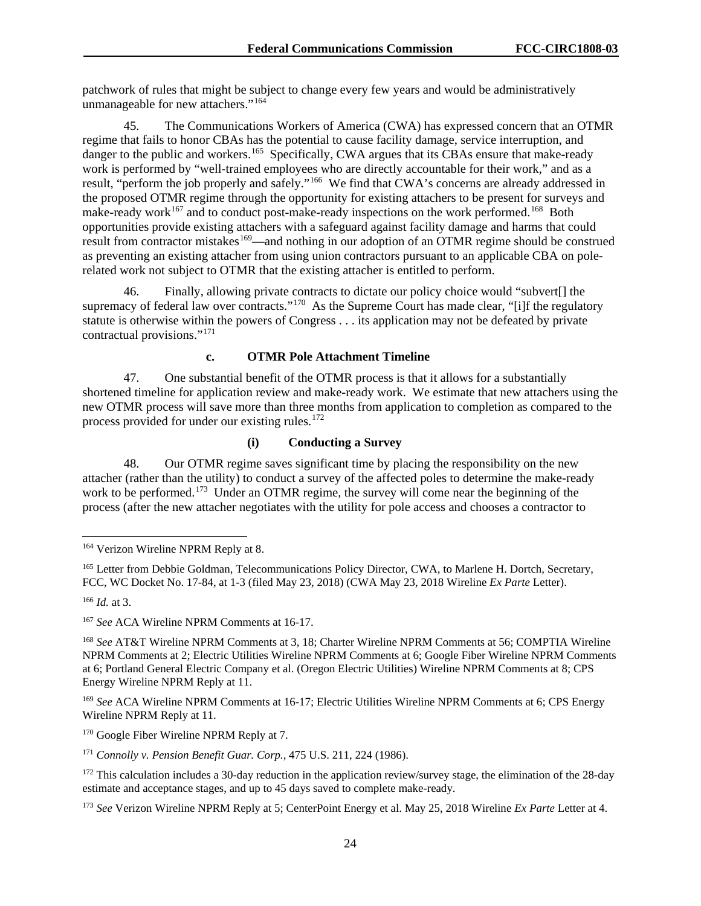patchwork of rules that might be subject to change every few years and would be administratively unmanageable for new attachers."<sup>[164](#page-24-0)</sup>

45. The Communications Workers of America (CWA) has expressed concern that an OTMR regime that fails to honor CBAs has the potential to cause facility damage, service interruption, and danger to the public and workers.<sup>[165](#page-24-1)</sup> Specifically, CWA argues that its CBAs ensure that make-ready work is performed by "well-trained employees who are directly accountable for their work," and as a result, "perform the job properly and safely."[166](#page-24-2) We find that CWA's concerns are already addressed in the proposed OTMR regime through the opportunity for existing attachers to be present for surveys and make-ready work $167$  and to conduct post-make-ready inspections on the work performed.<sup>[168](#page-24-4)</sup> Both opportunities provide existing attachers with a safeguard against facility damage and harms that could result from contractor mistakes<sup>[169](#page-24-5)</sup>—and nothing in our adoption of an OTMR regime should be construed as preventing an existing attacher from using union contractors pursuant to an applicable CBA on polerelated work not subject to OTMR that the existing attacher is entitled to perform.

46. Finally, allowing private contracts to dictate our policy choice would "subvert[] the supremacy of federal law over contracts."<sup>[170](#page-24-6)</sup> As the Supreme Court has made clear, "[i]f the regulatory statute is otherwise within the powers of Congress . . . its application may not be defeated by private contractual provisions."[171](#page-24-7)

#### **c. OTMR Pole Attachment Timeline**

47. One substantial benefit of the OTMR process is that it allows for a substantially shortened timeline for application review and make-ready work. We estimate that new attachers using the new OTMR process will save more than three months from application to completion as compared to the process provided for under our existing rules.<sup>[172](#page-24-8)</sup>

## **(i) Conducting a Survey**

48. Our OTMR regime saves significant time by placing the responsibility on the new attacher (rather than the utility) to conduct a survey of the affected poles to determine the make-ready work to be performed.<sup>[173](#page-24-9)</sup> Under an OTMR regime, the survey will come near the beginning of the process (after the new attacher negotiates with the utility for pole access and chooses a contractor to

<span id="page-24-0"></span><sup>&</sup>lt;sup>164</sup> Verizon Wireline NPRM Reply at 8.

<span id="page-24-1"></span><sup>&</sup>lt;sup>165</sup> Letter from Debbie Goldman, Telecommunications Policy Director, CWA, to Marlene H. Dortch, Secretary, FCC, WC Docket No. 17-84, at 1-3 (filed May 23, 2018) (CWA May 23, 2018 Wireline *Ex Parte* Letter).

<span id="page-24-2"></span><sup>166</sup> *Id.* at 3.

<span id="page-24-3"></span><sup>167</sup> *See* ACA Wireline NPRM Comments at 16-17.

<span id="page-24-4"></span><sup>168</sup> *See* AT&T Wireline NPRM Comments at 3, 18; Charter Wireline NPRM Comments at 56; COMPTIA Wireline NPRM Comments at 2; Electric Utilities Wireline NPRM Comments at 6; Google Fiber Wireline NPRM Comments at 6; Portland General Electric Company et al. (Oregon Electric Utilities) Wireline NPRM Comments at 8; CPS Energy Wireline NPRM Reply at 11.

<span id="page-24-5"></span><sup>169</sup> *See* ACA Wireline NPRM Comments at 16-17; Electric Utilities Wireline NPRM Comments at 6; CPS Energy Wireline NPRM Reply at 11.

<span id="page-24-6"></span><sup>&</sup>lt;sup>170</sup> Google Fiber Wireline NPRM Reply at 7.

<span id="page-24-7"></span><sup>171</sup> *Connolly v. Pension Benefit Guar. Corp.*, 475 U.S. 211, 224 (1986).

<span id="page-24-8"></span> $172$  This calculation includes a 30-day reduction in the application review/survey stage, the elimination of the 28-day estimate and acceptance stages, and up to 45 days saved to complete make-ready.

<span id="page-24-9"></span><sup>173</sup> *See* Verizon Wireline NPRM Reply at 5; CenterPoint Energy et al. May 25, 2018 Wireline *Ex Parte* Letter at 4.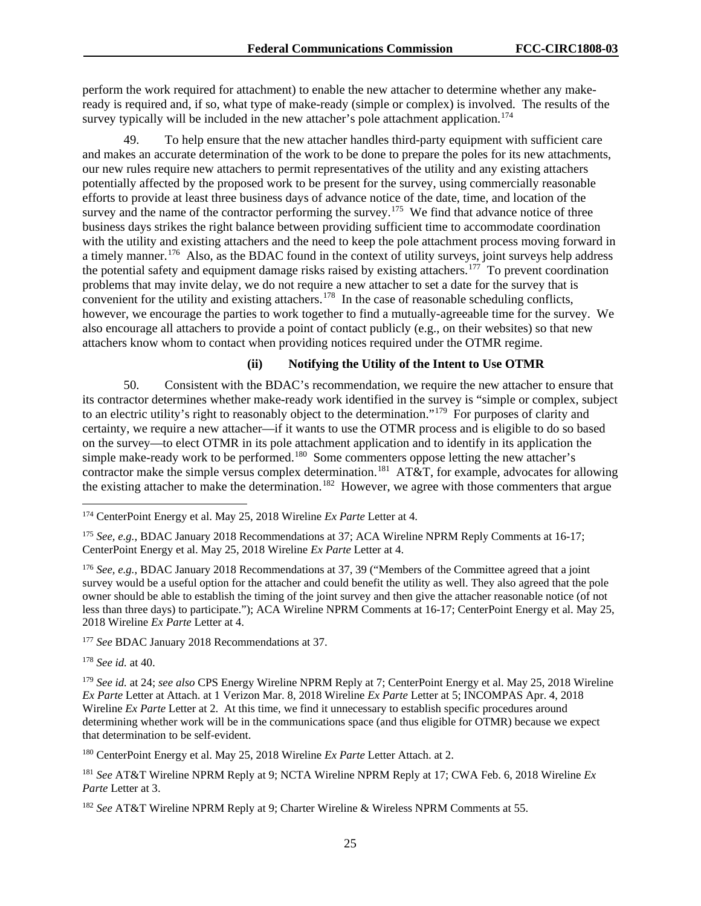perform the work required for attachment) to enable the new attacher to determine whether any makeready is required and, if so, what type of make-ready (simple or complex) is involved. The results of the survey typically will be included in the new attacher's pole attachment application.<sup>[174](#page-25-0)</sup>

49. To help ensure that the new attacher handles third-party equipment with sufficient care and makes an accurate determination of the work to be done to prepare the poles for its new attachments, our new rules require new attachers to permit representatives of the utility and any existing attachers potentially affected by the proposed work to be present for the survey, using commercially reasonable efforts to provide at least three business days of advance notice of the date, time, and location of the survey and the name of the contractor performing the survey.<sup>175</sup> We find that advance notice of three business days strikes the right balance between providing sufficient time to accommodate coordination with the utility and existing attachers and the need to keep the pole attachment process moving forward in a timely manner.<sup>[176](#page-25-2)</sup> Also, as the BDAC found in the context of utility surveys, joint surveys help address the potential safety and equipment damage risks raised by existing attachers.<sup>[177](#page-25-3)</sup> To prevent coordination problems that may invite delay, we do not require a new attacher to set a date for the survey that is convenient for the utility and existing attachers.<sup>178</sup> In the case of reasonable scheduling conflicts, however, we encourage the parties to work together to find a mutually-agreeable time for the survey. We also encourage all attachers to provide a point of contact publicly (e.g., on their websites) so that new attachers know whom to contact when providing notices required under the OTMR regime.

### **(ii) Notifying the Utility of the Intent to Use OTMR**

50. Consistent with the BDAC's recommendation, we require the new attacher to ensure that its contractor determines whether make-ready work identified in the survey is "simple or complex, subject to an electric utility's right to reasonably object to the determination."<sup>179</sup> For purposes of clarity and certainty, we require a new attacher—if it wants to use the OTMR process and is eligible to do so based on the survey—to elect OTMR in its pole attachment application and to identify in its application the simple make-ready work to be performed.<sup>[180](#page-25-6)</sup> Some commenters oppose letting the new attacher's contractor make the simple versus complex determination.<sup>181</sup> AT&T, for example, advocates for allowing the existing attacher to make the determination.<sup>[182](#page-25-8)</sup> However, we agree with those commenters that argue

<span id="page-25-3"></span><sup>177</sup> See BDAC January 2018 Recommendations at 37.

<span id="page-25-4"></span><sup>178</sup> *See id.* at 40.

<span id="page-25-5"></span><sup>179</sup> *See id.* at 24; *see also* CPS Energy Wireline NPRM Reply at 7; CenterPoint Energy et al. May 25, 2018 Wireline *Ex Parte* Letter at Attach. at 1 Verizon Mar. 8, 2018 Wireline *Ex Parte* Letter at 5; INCOMPAS Apr. 4, 2018 Wireline *Ex Parte* Letter at 2. At this time, we find it unnecessary to establish specific procedures around determining whether work will be in the communications space (and thus eligible for OTMR) because we expect that determination to be self-evident.

<span id="page-25-6"></span><sup>180</sup> CenterPoint Energy et al. May 25, 2018 Wireline *Ex Parte* Letter Attach. at 2.

<span id="page-25-0"></span> <sup>174</sup> CenterPoint Energy et al. May 25, 2018 Wireline *Ex Parte* Letter at 4.

<span id="page-25-1"></span><sup>175</sup> *See, e.g.*, BDAC January 2018 Recommendations at 37; ACA Wireline NPRM Reply Comments at 16-17; CenterPoint Energy et al. May 25, 2018 Wireline *Ex Parte* Letter at 4.

<span id="page-25-2"></span><sup>176</sup> *See, e.g.*, BDAC January 2018 Recommendations at 37, 39 ("Members of the Committee agreed that a joint survey would be a useful option for the attacher and could benefit the utility as well. They also agreed that the pole owner should be able to establish the timing of the joint survey and then give the attacher reasonable notice (of not less than three days) to participate."); ACA Wireline NPRM Comments at 16-17; CenterPoint Energy et al. May 25, 2018 Wireline *Ex Parte* Letter at 4.

<span id="page-25-7"></span><sup>181</sup> *See* AT&T Wireline NPRM Reply at 9; NCTA Wireline NPRM Reply at 17; CWA Feb. 6, 2018 Wireline *Ex Parte* Letter at 3.

<span id="page-25-8"></span><sup>182</sup> *See* AT&T Wireline NPRM Reply at 9; Charter Wireline & Wireless NPRM Comments at 55.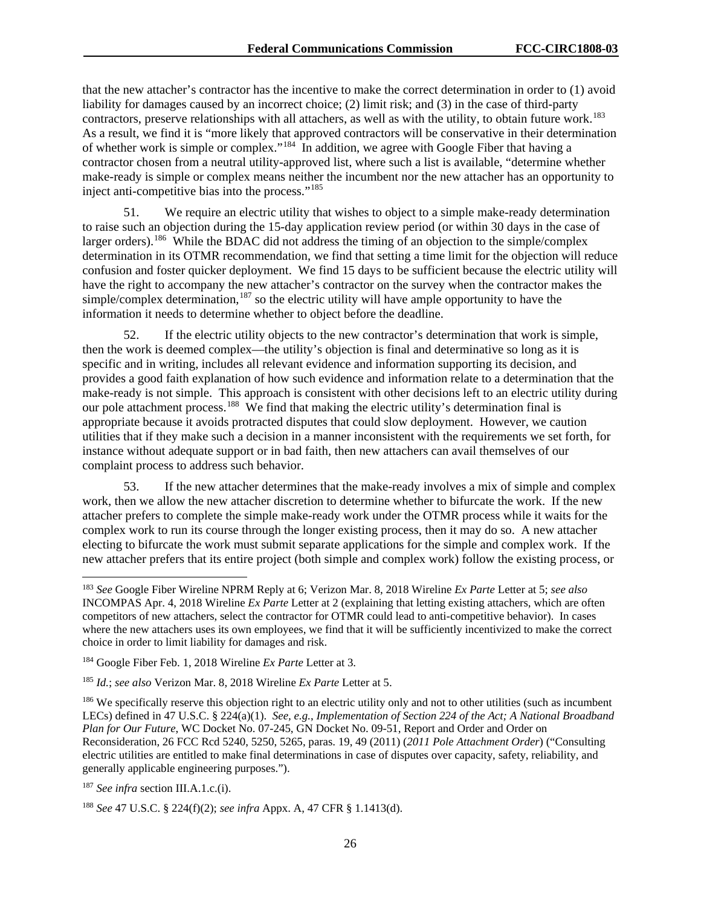that the new attacher's contractor has the incentive to make the correct determination in order to (1) avoid liability for damages caused by an incorrect choice; (2) limit risk; and (3) in the case of third-party contractors, preserve relationships with all attachers, as well as with the utility, to obtain future work.<sup>183</sup> As a result, we find it is "more likely that approved contractors will be conservative in their determination of whether work is simple or complex."[184](#page-26-1) In addition, we agree with Google Fiber that having a contractor chosen from a neutral utility-approved list, where such a list is available, "determine whether make-ready is simple or complex means neither the incumbent nor the new attacher has an opportunity to inject anti-competitive bias into the process."[185](#page-26-2)

51. We require an electric utility that wishes to object to a simple make-ready determination to raise such an objection during the 15-day application review period (or within 30 days in the case of larger orders).<sup>[186](#page-26-3)</sup> While the BDAC did not address the timing of an objection to the simple/complex determination in its OTMR recommendation, we find that setting a time limit for the objection will reduce confusion and foster quicker deployment. We find 15 days to be sufficient because the electric utility will have the right to accompany the new attacher's contractor on the survey when the contractor makes the simple/complex determination, $187$  so the electric utility will have ample opportunity to have the information it needs to determine whether to object before the deadline.

If the electric utility objects to the new contractor's determination that work is simple, then the work is deemed complex—the utility's objection is final and determinative so long as it is specific and in writing, includes all relevant evidence and information supporting its decision, and provides a good faith explanation of how such evidence and information relate to a determination that the make-ready is not simple. This approach is consistent with other decisions left to an electric utility during our pole attachment process.<sup>[188](#page-26-5)</sup> We find that making the electric utility's determination final is appropriate because it avoids protracted disputes that could slow deployment. However, we caution utilities that if they make such a decision in a manner inconsistent with the requirements we set forth, for instance without adequate support or in bad faith, then new attachers can avail themselves of our complaint process to address such behavior.

53. If the new attacher determines that the make-ready involves a mix of simple and complex work, then we allow the new attacher discretion to determine whether to bifurcate the work. If the new attacher prefers to complete the simple make-ready work under the OTMR process while it waits for the complex work to run its course through the longer existing process, then it may do so. A new attacher electing to bifurcate the work must submit separate applications for the simple and complex work. If the new attacher prefers that its entire project (both simple and complex work) follow the existing process, or

<span id="page-26-0"></span> <sup>183</sup> *See* Google Fiber Wireline NPRM Reply at 6; Verizon Mar. 8, 2018 Wireline *Ex Parte* Letter at 5; *see also*  INCOMPAS Apr. 4, 2018 Wireline *Ex Parte* Letter at 2 (explaining that letting existing attachers, which are often competitors of new attachers, select the contractor for OTMR could lead to anti-competitive behavior). In cases where the new attachers uses its own employees, we find that it will be sufficiently incentivized to make the correct choice in order to limit liability for damages and risk.

<span id="page-26-1"></span><sup>184</sup> Google Fiber Feb. 1, 2018 Wireline *Ex Parte* Letter at 3.

<span id="page-26-2"></span><sup>185</sup> *Id.*; *see also* Verizon Mar. 8, 2018 Wireline *Ex Parte* Letter at 5.

<span id="page-26-3"></span><sup>&</sup>lt;sup>186</sup> We specifically reserve this objection right to an electric utility only and not to other utilities (such as incumbent LECs) defined in 47 U.S.C. § 224(a)(1). *See, e.g.*, *Implementation of Section 224 of the Act; A National Broadband Plan for Our Future*, WC Docket No. 07-245, GN Docket No. 09-51, Report and Order and Order on Reconsideration, 26 FCC Rcd 5240, 5250, 5265, paras. 19, 49 (2011) (*2011 Pole Attachment Order*) ("Consulting electric utilities are entitled to make final determinations in case of disputes over capacity, safety, reliability, and generally applicable engineering purposes.").

<span id="page-26-4"></span><sup>187</sup> *See infra* section III.A.1.c.(i).

<span id="page-26-5"></span><sup>188</sup> *See* 47 U.S.C. § 224(f)(2); *see infra* Appx. A, 47 CFR § 1.1413(d).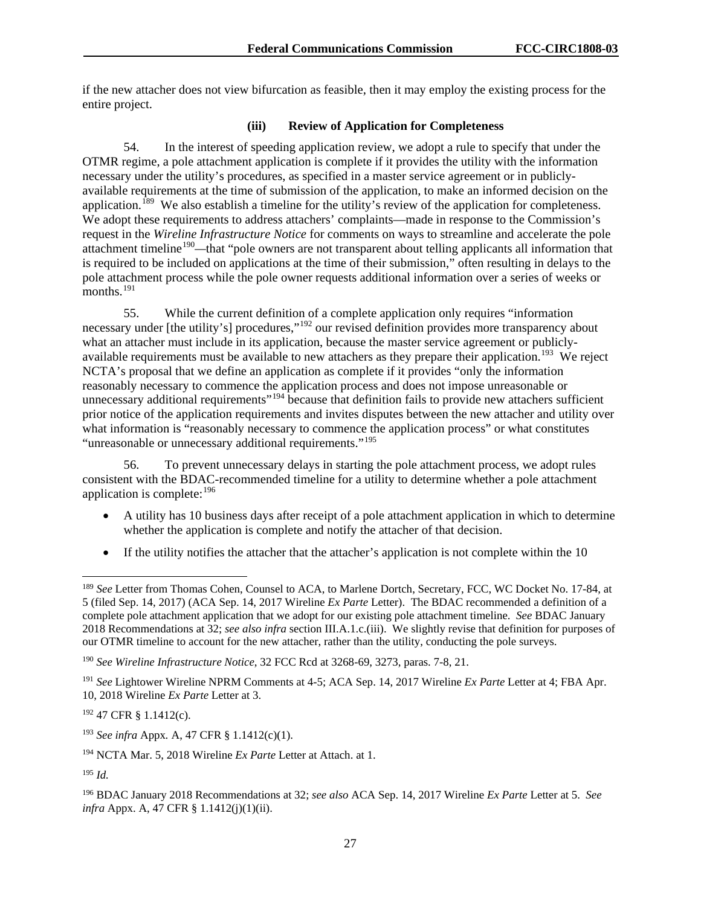if the new attacher does not view bifurcation as feasible, then it may employ the existing process for the entire project.

### **(iii) Review of Application for Completeness**

54. In the interest of speeding application review, we adopt a rule to specify that under the OTMR regime, a pole attachment application is complete if it provides the utility with the information necessary under the utility's procedures, as specified in a master service agreement or in publiclyavailable requirements at the time of submission of the application, to make an informed decision on the application.<sup>189</sup> We also establish a timeline for the utility's review of the application for completeness. We adopt these requirements to address attachers' complaints—made in response to the Commission's request in the *Wireline Infrastructure Notice* for comments on ways to streamline and accelerate the pole attachment timeline<sup>[190](#page-27-1)</sup>—that "pole owners are not transparent about telling applicants all information that is required to be included on applications at the time of their submission," often resulting in delays to the pole attachment process while the pole owner requests additional information over a series of weeks or months.<sup>[191](#page-27-2)</sup>

55. While the current definition of a complete application only requires "information necessary under [the utility's] procedures,"<sup>[192](#page-27-3)</sup> our revised definition provides more transparency about what an attacher must include in its application, because the master service agreement or publiclyavailable requirements must be available to new attachers as they prepare their application.<sup>193</sup> We reject NCTA's proposal that we define an application as complete if it provides "only the information reasonably necessary to commence the application process and does not impose unreasonable or unnecessary additional requirements"<sup>[194](#page-27-5)</sup> because that definition fails to provide new attachers sufficient prior notice of the application requirements and invites disputes between the new attacher and utility over what information is "reasonably necessary to commence the application process" or what constitutes "unreasonable or unnecessary additional requirements."<sup>[195](#page-27-6)</sup>

56. To prevent unnecessary delays in starting the pole attachment process, we adopt rules consistent with the BDAC-recommended timeline for a utility to determine whether a pole attachment application is complete: $196$ 

- A utility has 10 business days after receipt of a pole attachment application in which to determine whether the application is complete and notify the attacher of that decision.
- If the utility notifies the attacher that the attacher's application is not complete within the 10

<span id="page-27-3"></span><sup>192</sup> 47 CFR § 1.1412(c).

<span id="page-27-0"></span> <sup>189</sup> *See* Letter from Thomas Cohen, Counsel to ACA, to Marlene Dortch, Secretary, FCC, WC Docket No. 17-84, at 5 (filed Sep. 14, 2017) (ACA Sep. 14, 2017 Wireline *Ex Parte* Letter). The BDAC recommended a definition of a complete pole attachment application that we adopt for our existing pole attachment timeline. *See* BDAC January 2018 Recommendations at 32; *see also infra* section III.A.1.c.(iii). We slightly revise that definition for purposes of our OTMR timeline to account for the new attacher, rather than the utility, conducting the pole surveys.

<span id="page-27-1"></span><sup>190</sup> *See Wireline Infrastructure Notice*, 32 FCC Rcd at 3268-69, 3273, paras. 7-8, 21.

<span id="page-27-2"></span><sup>191</sup> *See* Lightower Wireline NPRM Comments at 4-5; ACA Sep. 14, 2017 Wireline *Ex Parte* Letter at 4; FBA Apr. 10, 2018 Wireline *Ex Parte* Letter at 3.

<span id="page-27-4"></span><sup>193</sup> *See infra* Appx*.* A, 47 CFR § 1.1412(c)(1).

<span id="page-27-5"></span><sup>194</sup> NCTA Mar. 5, 2018 Wireline *Ex Parte* Letter at Attach. at 1.

<span id="page-27-6"></span><sup>195</sup> *Id.*

<span id="page-27-7"></span><sup>196</sup> BDAC January 2018 Recommendations at 32; *see also* ACA Sep. 14, 2017 Wireline *Ex Parte* Letter at 5. *See infra* Appx. A, 47 CFR § 1.1412(j)(1)(ii).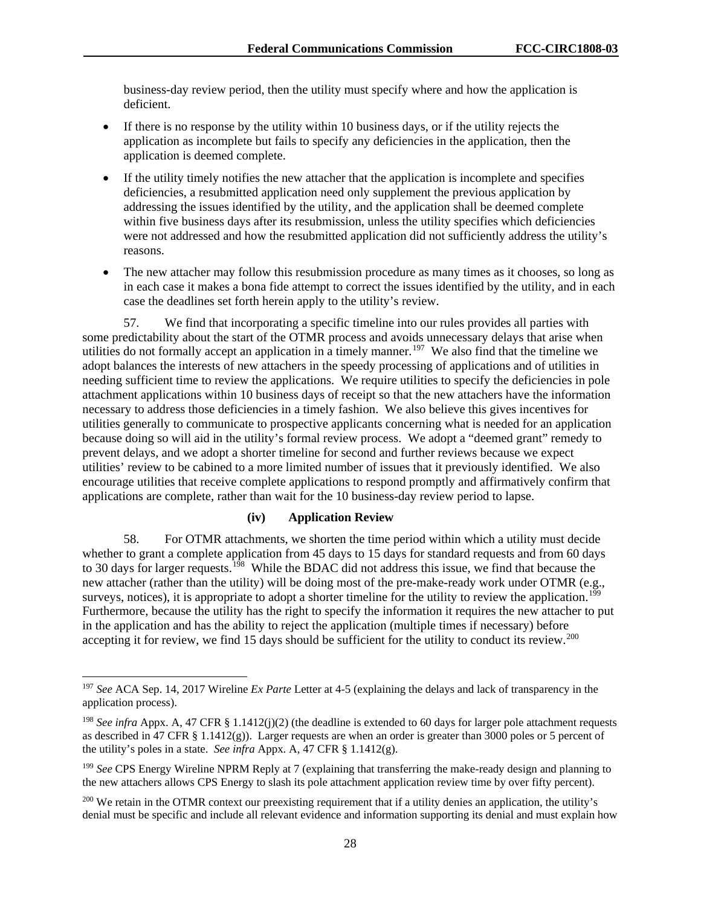business-day review period, then the utility must specify where and how the application is deficient.

- If there is no response by the utility within 10 business days, or if the utility rejects the application as incomplete but fails to specify any deficiencies in the application, then the application is deemed complete.
- If the utility timely notifies the new attacher that the application is incomplete and specifies deficiencies, a resubmitted application need only supplement the previous application by addressing the issues identified by the utility, and the application shall be deemed complete within five business days after its resubmission, unless the utility specifies which deficiencies were not addressed and how the resubmitted application did not sufficiently address the utility's reasons.
- The new attacher may follow this resubmission procedure as many times as it chooses, so long as in each case it makes a bona fide attempt to correct the issues identified by the utility, and in each case the deadlines set forth herein apply to the utility's review.

57. We find that incorporating a specific timeline into our rules provides all parties with some predictability about the start of the OTMR process and avoids unnecessary delays that arise when utilities do not formally accept an application in a timely manner.<sup>[197](#page-28-0)</sup> We also find that the timeline we adopt balances the interests of new attachers in the speedy processing of applications and of utilities in needing sufficient time to review the applications. We require utilities to specify the deficiencies in pole attachment applications within 10 business days of receipt so that the new attachers have the information necessary to address those deficiencies in a timely fashion. We also believe this gives incentives for utilities generally to communicate to prospective applicants concerning what is needed for an application because doing so will aid in the utility's formal review process. We adopt a "deemed grant" remedy to prevent delays, and we adopt a shorter timeline for second and further reviews because we expect utilities' review to be cabined to a more limited number of issues that it previously identified. We also encourage utilities that receive complete applications to respond promptly and affirmatively confirm that applications are complete, rather than wait for the 10 business-day review period to lapse.

## **(iv) Application Review**

58. For OTMR attachments, we shorten the time period within which a utility must decide whether to grant a complete application from 45 days to 15 days for standard requests and from 60 days to 30 days for larger requests.<sup>198</sup> While the BDAC did not address this issue, we find that because the new attacher (rather than the utility) will be doing most of the pre-make-ready work under OTMR (e.g., surveys, notices), it is appropriate to adopt a shorter timeline for the utility to review the application.<sup>[199](#page-28-2)</sup> Furthermore, because the utility has the right to specify the information it requires the new attacher to put in the application and has the ability to reject the application (multiple times if necessary) before accepting it for review, we find 15 days should be sufficient for the utility to conduct its review.<sup>200</sup>

<span id="page-28-0"></span> <sup>197</sup> *See* ACA Sep. 14, 2017 Wireline *Ex Parte* Letter at 4-5 (explaining the delays and lack of transparency in the application process).

<span id="page-28-1"></span><sup>198</sup> *See infra* Appx. A, 47 CFR § 1.1412(j)(2) (the deadline is extended to 60 days for larger pole attachment requests as described in 47 CFR § 1.1412(g)). Larger requests are when an order is greater than 3000 poles or 5 percent of the utility's poles in a state. *See infra* Appx. A, 47 CFR § 1.1412(g).

<span id="page-28-2"></span><sup>&</sup>lt;sup>199</sup> See CPS Energy Wireline NPRM Reply at 7 (explaining that transferring the make-ready design and planning to the new attachers allows CPS Energy to slash its pole attachment application review time by over fifty percent).

<span id="page-28-3"></span><sup>&</sup>lt;sup>200</sup> We retain in the OTMR context our preexisting requirement that if a utility denies an application, the utility's denial must be specific and include all relevant evidence and information supporting its denial and must explain how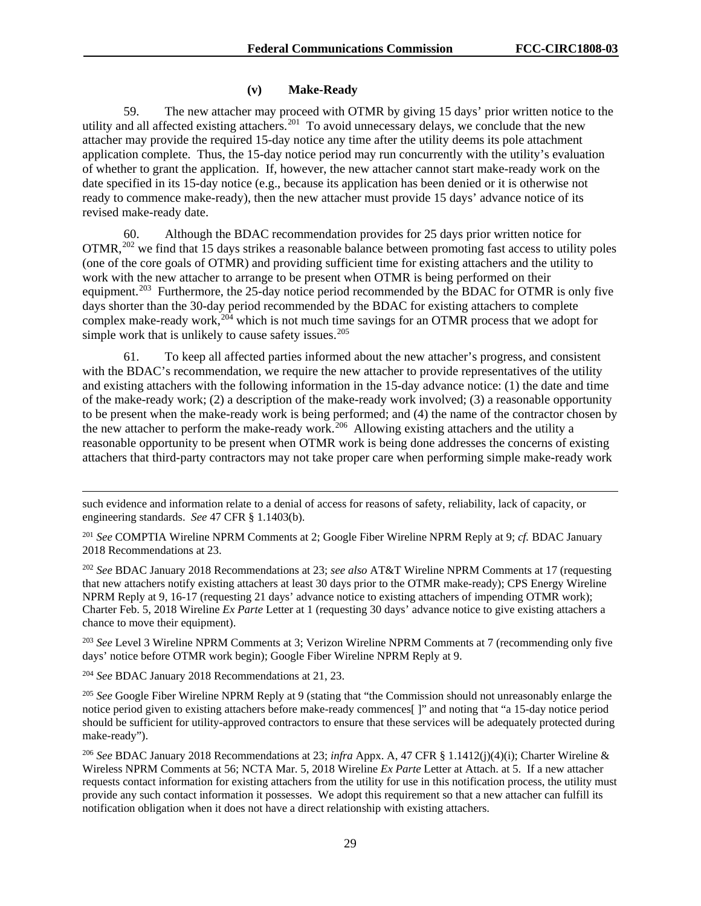### **(v) Make-Ready**

59. The new attacher may proceed with OTMR by giving 15 days' prior written notice to the utility and all affected existing attachers.<sup>[201](#page-29-0)</sup> To avoid unnecessary delays, we conclude that the new attacher may provide the required 15-day notice any time after the utility deems its pole attachment application complete. Thus, the 15-day notice period may run concurrently with the utility's evaluation of whether to grant the application. If, however, the new attacher cannot start make-ready work on the date specified in its 15-day notice (e.g., because its application has been denied or it is otherwise not ready to commence make-ready), then the new attacher must provide 15 days' advance notice of its revised make-ready date.

60. Although the BDAC recommendation provides for 25 days prior written notice for OTMR.<sup>[202](#page-29-1)</sup> we find that 15 days strikes a reasonable balance between promoting fast access to utility poles (one of the core goals of OTMR) and providing sufficient time for existing attachers and the utility to work with the new attacher to arrange to be present when OTMR is being performed on their equipment.<sup>[203](#page-29-2)</sup> Furthermore, the 25-day notice period recommended by the BDAC for OTMR is only five days shorter than the 30-day period recommended by the BDAC for existing attachers to complete complex make-ready work,<sup>[204](#page-29-3)</sup> which is not much time savings for an OTMR process that we adopt for simple work that is unlikely to cause safety issues.<sup>[205](#page-29-4)</sup>

61. To keep all affected parties informed about the new attacher's progress, and consistent with the BDAC's recommendation, we require the new attacher to provide representatives of the utility and existing attachers with the following information in the 15-day advance notice: (1) the date and time of the make-ready work; (2) a description of the make-ready work involved; (3) a reasonable opportunity to be present when the make-ready work is being performed; and (4) the name of the contractor chosen by the new attacher to perform the make-ready work.<sup>206</sup> Allowing existing attachers and the utility a reasonable opportunity to be present when OTMR work is being done addresses the concerns of existing attachers that third-party contractors may not take proper care when performing simple make-ready work

<span id="page-29-0"></span><sup>201</sup> *See* COMPTIA Wireline NPRM Comments at 2; Google Fiber Wireline NPRM Reply at 9; *cf.* BDAC January 2018 Recommendations at 23.

<span id="page-29-1"></span><sup>202</sup> *See* BDAC January 2018 Recommendations at 23; *see also* AT&T Wireline NPRM Comments at 17 (requesting that new attachers notify existing attachers at least 30 days prior to the OTMR make-ready); CPS Energy Wireline NPRM Reply at 9, 16-17 (requesting 21 days' advance notice to existing attachers of impending OTMR work); Charter Feb. 5, 2018 Wireline *Ex Parte* Letter at 1 (requesting 30 days' advance notice to give existing attachers a chance to move their equipment).

<span id="page-29-2"></span><sup>203</sup> *See* Level 3 Wireline NPRM Comments at 3; Verizon Wireline NPRM Comments at 7 (recommending only five days' notice before OTMR work begin); Google Fiber Wireline NPRM Reply at 9.

<span id="page-29-3"></span><sup>204</sup> *See* BDAC January 2018 Recommendations at 21, 23.

 $\overline{a}$ 

<span id="page-29-4"></span><sup>205</sup> See Google Fiber Wireline NPRM Reply at 9 (stating that "the Commission should not unreasonably enlarge the notice period given to existing attachers before make-ready commences[ ]" and noting that "a 15-day notice period should be sufficient for utility-approved contractors to ensure that these services will be adequately protected during make-ready").

<span id="page-29-5"></span><sup>206</sup> *See* BDAC January 2018 Recommendations at 23; *infra* Appx. A, 47 CFR § 1.1412(j)(4)(i); Charter Wireline & Wireless NPRM Comments at 56; NCTA Mar. 5, 2018 Wireline *Ex Parte* Letter at Attach. at 5. If a new attacher requests contact information for existing attachers from the utility for use in this notification process, the utility must provide any such contact information it possesses. We adopt this requirement so that a new attacher can fulfill its notification obligation when it does not have a direct relationship with existing attachers.

such evidence and information relate to a denial of access for reasons of safety, reliability, lack of capacity, or engineering standards. *See* 47 CFR § 1.1403(b).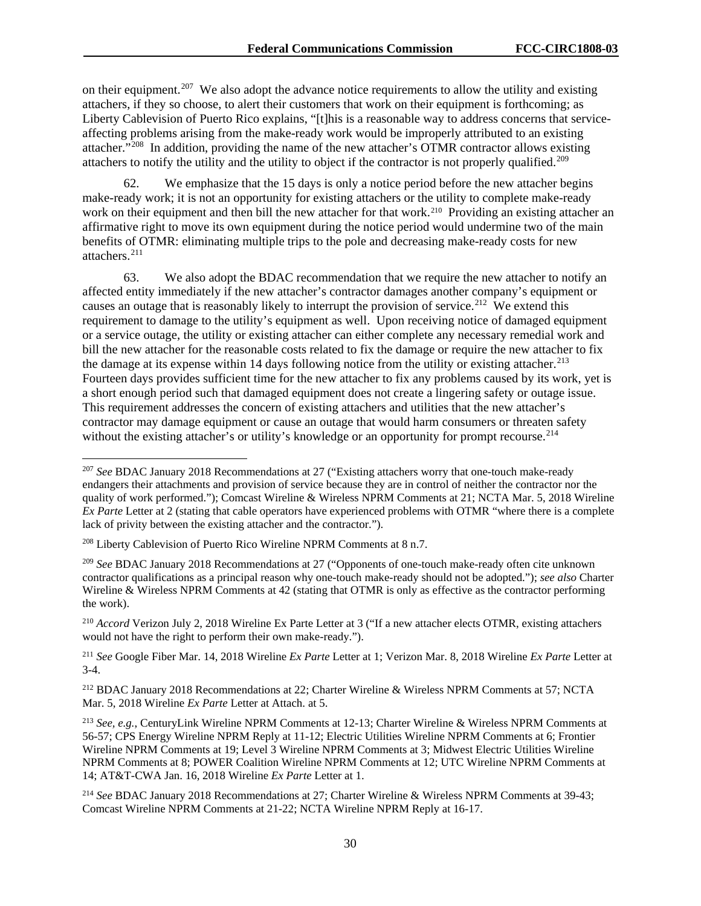on their equipment.<sup>207</sup> We also adopt the advance notice requirements to allow the utility and existing attachers, if they so choose, to alert their customers that work on their equipment is forthcoming; as Liberty Cablevision of Puerto Rico explains, "[t]his is a reasonable way to address concerns that serviceaffecting problems arising from the make-ready work would be improperly attributed to an existing attacher."[208](#page-30-1) In addition, providing the name of the new attacher's OTMR contractor allows existing attachers to notify the utility and the utility to object if the contractor is not properly qualified.<sup>209</sup>

62. We emphasize that the 15 days is only a notice period before the new attacher begins make-ready work; it is not an opportunity for existing attachers or the utility to complete make-ready work on their equipment and then bill the new attacher for that work.<sup>[210](#page-30-3)</sup> Providing an existing attacher an affirmative right to move its own equipment during the notice period would undermine two of the main benefits of OTMR: eliminating multiple trips to the pole and decreasing make-ready costs for new attachers.[211](#page-30-4) 

63. We also adopt the BDAC recommendation that we require the new attacher to notify an affected entity immediately if the new attacher's contractor damages another company's equipment or causes an outage that is reasonably likely to interrupt the provision of service.<sup>212</sup> We extend this requirement to damage to the utility's equipment as well. Upon receiving notice of damaged equipment or a service outage, the utility or existing attacher can either complete any necessary remedial work and bill the new attacher for the reasonable costs related to fix the damage or require the new attacher to fix the damage at its expense within 14 days following notice from the utility or existing attacher.<sup>[213](#page-30-6)</sup> Fourteen days provides sufficient time for the new attacher to fix any problems caused by its work, yet is a short enough period such that damaged equipment does not create a lingering safety or outage issue. This requirement addresses the concern of existing attachers and utilities that the new attacher's contractor may damage equipment or cause an outage that would harm consumers or threaten safety without the existing attacher's or utility's knowledge or an opportunity for prompt recourse.<sup>[214](#page-30-7)</sup>

<span id="page-30-0"></span> <sup>207</sup> *See* BDAC January 2018 Recommendations at 27 ("Existing attachers worry that one-touch make-ready endangers their attachments and provision of service because they are in control of neither the contractor nor the quality of work performed."); Comcast Wireline & Wireless NPRM Comments at 21; NCTA Mar. 5, 2018 Wireline *Ex Parte* Letter at 2 (stating that cable operators have experienced problems with OTMR "where there is a complete lack of privity between the existing attacher and the contractor.").

<span id="page-30-1"></span><sup>208</sup> Liberty Cablevision of Puerto Rico Wireline NPRM Comments at 8 n.7.

<span id="page-30-2"></span><sup>209</sup> *See* BDAC January 2018 Recommendations at 27 ("Opponents of one-touch make-ready often cite unknown contractor qualifications as a principal reason why one-touch make-ready should not be adopted."); *see also* Charter Wireline & Wireless NPRM Comments at 42 (stating that OTMR is only as effective as the contractor performing the work).

<span id="page-30-3"></span><sup>210</sup> *Accord* Verizon July 2, 2018 Wireline Ex Parte Letter at 3 ("If a new attacher elects OTMR, existing attachers would not have the right to perform their own make-ready.").

<span id="page-30-4"></span><sup>211</sup> *See* Google Fiber Mar. 14, 2018 Wireline *Ex Parte* Letter at 1; Verizon Mar. 8, 2018 Wireline *Ex Parte* Letter at 3-4.

<span id="page-30-5"></span><sup>212</sup> BDAC January 2018 Recommendations at 22; Charter Wireline & Wireless NPRM Comments at 57; NCTA Mar. 5, 2018 Wireline *Ex Parte* Letter at Attach. at 5.

<span id="page-30-6"></span><sup>213</sup> *See, e.g.*, CenturyLink Wireline NPRM Comments at 12-13; Charter Wireline & Wireless NPRM Comments at 56-57; CPS Energy Wireline NPRM Reply at 11-12; Electric Utilities Wireline NPRM Comments at 6; Frontier Wireline NPRM Comments at 19; Level 3 Wireline NPRM Comments at 3; Midwest Electric Utilities Wireline NPRM Comments at 8; POWER Coalition Wireline NPRM Comments at 12; UTC Wireline NPRM Comments at 14; AT&T-CWA Jan. 16, 2018 Wireline *Ex Parte* Letter at 1.

<span id="page-30-7"></span><sup>214</sup> *See* BDAC January 2018 Recommendations at 27; Charter Wireline & Wireless NPRM Comments at 39-43; Comcast Wireline NPRM Comments at 21-22; NCTA Wireline NPRM Reply at 16-17.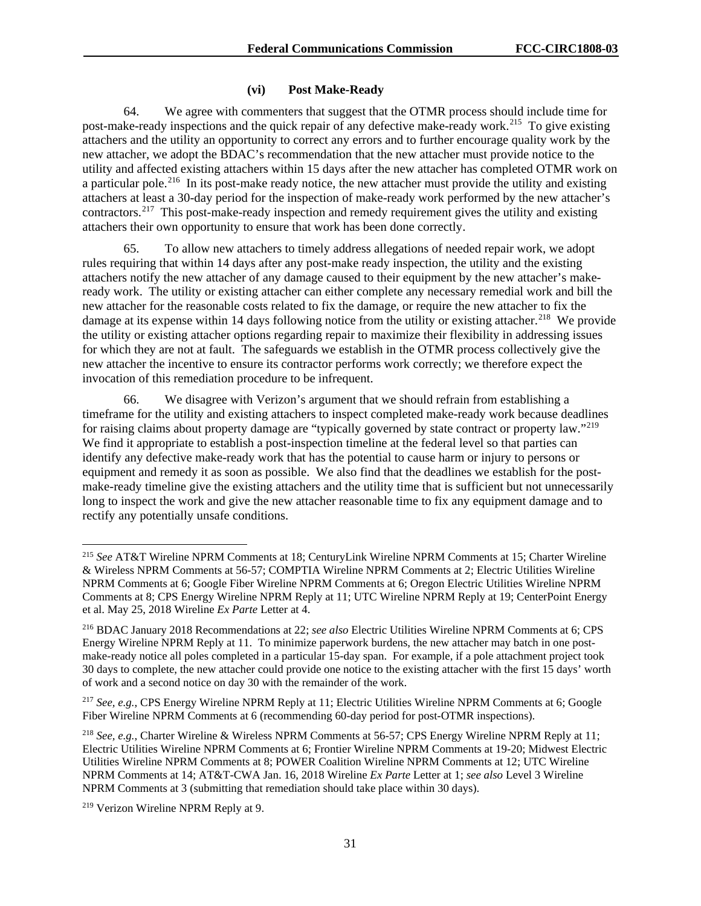## **(vi) Post Make-Ready**

64. We agree with commenters that suggest that the OTMR process should include time for post-make-ready inspections and the quick repair of any defective make-ready work.<sup>[215](#page-31-0)</sup> To give existing attachers and the utility an opportunity to correct any errors and to further encourage quality work by the new attacher, we adopt the BDAC's recommendation that the new attacher must provide notice to the utility and affected existing attachers within 15 days after the new attacher has completed OTMR work on a particular pole.<sup>[216](#page-31-1)</sup> In its post-make ready notice, the new attacher must provide the utility and existing attachers at least a 30-day period for the inspection of make-ready work performed by the new attacher's contractors.<sup>217</sup> This post-make-ready inspection and remedy requirement gives the utility and existing attachers their own opportunity to ensure that work has been done correctly.

65. To allow new attachers to timely address allegations of needed repair work, we adopt rules requiring that within 14 days after any post-make ready inspection, the utility and the existing attachers notify the new attacher of any damage caused to their equipment by the new attacher's makeready work. The utility or existing attacher can either complete any necessary remedial work and bill the new attacher for the reasonable costs related to fix the damage, or require the new attacher to fix the damage at its expense within 14 days following notice from the utility or existing attacher.<sup>[218](#page-31-3)</sup> We provide the utility or existing attacher options regarding repair to maximize their flexibility in addressing issues for which they are not at fault. The safeguards we establish in the OTMR process collectively give the new attacher the incentive to ensure its contractor performs work correctly; we therefore expect the invocation of this remediation procedure to be infrequent.

66. We disagree with Verizon's argument that we should refrain from establishing a timeframe for the utility and existing attachers to inspect completed make-ready work because deadlines for raising claims about property damage are "typically governed by state contract or property law."[219](#page-31-4) We find it appropriate to establish a post-inspection timeline at the federal level so that parties can identify any defective make-ready work that has the potential to cause harm or injury to persons or equipment and remedy it as soon as possible. We also find that the deadlines we establish for the postmake-ready timeline give the existing attachers and the utility time that is sufficient but not unnecessarily long to inspect the work and give the new attacher reasonable time to fix any equipment damage and to rectify any potentially unsafe conditions.

<span id="page-31-0"></span> <sup>215</sup> *See* AT&T Wireline NPRM Comments at 18; CenturyLink Wireline NPRM Comments at 15; Charter Wireline & Wireless NPRM Comments at 56-57; COMPTIA Wireline NPRM Comments at 2; Electric Utilities Wireline NPRM Comments at 6; Google Fiber Wireline NPRM Comments at 6; Oregon Electric Utilities Wireline NPRM Comments at 8; CPS Energy Wireline NPRM Reply at 11; UTC Wireline NPRM Reply at 19; CenterPoint Energy et al. May 25, 2018 Wireline *Ex Parte* Letter at 4.

<span id="page-31-1"></span><sup>216</sup> BDAC January 2018 Recommendations at 22; *see also* Electric Utilities Wireline NPRM Comments at 6; CPS Energy Wireline NPRM Reply at 11. To minimize paperwork burdens, the new attacher may batch in one postmake-ready notice all poles completed in a particular 15-day span. For example, if a pole attachment project took 30 days to complete, the new attacher could provide one notice to the existing attacher with the first 15 days' worth of work and a second notice on day 30 with the remainder of the work.

<span id="page-31-2"></span><sup>217</sup> *See, e.g.*, CPS Energy Wireline NPRM Reply at 11; Electric Utilities Wireline NPRM Comments at 6; Google Fiber Wireline NPRM Comments at 6 (recommending 60-day period for post-OTMR inspections).

<span id="page-31-3"></span><sup>218</sup> *See, e.g.*, Charter Wireline & Wireless NPRM Comments at 56-57; CPS Energy Wireline NPRM Reply at 11; Electric Utilities Wireline NPRM Comments at 6; Frontier Wireline NPRM Comments at 19-20; Midwest Electric Utilities Wireline NPRM Comments at 8; POWER Coalition Wireline NPRM Comments at 12; UTC Wireline NPRM Comments at 14; AT&T-CWA Jan. 16, 2018 Wireline *Ex Parte* Letter at 1; *see also* Level 3 Wireline NPRM Comments at 3 (submitting that remediation should take place within 30 days).

<span id="page-31-4"></span><sup>219</sup> Verizon Wireline NPRM Reply at 9.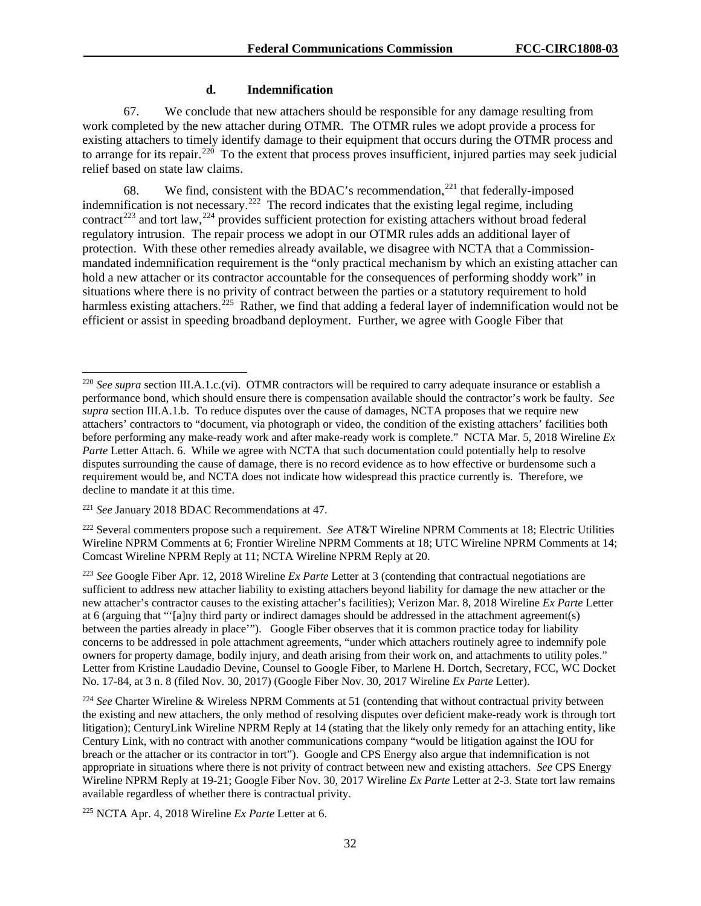#### **d. Indemnification**

67. We conclude that new attachers should be responsible for any damage resulting from work completed by the new attacher during OTMR. The OTMR rules we adopt provide a process for existing attachers to timely identify damage to their equipment that occurs during the OTMR process and to arrange for its repair.<sup>[220](#page-32-0)</sup> To the extent that process proves insufficient, injured parties may seek judicial relief based on state law claims.

68. We find, consistent with the BDAC's recommendation,<sup>[221](#page-32-1)</sup> that federally-imposed indemnification is not necessary.<sup>222</sup> The record indicates that the existing legal regime, including contract<sup>[223](#page-32-3)</sup> and tort law,<sup>[224](#page-32-4)</sup> provides sufficient protection for existing attachers without broad federal regulatory intrusion. The repair process we adopt in our OTMR rules adds an additional layer of protection. With these other remedies already available, we disagree with NCTA that a Commissionmandated indemnification requirement is the "only practical mechanism by which an existing attacher can hold a new attacher or its contractor accountable for the consequences of performing shoddy work" in situations where there is no privity of contract between the parties or a statutory requirement to hold harmless existing attachers.<sup>[225](#page-32-5)</sup> Rather, we find that adding a federal layer of indemnification would not be efficient or assist in speeding broadband deployment. Further, we agree with Google Fiber that

<span id="page-32-0"></span> <sup>220</sup> *See supra* section III.A.1.c.(vi). OTMR contractors will be required to carry adequate insurance or establish a performance bond, which should ensure there is compensation available should the contractor's work be faulty. *See supra* section III.A.1.b. To reduce disputes over the cause of damages, NCTA proposes that we require new attachers' contractors to "document, via photograph or video, the condition of the existing attachers' facilities both before performing any make-ready work and after make-ready work is complete." NCTA Mar. 5, 2018 Wireline *Ex Parte* Letter Attach. 6. While we agree with NCTA that such documentation could potentially help to resolve disputes surrounding the cause of damage, there is no record evidence as to how effective or burdensome such a requirement would be, and NCTA does not indicate how widespread this practice currently is. Therefore, we decline to mandate it at this time.

<span id="page-32-1"></span><sup>221</sup> *See* January 2018 BDAC Recommendations at 47.

<span id="page-32-2"></span><sup>222</sup> Several commenters propose such a requirement. *See* AT&T Wireline NPRM Comments at 18; Electric Utilities Wireline NPRM Comments at 6; Frontier Wireline NPRM Comments at 18; UTC Wireline NPRM Comments at 14; Comcast Wireline NPRM Reply at 11; NCTA Wireline NPRM Reply at 20.

<span id="page-32-3"></span><sup>223</sup> *See* Google Fiber Apr. 12, 2018 Wireline *Ex Parte* Letter at 3 (contending that contractual negotiations are sufficient to address new attacher liability to existing attachers beyond liability for damage the new attacher or the new attacher's contractor causes to the existing attacher's facilities); Verizon Mar. 8, 2018 Wireline *Ex Parte* Letter at 6 (arguing that "'[a]ny third party or indirect damages should be addressed in the attachment agreement(s) between the parties already in place'"). Google Fiber observes that it is common practice today for liability concerns to be addressed in pole attachment agreements, "under which attachers routinely agree to indemnify pole owners for property damage, bodily injury, and death arising from their work on, and attachments to utility poles." Letter from Kristine Laudadio Devine, Counsel to Google Fiber, to Marlene H. Dortch, Secretary, FCC, WC Docket No. 17-84, at 3 n. 8 (filed Nov. 30, 2017) (Google Fiber Nov. 30, 2017 Wireline *Ex Parte* Letter).

<span id="page-32-4"></span><sup>224</sup> *See* Charter Wireline & Wireless NPRM Comments at 51 (contending that without contractual privity between the existing and new attachers, the only method of resolving disputes over deficient make-ready work is through tort litigation); CenturyLink Wireline NPRM Reply at 14 (stating that the likely only remedy for an attaching entity, like Century Link, with no contract with another communications company "would be litigation against the IOU for breach or the attacher or its contractor in tort"). Google and CPS Energy also argue that indemnification is not appropriate in situations where there is not privity of contract between new and existing attachers. *See* CPS Energy Wireline NPRM Reply at 19-21; Google Fiber Nov. 30, 2017 Wireline *Ex Parte* Letter at 2-3. State tort law remains available regardless of whether there is contractual privity.

<span id="page-32-5"></span><sup>225</sup> NCTA Apr. 4, 2018 Wireline *Ex Parte* Letter at 6.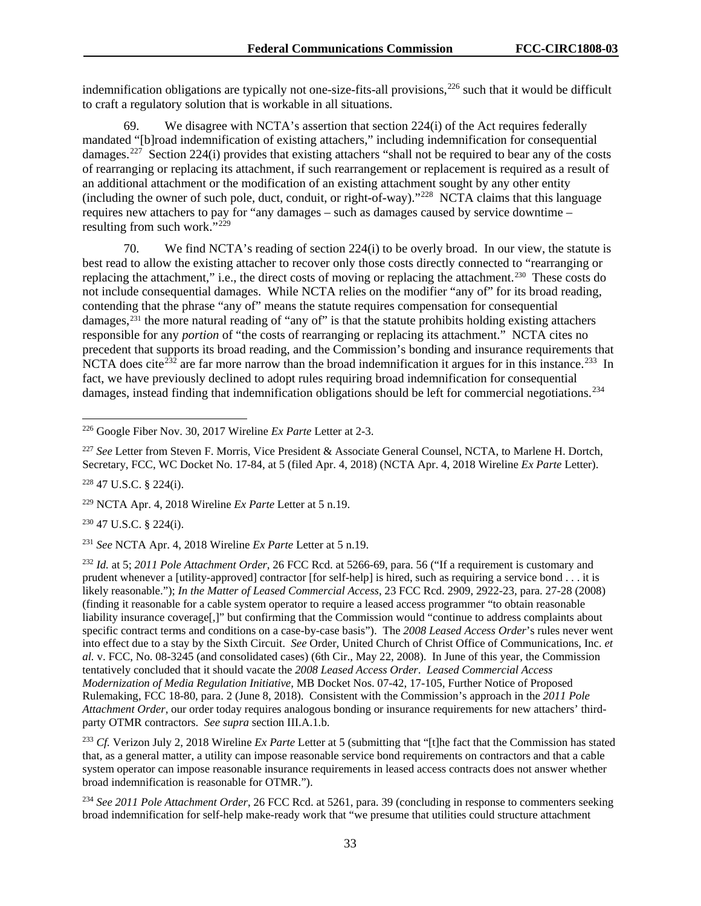indemnification obligations are typically not one-size-fits-all provisions,<sup>[226](#page-33-0)</sup> such that it would be difficult to craft a regulatory solution that is workable in all situations.

69. We disagree with NCTA's assertion that section 224(i) of the Act requires federally mandated "[b]road indemnification of existing attachers," including indemnification for consequential damages.<sup>[227](#page-33-1)</sup> Section 224(i) provides that existing attachers "shall not be required to bear any of the costs of rearranging or replacing its attachment, if such rearrangement or replacement is required as a result of an additional attachment or the modification of an existing attachment sought by any other entity (including the owner of such pole, duct, conduit, or right-of-way)."[228](#page-33-2) NCTA claims that this language requires new attachers to pay for "any damages – such as damages caused by service downtime – resulting from such work. $\cdot$ <sup>229</sup>

70. We find NCTA's reading of section 224(i) to be overly broad. In our view, the statute is best read to allow the existing attacher to recover only those costs directly connected to "rearranging or replacing the attachment," i.e., the direct costs of moving or replacing the attachment.[230](#page-33-4) These costs do not include consequential damages. While NCTA relies on the modifier "any of" for its broad reading, contending that the phrase "any of" means the statute requires compensation for consequential damages,<sup>[231](#page-33-5)</sup> the more natural reading of "any of" is that the statute prohibits holding existing attachers responsible for any *portion* of "the costs of rearranging or replacing its attachment." NCTA cites no precedent that supports its broad reading, and the Commission's bonding and insurance requirements that NCTA does cite<sup>[232](#page-33-6)</sup> are far more narrow than the broad indemnification it argues for in this instance.<sup>233</sup> In fact, we have previously declined to adopt rules requiring broad indemnification for consequential damages, instead finding that indemnification obligations should be left for commercial negotiations.<sup>[234](#page-33-8)</sup>

<span id="page-33-1"></span><sup>227</sup> *See* Letter from Steven F. Morris, Vice President & Associate General Counsel, NCTA, to Marlene H. Dortch, Secretary, FCC, WC Docket No. 17-84, at 5 (filed Apr. 4, 2018) (NCTA Apr. 4, 2018 Wireline *Ex Parte* Letter).

<span id="page-33-2"></span><sup>228</sup> 47 U.S.C. § 224(i).

<span id="page-33-3"></span><sup>229</sup> NCTA Apr. 4, 2018 Wireline *Ex Parte* Letter at 5 n.19.

<span id="page-33-4"></span><sup>230</sup> 47 U.S.C. § 224(i).

<span id="page-33-5"></span><sup>231</sup> *See* NCTA Apr. 4, 2018 Wireline *Ex Parte* Letter at 5 n.19.

<span id="page-33-6"></span><sup>232</sup> *Id.* at 5; *2011 Pole Attachment Order*, 26 FCC Rcd. at 5266-69, para. 56 ("If a requirement is customary and prudent whenever a [utility-approved] contractor [for self-help] is hired, such as requiring a service bond . . . it is likely reasonable."); *In the Matter of Leased Commercial Access*, 23 FCC Rcd. 2909, 2922-23, para. 27-28 (2008) (finding it reasonable for a cable system operator to require a leased access programmer "to obtain reasonable liability insurance coverage[,]" but confirming that the Commission would "continue to address complaints about specific contract terms and conditions on a case-by-case basis"). The *2008 Leased Access Order*'s rules never went into effect due to a stay by the Sixth Circuit. *See* Order, United Church of Christ Office of Communications, Inc. *et al.* v. FCC, No. 08-3245 (and consolidated cases) (6th Cir., May 22, 2008). In June of this year, the Commission tentatively concluded that it should vacate the *2008 Leased Access Order*. *Leased Commercial Access Modernization of Media Regulation Initiative,* MB Docket Nos. 07-42, 17-105, Further Notice of Proposed Rulemaking, FCC 18-80, para. 2 (June 8, 2018). Consistent with the Commission's approach in the *2011 Pole Attachment Order*, our order today requires analogous bonding or insurance requirements for new attachers' thirdparty OTMR contractors. *See supra* section III.A.1.b.

<span id="page-33-7"></span><sup>233</sup> *Cf.* Verizon July 2, 2018 Wireline *Ex Parte* Letter at 5 (submitting that "[t]he fact that the Commission has stated that, as a general matter, a utility can impose reasonable service bond requirements on contractors and that a cable system operator can impose reasonable insurance requirements in leased access contracts does not answer whether broad indemnification is reasonable for OTMR.").

<span id="page-33-8"></span><sup>234</sup> *See 2011 Pole Attachment Order*, 26 FCC Rcd. at 5261, para. 39 (concluding in response to commenters seeking broad indemnification for self-help make-ready work that "we presume that utilities could structure attachment

<span id="page-33-0"></span> <sup>226</sup> Google Fiber Nov. 30, 2017 Wireline *Ex Parte* Letter at 2-3.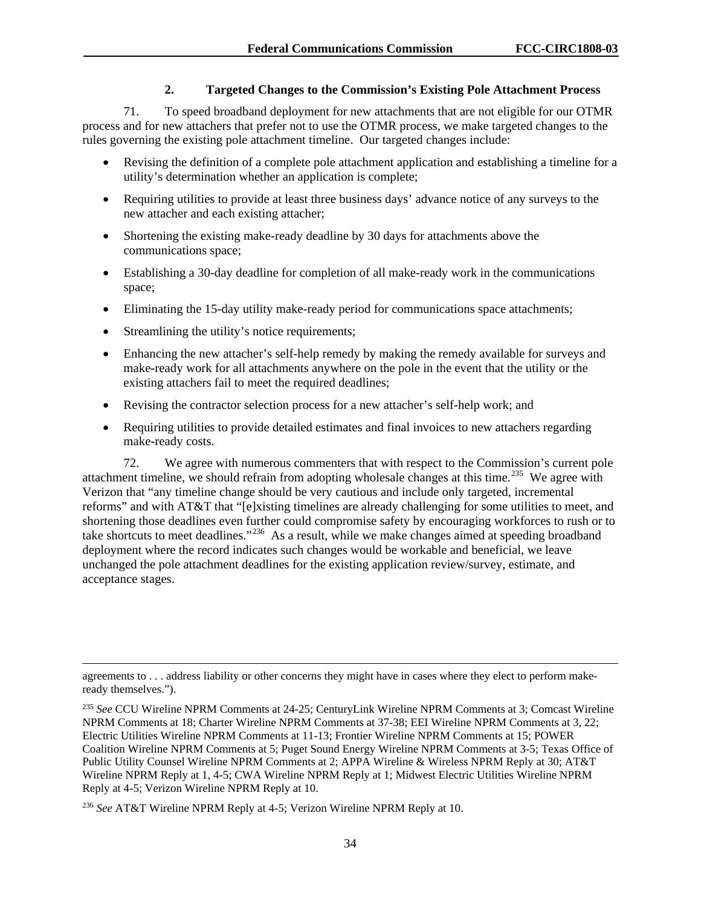### **2. Targeted Changes to the Commission's Existing Pole Attachment Process**

71. To speed broadband deployment for new attachments that are not eligible for our OTMR process and for new attachers that prefer not to use the OTMR process, we make targeted changes to the rules governing the existing pole attachment timeline. Our targeted changes include:

- Revising the definition of a complete pole attachment application and establishing a timeline for a utility's determination whether an application is complete;
- Requiring utilities to provide at least three business days' advance notice of any surveys to the new attacher and each existing attacher;
- Shortening the existing make-ready deadline by 30 days for attachments above the communications space;
- Establishing a 30-day deadline for completion of all make-ready work in the communications space;
- Eliminating the 15-day utility make-ready period for communications space attachments;
- Streamlining the utility's notice requirements;

 $\overline{a}$ 

- Enhancing the new attacher's self-help remedy by making the remedy available for surveys and make-ready work for all attachments anywhere on the pole in the event that the utility or the existing attachers fail to meet the required deadlines;
- Revising the contractor selection process for a new attacher's self-help work; and
- Requiring utilities to provide detailed estimates and final invoices to new attachers regarding make-ready costs.

72. We agree with numerous commenters that with respect to the Commission's current pole attachment timeline, we should refrain from adopting wholesale changes at this time.<sup>[235](#page-34-0)</sup> We agree with Verizon that "any timeline change should be very cautious and include only targeted, incremental reforms" and with AT&T that "[e]xisting timelines are already challenging for some utilities to meet, and shortening those deadlines even further could compromise safety by encouraging workforces to rush or to take shortcuts to meet deadlines."[236](#page-34-1) As a result, while we make changes aimed at speeding broadband deployment where the record indicates such changes would be workable and beneficial, we leave unchanged the pole attachment deadlines for the existing application review/survey, estimate, and acceptance stages.

agreements to . . . address liability or other concerns they might have in cases where they elect to perform makeready themselves.").

<span id="page-34-0"></span><sup>235</sup> *See* CCU Wireline NPRM Comments at 24-25; CenturyLink Wireline NPRM Comments at 3; Comcast Wireline NPRM Comments at 18; Charter Wireline NPRM Comments at 37-38; EEI Wireline NPRM Comments at 3, 22; Electric Utilities Wireline NPRM Comments at 11-13; Frontier Wireline NPRM Comments at 15; POWER Coalition Wireline NPRM Comments at 5; Puget Sound Energy Wireline NPRM Comments at 3-5; Texas Office of Public Utility Counsel Wireline NPRM Comments at 2; APPA Wireline & Wireless NPRM Reply at 30; AT&T Wireline NPRM Reply at 1, 4-5; CWA Wireline NPRM Reply at 1; Midwest Electric Utilities Wireline NPRM Reply at 4-5; Verizon Wireline NPRM Reply at 10.

<span id="page-34-1"></span><sup>236</sup> *See* AT&T Wireline NPRM Reply at 4-5; Verizon Wireline NPRM Reply at 10.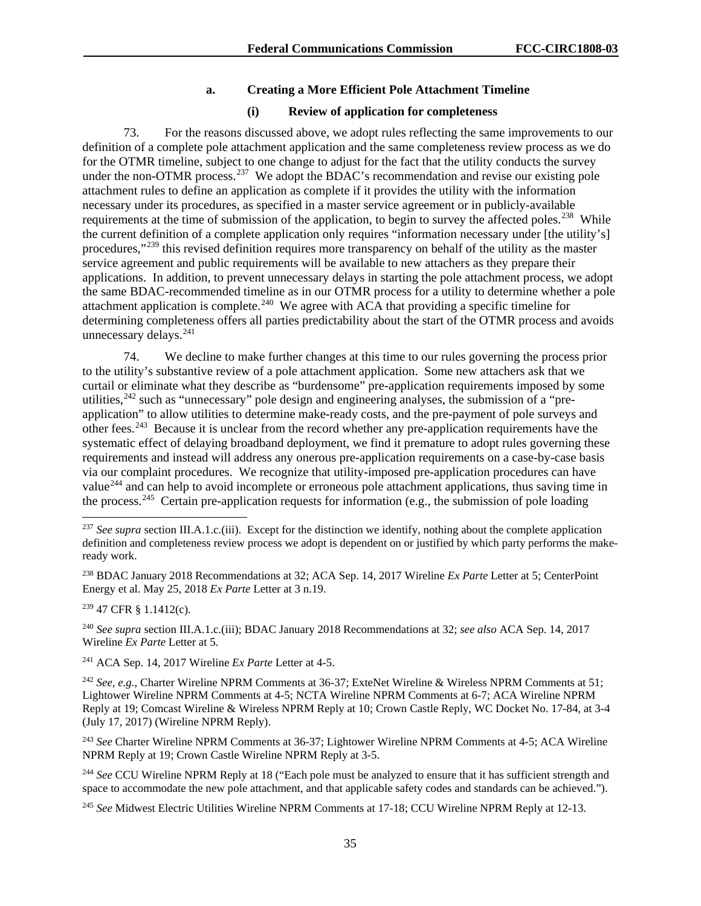### **a. Creating a More Efficient Pole Attachment Timeline**

#### **(i) Review of application for completeness**

73. For the reasons discussed above, we adopt rules reflecting the same improvements to our definition of a complete pole attachment application and the same completeness review process as we do for the OTMR timeline, subject to one change to adjust for the fact that the utility conducts the survey under the non-OTMR process.<sup>[237](#page-35-0)</sup> We adopt the BDAC's recommendation and revise our existing pole attachment rules to define an application as complete if it provides the utility with the information necessary under its procedures, as specified in a master service agreement or in publicly-available requirements at the time of submission of the application, to begin to survey the affected poles.<sup>[238](#page-35-1)</sup> While the current definition of a complete application only requires "information necessary under [the utility's] procedures,"[239](#page-35-2) this revised definition requires more transparency on behalf of the utility as the master service agreement and public requirements will be available to new attachers as they prepare their applications. In addition, to prevent unnecessary delays in starting the pole attachment process, we adopt the same BDAC-recommended timeline as in our OTMR process for a utility to determine whether a pole attachment application is complete.<sup>240</sup> We agree with ACA that providing a specific timeline for determining completeness offers all parties predictability about the start of the OTMR process and avoids unnecessary delays.<sup>[241](#page-35-4)</sup>

74. We decline to make further changes at this time to our rules governing the process prior to the utility's substantive review of a pole attachment application. Some new attachers ask that we curtail or eliminate what they describe as "burdensome" pre-application requirements imposed by some utilities,  $242$  such as "unnecessary" pole design and engineering analyses, the submission of a "preapplication" to allow utilities to determine make-ready costs, and the pre-payment of pole surveys and other fees.[243](#page-35-6) Because it is unclear from the record whether any pre-application requirements have the systematic effect of delaying broadband deployment, we find it premature to adopt rules governing these requirements and instead will address any onerous pre-application requirements on a case-by-case basis via our complaint procedures. We recognize that utility-imposed pre-application procedures can have value<sup>[244](#page-35-7)</sup> and can help to avoid incomplete or erroneous pole attachment applications, thus saving time in the process.[245](#page-35-8) Certain pre-application requests for information (e.g., the submission of pole loading

<span id="page-35-1"></span><sup>238</sup> BDAC January 2018 Recommendations at 32; ACA Sep. 14, 2017 Wireline *Ex Parte* Letter at 5; CenterPoint Energy et al. May 25, 2018 *Ex Parte* Letter at 3 n.19.

<span id="page-35-2"></span><sup>239</sup> 47 CFR § 1.1412(c).

<span id="page-35-3"></span><sup>240</sup> *See supra* section III.A.1.c.(iii); BDAC January 2018 Recommendations at 32; *see also* ACA Sep. 14, 2017 Wireline *Ex Parte* Letter at 5.

<span id="page-35-4"></span><sup>241</sup> ACA Sep. 14, 2017 Wireline *Ex Parte* Letter at 4-5.

<span id="page-35-5"></span><sup>242</sup> *See, e.g.*, Charter Wireline NPRM Comments at 36-37; ExteNet Wireline & Wireless NPRM Comments at 51; Lightower Wireline NPRM Comments at 4-5; NCTA Wireline NPRM Comments at 6-7; ACA Wireline NPRM Reply at 19; Comcast Wireline & Wireless NPRM Reply at 10; Crown Castle Reply, WC Docket No. 17-84, at 3-4 (July 17, 2017) (Wireline NPRM Reply).

<span id="page-35-6"></span><sup>243</sup> *See* Charter Wireline NPRM Comments at 36-37; Lightower Wireline NPRM Comments at 4-5; ACA Wireline NPRM Reply at 19; Crown Castle Wireline NPRM Reply at 3-5.

<span id="page-35-7"></span><sup>244</sup> See CCU Wireline NPRM Reply at 18 ("Each pole must be analyzed to ensure that it has sufficient strength and space to accommodate the new pole attachment, and that applicable safety codes and standards can be achieved.").

<span id="page-35-8"></span><sup>245</sup> *See* Midwest Electric Utilities Wireline NPRM Comments at 17-18; CCU Wireline NPRM Reply at 12-13.

<span id="page-35-0"></span><sup>&</sup>lt;sup>237</sup> See supra section III.A.1.c.(iii). Except for the distinction we identify, nothing about the complete application definition and completeness review process we adopt is dependent on or justified by which party performs the makeready work.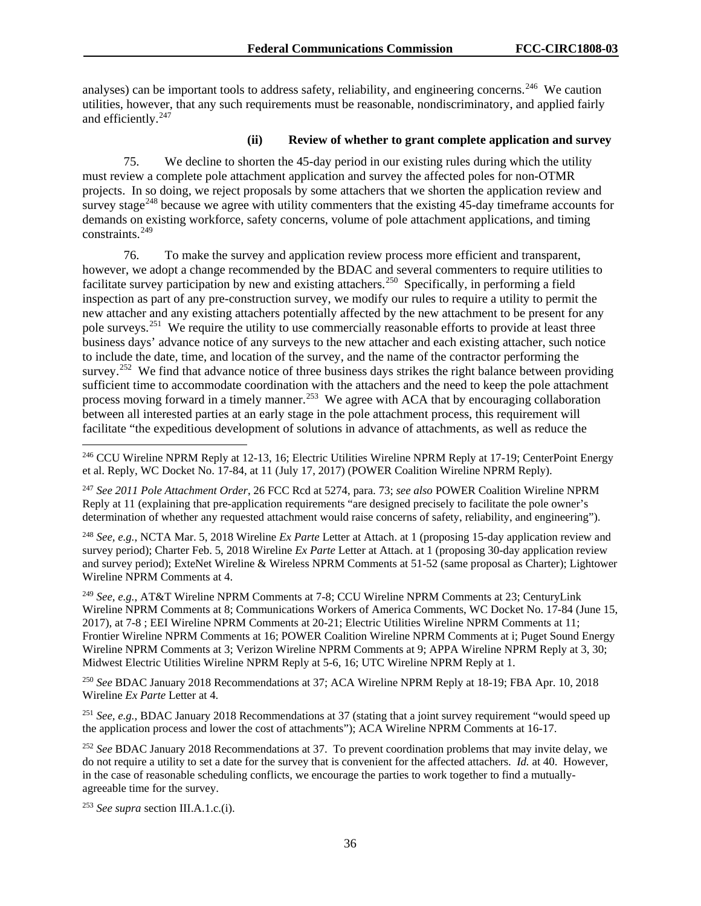analyses) can be important tools to address safety, reliability, and engineering concerns.<sup>246</sup> We caution utilities, however, that any such requirements must be reasonable, nondiscriminatory, and applied fairly and efficiently.<sup>247</sup>

## **(ii) Review of whether to grant complete application and survey**

75. We decline to shorten the 45-day period in our existing rules during which the utility must review a complete pole attachment application and survey the affected poles for non-OTMR projects. In so doing, we reject proposals by some attachers that we shorten the application review and survey stage<sup> $248$ </sup> because we agree with utility commenters that the existing 45-day timeframe accounts for demands on existing workforce, safety concerns, volume of pole attachment applications, and timing constraints.[249](#page-36-3) 

76. To make the survey and application review process more efficient and transparent, however, we adopt a change recommended by the BDAC and several commenters to require utilities to facilitate survey participation by new and existing attachers.<sup>250</sup> Specifically, in performing a field inspection as part of any pre-construction survey, we modify our rules to require a utility to permit the new attacher and any existing attachers potentially affected by the new attachment to be present for any pole surveys.[251](#page-36-5) We require the utility to use commercially reasonable efforts to provide at least three business days' advance notice of any surveys to the new attacher and each existing attacher, such notice to include the date, time, and location of the survey, and the name of the contractor performing the survey.<sup>[252](#page-36-6)</sup> We find that advance notice of three business days strikes the right balance between providing sufficient time to accommodate coordination with the attachers and the need to keep the pole attachment process moving forward in a timely manner.<sup>[253](#page-36-7)</sup> We agree with ACA that by encouraging collaboration between all interested parties at an early stage in the pole attachment process, this requirement will facilitate "the expeditious development of solutions in advance of attachments, as well as reduce the

<span id="page-36-2"></span><sup>248</sup> *See, e.g.*, NCTA Mar. 5, 2018 Wireline *Ex Parte* Letter at Attach. at 1 (proposing 15-day application review and survey period); Charter Feb. 5, 2018 Wireline *Ex Parte* Letter at Attach. at 1 (proposing 30-day application review and survey period); ExteNet Wireline & Wireless NPRM Comments at 51-52 (same proposal as Charter); Lightower Wireline NPRM Comments at 4.

<span id="page-36-3"></span><sup>249</sup> *See, e.g.*, AT&T Wireline NPRM Comments at 7-8; CCU Wireline NPRM Comments at 23; CenturyLink Wireline NPRM Comments at 8; Communications Workers of America Comments, WC Docket No. 17-84 (June 15, 2017), at 7-8 ; EEI Wireline NPRM Comments at 20-21; Electric Utilities Wireline NPRM Comments at 11; Frontier Wireline NPRM Comments at 16; POWER Coalition Wireline NPRM Comments at i; Puget Sound Energy Wireline NPRM Comments at 3; Verizon Wireline NPRM Comments at 9; APPA Wireline NPRM Reply at 3, 30; Midwest Electric Utilities Wireline NPRM Reply at 5-6, 16; UTC Wireline NPRM Reply at 1.

<span id="page-36-4"></span><sup>250</sup> *See* BDAC January 2018 Recommendations at 37; ACA Wireline NPRM Reply at 18-19; FBA Apr. 10, 2018 Wireline *Ex Parte* Letter at 4.

<span id="page-36-5"></span><sup>251</sup> *See, e.g.*, BDAC January 2018 Recommendations at 37 (stating that a joint survey requirement "would speed up the application process and lower the cost of attachments"); ACA Wireline NPRM Comments at 16-17.

<span id="page-36-6"></span><sup>252</sup> *See* BDAC January 2018 Recommendations at 37. To prevent coordination problems that may invite delay, we do not require a utility to set a date for the survey that is convenient for the affected attachers. *Id.* at 40. However, in the case of reasonable scheduling conflicts, we encourage the parties to work together to find a mutuallyagreeable time for the survey.

<span id="page-36-7"></span><sup>253</sup> *See supra* section III.A.1.c.(i).

<span id="page-36-0"></span> <sup>246</sup> CCU Wireline NPRM Reply at 12-13, 16; Electric Utilities Wireline NPRM Reply at 17-19; CenterPoint Energy et al. Reply, WC Docket No. 17-84, at 11 (July 17, 2017) (POWER Coalition Wireline NPRM Reply).

<span id="page-36-1"></span><sup>247</sup> *See 2011 Pole Attachment Order*, 26 FCC Rcd at 5274, para. 73; *see also* POWER Coalition Wireline NPRM Reply at 11 (explaining that pre-application requirements "are designed precisely to facilitate the pole owner's determination of whether any requested attachment would raise concerns of safety, reliability, and engineering").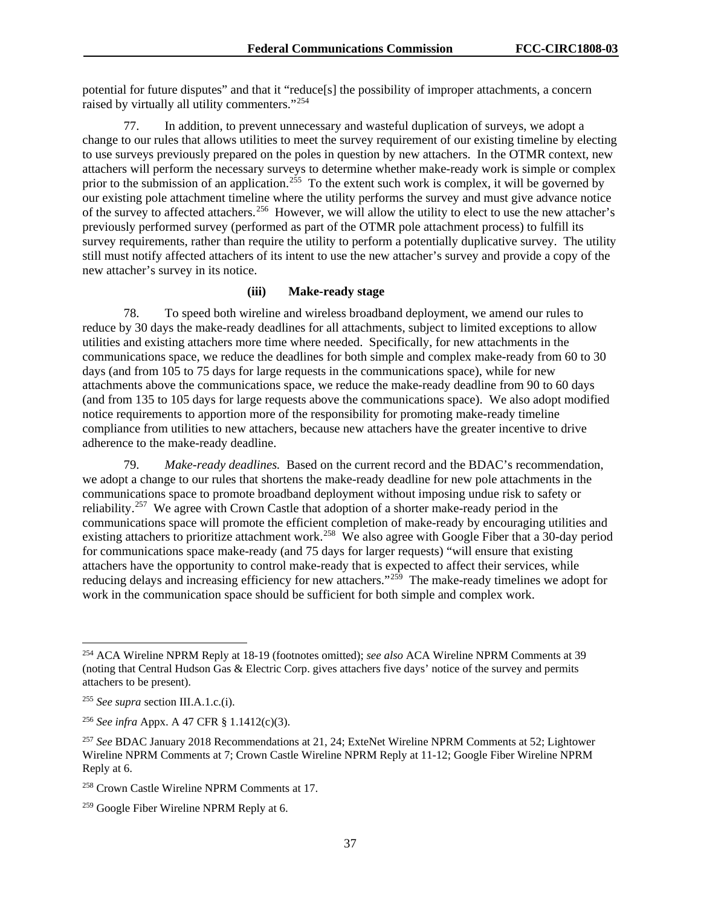potential for future disputes" and that it "reduce[s] the possibility of improper attachments, a concern raised by virtually all utility commenters."[254](#page-37-0)

77. In addition, to prevent unnecessary and wasteful duplication of surveys, we adopt a change to our rules that allows utilities to meet the survey requirement of our existing timeline by electing to use surveys previously prepared on the poles in question by new attachers. In the OTMR context, new attachers will perform the necessary surveys to determine whether make-ready work is simple or complex prior to the submission of an application.<sup>255</sup> To the extent such work is complex, it will be governed by our existing pole attachment timeline where the utility performs the survey and must give advance notice of the survey to affected attachers.[256](#page-37-2) However, we will allow the utility to elect to use the new attacher's previously performed survey (performed as part of the OTMR pole attachment process) to fulfill its survey requirements, rather than require the utility to perform a potentially duplicative survey. The utility still must notify affected attachers of its intent to use the new attacher's survey and provide a copy of the new attacher's survey in its notice.

# **(iii) Make-ready stage**

78. To speed both wireline and wireless broadband deployment, we amend our rules to reduce by 30 days the make-ready deadlines for all attachments, subject to limited exceptions to allow utilities and existing attachers more time where needed. Specifically, for new attachments in the communications space, we reduce the deadlines for both simple and complex make-ready from 60 to 30 days (and from 105 to 75 days for large requests in the communications space), while for new attachments above the communications space, we reduce the make-ready deadline from 90 to 60 days (and from 135 to 105 days for large requests above the communications space). We also adopt modified notice requirements to apportion more of the responsibility for promoting make-ready timeline compliance from utilities to new attachers, because new attachers have the greater incentive to drive adherence to the make-ready deadline.

79. *Make-ready deadlines.* Based on the current record and the BDAC's recommendation, we adopt a change to our rules that shortens the make-ready deadline for new pole attachments in the communications space to promote broadband deployment without imposing undue risk to safety or reliability.<sup>257</sup> We agree with Crown Castle that adoption of a shorter make-ready period in the communications space will promote the efficient completion of make-ready by encouraging utilities and existing attachers to prioritize attachment work.<sup>[258](#page-37-4)</sup> We also agree with Google Fiber that a 30-day period for communications space make-ready (and 75 days for larger requests) "will ensure that existing attachers have the opportunity to control make-ready that is expected to affect their services, while reducing delays and increasing efficiency for new attachers."<sup>259</sup> The make-ready timelines we adopt for work in the communication space should be sufficient for both simple and complex work.

<span id="page-37-0"></span> <sup>254</sup> ACA Wireline NPRM Reply at 18-19 (footnotes omitted); *see also* ACA Wireline NPRM Comments at 39 (noting that Central Hudson Gas & Electric Corp. gives attachers five days' notice of the survey and permits attachers to be present).

<span id="page-37-1"></span><sup>255</sup> *See supra* section III.A.1.c.(i).

<span id="page-37-2"></span><sup>256</sup> *See infra* Appx. A 47 CFR § 1.1412(c)(3).

<span id="page-37-3"></span><sup>257</sup> *See* BDAC January 2018 Recommendations at 21, 24; ExteNet Wireline NPRM Comments at 52; Lightower Wireline NPRM Comments at 7; Crown Castle Wireline NPRM Reply at 11-12; Google Fiber Wireline NPRM Reply at 6.

<span id="page-37-4"></span><sup>258</sup> Crown Castle Wireline NPRM Comments at 17.

<span id="page-37-5"></span><sup>&</sup>lt;sup>259</sup> Google Fiber Wireline NPRM Reply at 6.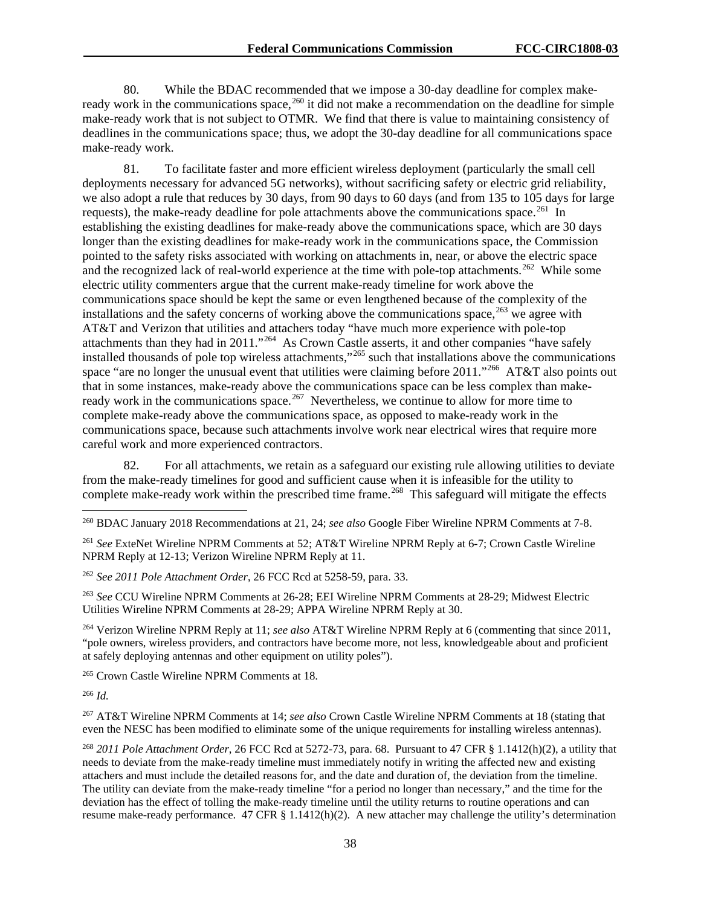80. While the BDAC recommended that we impose a 30-day deadline for complex make-ready work in the communications space,<sup>[260](#page-38-0)</sup> it did not make a recommendation on the deadline for simple make-ready work that is not subject to OTMR. We find that there is value to maintaining consistency of deadlines in the communications space; thus, we adopt the 30-day deadline for all communications space make-ready work.

81. To facilitate faster and more efficient wireless deployment (particularly the small cell deployments necessary for advanced 5G networks), without sacrificing safety or electric grid reliability, we also adopt a rule that reduces by 30 days, from 90 days to 60 days (and from 135 to 105 days for large requests), the make-ready deadline for pole attachments above the communications space.<sup>261</sup> In establishing the existing deadlines for make-ready above the communications space, which are 30 days longer than the existing deadlines for make-ready work in the communications space, the Commission pointed to the safety risks associated with working on attachments in, near, or above the electric space and the recognized lack of real-world experience at the time with pole-top attachments.<sup>[262](#page-38-2)</sup> While some electric utility commenters argue that the current make-ready timeline for work above the communications space should be kept the same or even lengthened because of the complexity of the installations and the safety concerns of working above the communications space,  $263$  we agree with AT&T and Verizon that utilities and attachers today "have much more experience with pole-top attachments than they had in 2011."[264](#page-38-4) As Crown Castle asserts, it and other companies "have safely installed thousands of pole top wireless attachments,"[265](#page-38-5) such that installations above the communications space "are no longer the unusual event that utilities were claiming before 2011."<sup>[266](#page-38-6)</sup> AT&T also points out that in some instances, make-ready above the communications space can be less complex than makeready work in the communications space.<sup>267</sup> Nevertheless, we continue to allow for more time to complete make-ready above the communications space, as opposed to make-ready work in the communications space, because such attachments involve work near electrical wires that require more careful work and more experienced contractors.

82. For all attachments, we retain as a safeguard our existing rule allowing utilities to deviate from the make-ready timelines for good and sufficient cause when it is infeasible for the utility to complete make-ready work within the prescribed time frame.<sup>[268](#page-38-8)</sup> This safeguard will mitigate the effects

<span id="page-38-1"></span><sup>261</sup> *See* ExteNet Wireline NPRM Comments at 52; AT&T Wireline NPRM Reply at 6-7; Crown Castle Wireline NPRM Reply at 12-13; Verizon Wireline NPRM Reply at 11.

<span id="page-38-2"></span><sup>262</sup> *See 2011 Pole Attachment Order*, 26 FCC Rcd at 5258-59, para. 33.

<span id="page-38-3"></span><sup>263</sup> *See* CCU Wireline NPRM Comments at 26-28; EEI Wireline NPRM Comments at 28-29; Midwest Electric Utilities Wireline NPRM Comments at 28-29; APPA Wireline NPRM Reply at 30.

<span id="page-38-4"></span><sup>264</sup> Verizon Wireline NPRM Reply at 11; *see also* AT&T Wireline NPRM Reply at 6 (commenting that since 2011, "pole owners, wireless providers, and contractors have become more, not less, knowledgeable about and proficient at safely deploying antennas and other equipment on utility poles").

<span id="page-38-5"></span><sup>265</sup> Crown Castle Wireline NPRM Comments at 18.

<span id="page-38-6"></span><sup>266</sup> *Id.*

<span id="page-38-7"></span><sup>267</sup> AT&T Wireline NPRM Comments at 14; *see also* Crown Castle Wireline NPRM Comments at 18 (stating that even the NESC has been modified to eliminate some of the unique requirements for installing wireless antennas).

<span id="page-38-8"></span><sup>268</sup> *2011 Pole Attachment Order*, 26 FCC Rcd at 5272-73, para. 68. Pursuant to 47 CFR § 1.1412(h)(2), a utility that needs to deviate from the make-ready timeline must immediately notify in writing the affected new and existing attachers and must include the detailed reasons for, and the date and duration of, the deviation from the timeline. The utility can deviate from the make-ready timeline "for a period no longer than necessary," and the time for the deviation has the effect of tolling the make-ready timeline until the utility returns to routine operations and can resume make-ready performance. 47 CFR § 1.1412(h)(2). A new attacher may challenge the utility's determination

<span id="page-38-0"></span> <sup>260</sup> BDAC January 2018 Recommendations at 21, 24; *see also* Google Fiber Wireline NPRM Comments at 7-8.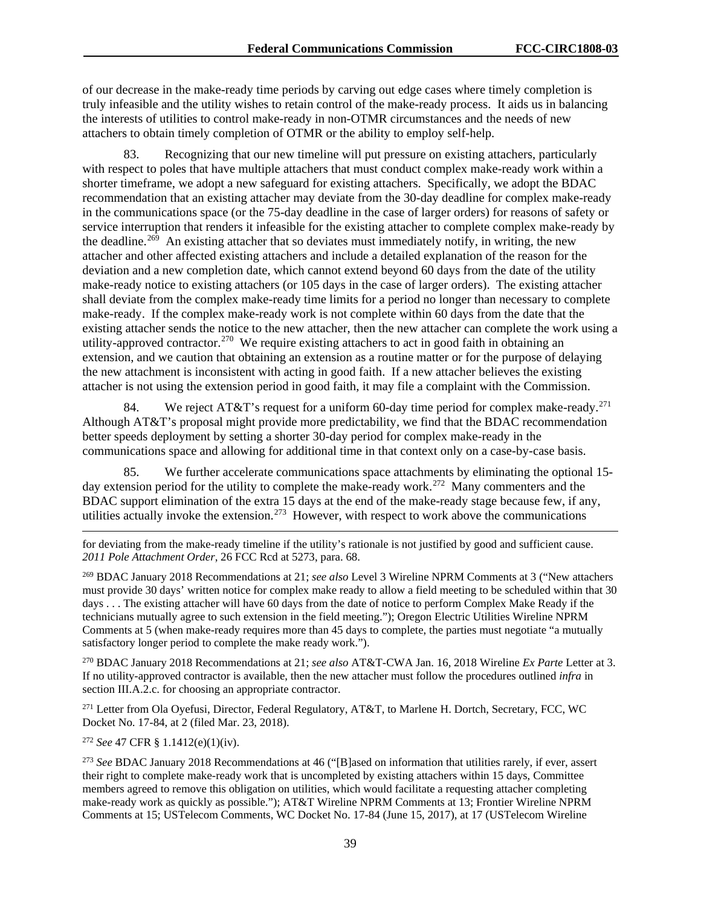of our decrease in the make-ready time periods by carving out edge cases where timely completion is truly infeasible and the utility wishes to retain control of the make-ready process. It aids us in balancing the interests of utilities to control make-ready in non-OTMR circumstances and the needs of new attachers to obtain timely completion of OTMR or the ability to employ self-help.

83. Recognizing that our new timeline will put pressure on existing attachers, particularly with respect to poles that have multiple attachers that must conduct complex make-ready work within a shorter timeframe, we adopt a new safeguard for existing attachers. Specifically, we adopt the BDAC recommendation that an existing attacher may deviate from the 30-day deadline for complex make-ready in the communications space (or the 75-day deadline in the case of larger orders) for reasons of safety or service interruption that renders it infeasible for the existing attacher to complete complex make-ready by the deadline.<sup>[269](#page-39-0)</sup> An existing attacher that so deviates must immediately notify, in writing, the new attacher and other affected existing attachers and include a detailed explanation of the reason for the deviation and a new completion date, which cannot extend beyond 60 days from the date of the utility make-ready notice to existing attachers (or 105 days in the case of larger orders). The existing attacher shall deviate from the complex make-ready time limits for a period no longer than necessary to complete make-ready. If the complex make-ready work is not complete within 60 days from the date that the existing attacher sends the notice to the new attacher, then the new attacher can complete the work using a utility-approved contractor.<sup>[270](#page-39-1)</sup> We require existing attachers to act in good faith in obtaining an extension, and we caution that obtaining an extension as a routine matter or for the purpose of delaying the new attachment is inconsistent with acting in good faith. If a new attacher believes the existing attacher is not using the extension period in good faith, it may file a complaint with the Commission.

84. We reject AT&T's request for a uniform 60-day time period for complex make-ready.<sup>[271](#page-39-2)</sup> Although AT&T's proposal might provide more predictability, we find that the BDAC recommendation better speeds deployment by setting a shorter 30-day period for complex make-ready in the communications space and allowing for additional time in that context only on a case-by-case basis.

85. We further accelerate communications space attachments by eliminating the optional 15 day extension period for the utility to complete the make-ready work.<sup>272</sup> Many commenters and the BDAC support elimination of the extra 15 days at the end of the make-ready stage because few, if any, utilities actually invoke the extension.<sup>[273](#page-39-4)</sup> However, with respect to work above the communications

for deviating from the make-ready timeline if the utility's rationale is not justified by good and sufficient cause. *2011 Pole Attachment Order*, 26 FCC Rcd at 5273, para. 68.

<span id="page-39-0"></span><sup>269</sup> BDAC January 2018 Recommendations at 21; *see also* Level 3 Wireline NPRM Comments at 3 ("New attachers must provide 30 days' written notice for complex make ready to allow a field meeting to be scheduled within that 30 days . . . The existing attacher will have 60 days from the date of notice to perform Complex Make Ready if the technicians mutually agree to such extension in the field meeting."); Oregon Electric Utilities Wireline NPRM Comments at 5 (when make-ready requires more than 45 days to complete, the parties must negotiate "a mutually satisfactory longer period to complete the make ready work.").

<span id="page-39-1"></span><sup>270</sup> BDAC January 2018 Recommendations at 21; *see also* AT&T-CWA Jan. 16, 2018 Wireline *Ex Parte* Letter at 3. If no utility-approved contractor is available, then the new attacher must follow the procedures outlined *infra* in section III.A.2.c. for choosing an appropriate contractor.

<span id="page-39-2"></span><sup>271</sup> Letter from Ola Oyefusi, Director, Federal Regulatory, AT&T, to Marlene H. Dortch, Secretary, FCC, WC Docket No. 17-84, at 2 (filed Mar. 23, 2018).

<span id="page-39-3"></span><sup>272</sup> *See* 47 CFR § 1.1412(e)(1)(iv).

 $\overline{a}$ 

<span id="page-39-4"></span><sup>273</sup> *See* BDAC January 2018 Recommendations at 46 ("[B]ased on information that utilities rarely, if ever, assert their right to complete make-ready work that is uncompleted by existing attachers within 15 days, Committee members agreed to remove this obligation on utilities, which would facilitate a requesting attacher completing make-ready work as quickly as possible."); AT&T Wireline NPRM Comments at 13; Frontier Wireline NPRM Comments at 15; USTelecom Comments, WC Docket No. 17-84 (June 15, 2017), at 17 (USTelecom Wireline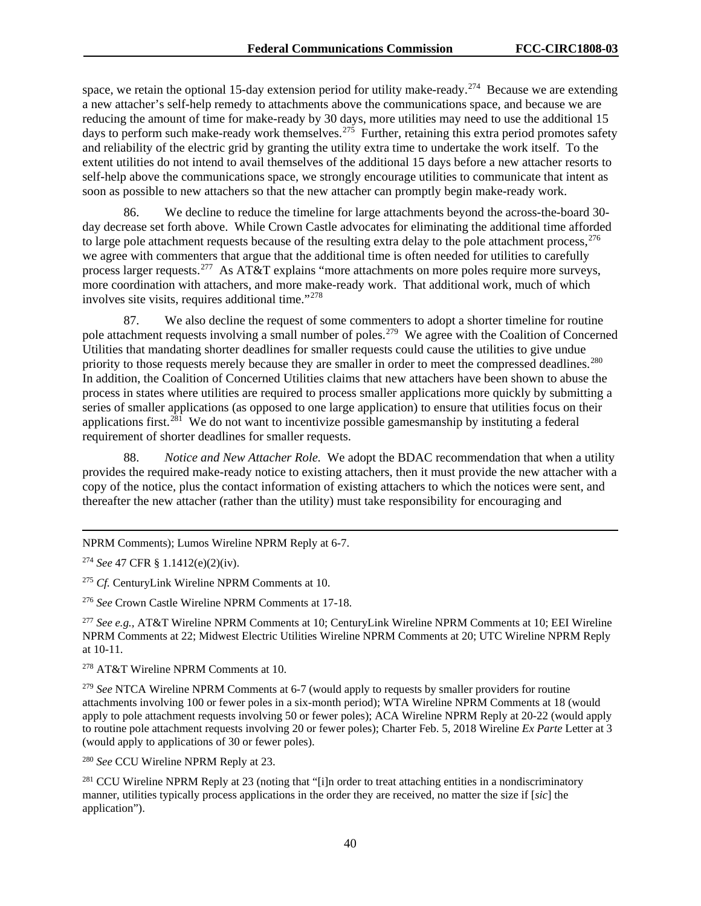space, we retain the optional 15-day extension period for utility make-ready.<sup>274</sup> Because we are extending a new attacher's self-help remedy to attachments above the communications space, and because we are reducing the amount of time for make-ready by 30 days, more utilities may need to use the additional 15 days to perform such make-ready work themselves.<sup>[275](#page-40-1)</sup> Further, retaining this extra period promotes safety and reliability of the electric grid by granting the utility extra time to undertake the work itself. To the extent utilities do not intend to avail themselves of the additional 15 days before a new attacher resorts to self-help above the communications space, we strongly encourage utilities to communicate that intent as soon as possible to new attachers so that the new attacher can promptly begin make-ready work.

86. We decline to reduce the timeline for large attachments beyond the across-the-board 30 day decrease set forth above. While Crown Castle advocates for eliminating the additional time afforded to large pole attachment requests because of the resulting extra delay to the pole attachment process,  $276$ we agree with commenters that argue that the additional time is often needed for utilities to carefully process larger requests.<sup>[277](#page-40-3)</sup> As AT&T explains "more attachments on more poles require more surveys, more coordination with attachers, and more make-ready work. That additional work, much of which involves site visits, requires additional time."[278](#page-40-4)

87. We also decline the request of some commenters to adopt a shorter timeline for routine pole attachment requests involving a small number of poles.<sup>[279](#page-40-5)</sup> We agree with the Coalition of Concerned Utilities that mandating shorter deadlines for smaller requests could cause the utilities to give undue priority to those requests merely because they are smaller in order to meet the compressed deadlines.<sup>280</sup> In addition, the Coalition of Concerned Utilities claims that new attachers have been shown to abuse the process in states where utilities are required to process smaller applications more quickly by submitting a series of smaller applications (as opposed to one large application) to ensure that utilities focus on their applications first.<sup>281</sup> We do not want to incentivize possible gamesmanship by instituting a federal requirement of shorter deadlines for smaller requests.

88. *Notice and New Attacher Role.* We adopt the BDAC recommendation that when a utility provides the required make-ready notice to existing attachers, then it must provide the new attacher with a copy of the notice, plus the contact information of existing attachers to which the notices were sent, and thereafter the new attacher (rather than the utility) must take responsibility for encouraging and

 $\overline{a}$ NPRM Comments); Lumos Wireline NPRM Reply at 6-7.

<span id="page-40-0"></span><sup>274</sup> *See* 47 CFR § 1.1412(e)(2)(iv).

<span id="page-40-1"></span><sup>275</sup> *Cf.* CenturyLink Wireline NPRM Comments at 10.

<span id="page-40-2"></span><sup>276</sup> *See* Crown Castle Wireline NPRM Comments at 17-18.

<span id="page-40-3"></span><sup>277</sup> *See e.g.,* AT&T Wireline NPRM Comments at 10; CenturyLink Wireline NPRM Comments at 10; EEI Wireline NPRM Comments at 22; Midwest Electric Utilities Wireline NPRM Comments at 20; UTC Wireline NPRM Reply at 10-11.

<span id="page-40-4"></span><sup>278</sup> AT&T Wireline NPRM Comments at 10.

<span id="page-40-5"></span><sup>279</sup> *See* NTCA Wireline NPRM Comments at 6-7 (would apply to requests by smaller providers for routine attachments involving 100 or fewer poles in a six-month period); WTA Wireline NPRM Comments at 18 (would apply to pole attachment requests involving 50 or fewer poles); ACA Wireline NPRM Reply at 20-22 (would apply to routine pole attachment requests involving 20 or fewer poles); Charter Feb. 5, 2018 Wireline *Ex Parte* Letter at 3 (would apply to applications of 30 or fewer poles).

<span id="page-40-6"></span><sup>280</sup> *See* CCU Wireline NPRM Reply at 23.

<span id="page-40-7"></span><sup>281</sup> CCU Wireline NPRM Reply at 23 (noting that "[i]n order to treat attaching entities in a nondiscriminatory manner, utilities typically process applications in the order they are received, no matter the size if [*sic*] the application").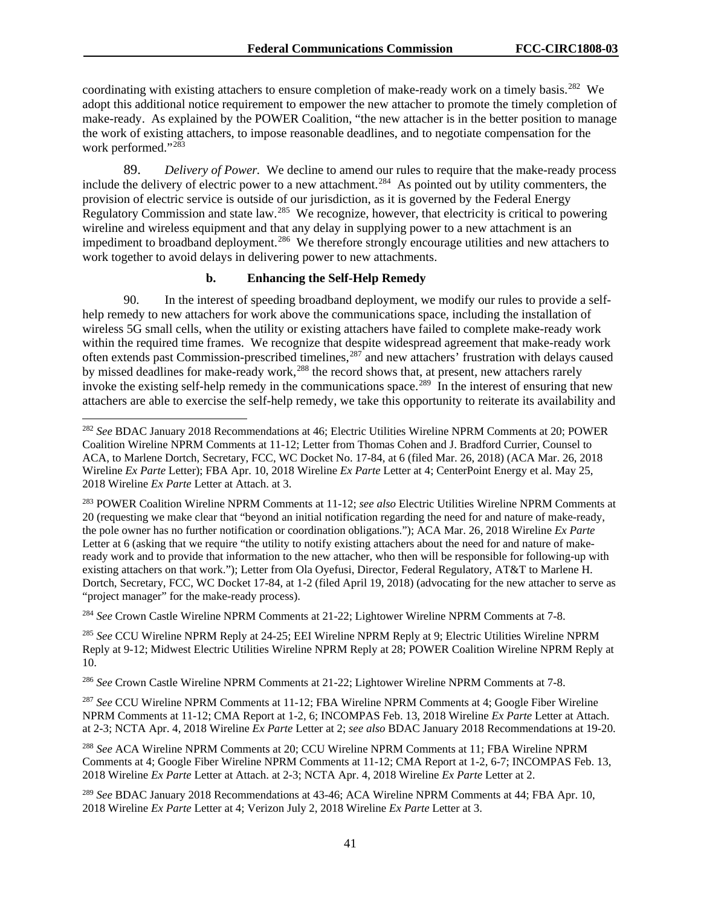coordinating with existing attachers to ensure completion of make-ready work on a timely basis.<sup>[282](#page-41-0)</sup> We adopt this additional notice requirement to empower the new attacher to promote the timely completion of make-ready. As explained by the POWER Coalition, "the new attacher is in the better position to manage the work of existing attachers, to impose reasonable deadlines, and to negotiate compensation for the work performed."<sup>283</sup>

89. *Delivery of Power.* We decline to amend our rules to require that the make-ready process include the delivery of electric power to a new attachment.<sup>284</sup> As pointed out by utility commenters, the provision of electric service is outside of our jurisdiction, as it is governed by the Federal Energy Regulatory Commission and state law.<sup>[285](#page-41-3)</sup> We recognize, however, that electricity is critical to powering wireline and wireless equipment and that any delay in supplying power to a new attachment is an impediment to broadband deployment.<sup>286</sup> We therefore strongly encourage utilities and new attachers to work together to avoid delays in delivering power to new attachments.

#### **b. Enhancing the Self-Help Remedy**

90. In the interest of speeding broadband deployment, we modify our rules to provide a selfhelp remedy to new attachers for work above the communications space, including the installation of wireless 5G small cells, when the utility or existing attachers have failed to complete make-ready work within the required time frames. We recognize that despite widespread agreement that make-ready work often extends past Commission-prescribed timelines,<sup>[287](#page-41-5)</sup> and new attachers' frustration with delays caused by missed deadlines for make-ready work,<sup>[288](#page-41-6)</sup> the record shows that, at present, new attachers rarely invoke the existing self-help remedy in the communications space.<sup>289</sup> In the interest of ensuring that new attachers are able to exercise the self-help remedy, we take this opportunity to reiterate its availability and

<span id="page-41-2"></span><sup>284</sup> *See* Crown Castle Wireline NPRM Comments at 21-22; Lightower Wireline NPRM Comments at 7-8.

<span id="page-41-3"></span><sup>285</sup> *See* CCU Wireline NPRM Reply at 24-25; EEI Wireline NPRM Reply at 9; Electric Utilities Wireline NPRM Reply at 9-12; Midwest Electric Utilities Wireline NPRM Reply at 28; POWER Coalition Wireline NPRM Reply at 10.

<span id="page-41-4"></span><sup>286</sup> *See* Crown Castle Wireline NPRM Comments at 21-22; Lightower Wireline NPRM Comments at 7-8.

<span id="page-41-5"></span><sup>287</sup> *See* CCU Wireline NPRM Comments at 11-12; FBA Wireline NPRM Comments at 4; Google Fiber Wireline NPRM Comments at 11-12; CMA Report at 1-2, 6; INCOMPAS Feb. 13, 2018 Wireline *Ex Parte* Letter at Attach. at 2-3; NCTA Apr. 4, 2018 Wireline *Ex Parte* Letter at 2; *see also* BDAC January 2018 Recommendations at 19-20.

<span id="page-41-6"></span><sup>288</sup> *See* ACA Wireline NPRM Comments at 20; CCU Wireline NPRM Comments at 11; FBA Wireline NPRM Comments at 4; Google Fiber Wireline NPRM Comments at 11-12; CMA Report at 1-2, 6-7; INCOMPAS Feb. 13, 2018 Wireline *Ex Parte* Letter at Attach. at 2-3; NCTA Apr. 4, 2018 Wireline *Ex Parte* Letter at 2.

<span id="page-41-7"></span><sup>289</sup> *See* BDAC January 2018 Recommendations at 43-46; ACA Wireline NPRM Comments at 44; FBA Apr. 10, 2018 Wireline *Ex Parte* Letter at 4; Verizon July 2, 2018 Wireline *Ex Parte* Letter at 3.

<span id="page-41-0"></span> <sup>282</sup> *See* BDAC January 2018 Recommendations at 46; Electric Utilities Wireline NPRM Comments at 20; POWER Coalition Wireline NPRM Comments at 11-12; Letter from Thomas Cohen and J. Bradford Currier, Counsel to ACA, to Marlene Dortch, Secretary, FCC, WC Docket No. 17-84, at 6 (filed Mar. 26, 2018) (ACA Mar. 26, 2018 Wireline *Ex Parte* Letter); FBA Apr. 10, 2018 Wireline *Ex Parte* Letter at 4; CenterPoint Energy et al. May 25, 2018 Wireline *Ex Parte* Letter at Attach. at 3.

<span id="page-41-1"></span><sup>283</sup> POWER Coalition Wireline NPRM Comments at 11-12; *see also* Electric Utilities Wireline NPRM Comments at 20 (requesting we make clear that "beyond an initial notification regarding the need for and nature of make-ready, the pole owner has no further notification or coordination obligations."); ACA Mar. 26, 2018 Wireline *Ex Parte*  Letter at 6 (asking that we require "the utility to notify existing attachers about the need for and nature of makeready work and to provide that information to the new attacher, who then will be responsible for following-up with existing attachers on that work."); Letter from Ola Oyefusi, Director, Federal Regulatory, AT&T to Marlene H. Dortch, Secretary, FCC, WC Docket 17-84, at 1-2 (filed April 19, 2018) (advocating for the new attacher to serve as "project manager" for the make-ready process).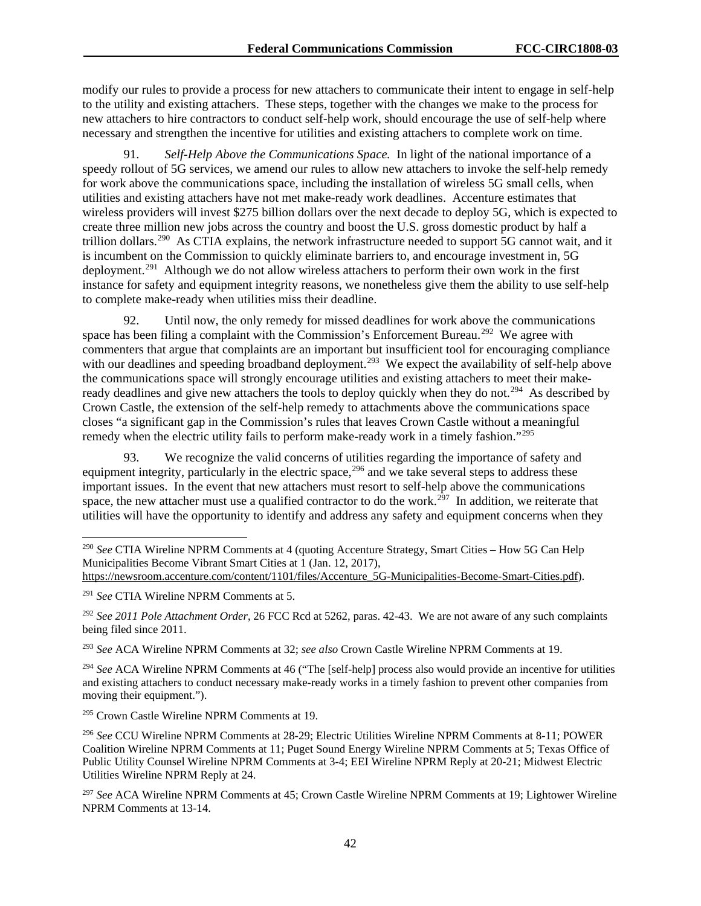modify our rules to provide a process for new attachers to communicate their intent to engage in self-help to the utility and existing attachers. These steps, together with the changes we make to the process for new attachers to hire contractors to conduct self-help work, should encourage the use of self-help where necessary and strengthen the incentive for utilities and existing attachers to complete work on time.

91. *Self-Help Above the Communications Space.* In light of the national importance of a speedy rollout of 5G services, we amend our rules to allow new attachers to invoke the self-help remedy for work above the communications space, including the installation of wireless 5G small cells, when utilities and existing attachers have not met make-ready work deadlines. Accenture estimates that wireless providers will invest \$275 billion dollars over the next decade to deploy 5G, which is expected to create three million new jobs across the country and boost the U.S. gross domestic product by half a trillion dollars.[290](#page-42-0) As CTIA explains, the network infrastructure needed to support 5G cannot wait, and it is incumbent on the Commission to quickly eliminate barriers to, and encourage investment in, 5G deployment.<sup>291</sup> Although we do not allow wireless attachers to perform their own work in the first instance for safety and equipment integrity reasons, we nonetheless give them the ability to use self-help to complete make-ready when utilities miss their deadline.

92. Until now, the only remedy for missed deadlines for work above the communications space has been filing a complaint with the Commission's Enforcement Bureau.<sup>[292](#page-42-2)</sup> We agree with commenters that argue that complaints are an important but insufficient tool for encouraging compliance with our deadlines and speeding broadband deployment.<sup>[293](#page-42-3)</sup> We expect the availability of self-help above the communications space will strongly encourage utilities and existing attachers to meet their makeready deadlines and give new attachers the tools to deploy quickly when they do not.<sup>294</sup> As described by Crown Castle, the extension of the self-help remedy to attachments above the communications space closes "a significant gap in the Commission's rules that leaves Crown Castle without a meaningful remedy when the electric utility fails to perform make-ready work in a timely fashion."<sup>[295](#page-42-5)</sup>

93. We recognize the valid concerns of utilities regarding the importance of safety and equipment integrity, particularly in the electric space,  $296$  and we take several steps to address these important issues. In the event that new attachers must resort to self-help above the communications space, the new attacher must use a qualified contractor to do the work.<sup>297</sup> In addition, we reiterate that utilities will have the opportunity to identify and address any safety and equipment concerns when they

<span id="page-42-3"></span><sup>293</sup> *See* ACA Wireline NPRM Comments at 32; *see also* Crown Castle Wireline NPRM Comments at 19.

<span id="page-42-4"></span><sup>294</sup> *See* ACA Wireline NPRM Comments at 46 ("The [self-help] process also would provide an incentive for utilities and existing attachers to conduct necessary make-ready works in a timely fashion to prevent other companies from moving their equipment.").

<span id="page-42-5"></span><sup>295</sup> Crown Castle Wireline NPRM Comments at 19.

<span id="page-42-6"></span><sup>296</sup> *See* CCU Wireline NPRM Comments at 28-29; Electric Utilities Wireline NPRM Comments at 8-11; POWER Coalition Wireline NPRM Comments at 11; Puget Sound Energy Wireline NPRM Comments at 5; Texas Office of Public Utility Counsel Wireline NPRM Comments at 3-4; EEI Wireline NPRM Reply at 20-21; Midwest Electric Utilities Wireline NPRM Reply at 24.

<span id="page-42-7"></span><sup>297</sup> *See* ACA Wireline NPRM Comments at 45; Crown Castle Wireline NPRM Comments at 19; Lightower Wireline NPRM Comments at 13-14.

<span id="page-42-0"></span> <sup>290</sup> *See* CTIA Wireline NPRM Comments at 4 (quoting Accenture Strategy, Smart Cities – How 5G Can Help Municipalities Become Vibrant Smart Cities at 1 (Jan. 12, 2017),

[https://newsroom.accenture.com/content/1101/files/Accenture\\_5G-Municipalities-Become-Smart-Cities.pdf\)](https://newsroom.accenture.com/content/1101/files/Accenture_5G-Municipalities-Become-Smart-Cities.pdf).

<span id="page-42-1"></span><sup>291</sup> *See* CTIA Wireline NPRM Comments at 5.

<span id="page-42-2"></span><sup>292</sup> *See 2011 Pole Attachment Order*, 26 FCC Rcd at 5262, paras. 42-43. We are not aware of any such complaints being filed since 2011.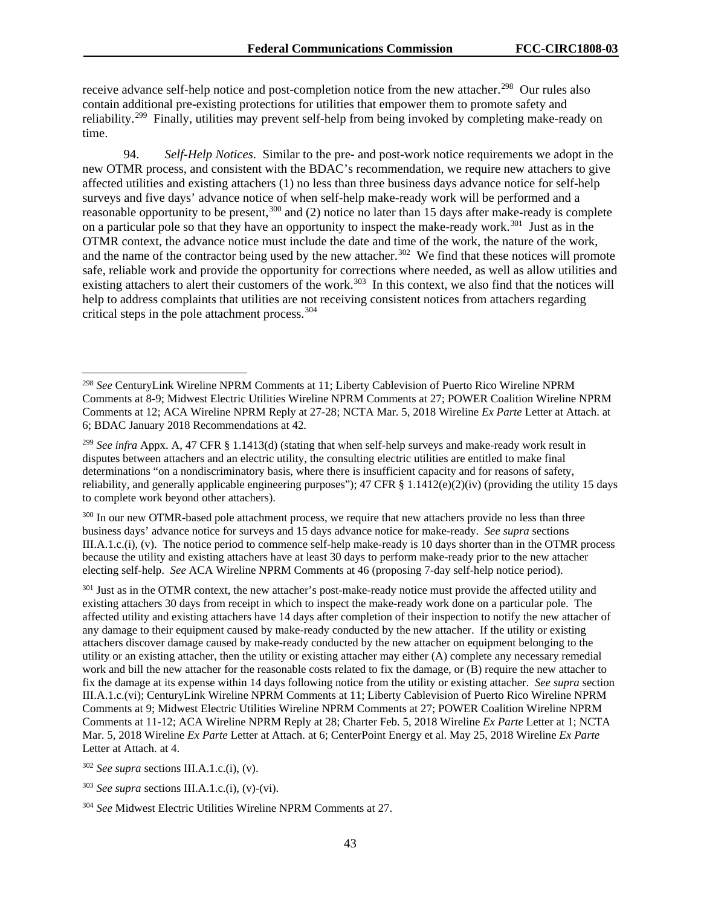receive advance self-help notice and post-completion notice from the new attacher.<sup>298</sup> Our rules also contain additional pre-existing protections for utilities that empower them to promote safety and reliability.<sup>299</sup> Finally, utilities may prevent self-help from being invoked by completing make-ready on time.

94. *Self-Help Notices*.Similar to the pre- and post-work notice requirements we adopt in the new OTMR process, and consistent with the BDAC's recommendation, we require new attachers to give affected utilities and existing attachers (1) no less than three business days advance notice for self-help surveys and five days' advance notice of when self-help make-ready work will be performed and a reasonable opportunity to be present,  $300$  and (2) notice no later than 15 days after make-ready is complete on a particular pole so that they have an opportunity to inspect the make-ready work.<sup>301</sup> Just as in the OTMR context, the advance notice must include the date and time of the work, the nature of the work, and the name of the contractor being used by the new attacher.<sup>302</sup> We find that these notices will promote safe, reliable work and provide the opportunity for corrections where needed, as well as allow utilities and existing attachers to alert their customers of the work.<sup>303</sup> In this context, we also find that the notices will help to address complaints that utilities are not receiving consistent notices from attachers regarding critical steps in the pole attachment process.<sup>[304](#page-43-6)</sup>

<span id="page-43-2"></span><sup>300</sup> In our new OTMR-based pole attachment process, we require that new attachers provide no less than three business days' advance notice for surveys and 15 days advance notice for make-ready. *See supra* sections III.A.1.c.(i), (v). The notice period to commence self-help make-ready is 10 days shorter than in the OTMR process because the utility and existing attachers have at least 30 days to perform make-ready prior to the new attacher electing self-help. *See* ACA Wireline NPRM Comments at 46 (proposing 7-day self-help notice period).

<span id="page-43-3"></span><sup>301</sup> Just as in the OTMR context, the new attacher's post-make-ready notice must provide the affected utility and existing attachers 30 days from receipt in which to inspect the make-ready work done on a particular pole. The affected utility and existing attachers have 14 days after completion of their inspection to notify the new attacher of any damage to their equipment caused by make-ready conducted by the new attacher. If the utility or existing attachers discover damage caused by make-ready conducted by the new attacher on equipment belonging to the utility or an existing attacher, then the utility or existing attacher may either (A) complete any necessary remedial work and bill the new attacher for the reasonable costs related to fix the damage, or (B) require the new attacher to fix the damage at its expense within 14 days following notice from the utility or existing attacher. *See supra* section III.A.1.c.(vi); CenturyLink Wireline NPRM Comments at 11; Liberty Cablevision of Puerto Rico Wireline NPRM Comments at 9; Midwest Electric Utilities Wireline NPRM Comments at 27; POWER Coalition Wireline NPRM Comments at 11-12; ACA Wireline NPRM Reply at 28; Charter Feb. 5, 2018 Wireline *Ex Parte* Letter at 1; NCTA Mar. 5, 2018 Wireline *Ex Parte* Letter at Attach. at 6; CenterPoint Energy et al. May 25, 2018 Wireline *Ex Parte* Letter at Attach. at 4.

<span id="page-43-4"></span><sup>302</sup> *See supra* sections III.A.1.c.(i), (v).

<span id="page-43-0"></span> <sup>298</sup> *See* CenturyLink Wireline NPRM Comments at 11; Liberty Cablevision of Puerto Rico Wireline NPRM Comments at 8-9; Midwest Electric Utilities Wireline NPRM Comments at 27; POWER Coalition Wireline NPRM Comments at 12; ACA Wireline NPRM Reply at 27-28; NCTA Mar. 5, 2018 Wireline *Ex Parte* Letter at Attach. at 6; BDAC January 2018 Recommendations at 42.

<span id="page-43-1"></span><sup>299</sup> *See infra* Appx. A, 47 CFR § 1.1413(d) (stating that when self-help surveys and make-ready work result in disputes between attachers and an electric utility, the consulting electric utilities are entitled to make final determinations "on a nondiscriminatory basis, where there is insufficient capacity and for reasons of safety, reliability, and generally applicable engineering purposes"); 47 CFR § 1.1412(e)(2)(iv) (providing the utility 15 days to complete work beyond other attachers).

<span id="page-43-5"></span><sup>303</sup> *See supra* sections III.A.1.c.(i), (v)-(vi).

<span id="page-43-6"></span><sup>304</sup> *See* Midwest Electric Utilities Wireline NPRM Comments at 27.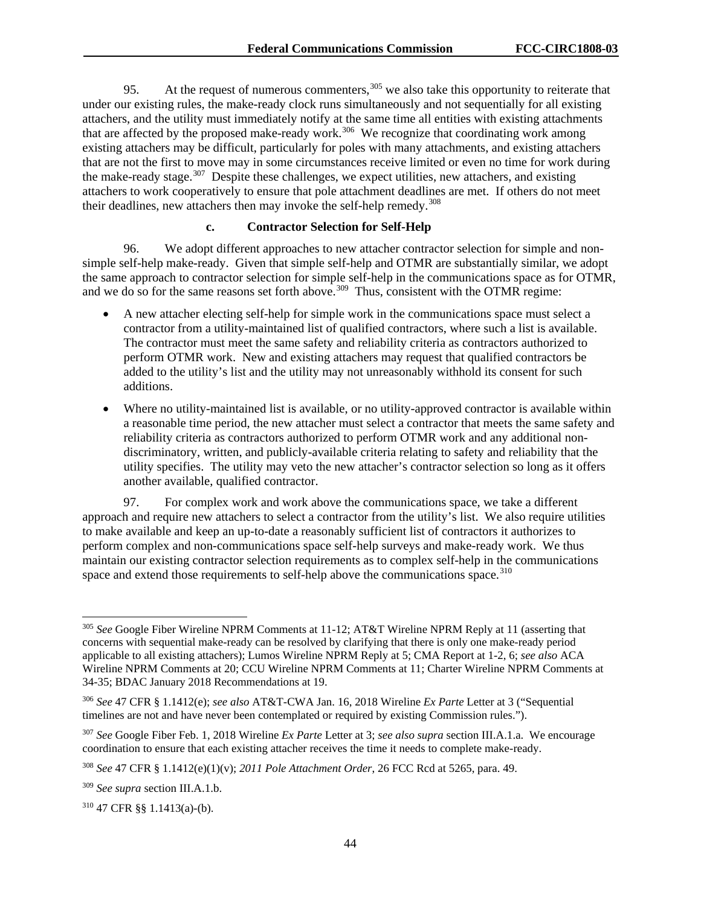95. At the request of numerous commenters,  $305$  we also take this opportunity to reiterate that under our existing rules, the make-ready clock runs simultaneously and not sequentially for all existing attachers, and the utility must immediately notify at the same time all entities with existing attachments that are affected by the proposed make-ready work.<sup>[306](#page-44-1)</sup> We recognize that coordinating work among existing attachers may be difficult, particularly for poles with many attachments, and existing attachers that are not the first to move may in some circumstances receive limited or even no time for work during the make-ready stage.<sup>[307](#page-44-2)</sup> Despite these challenges, we expect utilities, new attachers, and existing attachers to work cooperatively to ensure that pole attachment deadlines are met. If others do not meet their deadlines, new attachers then may invoke the self-help remedy.<sup>[308](#page-44-3)</sup>

## **c. Contractor Selection for Self-Help**

96. We adopt different approaches to new attacher contractor selection for simple and nonsimple self-help make-ready. Given that simple self-help and OTMR are substantially similar, we adopt the same approach to contractor selection for simple self-help in the communications space as for OTMR, and we do so for the same reasons set forth above.<sup>309</sup> Thus, consistent with the OTMR regime:

- A new attacher electing self-help for simple work in the communications space must select a contractor from a utility-maintained list of qualified contractors, where such a list is available. The contractor must meet the same safety and reliability criteria as contractors authorized to perform OTMR work. New and existing attachers may request that qualified contractors be added to the utility's list and the utility may not unreasonably withhold its consent for such additions.
- Where no utility-maintained list is available, or no utility-approved contractor is available within a reasonable time period, the new attacher must select a contractor that meets the same safety and reliability criteria as contractors authorized to perform OTMR work and any additional nondiscriminatory, written, and publicly-available criteria relating to safety and reliability that the utility specifies. The utility may veto the new attacher's contractor selection so long as it offers another available, qualified contractor.

97. For complex work and work above the communications space, we take a different approach and require new attachers to select a contractor from the utility's list. We also require utilities to make available and keep an up-to-date a reasonably sufficient list of contractors it authorizes to perform complex and non-communications space self-help surveys and make-ready work. We thus maintain our existing contractor selection requirements as to complex self-help in the communications space and extend those requirements to self-help above the communications space.<sup>[310](#page-44-5)</sup>

<span id="page-44-0"></span> <sup>305</sup> *See* Google Fiber Wireline NPRM Comments at 11-12; AT&T Wireline NPRM Reply at 11 (asserting that concerns with sequential make-ready can be resolved by clarifying that there is only one make-ready period applicable to all existing attachers); Lumos Wireline NPRM Reply at 5; CMA Report at 1-2, 6; *see also* ACA Wireline NPRM Comments at 20; CCU Wireline NPRM Comments at 11; Charter Wireline NPRM Comments at 34-35; BDAC January 2018 Recommendations at 19.

<span id="page-44-1"></span><sup>306</sup> *See* 47 CFR § 1.1412(e); *see also* AT&T-CWA Jan. 16, 2018 Wireline *Ex Parte* Letter at 3 ("Sequential timelines are not and have never been contemplated or required by existing Commission rules.").

<span id="page-44-2"></span><sup>307</sup> *See* Google Fiber Feb. 1, 2018 Wireline *Ex Parte* Letter at 3; *see also supra* section III.A.1.a. We encourage coordination to ensure that each existing attacher receives the time it needs to complete make-ready.

<span id="page-44-3"></span><sup>308</sup> *See* 47 CFR § 1.1412(e)(1)(v); *2011 Pole Attachment Order*, 26 FCC Rcd at 5265, para. 49.

<span id="page-44-4"></span><sup>309</sup> *See supra* section III.A.1.b.

<span id="page-44-5"></span><sup>310</sup> 47 CFR §§ 1.1413(a)-(b).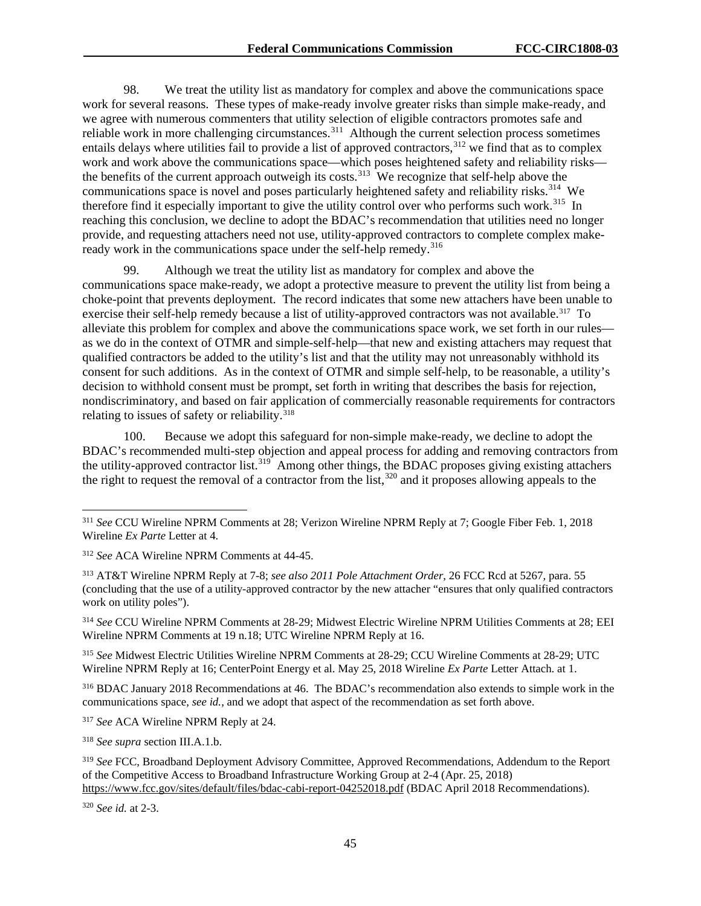98. We treat the utility list as mandatory for complex and above the communications space work for several reasons. These types of make-ready involve greater risks than simple make-ready, and we agree with numerous commenters that utility selection of eligible contractors promotes safe and reliable work in more challenging circumstances.<sup>311</sup> Although the current selection process sometimes entails delays where utilities fail to provide a list of approved contractors,  $312$  we find that as to complex work and work above the communications space—which poses heightened safety and reliability risks— the benefits of the current approach outweigh its costs.<sup>[313](#page-45-2)</sup> We recognize that self-help above the communications space is novel and poses particularly heightened safety and reliability risks.<sup>[314](#page-45-3)</sup> We therefore find it especially important to give the utility control over who performs such work.<sup>315</sup> In reaching this conclusion, we decline to adopt the BDAC's recommendation that utilities need no longer provide, and requesting attachers need not use, utility-approved contractors to complete complex makeready work in the communications space under the self-help remedy.<sup>316</sup>

99. Although we treat the utility list as mandatory for complex and above the communications space make-ready, we adopt a protective measure to prevent the utility list from being a choke-point that prevents deployment. The record indicates that some new attachers have been unable to exercise their self-help remedy because a list of utility-approved contractors was not available.<sup>[317](#page-45-6)</sup> To alleviate this problem for complex and above the communications space work, we set forth in our rules as we do in the context of OTMR and simple-self-help—that new and existing attachers may request that qualified contractors be added to the utility's list and that the utility may not unreasonably withhold its consent for such additions. As in the context of OTMR and simple self-help, to be reasonable, a utility's decision to withhold consent must be prompt, set forth in writing that describes the basis for rejection, nondiscriminatory, and based on fair application of commercially reasonable requirements for contractors relating to issues of safety or reliability. [318](#page-45-7)

100. Because we adopt this safeguard for non-simple make-ready, we decline to adopt the BDAC's recommended multi-step objection and appeal process for adding and removing contractors from the utility-approved contractor list.<sup>[319](#page-45-8)</sup> Among other things, the BDAC proposes giving existing attachers the right to request the removal of a contractor from the list,  $320$  and it proposes allowing appeals to the

<span id="page-45-2"></span><sup>313</sup> AT&T Wireline NPRM Reply at 7-8; *see also 2011 Pole Attachment Order*, 26 FCC Rcd at 5267, para. 55 (concluding that the use of a utility-approved contractor by the new attacher "ensures that only qualified contractors work on utility poles").

<span id="page-45-3"></span><sup>314</sup> *See* CCU Wireline NPRM Comments at 28-29; Midwest Electric Wireline NPRM Utilities Comments at 28; EEI Wireline NPRM Comments at 19 n.18; UTC Wireline NPRM Reply at 16.

<span id="page-45-4"></span><sup>315</sup> *See* Midwest Electric Utilities Wireline NPRM Comments at 28-29; CCU Wireline Comments at 28-29; UTC Wireline NPRM Reply at 16; CenterPoint Energy et al. May 25, 2018 Wireline *Ex Parte* Letter Attach. at 1.

<span id="page-45-5"></span><sup>316</sup> BDAC January 2018 Recommendations at 46. The BDAC's recommendation also extends to simple work in the communications space, *see id.*, and we adopt that aspect of the recommendation as set forth above.

<span id="page-45-6"></span><sup>317</sup> *See* ACA Wireline NPRM Reply at 24.

<span id="page-45-7"></span><sup>318</sup> *See supra* section III.A.1.b.

<span id="page-45-0"></span> <sup>311</sup> *See* CCU Wireline NPRM Comments at 28; Verizon Wireline NPRM Reply at 7; Google Fiber Feb. 1, 2018 Wireline *Ex Parte* Letter at 4.

<span id="page-45-1"></span><sup>312</sup> *See* ACA Wireline NPRM Comments at 44-45.

<span id="page-45-8"></span><sup>319</sup> *See* FCC, Broadband Deployment Advisory Committee, Approved Recommendations, Addendum to the Report of the Competitive Access to Broadband Infrastructure Working Group at 2-4 (Apr. 25, 2018) <https://www.fcc.gov/sites/default/files/bdac-cabi-report-04252018.pdf> (BDAC April 2018 Recommendations).

<span id="page-45-9"></span><sup>320</sup> *See id.* at 2-3.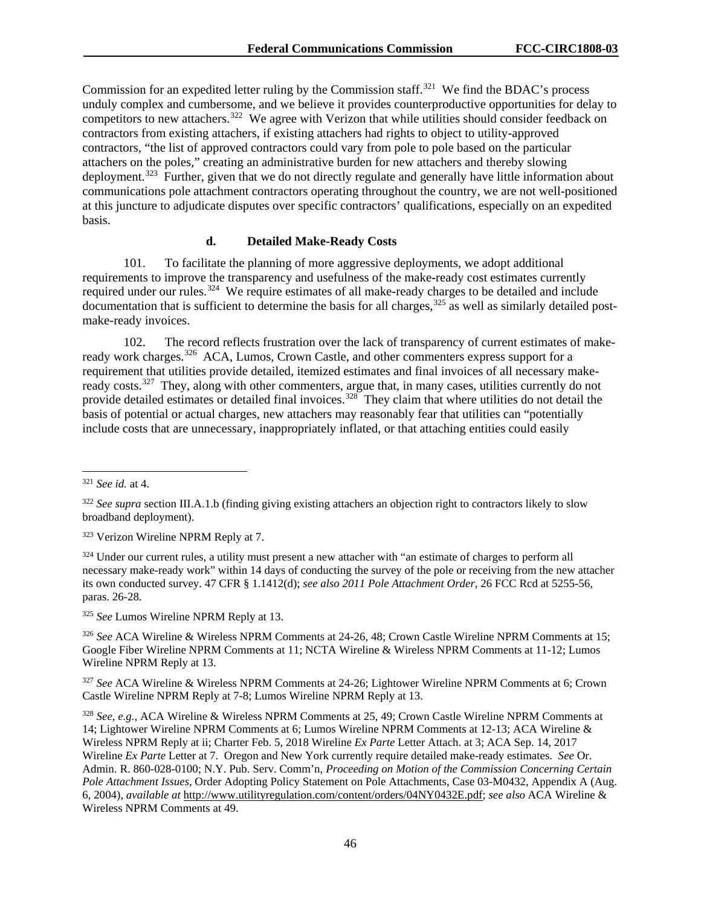Commission for an expedited letter ruling by the Commission staff.<sup>321</sup> We find the BDAC's process unduly complex and cumbersome, and we believe it provides counterproductive opportunities for delay to competitors to new attachers.<sup>[322](#page-46-1)</sup> We agree with Verizon that while utilities should consider feedback on contractors from existing attachers, if existing attachers had rights to object to utility-approved contractors, "the list of approved contractors could vary from pole to pole based on the particular attachers on the poles," creating an administrative burden for new attachers and thereby slowing deployment.<sup>323</sup> Further, given that we do not directly regulate and generally have little information about communications pole attachment contractors operating throughout the country, we are not well-positioned at this juncture to adjudicate disputes over specific contractors' qualifications, especially on an expedited basis.

#### **d. Detailed Make-Ready Costs**

101. To facilitate the planning of more aggressive deployments, we adopt additional requirements to improve the transparency and usefulness of the make-ready cost estimates currently required under our rules.<sup>324</sup> We require estimates of all make-ready charges to be detailed and include documentation that is sufficient to determine the basis for all charges,  $325$  as well as similarly detailed postmake-ready invoices.

102. The record reflects frustration over the lack of transparency of current estimates of make-ready work charges.<sup>[326](#page-46-5)</sup> ACA, Lumos, Crown Castle, and other commenters express support for a requirement that utilities provide detailed, itemized estimates and final invoices of all necessary make-ready costs.<sup>[327](#page-46-6)</sup> They, along with other commenters, argue that, in many cases, utilities currently do not provide detailed estimates or detailed final invoices.<sup>328</sup> They claim that where utilities do not detail the basis of potential or actual charges, new attachers may reasonably fear that utilities can "potentially include costs that are unnecessary, inappropriately inflated, or that attaching entities could easily

<span id="page-46-4"></span><sup>325</sup> *See* Lumos Wireline NPRM Reply at 13.

<span id="page-46-5"></span><sup>326</sup> *See* ACA Wireline & Wireless NPRM Comments at 24-26, 48; Crown Castle Wireline NPRM Comments at 15; Google Fiber Wireline NPRM Comments at 11; NCTA Wireline & Wireless NPRM Comments at 11-12; Lumos Wireline NPRM Reply at 13.

<span id="page-46-6"></span><sup>327</sup> *See* ACA Wireline & Wireless NPRM Comments at 24-26; Lightower Wireline NPRM Comments at 6; Crown Castle Wireline NPRM Reply at 7-8; Lumos Wireline NPRM Reply at 13.

<span id="page-46-7"></span><sup>328</sup> *See, e.g.*, ACA Wireline & Wireless NPRM Comments at 25, 49; Crown Castle Wireline NPRM Comments at 14; Lightower Wireline NPRM Comments at 6; Lumos Wireline NPRM Comments at 12-13; ACA Wireline & Wireless NPRM Reply at ii; Charter Feb. 5, 2018 Wireline *Ex Parte* Letter Attach. at 3; ACA Sep. 14, 2017 Wireline *Ex Parte* Letter at 7. Oregon and New York currently require detailed make-ready estimates. *See* Or. Admin. R. 860-028-0100; N.Y. Pub. Serv. Comm'n, *Proceeding on Motion of the Commission Concerning Certain Pole Attachment Issues*, Order Adopting Policy Statement on Pole Attachments, Case 03-M0432, Appendix A (Aug. 6, 2004), *available at* [http://www.utilityregulation.com/content/orders/04NY0432E.pdf;](http://www.utilityregulation.com/content/orders/04NY0432E.pdf) *see also* ACA Wireline & Wireless NPRM Comments at 49.

<span id="page-46-0"></span> <sup>321</sup> *See id.* at 4.

<span id="page-46-1"></span><sup>&</sup>lt;sup>322</sup> *See supra* section III.A.1.b (finding giving existing attachers an objection right to contractors likely to slow broadband deployment).

<span id="page-46-2"></span><sup>323</sup> Verizon Wireline NPRM Reply at 7.

<span id="page-46-3"></span><sup>&</sup>lt;sup>324</sup> Under our current rules, a utility must present a new attacher with "an estimate of charges to perform all necessary make-ready work" within 14 days of conducting the survey of the pole or receiving from the new attacher its own conducted survey. 47 CFR § 1.1412(d); *see also 2011 Pole Attachment Order*, 26 FCC Rcd at 5255-56, paras. 26-28.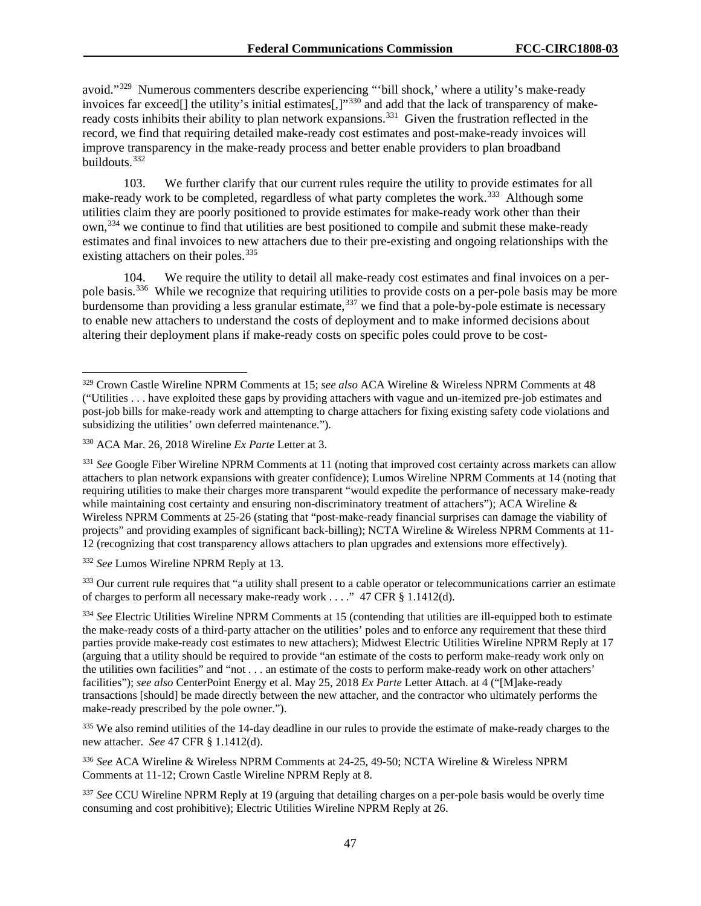avoid."[329](#page-47-0) Numerous commenters describe experiencing "'bill shock,' where a utility's make-ready invoices far exceed[] the utility's initial estimates[,]"<sup>[330](#page-47-1)</sup> and add that the lack of transparency of make-ready costs inhibits their ability to plan network expansions.<sup>[331](#page-47-2)</sup> Given the frustration reflected in the record, we find that requiring detailed make-ready cost estimates and post-make-ready invoices will improve transparency in the make-ready process and better enable providers to plan broadband buildouts.[332](#page-47-3) 

103. We further clarify that our current rules require the utility to provide estimates for all make-ready work to be completed, regardless of what party completes the work.<sup>[333](#page-47-4)</sup> Although some utilities claim they are poorly positioned to provide estimates for make-ready work other than their own,[334](#page-47-5) we continue to find that utilities are best positioned to compile and submit these make-ready estimates and final invoices to new attachers due to their pre-existing and ongoing relationships with the existing attachers on their poles.<sup>[335](#page-47-6)</sup>

104. We require the utility to detail all make-ready cost estimates and final invoices on a perpole basis.<sup>336</sup> While we recognize that requiring utilities to provide costs on a per-pole basis may be more burdensome than providing a less granular estimate,<sup>[337](#page-47-8)</sup> we find that a pole-by-pole estimate is necessary to enable new attachers to understand the costs of deployment and to make informed decisions about altering their deployment plans if make-ready costs on specific poles could prove to be cost-

<span id="page-47-3"></span><sup>332</sup> *See* Lumos Wireline NPRM Reply at 13.

<span id="page-47-4"></span><sup>333</sup> Our current rule requires that "a utility shall present to a cable operator or telecommunications carrier an estimate of charges to perform all necessary make-ready work . . . ." 47 CFR § 1.1412(d).

<span id="page-47-5"></span><sup>334</sup> See Electric Utilities Wireline NPRM Comments at 15 (contending that utilities are ill-equipped both to estimate the make-ready costs of a third-party attacher on the utilities' poles and to enforce any requirement that these third parties provide make-ready cost estimates to new attachers); Midwest Electric Utilities Wireline NPRM Reply at 17 (arguing that a utility should be required to provide "an estimate of the costs to perform make-ready work only on the utilities own facilities" and "not . . . an estimate of the costs to perform make-ready work on other attachers' facilities"); *see also* CenterPoint Energy et al. May 25, 2018 *Ex Parte* Letter Attach. at 4 ("[M]ake-ready transactions [should] be made directly between the new attacher, and the contractor who ultimately performs the make-ready prescribed by the pole owner.").

<span id="page-47-6"></span><sup>335</sup> We also remind utilities of the 14-day deadline in our rules to provide the estimate of make-ready charges to the new attacher. *See* 47 CFR § 1.1412(d).

<span id="page-47-7"></span><sup>336</sup> *See* ACA Wireline & Wireless NPRM Comments at 24-25, 49-50; NCTA Wireline & Wireless NPRM Comments at 11-12; Crown Castle Wireline NPRM Reply at 8.

<span id="page-47-8"></span><sup>337</sup> See CCU Wireline NPRM Reply at 19 (arguing that detailing charges on a per-pole basis would be overly time consuming and cost prohibitive); Electric Utilities Wireline NPRM Reply at 26.

<span id="page-47-0"></span> <sup>329</sup> Crown Castle Wireline NPRM Comments at 15; *see also* ACA Wireline & Wireless NPRM Comments at <sup>48</sup> ("Utilities . . . have exploited these gaps by providing attachers with vague and un-itemized pre-job estimates and post-job bills for make-ready work and attempting to charge attachers for fixing existing safety code violations and subsidizing the utilities' own deferred maintenance.").

<span id="page-47-1"></span><sup>330</sup> ACA Mar. 26, 2018 Wireline *Ex Parte* Letter at 3.

<span id="page-47-2"></span><sup>&</sup>lt;sup>331</sup> See Google Fiber Wireline NPRM Comments at 11 (noting that improved cost certainty across markets can allow attachers to plan network expansions with greater confidence); Lumos Wireline NPRM Comments at 14 (noting that requiring utilities to make their charges more transparent "would expedite the performance of necessary make-ready while maintaining cost certainty and ensuring non-discriminatory treatment of attachers"); ACA Wireline  $\&$ Wireless NPRM Comments at 25-26 (stating that "post-make-ready financial surprises can damage the viability of projects" and providing examples of significant back-billing); NCTA Wireline & Wireless NPRM Comments at 11- 12 (recognizing that cost transparency allows attachers to plan upgrades and extensions more effectively).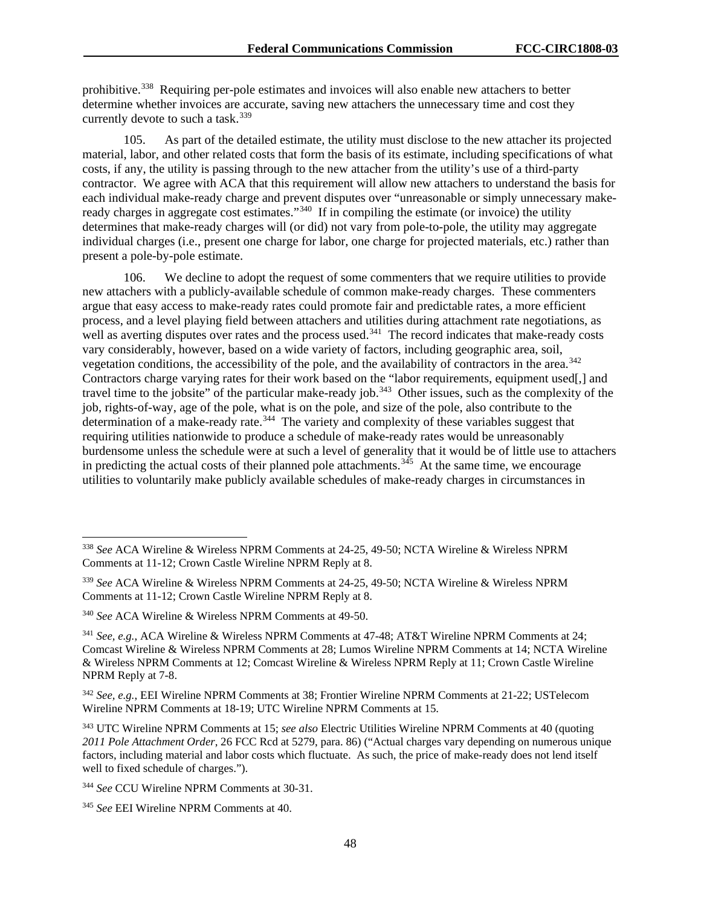prohibitive.<sup>[338](#page-48-0)</sup> Requiring per-pole estimates and invoices will also enable new attachers to better determine whether invoices are accurate, saving new attachers the unnecessary time and cost they currently devote to such a task.<sup>339</sup>

105. As part of the detailed estimate, the utility must disclose to the new attacher its projected material, labor, and other related costs that form the basis of its estimate, including specifications of what costs, if any, the utility is passing through to the new attacher from the utility's use of a third-party contractor. We agree with ACA that this requirement will allow new attachers to understand the basis for each individual make-ready charge and prevent disputes over "unreasonable or simply unnecessary makeready charges in aggregate cost estimates."<sup>340</sup> If in compiling the estimate (or invoice) the utility determines that make-ready charges will (or did) not vary from pole-to-pole, the utility may aggregate individual charges (i.e., present one charge for labor, one charge for projected materials, etc.) rather than present a pole-by-pole estimate.

106. We decline to adopt the request of some commenters that we require utilities to provide new attachers with a publicly-available schedule of common make-ready charges. These commenters argue that easy access to make-ready rates could promote fair and predictable rates, a more efficient process, and a level playing field between attachers and utilities during attachment rate negotiations, as well as averting disputes over rates and the process used.<sup>341</sup> The record indicates that make-ready costs vary considerably, however, based on a wide variety of factors, including geographic area, soil, vegetation conditions, the accessibility of the pole, and the availability of contractors in the area.<sup>342</sup> Contractors charge varying rates for their work based on the "labor requirements, equipment used[,] and travel time to the jobsite" of the particular make-ready job.<sup>[343](#page-48-5)</sup> Other issues, such as the complexity of the job, rights-of-way, age of the pole, what is on the pole, and size of the pole, also contribute to the determination of a make-ready rate.<sup>[344](#page-48-6)</sup> The variety and complexity of these variables suggest that requiring utilities nationwide to produce a schedule of make-ready rates would be unreasonably burdensome unless the schedule were at such a level of generality that it would be of little use to attachers in predicting the actual costs of their planned pole attachments.<sup>[345](#page-48-7)</sup> At the same time, we encourage utilities to voluntarily make publicly available schedules of make-ready charges in circumstances in

<span id="page-48-0"></span> <sup>338</sup> *See* ACA Wireline & Wireless NPRM Comments at 24-25, 49-50; NCTA Wireline & Wireless NPRM Comments at 11-12; Crown Castle Wireline NPRM Reply at 8.

<span id="page-48-1"></span><sup>339</sup> *See* ACA Wireline & Wireless NPRM Comments at 24-25, 49-50; NCTA Wireline & Wireless NPRM Comments at 11-12; Crown Castle Wireline NPRM Reply at 8.

<span id="page-48-2"></span><sup>340</sup> *See* ACA Wireline & Wireless NPRM Comments at 49-50.

<span id="page-48-3"></span><sup>341</sup> *See, e.g.*, ACA Wireline & Wireless NPRM Comments at 47-48; AT&T Wireline NPRM Comments at 24; Comcast Wireline & Wireless NPRM Comments at 28; Lumos Wireline NPRM Comments at 14; NCTA Wireline & Wireless NPRM Comments at 12; Comcast Wireline & Wireless NPRM Reply at 11; Crown Castle Wireline NPRM Reply at 7-8.

<span id="page-48-4"></span><sup>342</sup> *See, e.g.*, EEI Wireline NPRM Comments at 38; Frontier Wireline NPRM Comments at 21-22; USTelecom Wireline NPRM Comments at 18-19; UTC Wireline NPRM Comments at 15.

<span id="page-48-5"></span><sup>343</sup> UTC Wireline NPRM Comments at 15; *see also* Electric Utilities Wireline NPRM Comments at 40 (quoting *2011 Pole Attachment Order*, 26 FCC Rcd at 5279, para. 86) ("Actual charges vary depending on numerous unique factors, including material and labor costs which fluctuate. As such, the price of make-ready does not lend itself well to fixed schedule of charges.").

<span id="page-48-6"></span><sup>344</sup> *See* CCU Wireline NPRM Comments at 30-31.

<span id="page-48-7"></span><sup>345</sup> *See* EEI Wireline NPRM Comments at 40.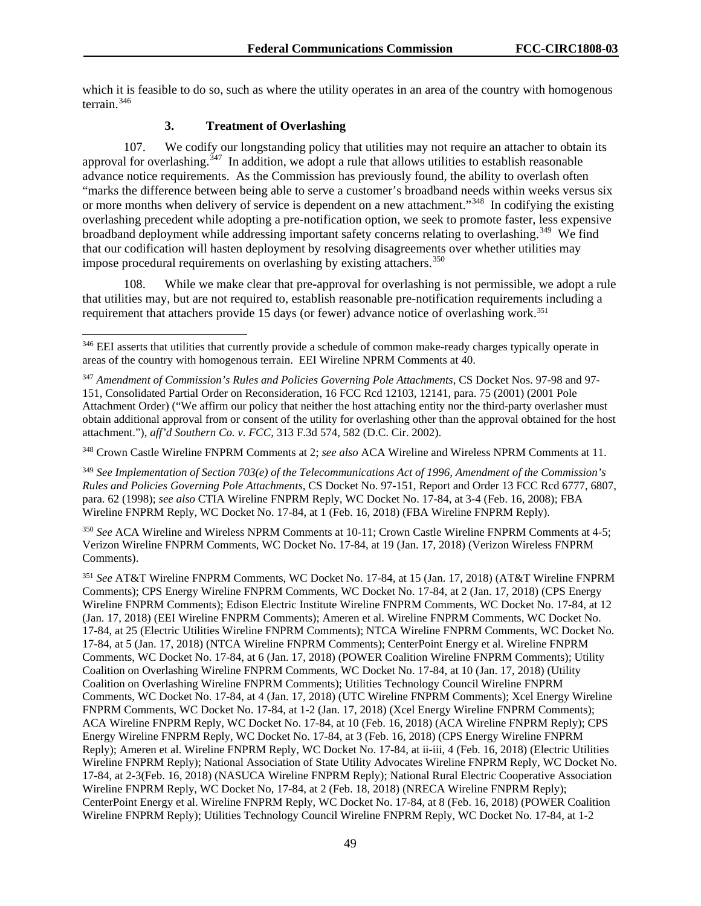which it is feasible to do so, such as where the utility operates in an area of the country with homogenous terrain.[346](#page-49-0)

# **3. Treatment of Overlashing**

107. We codify our longstanding policy that utilities may not require an attacher to obtain its approval for overlashing.<sup> $347$ </sup> In addition, we adopt a rule that allows utilities to establish reasonable advance notice requirements. As the Commission has previously found, the ability to overlash often "marks the difference between being able to serve a customer's broadband needs within weeks versus six or more months when delivery of service is dependent on a new attachment."[348](#page-49-2) In codifying the existing overlashing precedent while adopting a pre-notification option, we seek to promote faster, less expensive broadband deployment while addressing important safety concerns relating to overlashing.<sup>[349](#page-49-3)</sup> We find that our codification will hasten deployment by resolving disagreements over whether utilities may impose procedural requirements on overlashing by existing attachers.<sup>350</sup>

While we make clear that pre-approval for overlashing is not permissible, we adopt a rule that utilities may, but are not required to, establish reasonable pre-notification requirements including a requirement that attachers provide 15 days (or fewer) advance notice of overlashing work.[351](#page-49-5) 

<span id="page-49-2"></span><sup>348</sup> Crown Castle Wireline FNPRM Comments at 2; *see also* ACA Wireline and Wireless NPRM Comments at 11.

<span id="page-49-3"></span><sup>349</sup> *See Implementation of Section 703(e) of the Telecommunications Act of 1996, Amendment of the Commission's Rules and Policies Governing Pole Attachments*, CS Docket No. 97-151, Report and Order 13 FCC Rcd 6777, 6807, para. 62 (1998); *see also* CTIA Wireline FNPRM Reply, WC Docket No. 17-84, at 3-4 (Feb. 16, 2008); FBA Wireline FNPRM Reply, WC Docket No. 17-84, at 1 (Feb. 16, 2018) (FBA Wireline FNPRM Reply).

<span id="page-49-4"></span><sup>350</sup> *See* ACA Wireline and Wireless NPRM Comments at 10-11; Crown Castle Wireline FNPRM Comments at 4-5; Verizon Wireline FNPRM Comments, WC Docket No. 17-84, at 19 (Jan. 17, 2018) (Verizon Wireless FNPRM Comments).

<span id="page-49-5"></span><sup>351</sup> *See* AT&T Wireline FNPRM Comments, WC Docket No. 17-84, at 15 (Jan. 17, 2018) (AT&T Wireline FNPRM Comments); CPS Energy Wireline FNPRM Comments, WC Docket No. 17-84, at 2 (Jan. 17, 2018) (CPS Energy Wireline FNPRM Comments); Edison Electric Institute Wireline FNPRM Comments, WC Docket No. 17-84, at 12 (Jan. 17, 2018) (EEI Wireline FNPRM Comments); Ameren et al. Wireline FNPRM Comments, WC Docket No. 17-84, at 25 (Electric Utilities Wireline FNPRM Comments); NTCA Wireline FNPRM Comments, WC Docket No. 17-84, at 5 (Jan. 17, 2018) (NTCA Wireline FNPRM Comments); CenterPoint Energy et al. Wireline FNPRM Comments, WC Docket No. 17-84, at 6 (Jan. 17, 2018) (POWER Coalition Wireline FNPRM Comments); Utility Coalition on Overlashing Wireline FNPRM Comments, WC Docket No. 17-84, at 10 (Jan. 17, 2018) (Utility Coalition on Overlashing Wireline FNPRM Comments); Utilities Technology Council Wireline FNPRM Comments, WC Docket No. 17-84, at 4 (Jan. 17, 2018) (UTC Wireline FNPRM Comments); Xcel Energy Wireline FNPRM Comments, WC Docket No. 17-84, at 1-2 (Jan. 17, 2018) (Xcel Energy Wireline FNPRM Comments); ACA Wireline FNPRM Reply, WC Docket No. 17-84, at 10 (Feb. 16, 2018) (ACA Wireline FNPRM Reply); CPS Energy Wireline FNPRM Reply, WC Docket No. 17-84, at 3 (Feb. 16, 2018) (CPS Energy Wireline FNPRM Reply); Ameren et al. Wireline FNPRM Reply, WC Docket No. 17-84, at ii-iii, 4 (Feb. 16, 2018) (Electric Utilities Wireline FNPRM Reply); National Association of State Utility Advocates Wireline FNPRM Reply, WC Docket No. 17-84, at 2-3(Feb. 16, 2018) (NASUCA Wireline FNPRM Reply); National Rural Electric Cooperative Association Wireline FNPRM Reply, WC Docket No, 17-84, at 2 (Feb. 18, 2018) (NRECA Wireline FNPRM Reply); CenterPoint Energy et al. Wireline FNPRM Reply, WC Docket No. 17-84, at 8 (Feb. 16, 2018) (POWER Coalition Wireline FNPRM Reply); Utilities Technology Council Wireline FNPRM Reply, WC Docket No. 17-84, at 1-2

<span id="page-49-0"></span><sup>&</sup>lt;sup>346</sup> EEI asserts that utilities that currently provide a schedule of common make-ready charges typically operate in areas of the country with homogenous terrain. EEI Wireline NPRM Comments at 40.

<span id="page-49-1"></span><sup>347</sup> *Amendment of Commission's Rules and Policies Governing Pole Attachments*, CS Docket Nos. 97-98 and 97- 151, Consolidated Partial Order on Reconsideration, 16 FCC Rcd 12103, 12141, para. 75 (2001) (2001 Pole Attachment Order) ("We affirm our policy that neither the host attaching entity nor the third-party overlasher must obtain additional approval from or consent of the utility for overlashing other than the approval obtained for the host attachment."), *aff'd Southern Co. v. FCC*, 313 F.3d 574, 582 (D.C. Cir. 2002).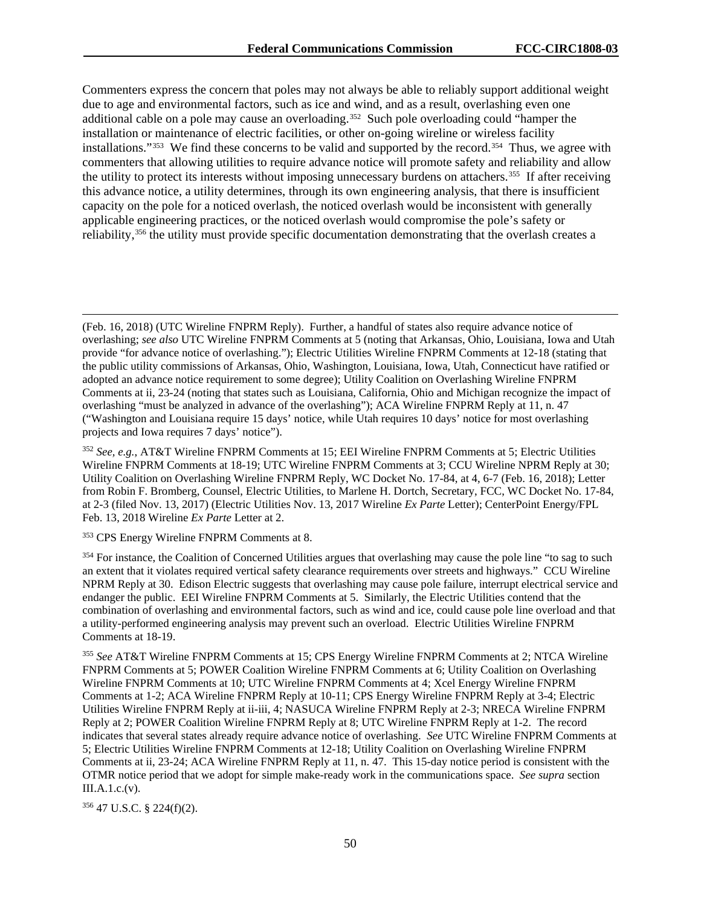Commenters express the concern that poles may not always be able to reliably support additional weight due to age and environmental factors, such as ice and wind, and as a result, overlashing even one additional cable on a pole may cause an overloading.<sup>[352](#page-50-0)</sup> Such pole overloading could "hamper the installation or maintenance of electric facilities, or other on-going wireline or wireless facility installations."[353](#page-50-1) We find these concerns to be valid and supported by the record.[354](#page-50-2) Thus, we agree with commenters that allowing utilities to require advance notice will promote safety and reliability and allow the utility to protect its interests without imposing unnecessary burdens on attachers.[355](#page-50-3) If after receiving this advance notice, a utility determines, through its own engineering analysis, that there is insufficient capacity on the pole for a noticed overlash, the noticed overlash would be inconsistent with generally applicable engineering practices, or the noticed overlash would compromise the pole's safety or reliability,[356](#page-50-4) the utility must provide specific documentation demonstrating that the overlash creates a

<span id="page-50-0"></span><sup>352</sup> *See, e.g.*, AT&T Wireline FNPRM Comments at 15; EEI Wireline FNPRM Comments at 5; Electric Utilities Wireline FNPRM Comments at 18-19; UTC Wireline FNPRM Comments at 3; CCU Wireline NPRM Reply at 30; Utility Coalition on Overlashing Wireline FNPRM Reply, WC Docket No. 17-84, at 4, 6-7 (Feb. 16, 2018); Letter from Robin F. Bromberg, Counsel, Electric Utilities, to Marlene H. Dortch, Secretary, FCC, WC Docket No. 17-84, at 2-3 (filed Nov. 13, 2017) (Electric Utilities Nov. 13, 2017 Wireline *Ex Parte* Letter); CenterPoint Energy/FPL Feb. 13, 2018 Wireline *Ex Parte* Letter at 2.

<span id="page-50-1"></span><sup>353</sup> CPS Energy Wireline FNPRM Comments at 8.

<span id="page-50-2"></span><sup>354</sup> For instance, the Coalition of Concerned Utilities argues that overlashing may cause the pole line "to sag to such an extent that it violates required vertical safety clearance requirements over streets and highways." CCU Wireline NPRM Reply at 30. Edison Electric suggests that overlashing may cause pole failure, interrupt electrical service and endanger the public. EEI Wireline FNPRM Comments at 5. Similarly, the Electric Utilities contend that the combination of overlashing and environmental factors, such as wind and ice, could cause pole line overload and that a utility-performed engineering analysis may prevent such an overload. Electric Utilities Wireline FNPRM Comments at 18-19.

<span id="page-50-3"></span><sup>355</sup> *See* AT&T Wireline FNPRM Comments at 15; CPS Energy Wireline FNPRM Comments at 2; NTCA Wireline FNPRM Comments at 5; POWER Coalition Wireline FNPRM Comments at 6; Utility Coalition on Overlashing Wireline FNPRM Comments at 10; UTC Wireline FNPRM Comments at 4; Xcel Energy Wireline FNPRM Comments at 1-2; ACA Wireline FNPRM Reply at 10-11; CPS Energy Wireline FNPRM Reply at 3-4; Electric Utilities Wireline FNPRM Reply at ii-iii, 4; NASUCA Wireline FNPRM Reply at 2-3; NRECA Wireline FNPRM Reply at 2; POWER Coalition Wireline FNPRM Reply at 8; UTC Wireline FNPRM Reply at 1-2. The record indicates that several states already require advance notice of overlashing. *See* UTC Wireline FNPRM Comments at 5; Electric Utilities Wireline FNPRM Comments at 12-18; Utility Coalition on Overlashing Wireline FNPRM Comments at ii, 23-24; ACA Wireline FNPRM Reply at 11, n. 47. This 15-day notice period is consistent with the OTMR notice period that we adopt for simple make-ready work in the communications space. *See supra* section  $III.A.1.c.(v).$ 

<span id="page-50-4"></span><sup>356</sup> 47 U.S.C. § 224(f)(2).

 $\overline{a}$ 

<sup>(</sup>Feb. 16, 2018) (UTC Wireline FNPRM Reply). Further, a handful of states also require advance notice of overlashing; *see also* UTC Wireline FNPRM Comments at 5 (noting that Arkansas, Ohio, Louisiana, Iowa and Utah provide "for advance notice of overlashing."); Electric Utilities Wireline FNPRM Comments at 12-18 (stating that the public utility commissions of Arkansas, Ohio, Washington, Louisiana, Iowa, Utah, Connecticut have ratified or adopted an advance notice requirement to some degree); Utility Coalition on Overlashing Wireline FNPRM Comments at ii, 23-24 (noting that states such as Louisiana, California, Ohio and Michigan recognize the impact of overlashing "must be analyzed in advance of the overlashing"); ACA Wireline FNPRM Reply at 11, n. 47 ("Washington and Louisiana require 15 days' notice, while Utah requires 10 days' notice for most overlashing projects and Iowa requires 7 days' notice").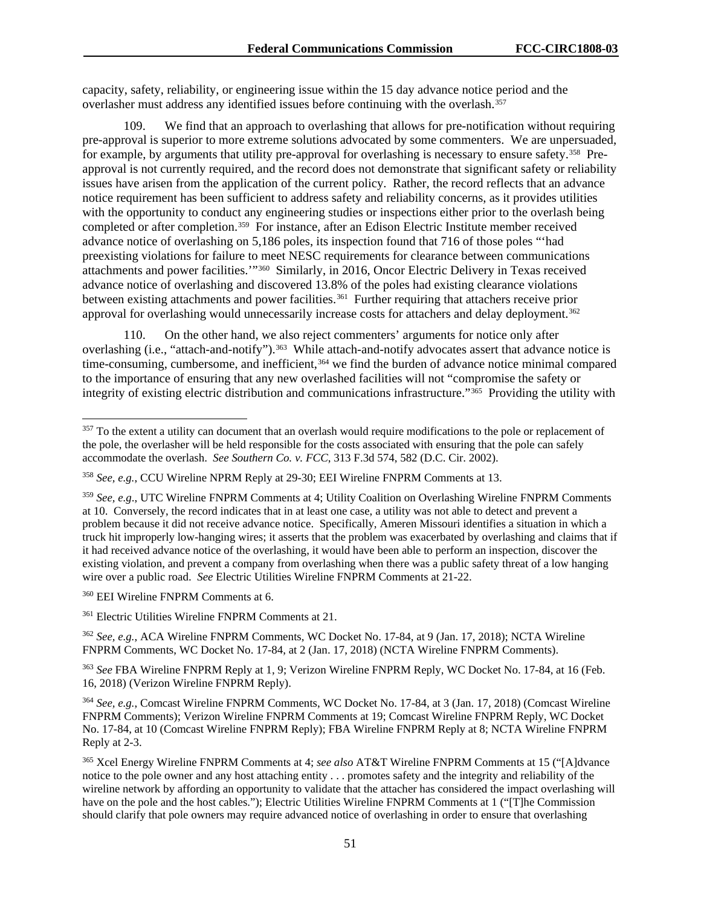capacity, safety, reliability, or engineering issue within the 15 day advance notice period and the overlasher must address any identified issues before continuing with the overlash. [357](#page-51-0)

109. We find that an approach to overlashing that allows for pre-notification without requiring pre-approval is superior to more extreme solutions advocated by some commenters. We are unpersuaded, for example, by arguments that utility pre-approval for overlashing is necessary to ensure safety.[358](#page-51-1) Preapproval is not currently required, and the record does not demonstrate that significant safety or reliability issues have arisen from the application of the current policy. Rather, the record reflects that an advance notice requirement has been sufficient to address safety and reliability concerns, as it provides utilities with the opportunity to conduct any engineering studies or inspections either prior to the overlash being completed or after completion.<sup>359</sup> For instance, after an Edison Electric Institute member received advance notice of overlashing on 5,186 poles, its inspection found that 716 of those poles "'had preexisting violations for failure to meet NESC requirements for clearance between communications attachments and power facilities.'"[360](#page-51-3) Similarly, in 2016, Oncor Electric Delivery in Texas received advance notice of overlashing and discovered 13.8% of the poles had existing clearance violations between existing attachments and power facilities.<sup>361</sup> Further requiring that attachers receive prior approval for overlashing would unnecessarily increase costs for attachers and delay deployment.<sup>362</sup>

On the other hand, we also reject commenters' arguments for notice only after overlashing (i.e., "attach-and-notify").[363](#page-51-6) While attach-and-notify advocates assert that advance notice is time-consuming, cumbersome, and inefficient,<sup>[364](#page-51-7)</sup> we find the burden of advance notice minimal compared to the importance of ensuring that any new overlashed facilities will not "compromise the safety or integrity of existing electric distribution and communications infrastructure."[365](#page-51-8) Providing the utility with

<span id="page-51-3"></span><sup>360</sup> EEI Wireline FNPRM Comments at 6.

<span id="page-51-4"></span><sup>361</sup> Electric Utilities Wireline FNPRM Comments at 21.

<span id="page-51-5"></span><sup>362</sup> *See, e.g.*, ACA Wireline FNPRM Comments, WC Docket No. 17-84, at 9 (Jan. 17, 2018); NCTA Wireline FNPRM Comments, WC Docket No. 17-84, at 2 (Jan. 17, 2018) (NCTA Wireline FNPRM Comments).

<span id="page-51-6"></span><sup>363</sup> *See* FBA Wireline FNPRM Reply at 1, 9; Verizon Wireline FNPRM Reply, WC Docket No. 17-84, at 16 (Feb. 16, 2018) (Verizon Wireline FNPRM Reply).

<span id="page-51-7"></span><sup>364</sup> *See, e.g.*, Comcast Wireline FNPRM Comments, WC Docket No. 17-84, at 3 (Jan. 17, 2018) (Comcast Wireline FNPRM Comments); Verizon Wireline FNPRM Comments at 19; Comcast Wireline FNPRM Reply, WC Docket No. 17-84, at 10 (Comcast Wireline FNPRM Reply); FBA Wireline FNPRM Reply at 8; NCTA Wireline FNPRM Reply at 2-3.

<span id="page-51-8"></span><sup>365</sup> Xcel Energy Wireline FNPRM Comments at 4; *see also* AT&T Wireline FNPRM Comments at 15 ("[A]dvance notice to the pole owner and any host attaching entity . . . promotes safety and the integrity and reliability of the wireline network by affording an opportunity to validate that the attacher has considered the impact overlashing will have on the pole and the host cables."); Electric Utilities Wireline FNPRM Comments at 1 ("[T]he Commission should clarify that pole owners may require advanced notice of overlashing in order to ensure that overlashing

<span id="page-51-0"></span><sup>&</sup>lt;sup>357</sup> To the extent a utility can document that an overlash would require modifications to the pole or replacement of the pole, the overlasher will be held responsible for the costs associated with ensuring that the pole can safely accommodate the overlash. *See Southern Co. v. FCC*, 313 F.3d 574, 582 (D.C. Cir. 2002).

<span id="page-51-1"></span><sup>358</sup> *See, e.g.*, CCU Wireline NPRM Reply at 29-30; EEI Wireline FNPRM Comments at 13.

<span id="page-51-2"></span><sup>359</sup> *See, e.g*., UTC Wireline FNPRM Comments at 4; Utility Coalition on Overlashing Wireline FNPRM Comments at 10. Conversely, the record indicates that in at least one case, a utility was not able to detect and prevent a problem because it did not receive advance notice. Specifically, Ameren Missouri identifies a situation in which a truck hit improperly low-hanging wires; it asserts that the problem was exacerbated by overlashing and claims that if it had received advance notice of the overlashing, it would have been able to perform an inspection, discover the existing violation, and prevent a company from overlashing when there was a public safety threat of a low hanging wire over a public road. *See* Electric Utilities Wireline FNPRM Comments at 21-22.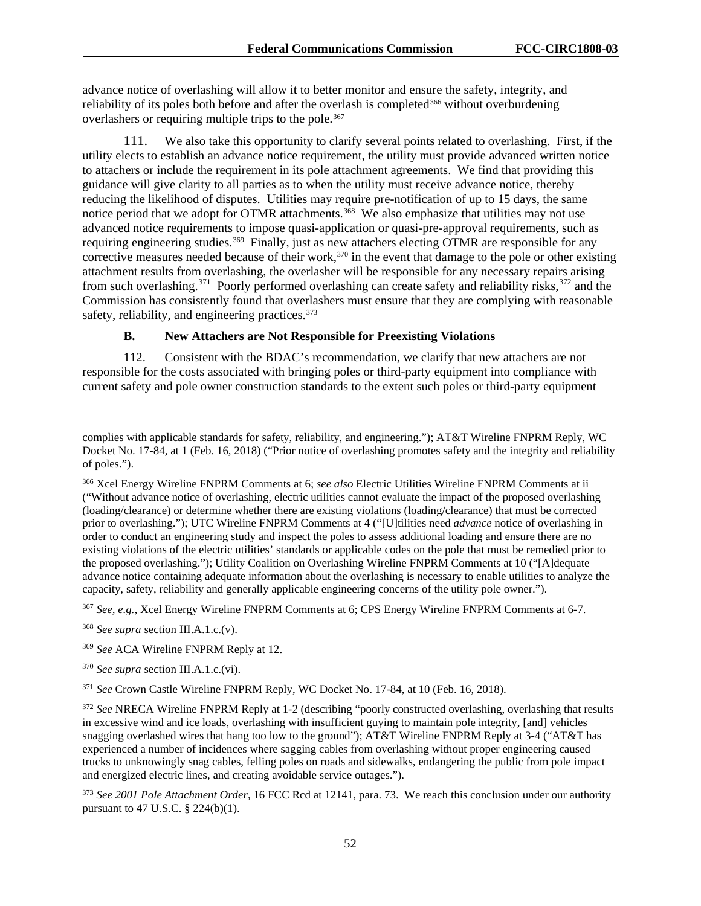advance notice of overlashing will allow it to better monitor and ensure the safety, integrity, and reliability of its poles both before and after the overlash is completed<sup>[366](#page-52-0)</sup> without overburdening overlashers or requiring multiple trips to the pole.<sup>367</sup>

111. We also take this opportunity to clarify several points related to overlashing. First, if the utility elects to establish an advance notice requirement, the utility must provide advanced written notice to attachers or include the requirement in its pole attachment agreements. We find that providing this guidance will give clarity to all parties as to when the utility must receive advance notice, thereby reducing the likelihood of disputes. Utilities may require pre-notification of up to 15 days, the same notice period that we adopt for OTMR attachments.<sup>[368](#page-52-2)</sup> We also emphasize that utilities may not use advanced notice requirements to impose quasi-application or quasi-pre-approval requirements, such as requiring engineering studies.<sup>[369](#page-52-3)</sup> Finally, just as new attachers electing OTMR are responsible for any corrective measures needed because of their work,<sup>[370](#page-52-4)</sup> in the event that damage to the pole or other existing attachment results from overlashing, the overlasher will be responsible for any necessary repairs arising from such overlashing.<sup>[371](#page-52-5)</sup> Poorly performed overlashing can create safety and reliability risks,  $372$  and the Commission has consistently found that overlashers must ensure that they are complying with reasonable safety, reliability, and engineering practices.<sup>[373](#page-52-7)</sup>

# **B. New Attachers are Not Responsible for Preexisting Violations**

112. Consistent with the BDAC's recommendation, we clarify that new attachers are not responsible for the costs associated with bringing poles or third-party equipment into compliance with current safety and pole owner construction standards to the extent such poles or third-party equipment

<span id="page-52-0"></span><sup>366</sup> Xcel Energy Wireline FNPRM Comments at 6; *see also* Electric Utilities Wireline FNPRM Comments at ii ("Without advance notice of overlashing, electric utilities cannot evaluate the impact of the proposed overlashing (loading/clearance) or determine whether there are existing violations (loading/clearance) that must be corrected prior to overlashing."); UTC Wireline FNPRM Comments at 4 ("[U]tilities need *advance* notice of overlashing in order to conduct an engineering study and inspect the poles to assess additional loading and ensure there are no existing violations of the electric utilities' standards or applicable codes on the pole that must be remedied prior to the proposed overlashing."); Utility Coalition on Overlashing Wireline FNPRM Comments at 10 ("[A]dequate advance notice containing adequate information about the overlashing is necessary to enable utilities to analyze the capacity, safety, reliability and generally applicable engineering concerns of the utility pole owner.").

<span id="page-52-1"></span><sup>367</sup> *See, e.g.*, Xcel Energy Wireline FNPRM Comments at 6; CPS Energy Wireline FNPRM Comments at 6-7.

<span id="page-52-2"></span><sup>368</sup> *See supra* section III.A.1.c.(v).

 $\overline{a}$ 

<span id="page-52-4"></span><sup>370</sup> *See supra* section III.A.1.c.(vi).

<span id="page-52-5"></span><sup>371</sup> *See* Crown Castle Wireline FNPRM Reply, WC Docket No. 17-84, at 10 (Feb. 16, 2018).

<span id="page-52-6"></span><sup>372</sup> *See* NRECA Wireline FNPRM Reply at 1-2 (describing "poorly constructed overlashing, overlashing that results in excessive wind and ice loads, overlashing with insufficient guying to maintain pole integrity, [and] vehicles snagging overlashed wires that hang too low to the ground"); AT&T Wireline FNPRM Reply at 3-4 ("AT&T has experienced a number of incidences where sagging cables from overlashing without proper engineering caused trucks to unknowingly snag cables, felling poles on roads and sidewalks, endangering the public from pole impact and energized electric lines, and creating avoidable service outages.").

<span id="page-52-7"></span><sup>373</sup> *See 2001 Pole Attachment Order*, 16 FCC Rcd at 12141, para. 73. We reach this conclusion under our authority pursuant to 47 U.S.C. § 224(b)(1).

complies with applicable standards for safety, reliability, and engineering."); AT&T Wireline FNPRM Reply, WC Docket No. 17-84, at 1 (Feb. 16, 2018) ("Prior notice of overlashing promotes safety and the integrity and reliability of poles.").

<span id="page-52-3"></span><sup>369</sup> *See* ACA Wireline FNPRM Reply at 12.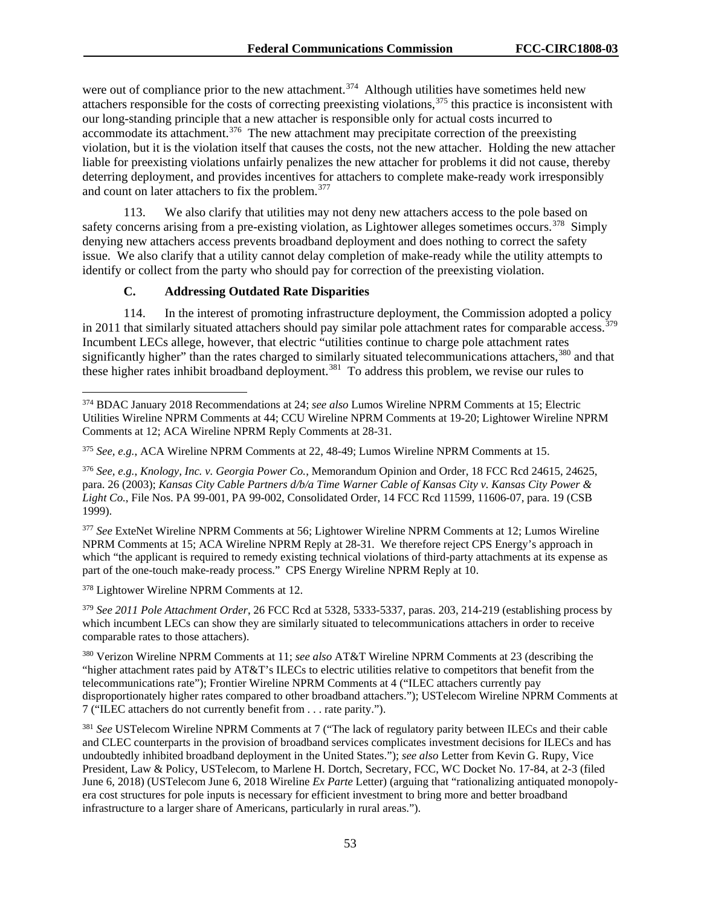were out of compliance prior to the new attachment.<sup>[374](#page-53-0)</sup> Although utilities have sometimes held new attachers responsible for the costs of correcting preexisting violations,<sup>[375](#page-53-1)</sup> this practice is inconsistent with our long-standing principle that a new attacher is responsible only for actual costs incurred to accommodate its attachment.<sup>[376](#page-53-2)</sup> The new attachment may precipitate correction of the preexisting violation, but it is the violation itself that causes the costs, not the new attacher. Holding the new attacher liable for preexisting violations unfairly penalizes the new attacher for problems it did not cause, thereby deterring deployment, and provides incentives for attachers to complete make-ready work irresponsibly and count on later attachers to fix the problem.<sup>377</sup>

113. We also clarify that utilities may not deny new attachers access to the pole based on safety concerns arising from a pre-existing violation, as Lightower alleges sometimes occurs.<sup>[378](#page-53-4)</sup> Simply denying new attachers access prevents broadband deployment and does nothing to correct the safety issue. We also clarify that a utility cannot delay completion of make-ready while the utility attempts to identify or collect from the party who should pay for correction of the preexisting violation.

### **C. Addressing Outdated Rate Disparities**

114. In the interest of promoting infrastructure deployment, the Commission adopted a policy in 2011 that similarly situated attachers should pay similar pole attachment rates for comparable access.<sup>379</sup> Incumbent LECs allege, however, that electric "utilities continue to charge pole attachment rates significantly higher" than the rates charged to similarly situated telecommunications attachers,<sup>[380](#page-53-6)</sup> and that these higher rates inhibit broadband deployment.[381](#page-53-7) To address this problem, we revise our rules to

<span id="page-53-3"></span><sup>377</sup> *See* ExteNet Wireline NPRM Comments at 56; Lightower Wireline NPRM Comments at 12; Lumos Wireline NPRM Comments at 15; ACA Wireline NPRM Reply at 28-31*.* We therefore reject CPS Energy's approach in which "the applicant is required to remedy existing technical violations of third-party attachments at its expense as part of the one-touch make-ready process." CPS Energy Wireline NPRM Reply at 10.

<span id="page-53-4"></span><sup>378</sup> Lightower Wireline NPRM Comments at 12.

<span id="page-53-5"></span><sup>379</sup> *See 2011 Pole Attachment Order*, 26 FCC Rcd at 5328, 5333-5337, paras. 203, 214-219 (establishing process by which incumbent LECs can show they are similarly situated to telecommunications attachers in order to receive comparable rates to those attachers).

<span id="page-53-6"></span><sup>380</sup> Verizon Wireline NPRM Comments at 11; *see also* AT&T Wireline NPRM Comments at 23 (describing the "higher attachment rates paid by AT&T's ILECs to electric utilities relative to competitors that benefit from the telecommunications rate"); Frontier Wireline NPRM Comments at 4 ("ILEC attachers currently pay disproportionately higher rates compared to other broadband attachers."); USTelecom Wireline NPRM Comments at 7 ("ILEC attachers do not currently benefit from . . . rate parity.").

<span id="page-53-7"></span><sup>381</sup> See USTelecom Wireline NPRM Comments at 7 ("The lack of regulatory parity between ILECs and their cable and CLEC counterparts in the provision of broadband services complicates investment decisions for ILECs and has undoubtedly inhibited broadband deployment in the United States."); *see also* Letter from Kevin G. Rupy, Vice President, Law & Policy, USTelecom, to Marlene H. Dortch, Secretary, FCC, WC Docket No. 17-84, at 2-3 (filed June 6, 2018) (USTelecom June 6, 2018 Wireline *Ex Parte* Letter) (arguing that "rationalizing antiquated monopolyera cost structures for pole inputs is necessary for efficient investment to bring more and better broadband infrastructure to a larger share of Americans, particularly in rural areas.").

<span id="page-53-0"></span> <sup>374</sup> BDAC January 2018 Recommendations at 24; *see also* Lumos Wireline NPRM Comments at 15; Electric Utilities Wireline NPRM Comments at 44; CCU Wireline NPRM Comments at 19-20; Lightower Wireline NPRM Comments at 12; ACA Wireline NPRM Reply Comments at 28-31.

<span id="page-53-1"></span><sup>375</sup> *See, e.g.*, ACA Wireline NPRM Comments at 22, 48-49; Lumos Wireline NPRM Comments at 15.

<span id="page-53-2"></span><sup>376</sup> *See, e.g.*, *Knology, Inc. v. Georgia Power Co.*, Memorandum Opinion and Order, 18 FCC Rcd 24615, 24625, para. 26 (2003); *Kansas City Cable Partners d/b/a Time Warner Cable of Kansas City v. Kansas City Power & Light Co.*, File Nos. PA 99-001, PA 99-002, Consolidated Order, 14 FCC Rcd 11599, 11606-07, para. 19 (CSB 1999).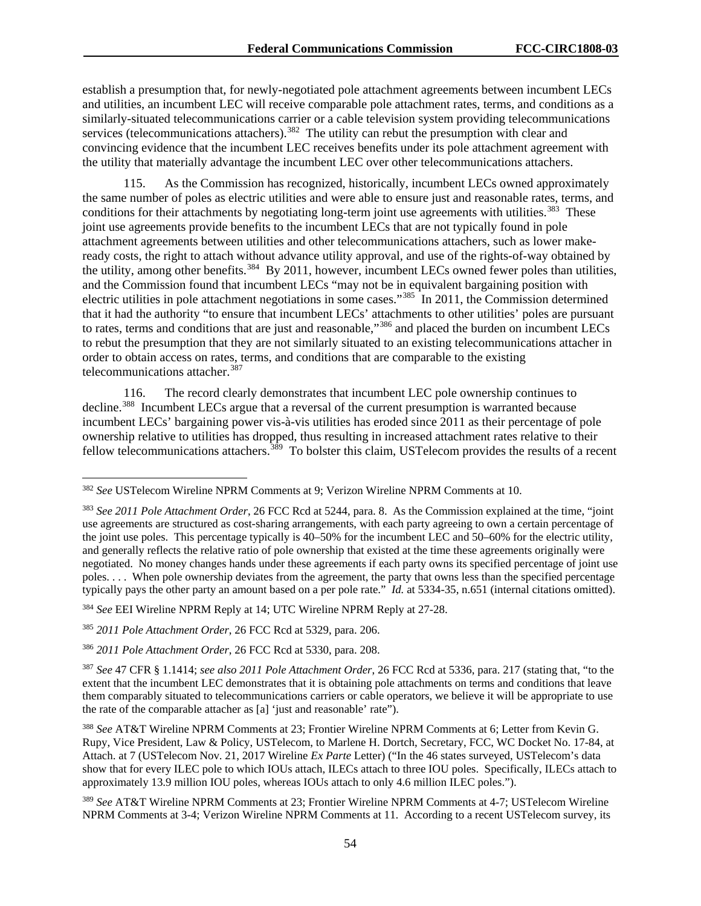establish a presumption that, for newly-negotiated pole attachment agreements between incumbent LECs and utilities, an incumbent LEC will receive comparable pole attachment rates, terms, and conditions as a similarly-situated telecommunications carrier or a cable television system providing telecommunications services (telecommunications attachers).<sup>382</sup> The utility can rebut the presumption with clear and convincing evidence that the incumbent LEC receives benefits under its pole attachment agreement with the utility that materially advantage the incumbent LEC over other telecommunications attachers.

115. As the Commission has recognized, historically, incumbent LECs owned approximately the same number of poles as electric utilities and were able to ensure just and reasonable rates, terms, and conditions for their attachments by negotiating long-term joint use agreements with utilities.<sup>383</sup> These joint use agreements provide benefits to the incumbent LECs that are not typically found in pole attachment agreements between utilities and other telecommunications attachers, such as lower makeready costs, the right to attach without advance utility approval, and use of the rights-of-way obtained by the utility, among other benefits.<sup>384</sup> By 2011, however, incumbent LECs owned fewer poles than utilities, and the Commission found that incumbent LECs "may not be in equivalent bargaining position with electric utilities in pole attachment negotiations in some cases."[385](#page-54-3) In 2011, the Commission determined that it had the authority "to ensure that incumbent LECs' attachments to other utilities' poles are pursuant to rates, terms and conditions that are just and reasonable,"<sup>[386](#page-54-4)</sup> and placed the burden on incumbent LECs to rebut the presumption that they are not similarly situated to an existing telecommunications attacher in order to obtain access on rates, terms, and conditions that are comparable to the existing telecommunications attacher.<sup>[387](#page-54-5)</sup>

116. The record clearly demonstrates that incumbent LEC pole ownership continues to decline.<sup>388</sup> Incumbent LECs argue that a reversal of the current presumption is warranted because incumbent LECs' bargaining power vis-à-vis utilities has eroded since 2011 as their percentage of pole ownership relative to utilities has dropped, thus resulting in increased attachment rates relative to their fellow telecommunications attachers.<sup>[389](#page-54-7)</sup> To bolster this claim, USTelecom provides the results of a recent

<span id="page-54-0"></span> <sup>382</sup> *See* USTelecom Wireline NPRM Comments at 9; Verizon Wireline NPRM Comments at 10.

<span id="page-54-1"></span><sup>383</sup> *See 2011 Pole Attachment Order*, 26 FCC Rcd at 5244, para. 8. As the Commission explained at the time, "joint use agreements are structured as cost-sharing arrangements, with each party agreeing to own a certain percentage of the joint use poles. This percentage typically is 40–50% for the incumbent LEC and 50–60% for the electric utility, and generally reflects the relative ratio of pole ownership that existed at the time these agreements originally were negotiated. No money changes hands under these agreements if each party owns its specified percentage of joint use poles. . . . When pole ownership deviates from the agreement, the party that owns less than the specified percentage typically pays the other party an amount based on a per pole rate." *Id.* at 5334-35, n.651 (internal citations omitted).

<span id="page-54-2"></span><sup>384</sup> *See* EEI Wireline NPRM Reply at 14; UTC Wireline NPRM Reply at 27-28.

<span id="page-54-3"></span><sup>385</sup> *2011 Pole Attachment Order*, 26 FCC Rcd at 5329, para. 206.

<span id="page-54-4"></span><sup>386</sup> *2011 Pole Attachment Order*, 26 FCC Rcd at 5330, para. 208.

<span id="page-54-5"></span><sup>387</sup> *See* 47 CFR § 1.1414; *see also 2011 Pole Attachment Order*, 26 FCC Rcd at 5336, para. 217 (stating that, "to the extent that the incumbent LEC demonstrates that it is obtaining pole attachments on terms and conditions that leave them comparably situated to telecommunications carriers or cable operators, we believe it will be appropriate to use the rate of the comparable attacher as [a] 'just and reasonable' rate").

<span id="page-54-6"></span><sup>388</sup> *See* AT&T Wireline NPRM Comments at 23; Frontier Wireline NPRM Comments at 6; Letter from Kevin G. Rupy, Vice President, Law & Policy, USTelecom, to Marlene H. Dortch, Secretary, FCC, WC Docket No. 17-84, at Attach. at 7 (USTelecom Nov. 21, 2017 Wireline *Ex Parte* Letter) ("In the 46 states surveyed, USTelecom's data show that for every ILEC pole to which IOUs attach, ILECs attach to three IOU poles. Specifically, ILECs attach to approximately 13.9 million IOU poles, whereas IOUs attach to only 4.6 million ILEC poles.").

<span id="page-54-7"></span><sup>389</sup> *See* AT&T Wireline NPRM Comments at 23; Frontier Wireline NPRM Comments at 4-7; USTelecom Wireline NPRM Comments at 3-4; Verizon Wireline NPRM Comments at 11. According to a recent USTelecom survey, its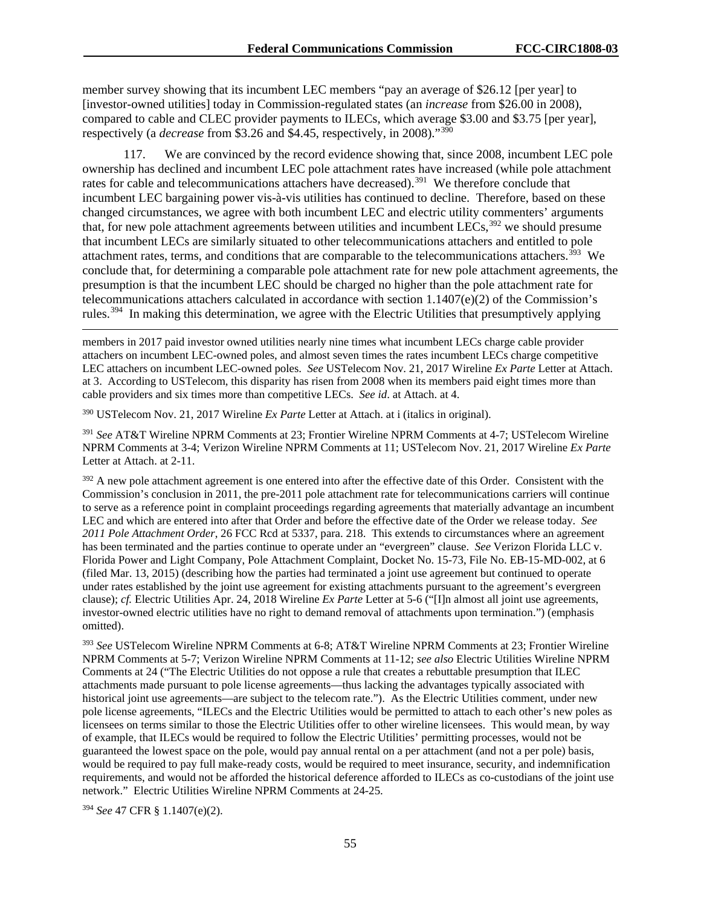member survey showing that its incumbent LEC members "pay an average of \$26.12 [per year] to [investor-owned utilities] today in Commission-regulated states (an *increase* from \$26.00 in 2008), compared to cable and CLEC provider payments to ILECs, which average \$3.00 and \$3.75 [per year], respectively (a *decrease* from \$3.26 and \$4.45, respectively, in 2008)."[390](#page-55-0)

117. We are convinced by the record evidence showing that, since 2008, incumbent LEC pole ownership has declined and incumbent LEC pole attachment rates have increased (while pole attachment rates for cable and telecommunications attachers have decreased).<sup>[391](#page-55-1)</sup> We therefore conclude that incumbent LEC bargaining power vis-à-vis utilities has continued to decline. Therefore, based on these changed circumstances, we agree with both incumbent LEC and electric utility commenters' arguments that, for new pole attachment agreements between utilities and incumbent LECs,<sup>[392](#page-55-2)</sup> we should presume that incumbent LECs are similarly situated to other telecommunications attachers and entitled to pole attachment rates, terms, and conditions that are comparable to the telecommunications attachers.<sup>393</sup> We conclude that, for determining a comparable pole attachment rate for new pole attachment agreements, the presumption is that the incumbent LEC should be charged no higher than the pole attachment rate for telecommunications attachers calculated in accordance with section  $1.1407(e)(2)$  of the Commission's rules.<sup>[394](#page-55-4)</sup> In making this determination, we agree with the Electric Utilities that presumptively applying

members in 2017 paid investor owned utilities nearly nine times what incumbent LECs charge cable provider attachers on incumbent LEC-owned poles, and almost seven times the rates incumbent LECs charge competitive LEC attachers on incumbent LEC-owned poles. *See* USTelecom Nov. 21, 2017 Wireline *Ex Parte* Letter at Attach. at 3. According to USTelecom, this disparity has risen from 2008 when its members paid eight times more than cable providers and six times more than competitive LECs. *See id*. at Attach. at 4.

<span id="page-55-0"></span><sup>390</sup> USTelecom Nov. 21, 2017 Wireline *Ex Parte* Letter at Attach. at i (italics in original).

<span id="page-55-1"></span><sup>391</sup> *See* AT&T Wireline NPRM Comments at 23; Frontier Wireline NPRM Comments at 4-7; USTelecom Wireline NPRM Comments at 3-4; Verizon Wireline NPRM Comments at 11; USTelecom Nov. 21, 2017 Wireline *Ex Parte*  Letter at Attach. at 2-11.

<span id="page-55-2"></span><sup>392</sup> A new pole attachment agreement is one entered into after the effective date of this Order. Consistent with the Commission's conclusion in 2011, the pre-2011 pole attachment rate for telecommunications carriers will continue to serve as a reference point in complaint proceedings regarding agreements that materially advantage an incumbent LEC and which are entered into after that Order and before the effective date of the Order we release today. *See 2011 Pole Attachment Order*, 26 FCC Rcd at 5337, para. 218. This extends to circumstances where an agreement has been terminated and the parties continue to operate under an "evergreen" clause. *See* Verizon Florida LLC v. Florida Power and Light Company, Pole Attachment Complaint, Docket No. 15-73, File No. EB-15-MD-002, at 6 (filed Mar. 13, 2015) (describing how the parties had terminated a joint use agreement but continued to operate under rates established by the joint use agreement for existing attachments pursuant to the agreement's evergreen clause); *cf.* Electric Utilities Apr. 24, 2018 Wireline *Ex Parte* Letter at 5-6 ("[I]n almost all joint use agreements, investor-owned electric utilities have no right to demand removal of attachments upon termination.") (emphasis omitted).

<span id="page-55-3"></span><sup>393</sup> *See* USTelecom Wireline NPRM Comments at 6-8; AT&T Wireline NPRM Comments at 23; Frontier Wireline NPRM Comments at 5-7; Verizon Wireline NPRM Comments at 11-12; *see also* Electric Utilities Wireline NPRM Comments at 24 ("The Electric Utilities do not oppose a rule that creates a rebuttable presumption that ILEC attachments made pursuant to pole license agreements—thus lacking the advantages typically associated with historical joint use agreements—are subject to the telecom rate."). As the Electric Utilities comment, under new pole license agreements, "ILECs and the Electric Utilities would be permitted to attach to each other's new poles as licensees on terms similar to those the Electric Utilities offer to other wireline licensees. This would mean, by way of example, that ILECs would be required to follow the Electric Utilities' permitting processes, would not be guaranteed the lowest space on the pole, would pay annual rental on a per attachment (and not a per pole) basis, would be required to pay full make-ready costs, would be required to meet insurance, security, and indemnification requirements, and would not be afforded the historical deference afforded to ILECs as co-custodians of the joint use network." Electric Utilities Wireline NPRM Comments at 24-25.

<span id="page-55-4"></span><sup>394</sup> *See* 47 CFR § 1.1407(e)(2).

 $\overline{a}$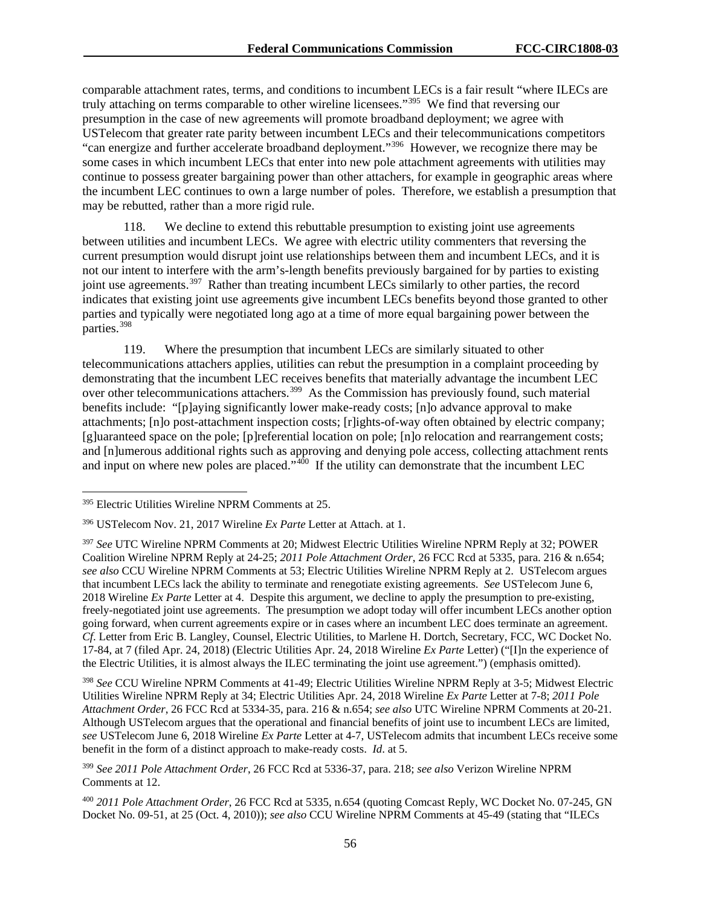comparable attachment rates, terms, and conditions to incumbent LECs is a fair result "where ILECs are truly attaching on terms comparable to other wireline licensees."[395](#page-56-0) We find that reversing our presumption in the case of new agreements will promote broadband deployment; we agree with USTelecom that greater rate parity between incumbent LECs and their telecommunications competitors "can energize and further accelerate broadband deployment."[396](#page-56-1) However, we recognize there may be some cases in which incumbent LECs that enter into new pole attachment agreements with utilities may continue to possess greater bargaining power than other attachers, for example in geographic areas where the incumbent LEC continues to own a large number of poles. Therefore, we establish a presumption that may be rebutted, rather than a more rigid rule.

118. We decline to extend this rebuttable presumption to existing joint use agreements between utilities and incumbent LECs. We agree with electric utility commenters that reversing the current presumption would disrupt joint use relationships between them and incumbent LECs, and it is not our intent to interfere with the arm's-length benefits previously bargained for by parties to existing joint use agreements.<sup>[397](#page-56-2)</sup> Rather than treating incumbent LECs similarly to other parties, the record indicates that existing joint use agreements give incumbent LECs benefits beyond those granted to other parties and typically were negotiated long ago at a time of more equal bargaining power between the parties.[398](#page-56-3)

119. Where the presumption that incumbent LECs are similarly situated to other telecommunications attachers applies, utilities can rebut the presumption in a complaint proceeding by demonstrating that the incumbent LEC receives benefits that materially advantage the incumbent LEC over other telecommunications attachers.<sup>399</sup> As the Commission has previously found, such material benefits include: "[p]aying significantly lower make-ready costs; [n]o advance approval to make attachments; [n]o post-attachment inspection costs; [r]ights-of-way often obtained by electric company; [g]uaranteed space on the pole; [p]referential location on pole; [n]o relocation and rearrangement costs; and [n]umerous additional rights such as approving and denying pole access, collecting attachment rents and input on where new poles are placed." $400$  If the utility can demonstrate that the incumbent LEC

<span id="page-56-3"></span><sup>398</sup> *See* CCU Wireline NPRM Comments at 41-49; Electric Utilities Wireline NPRM Reply at 3-5; Midwest Electric Utilities Wireline NPRM Reply at 34; Electric Utilities Apr. 24, 2018 Wireline *Ex Parte* Letter at 7-8; *2011 Pole Attachment Order*, 26 FCC Rcd at 5334-35, para. 216 & n.654; *see also* UTC Wireline NPRM Comments at 20-21. Although USTelecom argues that the operational and financial benefits of joint use to incumbent LECs are limited, *see* USTelecom June 6, 2018 Wireline *Ex Parte* Letter at 4-7, USTelecom admits that incumbent LECs receive some benefit in the form of a distinct approach to make-ready costs. *Id*. at 5.

<span id="page-56-5"></span><sup>400</sup> *2011 Pole Attachment Order*, 26 FCC Rcd at 5335, n.654 (quoting Comcast Reply, WC Docket No. 07-245, GN Docket No. 09-51, at 25 (Oct. 4, 2010)); *see also* CCU Wireline NPRM Comments at 45-49 (stating that "ILECs

<span id="page-56-0"></span> <sup>395</sup> Electric Utilities Wireline NPRM Comments at 25.

<span id="page-56-1"></span><sup>396</sup> USTelecom Nov. 21, 2017 Wireline *Ex Parte* Letter at Attach. at 1.

<span id="page-56-2"></span><sup>397</sup> *See* UTC Wireline NPRM Comments at 20; Midwest Electric Utilities Wireline NPRM Reply at 32; POWER Coalition Wireline NPRM Reply at 24-25; *2011 Pole Attachment Order*, 26 FCC Rcd at 5335, para. 216 & n.654; *see also* CCU Wireline NPRM Comments at 53; Electric Utilities Wireline NPRM Reply at 2. USTelecom argues that incumbent LECs lack the ability to terminate and renegotiate existing agreements. *See* USTelecom June 6, 2018 Wireline *Ex Parte* Letter at 4. Despite this argument, we decline to apply the presumption to pre-existing, freely-negotiated joint use agreements. The presumption we adopt today will offer incumbent LECs another option going forward, when current agreements expire or in cases where an incumbent LEC does terminate an agreement. *Cf*. Letter from Eric B. Langley, Counsel, Electric Utilities, to Marlene H. Dortch, Secretary, FCC, WC Docket No. 17-84, at 7 (filed Apr. 24, 2018) (Electric Utilities Apr. 24, 2018 Wireline *Ex Parte* Letter) ("[I]n the experience of the Electric Utilities, it is almost always the ILEC terminating the joint use agreement.") (emphasis omitted).

<span id="page-56-4"></span><sup>399</sup> *See 2011 Pole Attachment Order*, 26 FCC Rcd at 5336-37, para. 218; *see also* Verizon Wireline NPRM Comments at 12.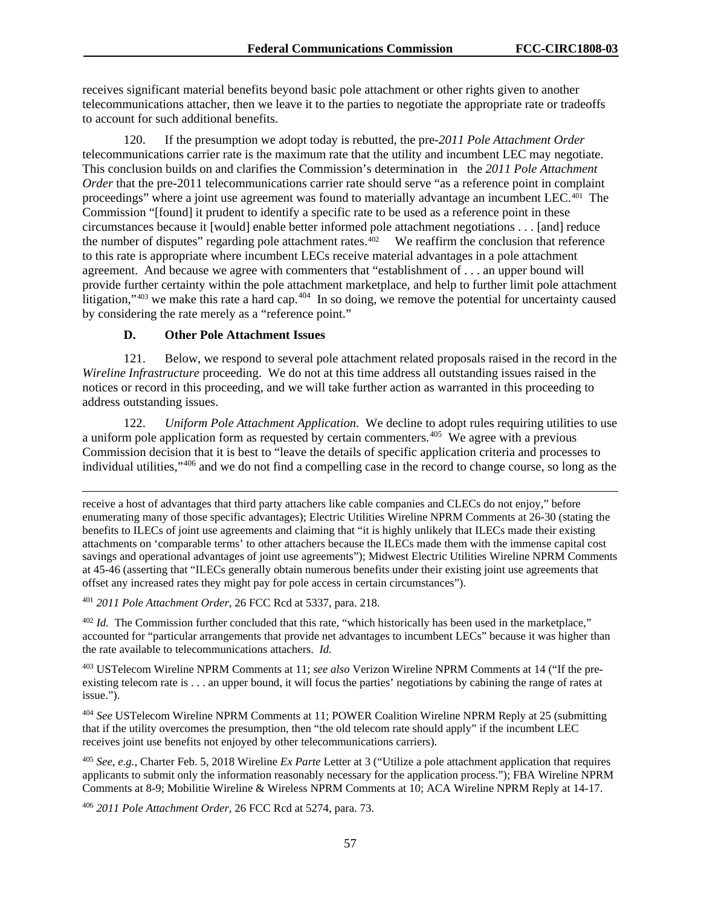receives significant material benefits beyond basic pole attachment or other rights given to another telecommunications attacher, then we leave it to the parties to negotiate the appropriate rate or tradeoffs to account for such additional benefits.

120. If the presumption we adopt today is rebutted, the pre-*2011 Pole Attachment Order* telecommunications carrier rate is the maximum rate that the utility and incumbent LEC may negotiate. This conclusion builds on and clarifies the Commission's determination in the *2011 Pole Attachment Order* that the pre-2011 telecommunications carrier rate should serve "as a reference point in complaint proceedings" where a joint use agreement was found to materially advantage an incumbent LEC.[401](#page-57-0) The Commission "[found] it prudent to identify a specific rate to be used as a reference point in these circumstances because it [would] enable better informed pole attachment negotiations . . . [and] reduce the number of disputes" regarding pole attachment rates. $402$  We reaffirm the conclusion that reference to this rate is appropriate where incumbent LECs receive material advantages in a pole attachment agreement. And because we agree with commenters that "establishment of . . . an upper bound will provide further certainty within the pole attachment marketplace, and help to further limit pole attachment litigation," $403$  we make this rate a hard cap. $404$  In so doing, we remove the potential for uncertainty caused by considering the rate merely as a "reference point."

#### **D. Other Pole Attachment Issues**

121. Below, we respond to several pole attachment related proposals raised in the record in the *Wireline Infrastructure* proceeding. We do not at this time address all outstanding issues raised in the notices or record in this proceeding, and we will take further action as warranted in this proceeding to address outstanding issues.

122. *Uniform Pole Attachment Application.* We decline to adopt rules requiring utilities to use a uniform pole application form as requested by certain commenters.<sup>[405](#page-57-4)</sup> We agree with a previous Commission decision that it is best to "leave the details of specific application criteria and processes to individual utilities,"[406](#page-57-5) and we do not find a compelling case in the record to change course, so long as the

 $\overline{a}$ receive a host of advantages that third party attachers like cable companies and CLECs do not enjoy," before enumerating many of those specific advantages); Electric Utilities Wireline NPRM Comments at 26-30 (stating the benefits to ILECs of joint use agreements and claiming that "it is highly unlikely that ILECs made their existing attachments on 'comparable terms' to other attachers because the ILECs made them with the immense capital cost savings and operational advantages of joint use agreements"); Midwest Electric Utilities Wireline NPRM Comments at 45-46 (asserting that "ILECs generally obtain numerous benefits under their existing joint use agreements that offset any increased rates they might pay for pole access in certain circumstances").

<span id="page-57-0"></span><sup>401</sup> *2011 Pole Attachment Order*, 26 FCC Rcd at 5337, para. 218.

<span id="page-57-1"></span><sup>402</sup> *Id.* The Commission further concluded that this rate, "which historically has been used in the marketplace," accounted for "particular arrangements that provide net advantages to incumbent LECs" because it was higher than the rate available to telecommunications attachers. *Id.*

<span id="page-57-2"></span><sup>403</sup> USTelecom Wireline NPRM Comments at 11; *see also* Verizon Wireline NPRM Comments at 14 ("If the preexisting telecom rate is . . . an upper bound, it will focus the parties' negotiations by cabining the range of rates at issue.").

<span id="page-57-3"></span><sup>404</sup> *See* USTelecom Wireline NPRM Comments at 11; POWER Coalition Wireline NPRM Reply at 25 (submitting that if the utility overcomes the presumption, then "the old telecom rate should apply" if the incumbent LEC receives joint use benefits not enjoyed by other telecommunications carriers).

<span id="page-57-4"></span><sup>405</sup> *See, e.g.*, Charter Feb. 5, 2018 Wireline *Ex Parte* Letter at 3 ("Utilize a pole attachment application that requires applicants to submit only the information reasonably necessary for the application process."); FBA Wireline NPRM Comments at 8-9; Mobilitie Wireline & Wireless NPRM Comments at 10; ACA Wireline NPRM Reply at 14-17.

<span id="page-57-5"></span><sup>406</sup> *2011 Pole Attachment Order*, 26 FCC Rcd at 5274, para. 73.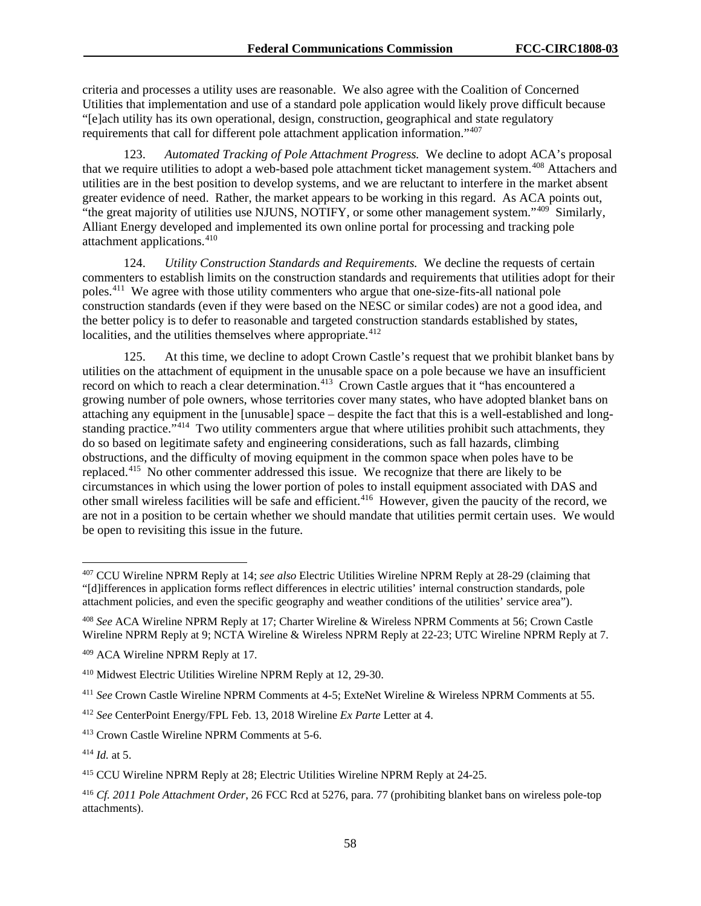criteria and processes a utility uses are reasonable. We also agree with the Coalition of Concerned Utilities that implementation and use of a standard pole application would likely prove difficult because "[e]ach utility has its own operational, design, construction, geographical and state regulatory requirements that call for different pole attachment application information."[407](#page-58-0)

123. *Automated Tracking of Pole Attachment Progress.* We decline to adopt ACA's proposal that we require utilities to adopt a web-based pole attachment ticket management system.<sup>[408](#page-58-1)</sup> Attachers and utilities are in the best position to develop systems, and we are reluctant to interfere in the market absent greater evidence of need. Rather, the market appears to be working in this regard. As ACA points out, "the great majority of utilities use NJUNS, NOTIFY, or some other management system."<sup>409</sup> Similarly, Alliant Energy developed and implemented its own online portal for processing and tracking pole attachment applications.<sup>[410](#page-58-3)</sup>

124. *Utility Construction Standards and Requirements.* We decline the requests of certain commenters to establish limits on the construction standards and requirements that utilities adopt for their poles.[411](#page-58-4) We agree with those utility commenters who argue that one-size-fits-all national pole construction standards (even if they were based on the NESC or similar codes) are not a good idea, and the better policy is to defer to reasonable and targeted construction standards established by states, localities, and the utilities themselves where appropriate.<sup>[412](#page-58-5)</sup>

125. At this time, we decline to adopt Crown Castle's request that we prohibit blanket bans by utilities on the attachment of equipment in the unusable space on a pole because we have an insufficient record on which to reach a clear determination.<sup>413</sup> Crown Castle argues that it "has encountered a growing number of pole owners, whose territories cover many states, who have adopted blanket bans on attaching any equipment in the [unusable] space – despite the fact that this is a well-established and long-standing practice."<sup>[414](#page-58-7)</sup> Two utility commenters argue that where utilities prohibit such attachments, they do so based on legitimate safety and engineering considerations, such as fall hazards, climbing obstructions, and the difficulty of moving equipment in the common space when poles have to be replaced.<sup>[415](#page-58-8)</sup> No other commenter addressed this issue. We recognize that there are likely to be circumstances in which using the lower portion of poles to install equipment associated with DAS and other small wireless facilities will be safe and efficient.[416](#page-58-9) However, given the paucity of the record, we are not in a position to be certain whether we should mandate that utilities permit certain uses. We would be open to revisiting this issue in the future.

<span id="page-58-0"></span> <sup>407</sup> CCU Wireline NPRM Reply at 14; *see also* Electric Utilities Wireline NPRM Reply at 28-29 (claiming that "[d]ifferences in application forms reflect differences in electric utilities' internal construction standards, pole attachment policies, and even the specific geography and weather conditions of the utilities' service area").

<span id="page-58-1"></span><sup>408</sup> *See* ACA Wireline NPRM Reply at 17; Charter Wireline & Wireless NPRM Comments at 56; Crown Castle Wireline NPRM Reply at 9; NCTA Wireline & Wireless NPRM Reply at 22-23; UTC Wireline NPRM Reply at 7.

<span id="page-58-2"></span><sup>409</sup> ACA Wireline NPRM Reply at 17.

<span id="page-58-3"></span><sup>410</sup> Midwest Electric Utilities Wireline NPRM Reply at 12, 29-30.

<span id="page-58-4"></span><sup>411</sup> *See* Crown Castle Wireline NPRM Comments at 4-5; ExteNet Wireline & Wireless NPRM Comments at 55.

<span id="page-58-5"></span><sup>412</sup> *See* CenterPoint Energy/FPL Feb. 13, 2018 Wireline *Ex Parte* Letter at 4.

<span id="page-58-6"></span><sup>413</sup> Crown Castle Wireline NPRM Comments at 5-6.

<span id="page-58-7"></span><sup>414</sup> *Id.* at 5.

<span id="page-58-8"></span><sup>415</sup> CCU Wireline NPRM Reply at 28; Electric Utilities Wireline NPRM Reply at 24-25.

<span id="page-58-9"></span><sup>416</sup> *Cf. 2011 Pole Attachment Order*, 26 FCC Rcd at 5276, para. 77 (prohibiting blanket bans on wireless pole-top attachments).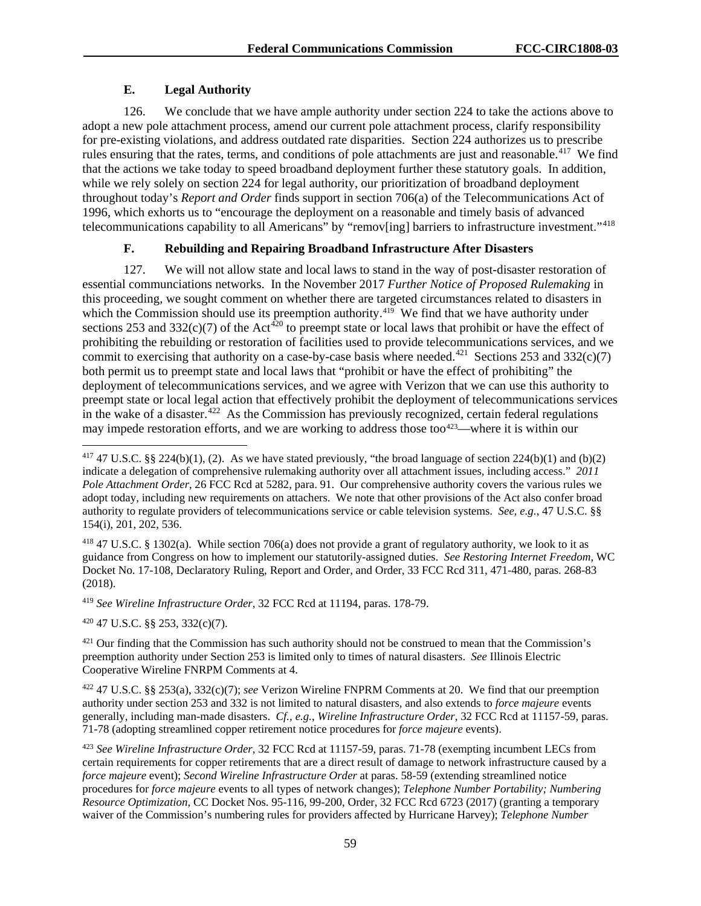# **E. Legal Authority**

126. We conclude that we have ample authority under section 224 to take the actions above to adopt a new pole attachment process, amend our current pole attachment process, clarify responsibility for pre-existing violations, and address outdated rate disparities. Section 224 authorizes us to prescribe rules ensuring that the rates, terms, and conditions of pole attachments are just and reasonable.<sup>417</sup> We find that the actions we take today to speed broadband deployment further these statutory goals. In addition, while we rely solely on section 224 for legal authority, our prioritization of broadband deployment throughout today's *Report and Order* finds support in section 706(a) of the Telecommunications Act of 1996, which exhorts us to "encourage the deployment on a reasonable and timely basis of advanced telecommunications capability to all Americans" by "remov[ing] barriers to infrastructure investment."[418](#page-59-1)

# **F. Rebuilding and Repairing Broadband Infrastructure After Disasters**

127. We will not allow state and local laws to stand in the way of post-disaster restoration of essential communciations networks. In the November 2017 *Further Notice of Proposed Rulemaking* in this proceeding, we sought comment on whether there are targeted circumstances related to disasters in which the Commission should use its preemption authority.<sup>[419](#page-59-2)</sup> We find that we have authority under sections 253 and 332(c)(7) of the Act<sup>[420](#page-59-3)</sup> to preempt state or local laws that prohibit or have the effect of prohibiting the rebuilding or restoration of facilities used to provide telecommunications services, and we commit to exercising that authority on a case-by-case basis where needed.<sup>421</sup> Sections 253 and 332(c)(7) both permit us to preempt state and local laws that "prohibit or have the effect of prohibiting" the deployment of telecommunications services, and we agree with Verizon that we can use this authority to preempt state or local legal action that effectively prohibit the deployment of telecommunications services in the wake of a disaster.<sup>[422](#page-59-5)</sup> As the Commission has previously recognized, certain federal regulations may impede restoration efforts, and we are working to address those too<sup>423</sup>—where it is within our

<span id="page-59-1"></span><sup>418</sup> 47 U.S.C. § 1302(a). While section 706(a) does not provide a grant of regulatory authority, we look to it as guidance from Congress on how to implement our statutorily-assigned duties. *See Restoring Internet Freedom*, WC Docket No. 17-108, Declaratory Ruling, Report and Order, and Order, 33 FCC Rcd 311, 471-480, paras. 268-83 (2018).

<span id="page-59-2"></span><sup>419</sup> *See Wireline Infrastructure Order*, 32 FCC Rcd at 11194, paras. 178-79.

<span id="page-59-3"></span><sup>420</sup> 47 U.S.C. §§ 253, 332(c)(7).

<span id="page-59-4"></span><sup>421</sup> Our finding that the Commission has such authority should not be construed to mean that the Commission's preemption authority under Section 253 is limited only to times of natural disasters. *See* Illinois Electric Cooperative Wireline FNRPM Comments at 4.

<span id="page-59-5"></span><sup>422</sup> 47 U.S.C. §§ 253(a), 332(c)(7); *see* Verizon Wireline FNPRM Comments at 20. We find that our preemption authority under section 253 and 332 is not limited to natural disasters, and also extends to *force majeure* events generally, including man-made disasters. *Cf., e.g.*, *Wireline Infrastructure Order*, 32 FCC Rcd at 11157-59, paras. 71-78 (adopting streamlined copper retirement notice procedures for *force majeure* events).

<span id="page-59-6"></span><sup>423</sup> *See Wireline Infrastructure Order*, 32 FCC Rcd at 11157-59, paras. 71-78 (exempting incumbent LECs from certain requirements for copper retirements that are a direct result of damage to network infrastructure caused by a *force majeure* event); *Second Wireline Infrastructure Order* at paras. 58-59 (extending streamlined notice procedures for *force majeure* events to all types of network changes); *Telephone Number Portability; Numbering Resource Optimization*, CC Docket Nos. 95-116, 99-200, Order, 32 FCC Rcd 6723 (2017) (granting a temporary waiver of the Commission's numbering rules for providers affected by Hurricane Harvey); *Telephone Number* 

<span id="page-59-0"></span><sup>&</sup>lt;sup>417</sup> 47 U.S.C. §§ 224(b)(1), (2). As we have stated previously, "the broad language of section 224(b)(1) and (b)(2) indicate a delegation of comprehensive rulemaking authority over all attachment issues, including access." *2011 Pole Attachment Order*, 26 FCC Rcd at 5282, para. 91. Our comprehensive authority covers the various rules we adopt today, including new requirements on attachers. We note that other provisions of the Act also confer broad authority to regulate providers of telecommunications service or cable television systems. *See, e.g.*, 47 U.S.C. §§ 154(i), 201, 202, 536.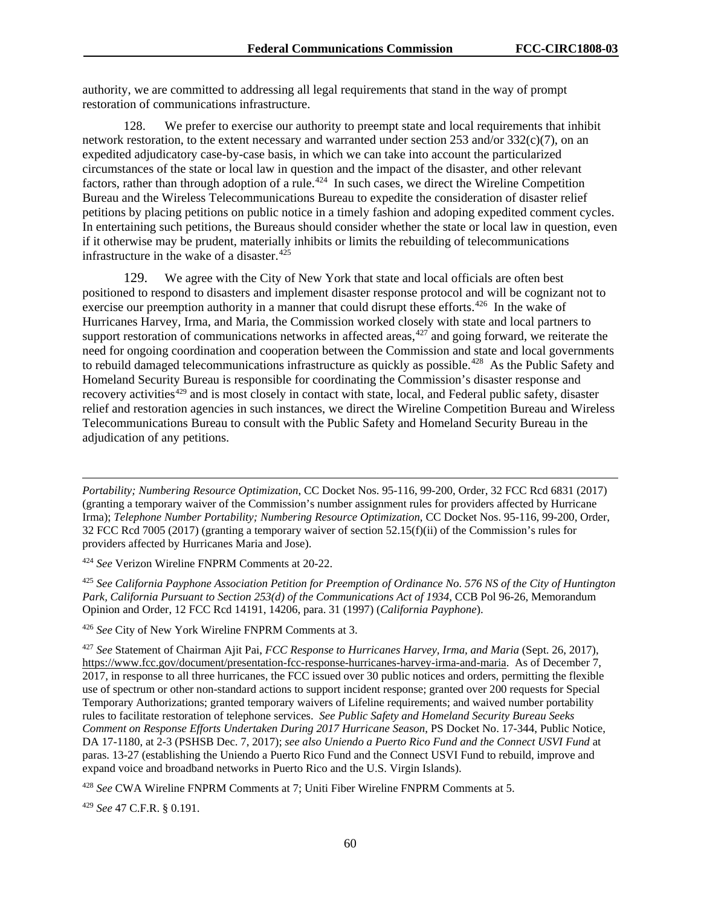authority, we are committed to addressing all legal requirements that stand in the way of prompt restoration of communications infrastructure.

128. We prefer to exercise our authority to preempt state and local requirements that inhibit network restoration, to the extent necessary and warranted under section 253 and/or 332(c)(7), on an expedited adjudicatory case-by-case basis, in which we can take into account the particularized circumstances of the state or local law in question and the impact of the disaster, and other relevant factors, rather than through adoption of a rule.<sup> $424$ </sup> In such cases, we direct the Wireline Competition Bureau and the Wireless Telecommunications Bureau to expedite the consideration of disaster relief petitions by placing petitions on public notice in a timely fashion and adoping expedited comment cycles. In entertaining such petitions, the Bureaus should consider whether the state or local law in question, even if it otherwise may be prudent, materially inhibits or limits the rebuilding of telecommunications infrastructure in the wake of a disaster.<sup>[425](#page-60-1)</sup>

129. We agree with the City of New York that state and local officials are often best positioned to respond to disasters and implement disaster response protocol and will be cognizant not to exercise our preemption authority in a manner that could disrupt these efforts.<sup>426</sup> In the wake of Hurricanes Harvey, Irma, and Maria, the Commission worked closely with state and local partners to support restoration of communications networks in affected areas,  $427$  and going forward, we reiterate the need for ongoing coordination and cooperation between the Commission and state and local governments to rebuild damaged telecommunications infrastructure as quickly as possible.<sup>[428](#page-60-4)</sup> As the Public Safety and Homeland Security Bureau is responsible for coordinating the Commission's disaster response and recovery activities[429](#page-60-5) and is most closely in contact with state, local, and Federal public safety, disaster relief and restoration agencies in such instances, we direct the Wireline Competition Bureau and Wireless Telecommunications Bureau to consult with the Public Safety and Homeland Security Bureau in the adjudication of any petitions.

*Portability; Numbering Resource Optimization*, CC Docket Nos. 95-116, 99-200, Order, 32 FCC Rcd 6831 (2017) (granting a temporary waiver of the Commission's number assignment rules for providers affected by Hurricane Irma); *Telephone Number Portability; Numbering Resource Optimization*, CC Docket Nos. 95-116, 99-200, Order, 32 FCC Rcd 7005 (2017) (granting a temporary waiver of section 52.15(f)(ii) of the Commission's rules for providers affected by Hurricanes Maria and Jose).

<span id="page-60-0"></span><sup>424</sup> *See* Verizon Wireline FNPRM Comments at 20-22.

<span id="page-60-1"></span><sup>425</sup> *See California Payphone Association Petition for Preemption of Ordinance No. 576 NS of the City of Huntington Park, California Pursuant to Section 253(d) of the Communications Act of 1934*, CCB Pol 96-26, Memorandum Opinion and Order, 12 FCC Rcd 14191, 14206, para. 31 (1997) (*California Payphone*).

<span id="page-60-2"></span><sup>426</sup> *See* City of New York Wireline FNPRM Comments at 3.

<span id="page-60-3"></span><sup>427</sup> *See* Statement of Chairman Ajit Pai, *FCC Response to Hurricanes Harvey, Irma, and Maria* (Sept. 26, 2017), [https://www.fcc.gov/document/presentation-fcc-response-hurricanes-harvey-irma-and-maria.](https://www.fcc.gov/document/presentation-fcc-response-hurricanes-harvey-irma-and-maria) As of December 7, 2017, in response to all three hurricanes, the FCC issued over 30 public notices and orders, permitting the flexible use of spectrum or other non-standard actions to support incident response; granted over 200 requests for Special Temporary Authorizations; granted temporary waivers of Lifeline requirements; and waived number portability rules to facilitate restoration of telephone services. *See Public Safety and Homeland Security Bureau Seeks Comment on Response Efforts Undertaken During 2017 Hurricane Season*, PS Docket No. 17-344, Public Notice, DA 17-1180, at 2-3 (PSHSB Dec. 7, 2017); *see also Uniendo a Puerto Rico Fund and the Connect USVI Fund* at paras. 13-27 (establishing the Uniendo a Puerto Rico Fund and the Connect USVI Fund to rebuild, improve and expand voice and broadband networks in Puerto Rico and the U.S. Virgin Islands).

<span id="page-60-4"></span><sup>428</sup> *See* CWA Wireline FNPRM Comments at 7; Uniti Fiber Wireline FNPRM Comments at 5.

<span id="page-60-5"></span><sup>429</sup> *See* 47 C.F.R. § 0.191.

 $\overline{a}$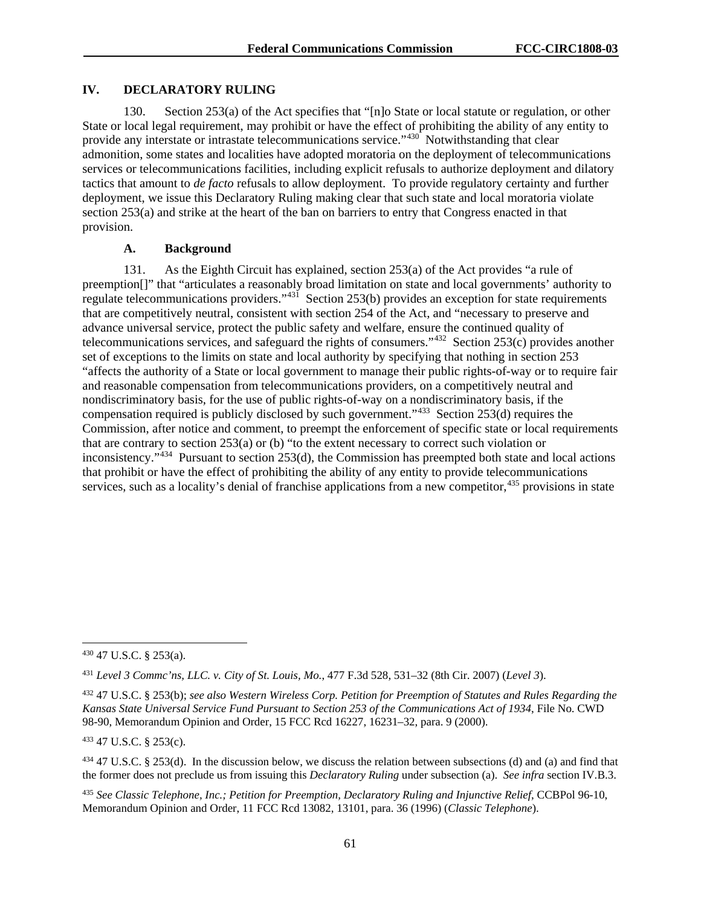## **IV. DECLARATORY RULING**

130. Section 253(a) of the Act specifies that "[n]o State or local statute or regulation, or other State or local legal requirement, may prohibit or have the effect of prohibiting the ability of any entity to provide any interstate or intrastate telecommunications service."<sup>[430](#page-61-0)</sup> Notwithstanding that clear admonition, some states and localities have adopted moratoria on the deployment of telecommunications services or telecommunications facilities, including explicit refusals to authorize deployment and dilatory tactics that amount to *de facto* refusals to allow deployment. To provide regulatory certainty and further deployment, we issue this Declaratory Ruling making clear that such state and local moratoria violate section 253(a) and strike at the heart of the ban on barriers to entry that Congress enacted in that provision.

## **A. Background**

131. As the Eighth Circuit has explained, section 253(a) of the Act provides "a rule of preemption[]" that "articulates a reasonably broad limitation on state and local governments' authority to regulate telecommunications providers."[431](#page-61-1) Section 253(b) provides an exception for state requirements that are competitively neutral, consistent with section 254 of the Act, and "necessary to preserve and advance universal service, protect the public safety and welfare, ensure the continued quality of telecommunications services, and safeguard the rights of consumers."[432](#page-61-2) Section 253(c) provides another set of exceptions to the limits on state and local authority by specifying that nothing in section 253 "affects the authority of a State or local government to manage their public rights-of-way or to require fair and reasonable compensation from telecommunications providers, on a competitively neutral and nondiscriminatory basis, for the use of public rights-of-way on a nondiscriminatory basis, if the compensation required is publicly disclosed by such government."<sup>433</sup> Section 253(d) requires the Commission, after notice and comment, to preempt the enforcement of specific state or local requirements that are contrary to section 253(a) or (b) "to the extent necessary to correct such violation or inconsistency."[434](#page-61-4) Pursuant to section 253(d), the Commission has preempted both state and local actions that prohibit or have the effect of prohibiting the ability of any entity to provide telecommunications services, such as a locality's denial of franchise applications from a new competitor,<sup>[435](#page-61-5)</sup> provisions in state

<span id="page-61-3"></span><sup>433</sup> 47 U.S.C. § 253(c).

<span id="page-61-0"></span> <sup>430</sup> 47 U.S.C. § 253(a).

<span id="page-61-1"></span><sup>431</sup> *Level 3 Commc'ns, LLC. v. City of St. Louis, Mo.*, 477 F.3d 528, 531–32 (8th Cir. 2007) (*Level 3*).

<span id="page-61-2"></span><sup>432</sup> 47 U.S.C. § 253(b); *see also Western Wireless Corp. Petition for Preemption of Statutes and Rules Regarding the Kansas State Universal Service Fund Pursuant to Section 253 of the Communications Act of 1934*, File No. CWD 98-90, Memorandum Opinion and Order, 15 FCC Rcd 16227, 16231–32, para. 9 (2000).

<span id="page-61-4"></span> $434$  47 U.S.C. § 253(d). In the discussion below, we discuss the relation between subsections (d) and (a) and find that the former does not preclude us from issuing this *Declaratory Ruling* under subsection (a). *See infra* section IV.B.3.

<span id="page-61-5"></span><sup>435</sup> *See Classic Telephone, Inc.; Petition for Preemption, Declaratory Ruling and Injunctive Relief*, CCBPol 96-10, Memorandum Opinion and Order, 11 FCC Rcd 13082, 13101, para. 36 (1996) (*Classic Telephone*).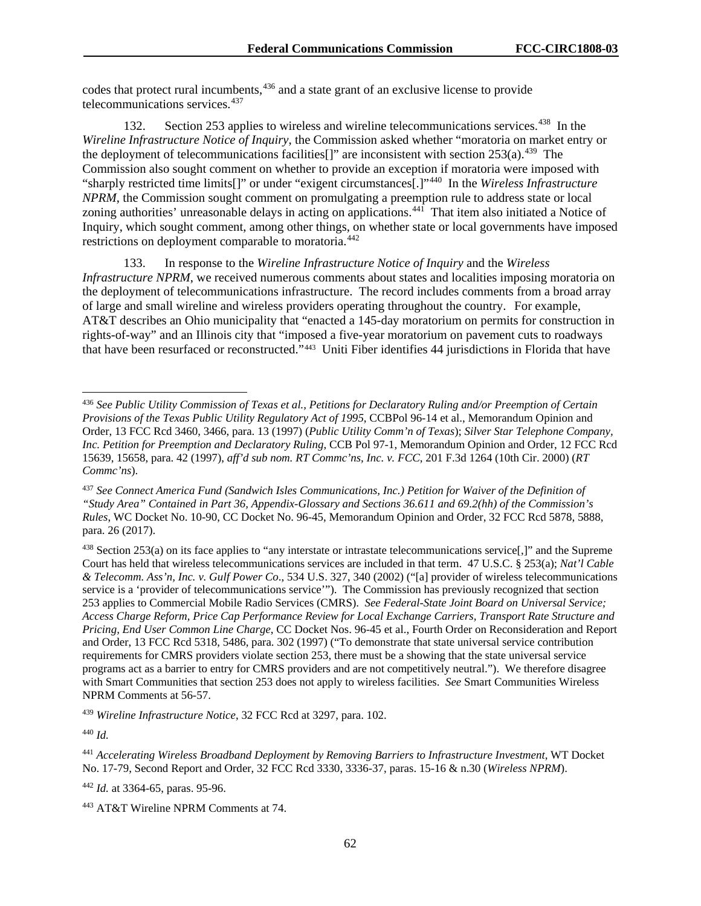codes that protect rural incumbents,<sup>[436](#page-62-0)</sup> and a state grant of an exclusive license to provide telecommunications services.<sup>[437](#page-62-1)</sup>

132. Section 253 applies to wireless and wireline telecommunications services.<sup>[438](#page-62-2)</sup> In the *Wireline Infrastructure Notice of Inquiry*, the Commission asked whether "moratoria on market entry or the deployment of telecommunications facilities []" are inconsistent with section  $253(a)$ .<sup>[439](#page-62-3)</sup> The Commission also sought comment on whether to provide an exception if moratoria were imposed with "sharply restricted time limits[]" or under "exigent circumstances[.]"[440](#page-62-4) In the *Wireless Infrastructure NPRM*, the Commission sought comment on promulgating a preemption rule to address state or local zoning authorities' unreasonable delays in acting on applications.<sup>441</sup> That item also initiated a Notice of Inquiry, which sought comment, among other things, on whether state or local governments have imposed restrictions on deployment comparable to moratoria.[442](#page-62-6)

133. In response to the *Wireline Infrastructure Notice of Inquiry* and the *Wireless Infrastructure NPRM*, we received numerous comments about states and localities imposing moratoria on the deployment of telecommunications infrastructure. The record includes comments from a broad array of large and small wireline and wireless providers operating throughout the country. For example, AT&T describes an Ohio municipality that "enacted a 145-day moratorium on permits for construction in rights-of-way" and an Illinois city that "imposed a five-year moratorium on pavement cuts to roadways that have been resurfaced or reconstructed."[443](#page-62-7) Uniti Fiber identifies 44 jurisdictions in Florida that have

<span id="page-62-4"></span><sup>440</sup> *Id.*

<span id="page-62-0"></span> <sup>436</sup> *See Public Utility Commission of Texas et al., Petitions for Declaratory Ruling and/or Preemption of Certain Provisions of the Texas Public Utility Regulatory Act of 1995*, CCBPol 96-14 et al., Memorandum Opinion and Order, 13 FCC Rcd 3460, 3466, para. 13 (1997) (*Public Utility Comm'n of Texas*); *Silver Star Telephone Company, Inc. Petition for Preemption and Declaratory Ruling*, CCB Pol 97-1, Memorandum Opinion and Order, 12 FCC Rcd 15639, 15658, para. 42 (1997), *aff'd sub nom. RT Commc'ns, Inc. v. FCC*, 201 F.3d 1264 (10th Cir. 2000) (*RT Commc'ns*).

<span id="page-62-1"></span><sup>437</sup> *See Connect America Fund (Sandwich Isles Communications, Inc.) Petition for Waiver of the Definition of "Study Area" Contained in Part 36, Appendix-Glossary and Sections 36.611 and 69.2(hh) of the Commission's Rules*, WC Docket No. 10-90, CC Docket No. 96-45, Memorandum Opinion and Order, 32 FCC Rcd 5878, 5888, para. 26 (2017).

<span id="page-62-2"></span><sup>438</sup> Section 253(a) on its face applies to "any interstate or intrastate telecommunications service[,]" and the Supreme Court has held that wireless telecommunications services are included in that term. 47 U.S.C. § 253(a); *Nat'l Cable & Telecomm. Ass'n, Inc. v. Gulf Power Co*., 534 U.S. 327, 340 (2002) ("[a] provider of wireless telecommunications service is a 'provider of telecommunications service'"). The Commission has previously recognized that section 253 applies to Commercial Mobile Radio Services (CMRS). *See Federal-State Joint Board on Universal Service; Access Charge Reform, Price Cap Performance Review for Local Exchange Carriers, Transport Rate Structure and Pricing, End User Common Line Charge*, CC Docket Nos. 96-45 et al., Fourth Order on Reconsideration and Report and Order, 13 FCC Rcd 5318, 5486, para. 302 (1997) ("To demonstrate that state universal service contribution requirements for CMRS providers violate section 253, there must be a showing that the state universal service programs act as a barrier to entry for CMRS providers and are not competitively neutral."). We therefore disagree with Smart Communities that section 253 does not apply to wireless facilities. *See* Smart Communities Wireless NPRM Comments at 56-57.

<span id="page-62-3"></span><sup>439</sup> *Wireline Infrastructure Notice*, 32 FCC Rcd at 3297, para. 102.

<span id="page-62-5"></span><sup>441</sup> *Accelerating Wireless Broadband Deployment by Removing Barriers to Infrastructure Investment*, WT Docket No. 17-79, Second Report and Order, 32 FCC Rcd 3330, 3336-37, paras. 15-16 & n.30 (*Wireless NPRM*).

<span id="page-62-6"></span><sup>442</sup> *Id.* at 3364-65, paras. 95-96.

<span id="page-62-7"></span><sup>443</sup> AT&T Wireline NPRM Comments at 74.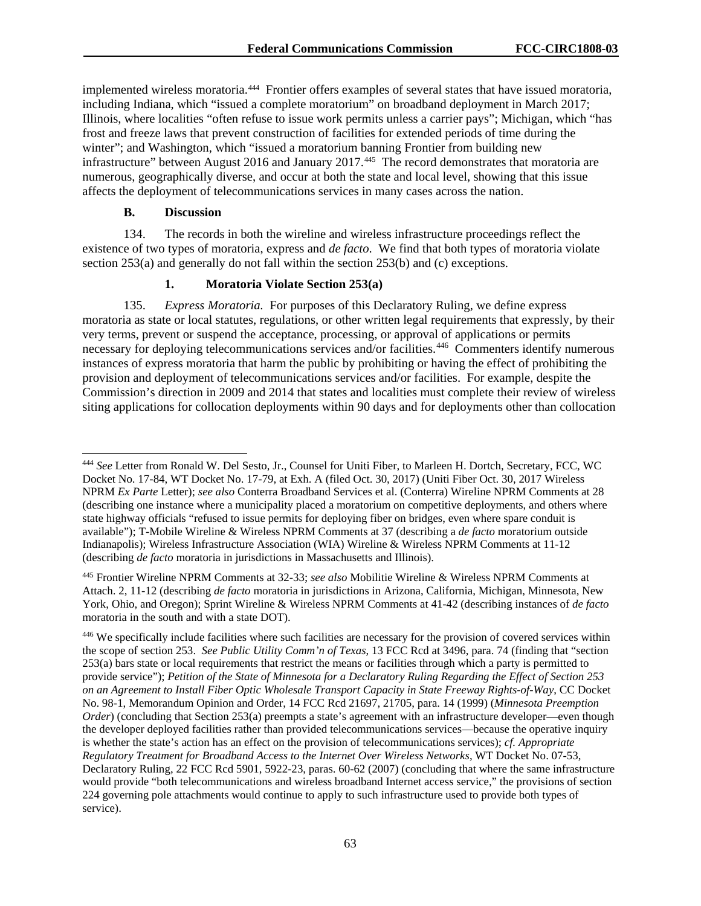implemented wireless moratoria. [444](#page-63-0) Frontier offers examples of several states that have issued moratoria, including Indiana, which "issued a complete moratorium" on broadband deployment in March 2017; Illinois, where localities "often refuse to issue work permits unless a carrier pays"; Michigan, which "has frost and freeze laws that prevent construction of facilities for extended periods of time during the winter"; and Washington, which "issued a moratorium banning Frontier from building new infrastructure" between August 2016 and January 2017.<sup>[445](#page-63-1)</sup> The record demonstrates that moratoria are numerous, geographically diverse, and occur at both the state and local level, showing that this issue affects the deployment of telecommunications services in many cases across the nation.

## **B. Discussion**

134. The records in both the wireline and wireless infrastructure proceedings reflect the existence of two types of moratoria, express and *de facto*. We find that both types of moratoria violate section 253(a) and generally do not fall within the section 253(b) and (c) exceptions.

## **1. Moratoria Violate Section 253(a)**

135. *Express Moratoria.* For purposes of this Declaratory Ruling, we define express moratoria as state or local statutes, regulations, or other written legal requirements that expressly, by their very terms, prevent or suspend the acceptance, processing, or approval of applications or permits necessary for deploying telecommunications services and/or facilities.<sup>446</sup> Commenters identify numerous instances of express moratoria that harm the public by prohibiting or having the effect of prohibiting the provision and deployment of telecommunications services and/or facilities. For example, despite the Commission's direction in 2009 and 2014 that states and localities must complete their review of wireless siting applications for collocation deployments within 90 days and for deployments other than collocation

<span id="page-63-0"></span> <sup>444</sup> *See* Letter from Ronald W. Del Sesto, Jr., Counsel for Uniti Fiber, to Marleen H. Dortch, Secretary, FCC, WC Docket No. 17-84, WT Docket No. 17-79, at Exh. A (filed Oct. 30, 2017) (Uniti Fiber Oct. 30, 2017 Wireless NPRM *Ex Parte* Letter); *see also* Conterra Broadband Services et al. (Conterra) Wireline NPRM Comments at 28 (describing one instance where a municipality placed a moratorium on competitive deployments, and others where state highway officials "refused to issue permits for deploying fiber on bridges, even where spare conduit is available"); T-Mobile Wireline & Wireless NPRM Comments at 37 (describing a *de facto* moratorium outside Indianapolis); Wireless Infrastructure Association (WIA) Wireline & Wireless NPRM Comments at 11-12 (describing *de facto* moratoria in jurisdictions in Massachusetts and Illinois).

<span id="page-63-1"></span><sup>445</sup> Frontier Wireline NPRM Comments at 32-33; *see also* Mobilitie Wireline & Wireless NPRM Comments at Attach. 2, 11-12 (describing *de facto* moratoria in jurisdictions in Arizona, California, Michigan, Minnesota, New York, Ohio, and Oregon); Sprint Wireline & Wireless NPRM Comments at 41-42 (describing instances of *de facto* moratoria in the south and with a state DOT).

<span id="page-63-2"></span><sup>446</sup> We specifically include facilities where such facilities are necessary for the provision of covered services within the scope of section 253. *See Public Utility Comm'n of Texas*, 13 FCC Rcd at 3496, para. 74 (finding that "section 253(a) bars state or local requirements that restrict the means or facilities through which a party is permitted to provide service"); *Petition of the State of Minnesota for a Declaratory Ruling Regarding the Effect of Section 253 on an Agreement to Install Fiber Optic Wholesale Transport Capacity in State Freeway Rights-of-Way*, CC Docket No. 98-1, Memorandum Opinion and Order, 14 FCC Rcd 21697, 21705, para. 14 (1999) (*Minnesota Preemption Order*) (concluding that Section 253(a) preempts a state's agreement with an infrastructure developer—even though the developer deployed facilities rather than provided telecommunications services—because the operative inquiry is whether the state's action has an effect on the provision of telecommunications services); *cf. Appropriate Regulatory Treatment for Broadband Access to the Internet Over Wireless Networks*, WT Docket No. 07-53, Declaratory Ruling, 22 FCC Rcd 5901, 5922-23, paras. 60-62 (2007) (concluding that where the same infrastructure would provide "both telecommunications and wireless broadband Internet access service," the provisions of section 224 governing pole attachments would continue to apply to such infrastructure used to provide both types of service).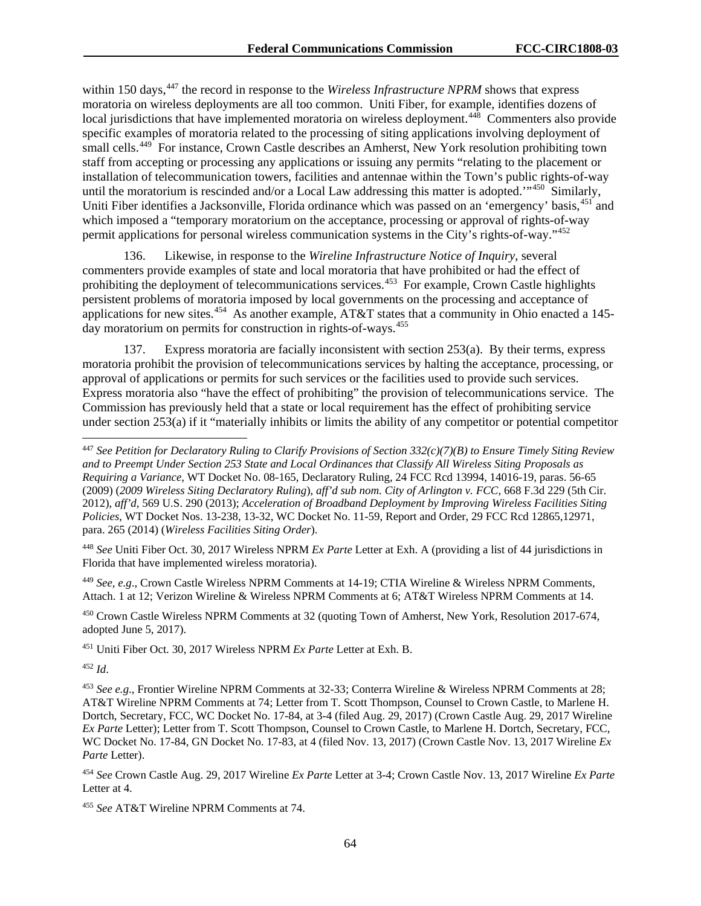within 150 days,<sup>[447](#page-64-0)</sup> the record in response to the *Wireless Infrastructure NPRM* shows that express moratoria on wireless deployments are all too common. Uniti Fiber, for example, identifies dozens of local jurisdictions that have implemented moratoria on wireless deployment.<sup>[448](#page-64-1)</sup> Commenters also provide specific examples of moratoria related to the processing of siting applications involving deployment of small cells.<sup>449</sup> For instance, Crown Castle describes an Amherst, New York resolution prohibiting town staff from accepting or processing any applications or issuing any permits "relating to the placement or installation of telecommunication towers, facilities and antennae within the Town's public rights-of-way until the moratorium is rescinded and/or a Local Law addressing this matter is adopted."<sup>450</sup> Similarly, Uniti Fiber identifies a Jacksonville, Florida ordinance which was passed on an 'emergency' basis, <sup>[451](#page-64-4)</sup> and which imposed a "temporary moratorium on the acceptance, processing or approval of rights-of-way permit applications for personal wireless communication systems in the City's rights-of-way."[452](#page-64-5)

136. Likewise, in response to the *Wireline Infrastructure Notice of Inquiry*, several commenters provide examples of state and local moratoria that have prohibited or had the effect of prohibiting the deployment of telecommunications services.<sup>[453](#page-64-6)</sup> For example, Crown Castle highlights persistent problems of moratoria imposed by local governments on the processing and acceptance of applications for new sites.<sup>[454](#page-64-7)</sup> As another example, AT&T states that a community in Ohio enacted a 145-day moratorium on permits for construction in rights-of-ways.<sup>[455](#page-64-8)</sup>

137. Express moratoria are facially inconsistent with section 253(a). By their terms, express moratoria prohibit the provision of telecommunications services by halting the acceptance, processing, or approval of applications or permits for such services or the facilities used to provide such services. Express moratoria also "have the effect of prohibiting" the provision of telecommunications service. The Commission has previously held that a state or local requirement has the effect of prohibiting service under section 253(a) if it "materially inhibits or limits the ability of any competitor or potential competitor

<span id="page-64-1"></span><sup>448</sup> *See* Uniti Fiber Oct. 30, 2017 Wireless NPRM *Ex Parte* Letter at Exh. A (providing a list of 44 jurisdictions in Florida that have implemented wireless moratoria).

<span id="page-64-2"></span><sup>449</sup> *See, e.g*., Crown Castle Wireless NPRM Comments at 14-19; CTIA Wireline & Wireless NPRM Comments, Attach. 1 at 12; Verizon Wireline & Wireless NPRM Comments at 6; AT&T Wireless NPRM Comments at 14.

<span id="page-64-3"></span><sup>450</sup> Crown Castle Wireless NPRM Comments at 32 (quoting Town of Amherst, New York, Resolution 2017-674, adopted June 5, 2017).

<span id="page-64-4"></span><sup>451</sup> Uniti Fiber Oct. 30, 2017 Wireless NPRM *Ex Parte* Letter at Exh. B.

<span id="page-64-5"></span><sup>452</sup> *Id*.

<span id="page-64-8"></span><sup>455</sup> *See* AT&T Wireline NPRM Comments at 74.

<span id="page-64-0"></span> <sup>447</sup> *See Petition for Declaratory Ruling to Clarify Provisions of Section 332(c)(7)(B) to Ensure Timely Siting Review and to Preempt Under Section 253 State and Local Ordinances that Classify All Wireless Siting Proposals as Requiring a Variance*, WT Docket No. 08-165, Declaratory Ruling, 24 FCC Rcd 13994, 14016-19, paras. 56-65 (2009) (*2009 Wireless Siting Declaratory Ruling*), *aff'd sub nom. City of Arlington v. FCC*, 668 F.3d 229 (5th Cir. 2012), *aff'd*, 569 U.S. 290 (2013); *Acceleration of Broadband Deployment by Improving Wireless Facilities Siting Policies*, WT Docket Nos. 13-238, 13-32, WC Docket No. 11-59, Report and Order, 29 FCC Rcd 12865,12971, para. 265 (2014) (*Wireless Facilities Siting Order*).

<span id="page-64-6"></span><sup>453</sup> *See e.g*., Frontier Wireline NPRM Comments at 32-33; Conterra Wireline & Wireless NPRM Comments at 28; AT&T Wireline NPRM Comments at 74; Letter from T. Scott Thompson, Counsel to Crown Castle, to Marlene H. Dortch, Secretary, FCC, WC Docket No. 17-84, at 3-4 (filed Aug. 29, 2017) (Crown Castle Aug. 29, 2017 Wireline *Ex Parte* Letter); Letter from T. Scott Thompson, Counsel to Crown Castle, to Marlene H. Dortch, Secretary, FCC, WC Docket No. 17-84, GN Docket No. 17-83, at 4 (filed Nov. 13, 2017) (Crown Castle Nov. 13, 2017 Wireline *Ex Parte* Letter).

<span id="page-64-7"></span><sup>454</sup> *See* Crown Castle Aug. 29, 2017 Wireline *Ex Parte* Letter at 3-4; Crown Castle Nov. 13, 2017 Wireline *Ex Parte*  Letter at 4.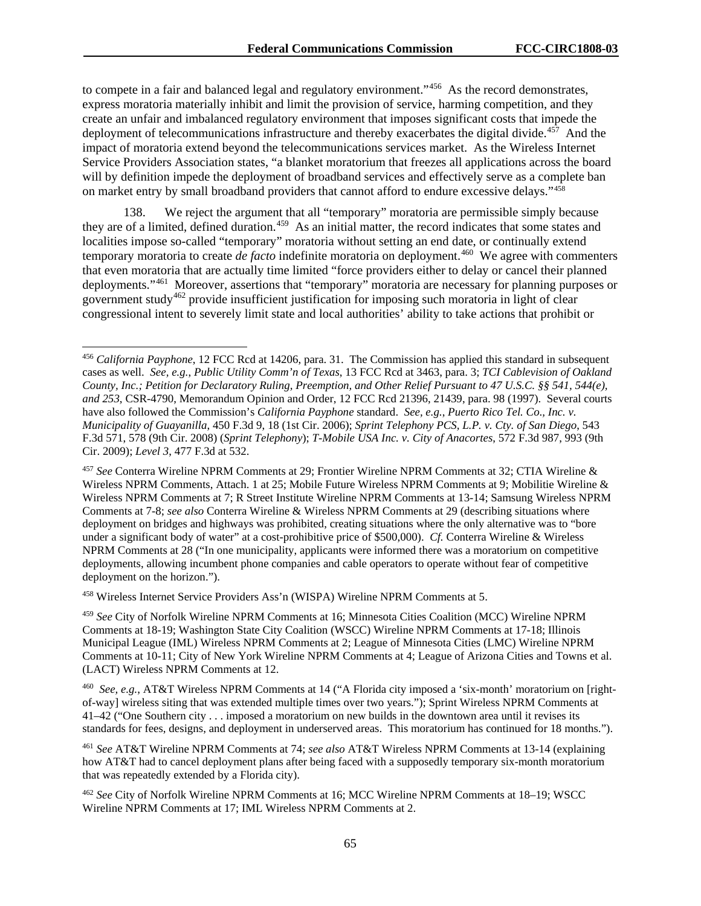to compete in a fair and balanced legal and regulatory environment."<sup>456</sup> As the record demonstrates, express moratoria materially inhibit and limit the provision of service, harming competition, and they create an unfair and imbalanced regulatory environment that imposes significant costs that impede the deployment of telecommunications infrastructure and thereby exacerbates the digital divide.<sup>457</sup> And the impact of moratoria extend beyond the telecommunications services market. As the Wireless Internet Service Providers Association states, "a blanket moratorium that freezes all applications across the board will by definition impede the deployment of broadband services and effectively serve as a complete ban on market entry by small broadband providers that cannot afford to endure excessive delays."[458](#page-65-2)

138. We reject the argument that all "temporary" moratoria are permissible simply because they are of a limited, defined duration.[459](#page-65-3) As an initial matter, the record indicates that some states and localities impose so-called "temporary" moratoria without setting an end date, or continually extend temporary moratoria to create *de facto* indefinite moratoria on deployment.<sup>460</sup> We agree with commenters that even moratoria that are actually time limited "force providers either to delay or cancel their planned deployments."[461](#page-65-5) Moreover, assertions that "temporary" moratoria are necessary for planning purposes or government study<sup>[462](#page-65-6)</sup> provide insufficient justification for imposing such moratoria in light of clear congressional intent to severely limit state and local authorities' ability to take actions that prohibit or

<span id="page-65-2"></span><sup>458</sup> Wireless Internet Service Providers Ass'n (WISPA) Wireline NPRM Comments at 5.

<span id="page-65-0"></span> <sup>456</sup> *California Payphone*, 12 FCC Rcd at 14206, para. 31. The Commission has applied this standard in subsequent cases as well. *See, e.g.*, *Public Utility Comm'n of Texas*, 13 FCC Rcd at 3463, para. 3; *TCI Cablevision of Oakland County, Inc.; Petition for Declaratory Ruling, Preemption, and Other Relief Pursuant to 47 U.S.C. §§ 541, 544(e), and 253*, CSR-4790, Memorandum Opinion and Order, 12 FCC Rcd 21396, 21439, para. 98 (1997). Several courts have also followed the Commission's *California Payphone* standard. *See, e.g.*, *Puerto Rico Tel. Co*.*, Inc. v. Municipality of Guayanilla*, 450 F.3d 9, 18 (1st Cir. 2006); *Sprint Telephony PCS, L.P. v. Cty. of San Diego*, 543 F.3d 571, 578 (9th Cir. 2008) (*Sprint Telephony*); *T-Mobile USA Inc. v. City of Anacortes*, 572 F.3d 987, 993 (9th Cir. 2009); *Level 3*, 477 F.3d at 532.

<span id="page-65-1"></span><sup>457</sup> *See* Conterra Wireline NPRM Comments at 29; Frontier Wireline NPRM Comments at 32; CTIA Wireline & Wireless NPRM Comments, Attach. 1 at 25; Mobile Future Wireless NPRM Comments at 9; Mobilitie Wireline & Wireless NPRM Comments at 7; R Street Institute Wireline NPRM Comments at 13-14; Samsung Wireless NPRM Comments at 7-8; *see also* Conterra Wireline & Wireless NPRM Comments at 29 (describing situations where deployment on bridges and highways was prohibited, creating situations where the only alternative was to "bore under a significant body of water" at a cost-prohibitive price of \$500,000). *Cf.* Conterra Wireline & Wireless NPRM Comments at 28 ("In one municipality, applicants were informed there was a moratorium on competitive deployments, allowing incumbent phone companies and cable operators to operate without fear of competitive deployment on the horizon.").

<span id="page-65-3"></span><sup>459</sup> *See* City of Norfolk Wireline NPRM Comments at 16; Minnesota Cities Coalition (MCC) Wireline NPRM Comments at 18-19; Washington State City Coalition (WSCC) Wireline NPRM Comments at 17-18; Illinois Municipal League (IML) Wireless NPRM Comments at 2; League of Minnesota Cities (LMC) Wireline NPRM Comments at 10-11; City of New York Wireline NPRM Comments at 4; League of Arizona Cities and Towns et al. (LACT) Wireless NPRM Comments at 12.

<span id="page-65-4"></span><sup>460</sup> *See, e.g.*, AT&T Wireless NPRM Comments at 14 ("A Florida city imposed a 'six-month' moratorium on [rightof-way] wireless siting that was extended multiple times over two years."); Sprint Wireless NPRM Comments at 41–42 ("One Southern city . . . imposed a moratorium on new builds in the downtown area until it revises its standards for fees, designs, and deployment in underserved areas. This moratorium has continued for 18 months.").

<span id="page-65-5"></span><sup>461</sup> *See* AT&T Wireline NPRM Comments at 74; *see also* AT&T Wireless NPRM Comments at 13-14 (explaining how AT&T had to cancel deployment plans after being faced with a supposedly temporary six-month moratorium that was repeatedly extended by a Florida city).

<span id="page-65-6"></span><sup>462</sup> *See* City of Norfolk Wireline NPRM Comments at 16; MCC Wireline NPRM Comments at 18–19; WSCC Wireline NPRM Comments at 17; IML Wireless NPRM Comments at 2.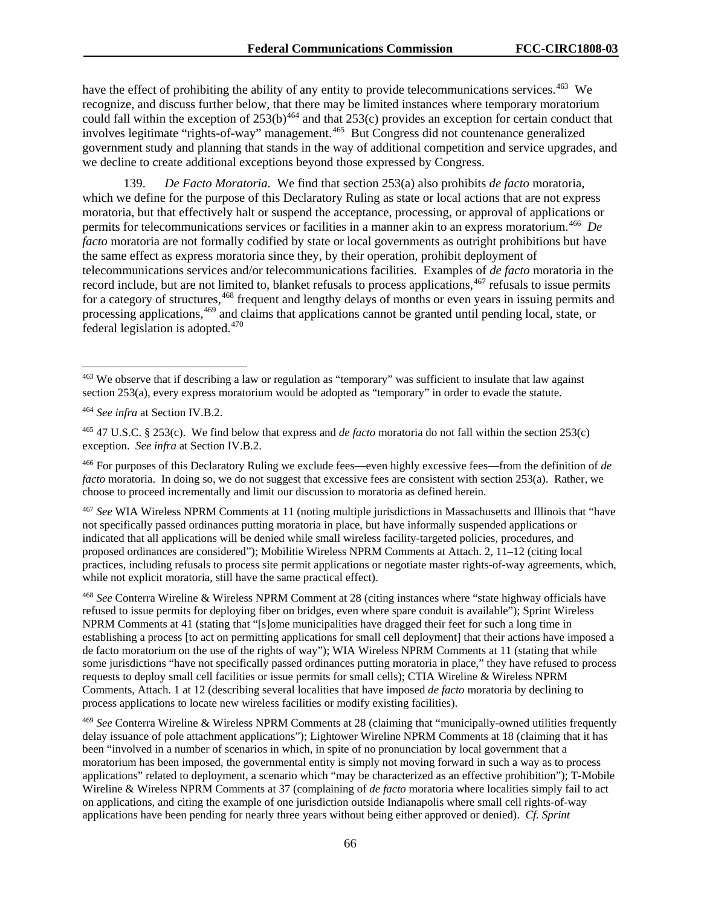have the effect of prohibiting the ability of any entity to provide telecommunications services.<sup>463</sup> We recognize, and discuss further below, that there may be limited instances where temporary moratorium could fall within the exception of  $253(b)^{464}$  $253(b)^{464}$  $253(b)^{464}$  and that  $253(c)$  provides an exception for certain conduct that involves legitimate "rights-of-way" management.[465](#page-66-2) But Congress did not countenance generalized government study and planning that stands in the way of additional competition and service upgrades, and we decline to create additional exceptions beyond those expressed by Congress.

139. *De Facto Moratoria.* We find that section 253(a) also prohibits *de facto* moratoria, which we define for the purpose of this Declaratory Ruling as state or local actions that are not express moratoria, but that effectively halt or suspend the acceptance, processing, or approval of applications or permits for telecommunications services or facilities in a manner akin to an express moratorium.[466](#page-66-3) *De facto* moratoria are not formally codified by state or local governments as outright prohibitions but have the same effect as express moratoria since they, by their operation, prohibit deployment of telecommunications services and/or telecommunications facilities. Examples of *de facto* moratoria in the record include, but are not limited to, blanket refusals to process applications,<sup>[467](#page-66-4)</sup> refusals to issue permits for a category of structures,<sup>[468](#page-66-5)</sup> frequent and lengthy delays of months or even years in issuing permits and processing applications,<sup>[469](#page-66-6)</sup> and claims that applications cannot be granted until pending local, state, or federal legislation is adopted.<sup>470</sup>

<span id="page-66-2"></span><sup>465</sup> 47 U.S.C. § 253(c). We find below that express and *de facto* moratoria do not fall within the section 253(c) exception. *See infra* at Section IV.B.2.

<span id="page-66-3"></span><sup>466</sup> For purposes of this Declaratory Ruling we exclude fees—even highly excessive fees—from the definition of *de facto* moratoria. In doing so, we do not suggest that excessive fees are consistent with section 253(a). Rather, we choose to proceed incrementally and limit our discussion to moratoria as defined herein.

<span id="page-66-7"></span><span id="page-66-4"></span><sup>467</sup> *See* WIA Wireless NPRM Comments at 11 (noting multiple jurisdictions in Massachusetts and Illinois that "have not specifically passed ordinances putting moratoria in place, but have informally suspended applications or indicated that all applications will be denied while small wireless facility-targeted policies, procedures, and proposed ordinances are considered"); Mobilitie Wireless NPRM Comments at Attach. 2, 11–12 (citing local practices, including refusals to process site permit applications or negotiate master rights-of-way agreements, which, while not explicit moratoria, still have the same practical effect).

<span id="page-66-5"></span><sup>468</sup> *See* Conterra Wireline & Wireless NPRM Comment at 28 (citing instances where "state highway officials have refused to issue permits for deploying fiber on bridges, even where spare conduit is available"); Sprint Wireless NPRM Comments at 41 (stating that "[s]ome municipalities have dragged their feet for such a long time in establishing a process [to act on permitting applications for small cell deployment] that their actions have imposed a de facto moratorium on the use of the rights of way"); WIA Wireless NPRM Comments at 11 (stating that while some jurisdictions "have not specifically passed ordinances putting moratoria in place," they have refused to process requests to deploy small cell facilities or issue permits for small cells); CTIA Wireline & Wireless NPRM Comments, Attach. 1 at 12 (describing several localities that have imposed *de facto* moratoria by declining to process applications to locate new wireless facilities or modify existing facilities).

<span id="page-66-6"></span><sup>469</sup> *See* Conterra Wireline & Wireless NPRM Comments at 28 (claiming that "municipally-owned utilities frequently delay issuance of pole attachment applications"); Lightower Wireline NPRM Comments at 18 (claiming that it has been "involved in a number of scenarios in which, in spite of no pronunciation by local government that a moratorium has been imposed, the governmental entity is simply not moving forward in such a way as to process applications" related to deployment, a scenario which "may be characterized as an effective prohibition"); T-Mobile Wireline & Wireless NPRM Comments at 37 (complaining of *de facto* moratoria where localities simply fail to act on applications, and citing the example of one jurisdiction outside Indianapolis where small cell rights-of-way applications have been pending for nearly three years without being either approved or denied). *Cf. Sprint* 

<span id="page-66-0"></span> <sup>463</sup> We observe that if describing a law or regulation as "temporary" was sufficient to insulate that law against section 253(a), every express moratorium would be adopted as "temporary" in order to evade the statute.

<span id="page-66-1"></span><sup>464</sup> *See infra* at Section IV.B.2.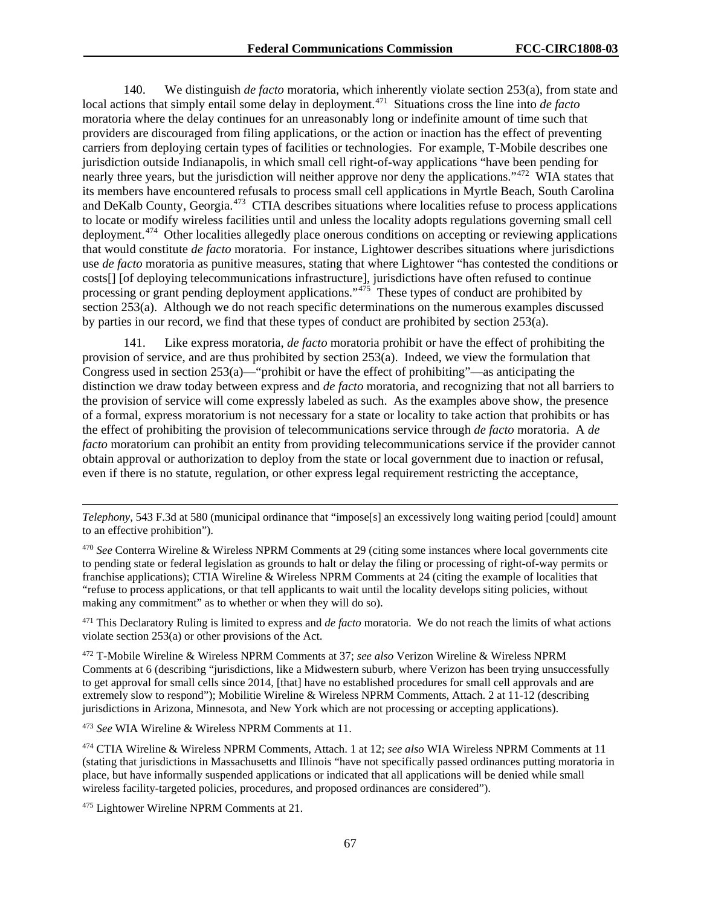140. We distinguish *de facto* moratoria, which inherently violate section 253(a), from state and local actions that simply entail some delay in deployment.<sup>471</sup> Situations cross the line into *de facto* moratoria where the delay continues for an unreasonably long or indefinite amount of time such that providers are discouraged from filing applications, or the action or inaction has the effect of preventing carriers from deploying certain types of facilities or technologies. For example, T-Mobile describes one jurisdiction outside Indianapolis, in which small cell right-of-way applications "have been pending for nearly three years, but the jurisdiction will neither approve nor deny the applications."<sup>[472](#page-67-1)</sup> WIA states that its members have encountered refusals to process small cell applications in Myrtle Beach, South Carolina and DeKalb County, Georgia.[473](#page-67-2) CTIA describes situations where localities refuse to process applications to locate or modify wireless facilities until and unless the locality adopts regulations governing small cell deployment.<sup>474</sup> Other localities allegedly place onerous conditions on accepting or reviewing applications that would constitute *de facto* moratoria. For instance, Lightower describes situations where jurisdictions use *de facto* moratoria as punitive measures, stating that where Lightower "has contested the conditions or costs[] [of deploying telecommunications infrastructure], jurisdictions have often refused to continue processing or grant pending deployment applications."<sup>475</sup> These types of conduct are prohibited by section 253(a). Although we do not reach specific determinations on the numerous examples discussed by parties in our record, we find that these types of conduct are prohibited by section 253(a).

141. Like express moratoria, *de facto* moratoria prohibit or have the effect of prohibiting the provision of service, and are thus prohibited by section 253(a). Indeed, we view the formulation that Congress used in section 253(a)—"prohibit or have the effect of prohibiting"—as anticipating the distinction we draw today between express and *de facto* moratoria, and recognizing that not all barriers to the provision of service will come expressly labeled as such. As the examples above show, the presence of a formal, express moratorium is not necessary for a state or locality to take action that prohibits or has the effect of prohibiting the provision of telecommunications service through *de facto* moratoria. A *de facto* moratorium can prohibit an entity from providing telecommunications service if the provider cannot obtain approval or authorization to deploy from the state or local government due to inaction or refusal, even if there is no statute, regulation, or other express legal requirement restricting the acceptance,

<span id="page-67-0"></span><sup>471</sup> This Declaratory Ruling is limited to express and *de facto* moratoria. We do not reach the limits of what actions violate section 253(a) or other provisions of the Act.

<span id="page-67-1"></span><sup>472</sup> T-Mobile Wireline & Wireless NPRM Comments at 37; *see also* Verizon Wireline & Wireless NPRM Comments at 6 (describing "jurisdictions, like a Midwestern suburb, where Verizon has been trying unsuccessfully to get approval for small cells since 2014, [that] have no established procedures for small cell approvals and are extremely slow to respond"); Mobilitie Wireline & Wireless NPRM Comments, Attach. 2 at 11-12 (describing jurisdictions in Arizona, Minnesota, and New York which are not processing or accepting applications).

<span id="page-67-2"></span><sup>473</sup> *See* WIA Wireline & Wireless NPRM Comments at 11.

<span id="page-67-3"></span><sup>474</sup> CTIA Wireline & Wireless NPRM Comments, Attach. 1 at 12; *see also* WIA Wireless NPRM Comments at 11 (stating that jurisdictions in Massachusetts and Illinois "have not specifically passed ordinances putting moratoria in place, but have informally suspended applications or indicated that all applications will be denied while small wireless facility-targeted policies, procedures, and proposed ordinances are considered").

<span id="page-67-4"></span><sup>475</sup> Lightower Wireline NPRM Comments at 21.

 $\overline{a}$ 

*Telephony*, 543 F.3d at 580 (municipal ordinance that "impose[s] an excessively long waiting period [could] amount to an effective prohibition").

<sup>470</sup> *See* Conterra Wireline & Wireless NPRM Comments at 29 (citing some instances where local governments cite to pending state or federal legislation as grounds to halt or delay the filing or processing of right-of-way permits or franchise applications); CTIA Wireline & Wireless NPRM Comments at 24 (citing the example of localities that "refuse to process applications, or that tell applicants to wait until the locality develops siting policies, without making any commitment" as to whether or when they will do so).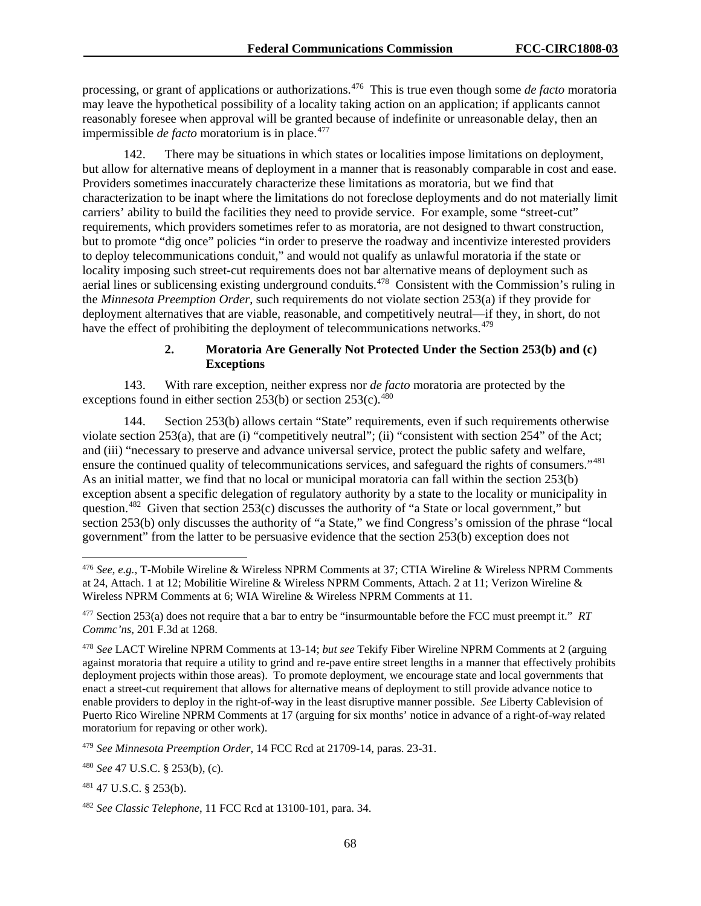processing, or grant of applications or authorizations.[476](#page-68-0) This is true even though some *de facto* moratoria may leave the hypothetical possibility of a locality taking action on an application; if applicants cannot reasonably foresee when approval will be granted because of indefinite or unreasonable delay, then an impermissible *de facto* moratorium is in place.<sup>[477](#page-68-1)</sup>

142. There may be situations in which states or localities impose limitations on deployment, but allow for alternative means of deployment in a manner that is reasonably comparable in cost and ease. Providers sometimes inaccurately characterize these limitations as moratoria, but we find that characterization to be inapt where the limitations do not foreclose deployments and do not materially limit carriers' ability to build the facilities they need to provide service. For example, some "street-cut" requirements, which providers sometimes refer to as moratoria, are not designed to thwart construction, but to promote "dig once" policies "in order to preserve the roadway and incentivize interested providers to deploy telecommunications conduit," and would not qualify as unlawful moratoria if the state or locality imposing such street-cut requirements does not bar alternative means of deployment such as aerial lines or sublicensing existing underground conduits.<sup> $478$ </sup> Consistent with the Commission's ruling in the *Minnesota Preemption Order*, such requirements do not violate section 253(a) if they provide for deployment alternatives that are viable, reasonable, and competitively neutral—if they, in short, do not have the effect of prohibiting the deployment of telecommunications networks.<sup>[479](#page-68-3)</sup>

# **2. Moratoria Are Generally Not Protected Under the Section 253(b) and (c) Exceptions**

143. With rare exception, neither express nor *de facto* moratoria are protected by the exceptions found in either section 253(b) or section  $253(c)$ .<sup>480</sup>

144. Section 253(b) allows certain "State" requirements, even if such requirements otherwise violate section 253(a), that are (i) "competitively neutral"; (ii) "consistent with section 254" of the Act; and (iii) "necessary to preserve and advance universal service, protect the public safety and welfare, ensure the continued quality of telecommunications services, and safeguard the rights of consumers."<sup>[481](#page-68-5)</sup> As an initial matter, we find that no local or municipal moratoria can fall within the section 253(b) exception absent a specific delegation of regulatory authority by a state to the locality or municipality in question.<sup>[482](#page-68-6)</sup> Given that section 253(c) discusses the authority of "a State or local government," but section 253(b) only discusses the authority of "a State," we find Congress's omission of the phrase "local government" from the latter to be persuasive evidence that the section 253(b) exception does not

<span id="page-68-3"></span><sup>479</sup> *See Minnesota Preemption Order*, 14 FCC Rcd at 21709-14, paras. 23-31.

<span id="page-68-0"></span> <sup>476</sup> *See, e.g.*, T-Mobile Wireline & Wireless NPRM Comments at 37; CTIA Wireline & Wireless NPRM Comments at 24, Attach. 1 at 12; Mobilitie Wireline & Wireless NPRM Comments, Attach. 2 at 11; Verizon Wireline & Wireless NPRM Comments at 6; WIA Wireline & Wireless NPRM Comments at 11.

<span id="page-68-1"></span><sup>477</sup> Section 253(a) does not require that a bar to entry be "insurmountable before the FCC must preempt it." *RT Commc'ns*, 201 F.3d at 1268.

<span id="page-68-2"></span><sup>478</sup> *See* LACT Wireline NPRM Comments at 13-14; *but see* Tekify Fiber Wireline NPRM Comments at 2 (arguing against moratoria that require a utility to grind and re-pave entire street lengths in a manner that effectively prohibits deployment projects within those areas). To promote deployment, we encourage state and local governments that enact a street-cut requirement that allows for alternative means of deployment to still provide advance notice to enable providers to deploy in the right-of-way in the least disruptive manner possible. *See* Liberty Cablevision of Puerto Rico Wireline NPRM Comments at 17 (arguing for six months' notice in advance of a right-of-way related moratorium for repaving or other work).

<span id="page-68-4"></span><sup>480</sup> *See* 47 U.S.C. § 253(b), (c).

<span id="page-68-5"></span><sup>481</sup> 47 U.S.C. § 253(b).

<span id="page-68-6"></span><sup>482</sup> *See Classic Telephone*, 11 FCC Rcd at 13100-101, para. 34.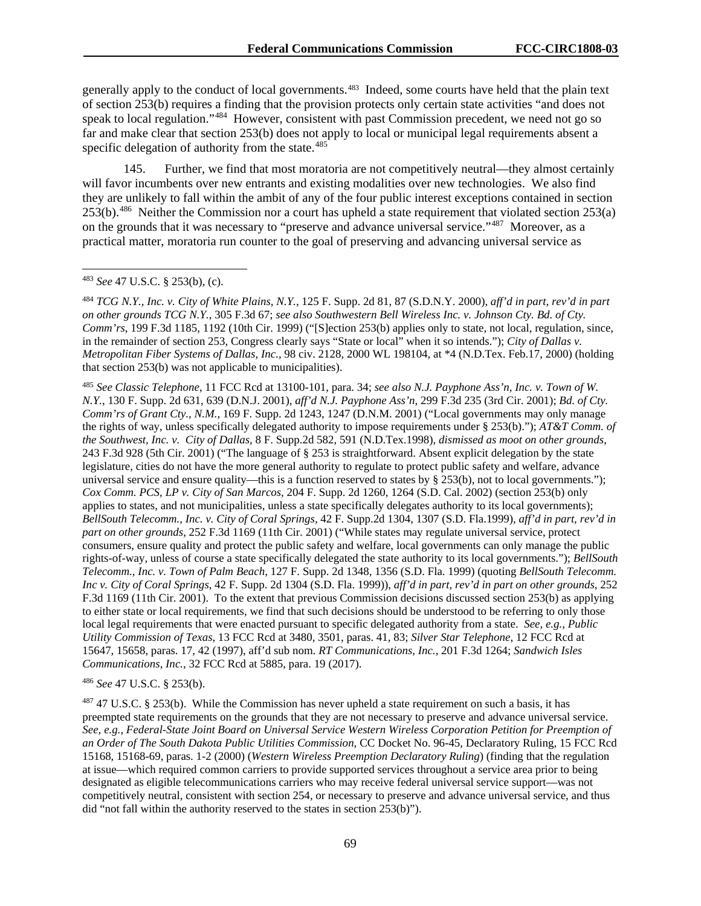generally apply to the conduct of local governments.[483](#page-69-0) Indeed, some courts have held that the plain text of section 253(b) requires a finding that the provision protects only certain state activities "and does not speak to local regulation."<sup>484</sup> However, consistent with past Commission precedent, we need not go so far and make clear that section 253(b) does not apply to local or municipal legal requirements absent a specific delegation of authority from the state. $485$ 

145. Further, we find that most moratoria are not competitively neutral—they almost certainly will favor incumbents over new entrants and existing modalities over new technologies. We also find they are unlikely to fall within the ambit of any of the four public interest exceptions contained in section  $253(b)$ .<sup>[486](#page-69-3)</sup> Neither the Commission nor a court has upheld a state requirement that violated section  $253(a)$ on the grounds that it was necessary to "preserve and advance universal service."<sup>[487](#page-69-4)</sup> Moreover, as a practical matter, moratoria run counter to the goal of preserving and advancing universal service as

<span id="page-69-2"></span><sup>485</sup> *See Classic Telephone*, 11 FCC Rcd at 13100-101, para. 34; *see also N.J. Payphone Ass'n, Inc. v. Town of W. N.Y.*, 130 F. Supp. 2d 631, 639 (D.N.J. 2001), *aff'd N.J. Payphone Ass'n*, 299 F.3d 235 (3rd Cir. 2001); *Bd. of Cty. Comm'rs of Grant Cty., N.M.*, 169 F. Supp. 2d 1243, 1247 (D.N.M. 2001) ("Local governments may only manage the rights of way, unless specifically delegated authority to impose requirements under § 253(b)."); *AT&T Comm. of the Southwest, Inc. v. City of Dallas,* 8 F. Supp.2d 582, 591 (N.D.Tex.1998), *dismissed as moot on other grounds*, 243 F.3d 928 (5th Cir. 2001) ("The language of [§ 253](https://1.next.westlaw.com/Link/Document/FullText?findType=L&pubNum=1000546&cite=47USCAS253&originatingDoc=I72e8c7fe567911d9a99c85a9e6023ffa&refType=LQ&originationContext=document&transitionType=DocumentItem&contextData=(sc.DocLink)) is straightforward. Absent explicit delegation by the state legislature, cities do not have the more general authority to regulate to protect public safety and welfare, advance universal service and ensure quality—this is a function reserved to states by  $\S 253(b)$ , not to local governments."); *Cox Comm. PCS, LP v. City of San Marcos*, 204 F. Supp. 2d 1260, 1264 (S.D. Cal. 2002) (section 253(b) only applies to states, and not municipalities, unless a state specifically delegates authority to its local governments); *BellSouth Telecomm., Inc. v. City of Coral Springs,* 42 F. Supp.2d 1304, 1307 (S.D. Fla.1999), *aff'd in part, rev'd in part on other grounds*, 252 F.3d 1169 (11th Cir. 2001) ("While states may regulate universal service, protect consumers, ensure quality and protect the public safety and welfare, local governments can only manage the public rights-of-way, unless of course a state specifically delegated the state authority to its local governments."); *BellSouth Telecomm., Inc. v. Town of Palm Beach*, 127 F. Supp. 2d 1348, 1356 (S.D. Fla. 1999) (quoting *BellSouth Telecomm. Inc v. City of Coral Springs*, 42 F. Supp. 2d 1304 (S.D. Fla. 1999)), *aff'd in part, rev'd in part on other grounds*, 252 F.3d 1169 (11th Cir. 2001). To the extent that previous Commission decisions discussed section 253(b) as applying to either state or local requirements, we find that such decisions should be understood to be referring to only those local legal requirements that were enacted pursuant to specific delegated authority from a state. *See, e.g.*, *Public Utility Commission of Texas*, 13 FCC Rcd at 3480, 3501, paras. 41, 83; *Silver Star Telephone*, 12 FCC Rcd at 15647, 15658, paras. 17, 42 (1997), aff'd sub nom. *RT Communications, Inc.*, 201 F.3d 1264; *Sandwich Isles Communications, Inc.*, 32 FCC Rcd at 5885, para. 19 (2017).

<span id="page-69-3"></span><sup>486</sup> *See* 47 U.S.C. § 253(b).

<span id="page-69-4"></span> $487$  47 U.S.C. § 253(b). While the Commission has never upheld a state requirement on such a basis, it has preempted state requirements on the grounds that they are not necessary to preserve and advance universal service. *See, e.g.*, *Federal-State Joint Board on Universal Service Western Wireless Corporation Petition for Preemption of an Order of The South Dakota Public Utilities Commission*, CC Docket No. 96-45, Declaratory Ruling, 15 FCC Rcd 15168, 15168-69, paras. 1-2 (2000) (*Western Wireless Preemption Declaratory Ruling*) (finding that the regulation at issue—which required common carriers to provide supported services throughout a service area prior to being designated as eligible telecommunications carriers who may receive federal universal service support—was not competitively neutral, consistent with section 254, or necessary to preserve and advance universal service, and thus did "not fall within the authority reserved to the states in section 253(b)").

<span id="page-69-0"></span> <sup>483</sup> *See* 47 U.S.C. § 253(b), (c).

<span id="page-69-1"></span><sup>484</sup> *TCG N.Y., Inc. v. City of White Plains, N.Y.*, 125 F. Supp. 2d 81, 87 (S.D.N.Y. 2000), *aff'd in part, rev'd in part on other grounds TCG N.Y.*, 305 F.3d 67; *see also Southwestern Bell Wireless Inc. v. Johnson Cty. Bd. of Cty. Comm'rs*, 199 F.3d 1185, 1192 (10th Cir. 1999) ("[S]ection 253(b) applies only to state, not local, regulation, since, in the remainder of section 253, Congress clearly says "State or local" when it so intends."); *[City of Dallas v.](https://1.next.westlaw.com/Link/Document/FullText?findType=Y&serNum=2000059366&pubNum=0000999&originatingDoc=I8dc3e54253d711d9a99c85a9e6023ffa&refType=RP&originationContext=document&transitionType=DocumentItem&contextData=(sc.UserEnteredCitation))  Metropolitan Fiber Systems of Dallas, Inc.*, [98 civ. 2128, 2000 WL 198104, at \\*4 \(N.D.Tex. Feb.17, 2000\)](https://1.next.westlaw.com/Link/Document/FullText?findType=Y&serNum=2000059366&pubNum=0000999&originatingDoc=I8dc3e54253d711d9a99c85a9e6023ffa&refType=RP&originationContext=document&transitionType=DocumentItem&contextData=(sc.UserEnteredCitation)) (holding that section 253(b) was not applicable to municipalities).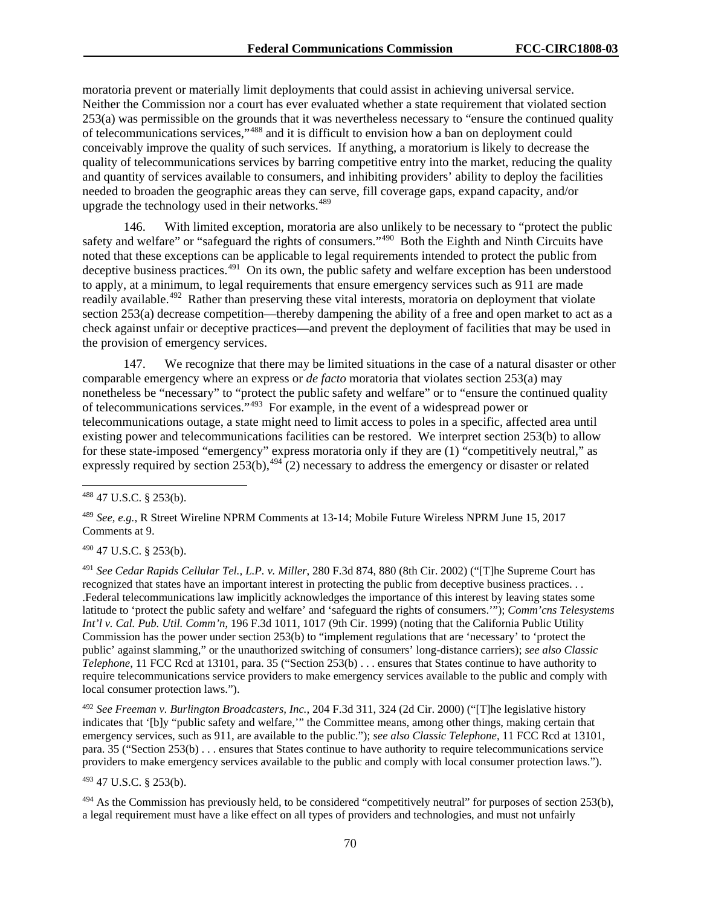moratoria prevent or materially limit deployments that could assist in achieving universal service. Neither the Commission nor a court has ever evaluated whether a state requirement that violated section 253(a) was permissible on the grounds that it was nevertheless necessary to "ensure the continued quality of telecommunications services,"[488](#page-70-0) and it is difficult to envision how a ban on deployment could conceivably improve the quality of such services. If anything, a moratorium is likely to decrease the quality of telecommunications services by barring competitive entry into the market, reducing the quality and quantity of services available to consumers, and inhibiting providers' ability to deploy the facilities needed to broaden the geographic areas they can serve, fill coverage gaps, expand capacity, and/or upgrade the technology used in their networks.<sup>[489](#page-70-1)</sup>

146. With limited exception, moratoria are also unlikely to be necessary to "protect the public safety and welfare" or "safeguard the rights of consumers."<sup>[490](#page-70-2)</sup> Both the Eighth and Ninth Circuits have noted that these exceptions can be applicable to legal requirements intended to protect the public from deceptive business practices.<sup>491</sup> On its own, the public safety and welfare exception has been understood to apply, at a minimum, to legal requirements that ensure emergency services such as 911 are made readily available.<sup>492</sup> Rather than preserving these vital interests, moratoria on deployment that violate section 253(a) decrease competition—thereby dampening the ability of a free and open market to act as a check against unfair or deceptive practices—and prevent the deployment of facilities that may be used in the provision of emergency services.

147. We recognize that there may be limited situations in the case of a natural disaster or other comparable emergency where an express or *de facto* moratoria that violates section 253(a) may nonetheless be "necessary" to "protect the public safety and welfare" or to "ensure the continued quality of telecommunications services."[493](#page-70-5) For example, in the event of a widespread power or telecommunications outage, a state might need to limit access to poles in a specific, affected area until existing power and telecommunications facilities can be restored. We interpret section 253(b) to allow for these state-imposed "emergency" express moratoria only if they are (1) "competitively neutral," as expressly required by section  $253(b)$ ,  $494$  (2) necessary to address the emergency or disaster or related

<span id="page-70-2"></span><sup>490</sup> 47 U.S.C. § 253(b).

<span id="page-70-3"></span><sup>491</sup> *See Cedar Rapids Cellular Tel., L.P. v. Miller*, 280 F.3d 874, 880 (8th Cir. 2002) ("[T]he Supreme Court has recognized that states have an important interest in protecting the public from deceptive business practices. . . .Federal telecommunications law implicitly acknowledges the importance of this interest by leaving states some latitude to 'protect the public safety and welfare' and 'safeguard the rights of consumers.'"); *Comm'cns Telesystems Int'l v. Cal. Pub. Util. Comm'n*, 196 F.3d 1011, 1017 (9th Cir. 1999) (noting that the California Public Utility Commission has the power under section 253(b) to "implement regulations that are 'necessary' to 'protect the public' against slamming," or the unauthorized switching of consumers' long-distance carriers); *see also Classic Telephone*, 11 FCC Rcd at 13101, para. 35 ("Section 253(b) . . . ensures that States continue to have authority to require telecommunications service providers to make emergency services available to the public and comply with local consumer protection laws.").

<span id="page-70-4"></span><sup>492</sup> *See Freeman v. Burlington Broadcasters, Inc.*, 204 F.3d 311, 324 (2d Cir. 2000) ("[T]he legislative history indicates that '[b]y "public safety and welfare,'" the Committee means, among other things, making certain that emergency services, such as 911, are available to the public."); *see also Classic Telephone*, 11 FCC Rcd at 13101, para. 35 ("Section 253(b) . . . ensures that States continue to have authority to require telecommunications service providers to make emergency services available to the public and comply with local consumer protection laws.").

<span id="page-70-5"></span><sup>493</sup> 47 U.S.C. § 253(b).

<span id="page-70-6"></span> $494$  As the Commission has previously held, to be considered "competitively neutral" for purposes of section 253(b), a legal requirement must have a like effect on all types of providers and technologies, and must not unfairly

<span id="page-70-0"></span> <sup>488</sup> 47 U.S.C. § 253(b).

<span id="page-70-1"></span><sup>489</sup> *See, e.g.*, R Street Wireline NPRM Comments at 13-14; Mobile Future Wireless NPRM June 15, 2017 Comments at 9.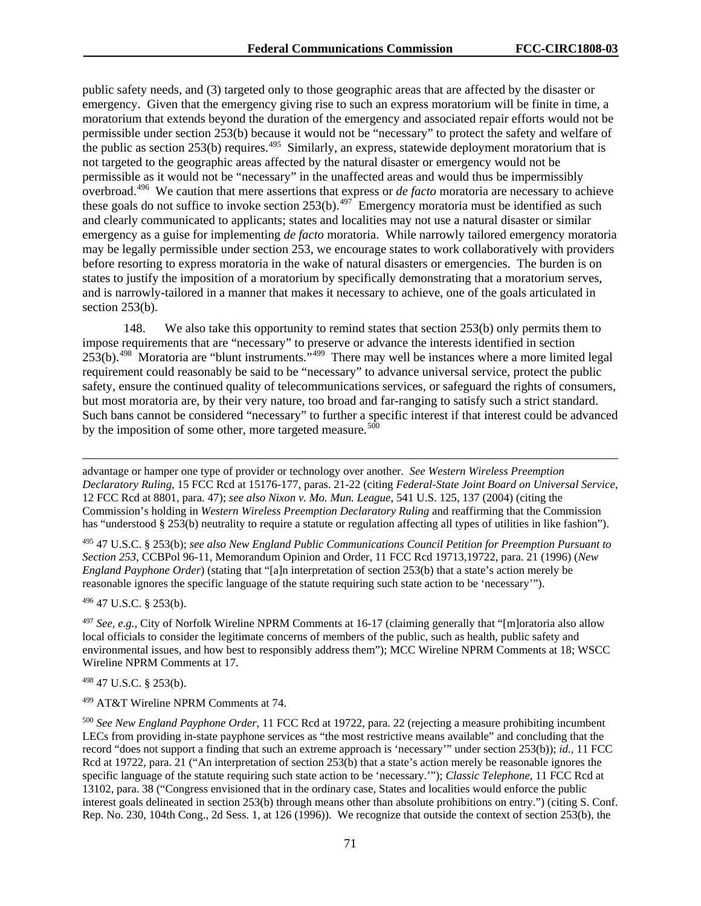public safety needs, and (3) targeted only to those geographic areas that are affected by the disaster or emergency. Given that the emergency giving rise to such an express moratorium will be finite in time, a moratorium that extends beyond the duration of the emergency and associated repair efforts would not be permissible under section 253(b) because it would not be "necessary" to protect the safety and welfare of the public as section 253(b) requires.<sup>495</sup> Similarly, an express, statewide deployment moratorium that is not targeted to the geographic areas affected by the natural disaster or emergency would not be permissible as it would not be "necessary" in the unaffected areas and would thus be impermissibly overbroad. [496](#page-71-1) We caution that mere assertions that express or *de facto* moratoria are necessary to achieve these goals do not suffice to invoke section 253(b).<sup>497</sup> Emergency moratoria must be identified as such and clearly communicated to applicants; states and localities may not use a natural disaster or similar emergency as a guise for implementing *de facto* moratoria. While narrowly tailored emergency moratoria may be legally permissible under section 253, we encourage states to work collaboratively with providers before resorting to express moratoria in the wake of natural disasters or emergencies. The burden is on states to justify the imposition of a moratorium by specifically demonstrating that a moratorium serves, and is narrowly-tailored in a manner that makes it necessary to achieve, one of the goals articulated in section 253(b).

148. We also take this opportunity to remind states that section 253(b) only permits them to impose requirements that are "necessary" to preserve or advance the interests identified in section 253(b).[498](#page-71-3) Moratoria are "blunt instruments."[499](#page-71-4) There may well be instances where a more limited legal requirement could reasonably be said to be "necessary" to advance universal service, protect the public safety, ensure the continued quality of telecommunications services, or safeguard the rights of consumers, but most moratoria are, by their very nature, too broad and far-ranging to satisfy such a strict standard. Such bans cannot be considered "necessary" to further a specific interest if that interest could be advanced by the imposition of some other, more targeted measure.<sup>500</sup>

advantage or hamper one type of provider or technology over another. *See Western Wireless Preemption Declaratory Ruling*, 15 FCC Rcd at 15176-177, paras. 21-22 (citing *Federal-State Joint Board on Universal Service*, 12 FCC Rcd at 8801, para. 47); *see also Nixon v. Mo. Mun. League*, 541 U.S. 125, 137 (2004) (citing the Commission's holding in *Western Wireless Preemption Declaratory Ruling* and reaffirming that the Commission has "understood § 253(b) neutrality to require a statute or regulation affecting all types of utilities in like fashion").

<span id="page-71-0"></span><sup>495</sup> 47 U.S.C. § 253(b); *see also New England Public Communications Council Petition for Preemption Pursuant to Section 253*, CCBPol 96-11, Memorandum Opinion and Order, 11 FCC Rcd 19713,19722, para. 21 (1996) (*New England Payphone Order*) (stating that "[a]n interpretation of section 253(b) that a state's action merely be reasonable ignores the specific language of the statute requiring such state action to be 'necessary'").

<span id="page-71-1"></span><sup>496</sup> 47 U.S.C. § 253(b).

 $\overline{a}$ 

<span id="page-71-2"></span><sup>497</sup> *See, e.g.*, City of Norfolk Wireline NPRM Comments at 16-17 (claiming generally that "[m]oratoria also allow local officials to consider the legitimate concerns of members of the public, such as health, public safety and environmental issues, and how best to responsibly address them"); MCC Wireline NPRM Comments at 18; WSCC Wireline NPRM Comments at 17.

<span id="page-71-3"></span><sup>498</sup> 47 U.S.C. § 253(b).

<span id="page-71-4"></span><sup>499</sup> AT&T Wireline NPRM Comments at 74.

<span id="page-71-5"></span><sup>500</sup> *See New England Payphone Order*, 11 FCC Rcd at 19722, para. 22 (rejecting a measure prohibiting incumbent LECs from providing in-state payphone services as "the most restrictive means available" and concluding that the record "does not support a finding that such an extreme approach is 'necessary'" under section 253(b)); *id.*, 11 FCC Rcd at 19722, para. 21 ("An interpretation of section 253(b) that a state's action merely be reasonable ignores the specific language of the statute requiring such state action to be 'necessary.'"); *Classic Telephone*, 11 FCC Rcd at 13102, para. 38 ("Congress envisioned that in the ordinary case, States and localities would enforce the public interest goals delineated in section 253(b) through means other than absolute prohibitions on entry.") (citing S. Conf. Rep. No. 230, 104th Cong., 2d Sess. 1, at 126 (1996)). We recognize that outside the context of section 253(b), the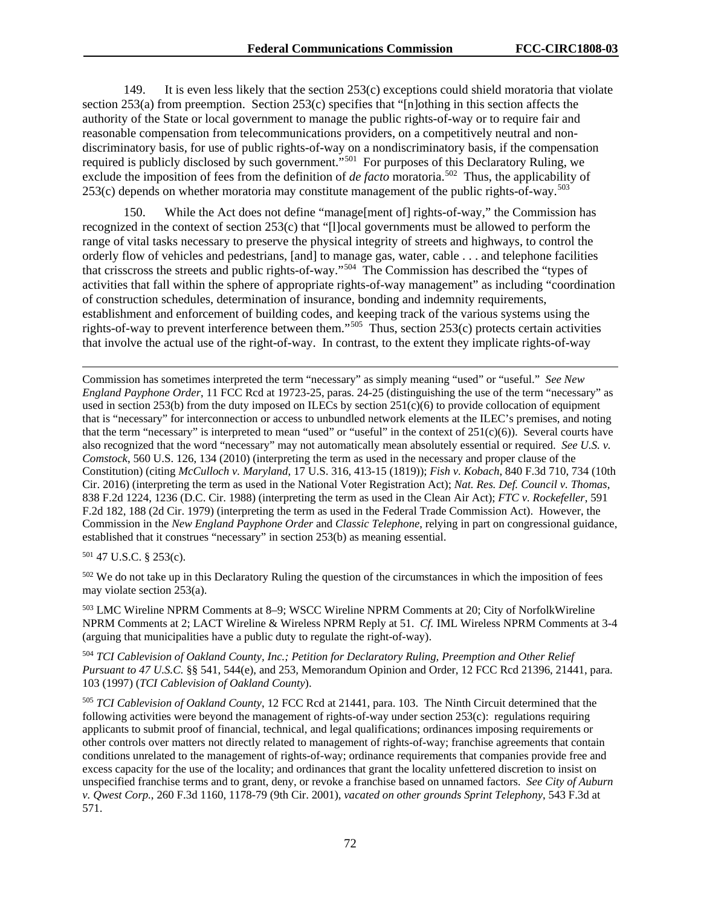149. It is even less likely that the section 253(c) exceptions could shield moratoria that violate section 253(a) from preemption. Section 253(c) specifies that "[n]othing in this section affects the authority of the State or local government to manage the public rights-of-way or to require fair and reasonable compensation from telecommunications providers, on a competitively neutral and nondiscriminatory basis, for use of public rights-of-way on a nondiscriminatory basis, if the compensation required is publicly disclosed by such government."<sup>501</sup> For purposes of this Declaratory Ruling, we exclude the imposition of fees from the definition of *de facto* moratoria.<sup>502</sup> Thus, the applicability of 253(c) depends on whether moratoria may constitute management of the public rights-of-way.<sup>503</sup>

150. While the Act does not define "manage[ment of] rights-of-way," the Commission has recognized in the context of section 253(c) that "[l]ocal governments must be allowed to perform the range of vital tasks necessary to preserve the physical integrity of streets and highways, to control the orderly flow of vehicles and pedestrians, [and] to manage gas, water, cable . . . and telephone facilities that crisscross the streets and public rights-of-way."[504](#page-72-3) The Commission has described the "types of activities that fall within the sphere of appropriate rights-of-way management" as including "coordination of construction schedules, determination of insurance, bonding and indemnity requirements, establishment and enforcement of building codes, and keeping track of the various systems using the rights-of-way to prevent interference between them."[505](#page-72-4) Thus, section 253(c) protects certain activities that involve the actual use of the right-of-way. In contrast, to the extent they implicate rights-of-way

Commission has sometimes interpreted the term "necessary" as simply meaning "used" or "useful." *See New England Payphone Order*, 11 FCC Rcd at 19723-25, paras. 24-25 (distinguishing the use of the term "necessary" as used in section 253(b) from the duty imposed on ILECs by section  $251(c)(6)$  to provide collocation of equipment that is "necessary" for interconnection or access to unbundled network elements at the ILEC's premises, and noting that the term "necessary" is interpreted to mean "used" or "useful" in the context of  $251(c)(6)$ ). Several courts have also recognized that the word "necessary" may not automatically mean absolutely essential or required. *See U.S. v. Comstock*, 560 U.S. 126, 134 (2010) (interpreting the term as used in the necessary and proper clause of the Constitution) (citing *McCulloch v. Maryland*, 17 U.S. 316, 413-15 (1819)); *Fish v. Kobach*, 840 F.3d 710, 734 (10th Cir. 2016) (interpreting the term as used in the National Voter Registration Act); *Nat. Res. Def. Council v. Thomas*, 838 F.2d 1224, 1236 (D.C. Cir. 1988) (interpreting the term as used in the Clean Air Act); *FTC v. Rockefeller*, 591 F.2d 182, 188 (2d Cir. 1979) (interpreting the term as used in the Federal Trade Commission Act). However, the Commission in the *New England Payphone Order* and *Classic Telephone*, relying in part on congressional guidance, established that it construes "necessary" in section 253(b) as meaning essential.

<span id="page-72-0"></span><sup>501</sup> 47 U.S.C. § 253(c).

 $\overline{a}$ 

<span id="page-72-1"></span><sup>502</sup> We do not take up in this Declaratory Ruling the question of the circumstances in which the imposition of fees may violate section 253(a).

<span id="page-72-2"></span><sup>503</sup> LMC Wireline NPRM Comments at 8–9; WSCC Wireline NPRM Comments at 20; City of NorfolkWireline NPRM Comments at 2; LACT Wireline & Wireless NPRM Reply at 51. *Cf.* IML Wireless NPRM Comments at 3-4 (arguing that municipalities have a public duty to regulate the right-of-way).

<span id="page-72-3"></span><sup>504</sup> *TCI Cablevision of Oakland County, Inc.; Petition for Declaratory Ruling, Preemption and Other Relief Pursuant to 47 U.S.C.* §§ 541, 544(e), and 253*,* Memorandum Opinion and Order, 12 FCC Rcd 21396, 21441, para. 103 (1997) (*TCI Cablevision of Oakland County*).

<span id="page-72-4"></span><sup>505</sup> *TCI Cablevision of Oakland County*, 12 FCC Rcd at 21441, para. 103. The Ninth Circuit determined that the following activities were beyond the management of rights-of-way under section 253(c): regulations requiring applicants to submit proof of financial, technical, and legal qualifications; ordinances imposing requirements or other controls over matters not directly related to management of rights-of-way; franchise agreements that contain conditions unrelated to the management of rights-of-way; ordinance requirements that companies provide free and excess capacity for the use of the locality; and ordinances that grant the locality unfettered discretion to insist on unspecified franchise terms and to grant, deny, or revoke a franchise based on unnamed factors. *See City of Auburn v. Qwest Corp.*, 260 F.3d 1160, 1178-79 (9th Cir. 2001), *vacated on other grounds Sprint Telephony*, 543 F.3d at 571.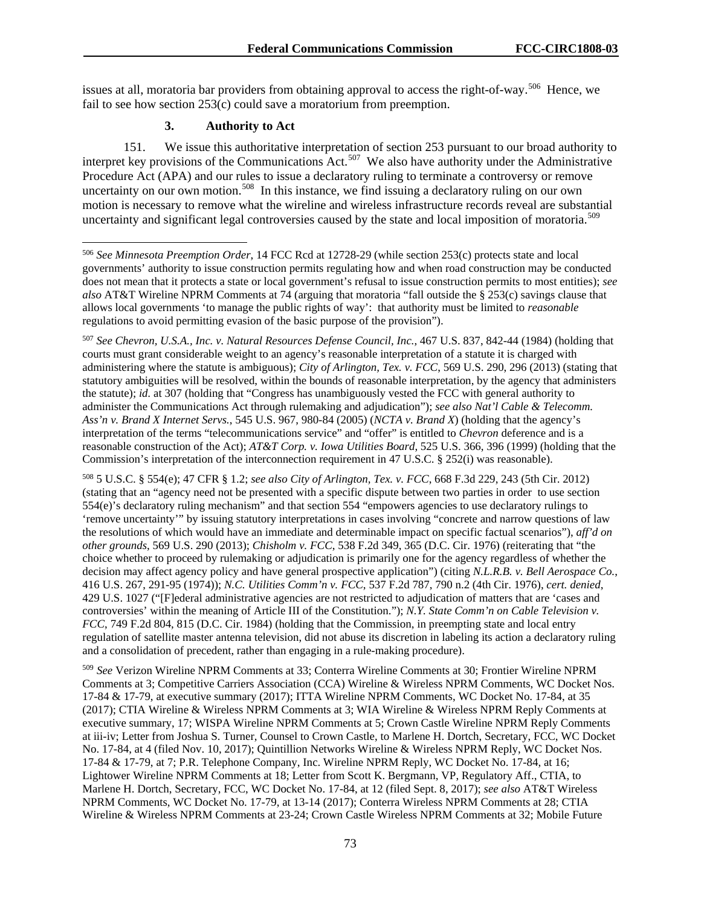issues at all, moratoria bar providers from obtaining approval to access the right-of-way.<sup>[506](#page-73-0)</sup> Hence, we fail to see how section 253(c) could save a moratorium from preemption.

## **3. Authority to Act**

151. We issue this authoritative interpretation of section 253 pursuant to our broad authority to interpret key provisions of the Communications Act.<sup>507</sup> We also have authority under the Administrative Procedure Act (APA) and our rules to issue a declaratory ruling to terminate a controversy or remove uncertainty on our own motion.<sup>[508](#page-73-2)</sup> In this instance, we find issuing a declaratory ruling on our own motion is necessary to remove what the wireline and wireless infrastructure records reveal are substantial uncertainty and significant legal controversies caused by the state and local imposition of moratoria.<sup>[509](#page-73-3)</sup>

<span id="page-73-1"></span><sup>507</sup> *See Chevron, U.S.A., Inc. v. Natural Resources Defense Council, Inc.*, 467 U.S. 837, 842-44 (1984) (holding that courts must grant considerable weight to an agency's reasonable interpretation of a statute it is charged with administering where the statute is ambiguous); *City of Arlington, Tex. v. FCC*, 569 U.S. 290, 296 (2013) (stating that statutory ambiguities will be resolved, within the bounds of reasonable interpretation, by the agency that administers the statute); *id.* at 307 (holding that "Congress has unambiguously vested the FCC with general authority to administer the Communications Act through rulemaking and adjudication"); *see also Nat'l Cable & Telecomm. Ass'n v. Brand X Internet Servs.*, 545 U.S. 967, 980-84 (2005) (*NCTA v. Brand X*) (holding that the agency's interpretation of the terms "telecommunications service" and "offer" is entitled to *Chevron* deference and is a reasonable construction of the Act); *AT&T Corp. v. Iowa Utilities Board*, 525 U.S. 366, 396 (1999) (holding that the Commission's interpretation of the interconnection requirement in 47 U.S.C. § 252(i) was reasonable).

<span id="page-73-2"></span><sup>508</sup> 5 U.S.C. § 554(e); 47 CFR § 1.2; *see also City of Arlington, Tex. v. FCC*, 668 F.3d 229, 243 (5th Cir. 2012) (stating that an "agency need not be presented with a specific dispute between two parties in order to use section 554(e)'s declaratory ruling mechanism" and that section 554 "empowers agencies to use declaratory rulings to 'remove uncertainty'" by issuing statutory interpretations in cases involving "concrete and narrow questions of law the resolutions of which would have an immediate and determinable impact on specific factual scenarios"), *aff'd on other grounds*, 569 U.S. 290 (2013); *Chisholm v. FCC*, 538 F.2d 349, 365 (D.C. Cir. 1976) (reiterating that "the choice whether to proceed by rulemaking or adjudication is primarily one for the agency regardless of whether the decision may affect agency policy and have general prospective application") (citing *N.L.R.B. v. Bell Aerospace Co.*, 416 U.S. 267, 291-95 (1974)); *N.C. Utilities Comm'n v. FCC*, 537 F.2d 787, 790 n.2 (4th Cir. 1976), *cert. denied*, 429 U.S. 1027 ("[F]ederal administrative agencies are not restricted to adjudication of matters that are 'cases and controversies' within the meaning of Article III of the Constitution."); *N.Y. State Comm'n on Cable Television v. FCC*, 749 F.2d 804, 815 (D.C. Cir. 1984) (holding that the Commission, in preempting state and local entry regulation of satellite master antenna television, did not abuse its discretion in labeling its action a declaratory ruling and a consolidation of precedent, rather than engaging in a rule-making procedure).

<span id="page-73-3"></span><sup>509</sup> *See* Verizon Wireline NPRM Comments at 33; Conterra Wireline Comments at 30; Frontier Wireline NPRM Comments at 3; Competitive Carriers Association (CCA) Wireline & Wireless NPRM Comments, WC Docket Nos. 17-84 & 17-79, at executive summary (2017); ITTA Wireline NPRM Comments, WC Docket No. 17-84, at 35 (2017); CTIA Wireline & Wireless NPRM Comments at 3; WIA Wireline & Wireless NPRM Reply Comments at executive summary, 17; WISPA Wireline NPRM Comments at 5; Crown Castle Wireline NPRM Reply Comments at iii-iv; Letter from Joshua S. Turner, Counsel to Crown Castle, to Marlene H. Dortch, Secretary, FCC, WC Docket No. 17-84, at 4 (filed Nov. 10, 2017); Quintillion Networks Wireline & Wireless NPRM Reply, WC Docket Nos. 17-84 & 17-79, at 7; P.R. Telephone Company, Inc. Wireline NPRM Reply, WC Docket No. 17-84, at 16; Lightower Wireline NPRM Comments at 18; Letter from Scott K. Bergmann, VP, Regulatory Aff., CTIA, to Marlene H. Dortch, Secretary, FCC, WC Docket No. 17-84, at 12 (filed Sept. 8, 2017); *see also* AT&T Wireless NPRM Comments, WC Docket No. 17-79, at 13-14 (2017); Conterra Wireless NPRM Comments at 28; CTIA Wireline & Wireless NPRM Comments at 23-24; Crown Castle Wireless NPRM Comments at 32; Mobile Future

<span id="page-73-0"></span> <sup>506</sup> *See Minnesota Preemption Order*, 14 FCC Rcd at 12728-29 (while section 253(c) protects state and local governments' authority to issue construction permits regulating how and when road construction may be conducted does not mean that it protects a state or local government's refusal to issue construction permits to most entities); *see also* AT&T Wireline NPRM Comments at 74 (arguing that moratoria "fall outside the § 253(c) savings clause that allows local governments 'to manage the public rights of way': that authority must be limited to *reasonable* regulations to avoid permitting evasion of the basic purpose of the provision").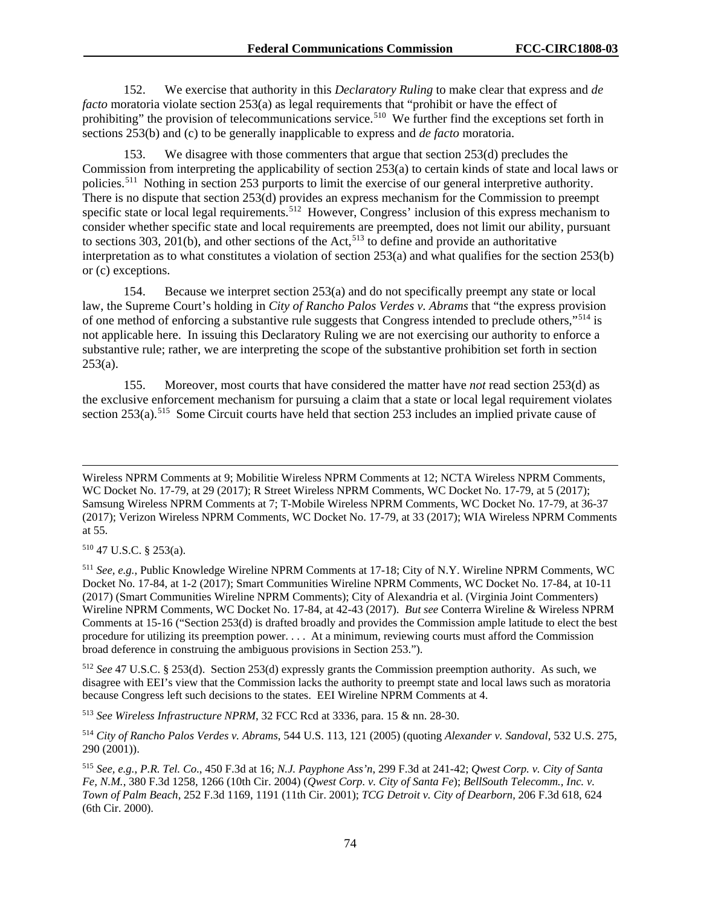152. We exercise that authority in this *Declaratory Ruling* to make clear that express and *de facto* moratoria violate section 253(a) as legal requirements that "prohibit or have the effect of prohibiting" the provision of telecommunications service.<sup>[510](#page-74-0)</sup> We further find the exceptions set forth in sections 253(b) and (c) to be generally inapplicable to express and *de facto* moratoria.

153. We disagree with those commenters that argue that section 253(d) precludes the Commission from interpreting the applicability of section 253(a) to certain kinds of state and local laws or policies.[511](#page-74-1) Nothing in section 253 purports to limit the exercise of our general interpretive authority. There is no dispute that section 253(d) provides an express mechanism for the Commission to preempt specific state or local legal requirements.<sup>[512](#page-74-2)</sup> However, Congress' inclusion of this express mechanism to consider whether specific state and local requirements are preempted, does not limit our ability, pursuant to sections 303, 201(b), and other sections of the Act,<sup>[513](#page-74-3)</sup> to define and provide an authoritative interpretation as to what constitutes a violation of section 253(a) and what qualifies for the section 253(b) or (c) exceptions.

154. Because we interpret section 253(a) and do not specifically preempt any state or local law, the Supreme Court's holding in *City of Rancho Palos Verdes v. Abrams* that "the express provision of one method of enforcing a substantive rule suggests that Congress intended to preclude others,"[514](#page-74-4) is not applicable here. In issuing this Declaratory Ruling we are not exercising our authority to enforce a substantive rule; rather, we are interpreting the scope of the substantive prohibition set forth in section  $253(a)$ .

155. Moreover, most courts that have considered the matter have *not* read section 253(d) as the exclusive enforcement mechanism for pursuing a claim that a state or local legal requirement violates section 253(a).<sup>[515](#page-74-5)</sup> Some Circuit courts have held that section 253 includes an implied private cause of

<span id="page-74-0"></span><sup>510</sup> 47 U.S.C. § 253(a).

 $\overline{a}$ 

<span id="page-74-2"></span><sup>512</sup> *See* 47 U.S.C. § 253(d). Section 253(d) expressly grants the Commission preemption authority. As such, we disagree with EEI's view that the Commission lacks the authority to preempt state and local laws such as moratoria because Congress left such decisions to the states. EEI Wireline NPRM Comments at 4.

<span id="page-74-3"></span><sup>513</sup> *See Wireless Infrastructure NPRM*, 32 FCC Rcd at 3336, para. 15 & nn. 28-30.

<span id="page-74-4"></span><sup>514</sup> *City of Rancho Palos Verdes v. Abrams*, 544 U.S. 113, 121 (2005) (quoting *Alexander v. Sandoval*, 532 U.S. 275, 290 (2001)).

Wireless NPRM Comments at 9; Mobilitie Wireless NPRM Comments at 12; NCTA Wireless NPRM Comments, WC Docket No. 17-79, at 29 (2017); R Street Wireless NPRM Comments, WC Docket No. 17-79, at 5 (2017); Samsung Wireless NPRM Comments at 7; T-Mobile Wireless NPRM Comments, WC Docket No. 17-79, at 36-37 (2017); Verizon Wireless NPRM Comments, WC Docket No. 17-79, at 33 (2017); WIA Wireless NPRM Comments at 55.

<span id="page-74-1"></span><sup>511</sup> *See, e.g.*, Public Knowledge Wireline NPRM Comments at 17-18; City of N.Y. Wireline NPRM Comments, WC Docket No. 17-84, at 1-2 (2017); Smart Communities Wireline NPRM Comments, WC Docket No. 17-84, at 10-11 (2017) (Smart Communities Wireline NPRM Comments); City of Alexandria et al. (Virginia Joint Commenters) Wireline NPRM Comments, WC Docket No. 17-84, at 42-43 (2017). *But see* Conterra Wireline & Wireless NPRM Comments at 15-16 ("Section 253(d) is drafted broadly and provides the Commission ample latitude to elect the best procedure for utilizing its preemption power. . . . At a minimum, reviewing courts must afford the Commission broad deference in construing the ambiguous provisions in Section 253.").

<span id="page-74-5"></span><sup>515</sup> *See, e.g.*, *P.R. Tel. Co*., 450 F.3d at 16; *N.J. Payphone Ass'n*, 299 F.3d at 241-42; *Qwest Corp. v. City of Santa Fe, N.M.*, 380 F.3d 1258, 1266 (10th Cir. 2004) (*Qwest Corp. v. City of Santa Fe*); *BellSouth Telecomm., Inc. v. Town of Palm Beach*, 252 F.3d 1169, 1191 (11th Cir. 2001); *TCG Detroit v. City of Dearborn,* 206 F.3d 618, 624 (6th Cir. 2000).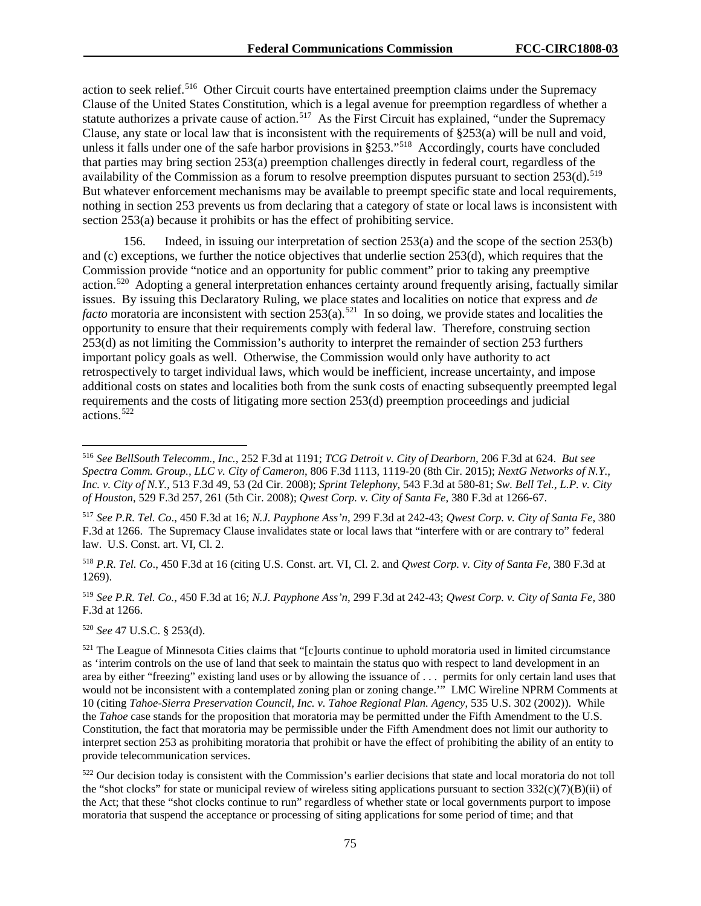action to seek relief.<sup>[516](#page-75-0)</sup> Other Circuit courts have entertained preemption claims under the Supremacy Clause of the United States Constitution, which is a legal avenue for preemption regardless of whether a statute authorizes a private cause of action.<sup>[517](#page-75-1)</sup> As the First Circuit has explained, "under the Supremacy" Clause, any state or local law that is inconsistent with the requirements of §253(a) will be null and void, unless it falls under one of the safe harbor provisions in §253."<sup>518</sup> Accordingly, courts have concluded that parties may bring section 253(a) preemption challenges directly in federal court, regardless of the availability of the Commission as a forum to resolve preemption disputes pursuant to section  $253(d)$ .<sup>[519](#page-75-3)</sup> But whatever enforcement mechanisms may be available to preempt specific state and local requirements, nothing in section 253 prevents us from declaring that a category of state or local laws is inconsistent with section 253(a) because it prohibits or has the effect of prohibiting service.

156. Indeed, in issuing our interpretation of section 253(a) and the scope of the section 253(b) and (c) exceptions, we further the notice objectives that underlie section 253(d), which requires that the Commission provide "notice and an opportunity for public comment" prior to taking any preemptive action.[520](#page-75-4) Adopting a general interpretation enhances certainty around frequently arising, factually similar issues. By issuing this Declaratory Ruling, we place states and localities on notice that express and *de facto* moratoria are inconsistent with section 253(a).<sup>521</sup> In so doing, we provide states and localities the opportunity to ensure that their requirements comply with federal law. Therefore, construing section 253(d) as not limiting the Commission's authority to interpret the remainder of section 253 furthers important policy goals as well. Otherwise, the Commission would only have authority to act retrospectively to target individual laws, which would be inefficient, increase uncertainty, and impose additional costs on states and localities both from the sunk costs of enacting subsequently preempted legal requirements and the costs of litigating more section 253(d) preemption proceedings and judicial actions.[522](#page-75-6)

<span id="page-75-2"></span><sup>518</sup> *P.R. Tel. Co*., 450 F.3d at 16 (citing U.S. Const. art. VI, Cl. 2. and *Qwest Corp. v. City of Santa Fe*, 380 F.3d at 1269).

<span id="page-75-3"></span><sup>519</sup> *See P.R. Tel. Co.*, 450 F.3d at 16; *N.J. Payphone Ass'n*, 299 F.3d at 242-43; *Qwest Corp. v. City of Santa Fe*, 380 F.3d at 1266.

<span id="page-75-4"></span><sup>520</sup> *See* 47 U.S.C. § 253(d).

<span id="page-75-0"></span> <sup>516</sup> *See BellSouth Telecomm., Inc.,* 252 F.3d at 1191; *TCG Detroit v. City of Dearborn,* 206 F.3d at 624. *But see Spectra Comm. Group., LLC v. City of Cameron*, 806 F.3d 1113, 1119-20 (8th Cir. 2015); *NextG Networks of N.Y., Inc. v. City of N.Y.*, 513 F.3d 49, 53 (2d Cir. 2008); *Sprint Telephony*, 543 F.3d at 580-81; *Sw. Bell Tel., L.P. v. City of Houston*, 529 F.3d 257, 261 (5th Cir. 2008); *Qwest Corp. v. City of Santa Fe*, 380 F.3d at 1266-67.

<span id="page-75-1"></span><sup>517</sup> *See P.R. Tel. Co*., 450 F.3d at 16; *N.J. Payphone Ass'n*, 299 F.3d at 242-43; *Qwest Corp. v. City of Santa Fe,* 380 F.3d at 1266. The Supremacy Clause invalidates state or local laws that "interfere with or are contrary to" federal law. U.S. Const. art. VI, Cl. 2.

<span id="page-75-5"></span> $521$  The League of Minnesota Cities claims that "[c]ourts continue to uphold moratoria used in limited circumstance as 'interim controls on the use of land that seek to maintain the status quo with respect to land development in an area by either "freezing" existing land uses or by allowing the issuance of . . . permits for only certain land uses that would not be inconsistent with a contemplated zoning plan or zoning change.'" LMC Wireline NPRM Comments at 10 (citing *Tahoe-Sierra Preservation Council, Inc. v. Tahoe Regional Plan. Agency*, 535 U.S. 302 (2002)). While the *Tahoe* case stands for the proposition that moratoria may be permitted under the Fifth Amendment to the U.S. Constitution, the fact that moratoria may be permissible under the Fifth Amendment does not limit our authority to interpret section 253 as prohibiting moratoria that prohibit or have the effect of prohibiting the ability of an entity to provide telecommunication services.

<span id="page-75-6"></span><sup>&</sup>lt;sup>522</sup> Our decision today is consistent with the Commission's earlier decisions that state and local moratoria do not toll the "shot clocks" for state or municipal review of wireless siting applications pursuant to section  $332(c)(7)(B)(ii)$  of the Act; that these "shot clocks continue to run" regardless of whether state or local governments purport to impose moratoria that suspend the acceptance or processing of siting applications for some period of time; and that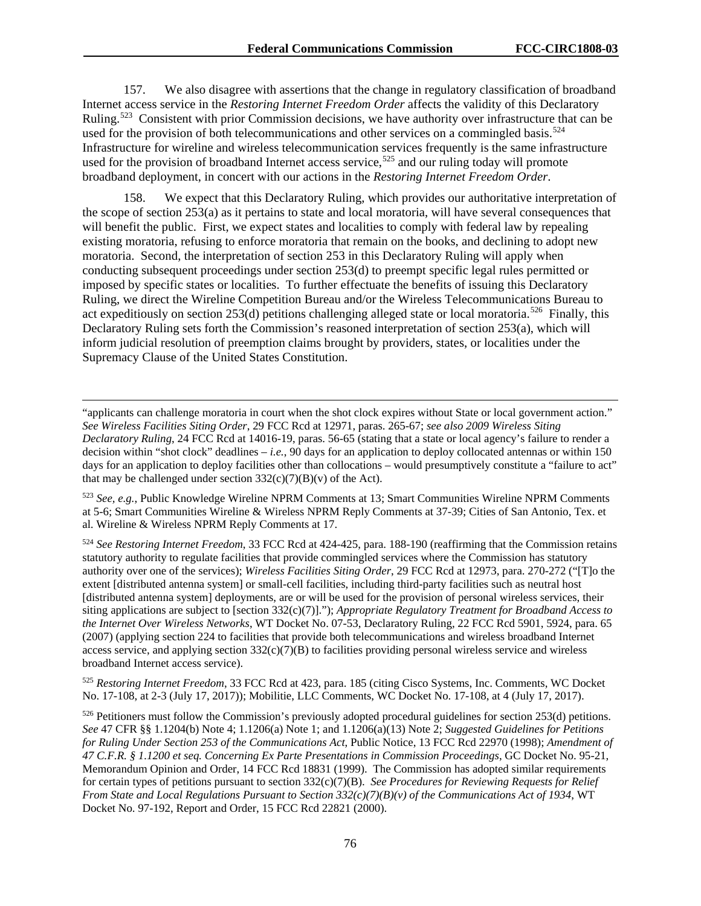157. We also disagree with assertions that the change in regulatory classification of broadband Internet access service in the *Restoring Internet Freedom Order* affects the validity of this Declaratory Ruling.<sup>523</sup> Consistent with prior Commission decisions, we have authority over infrastructure that can be used for the provision of both telecommunications and other services on a commingled basis.<sup>524</sup> Infrastructure for wireline and wireless telecommunication services frequently is the same infrastructure used for the provision of broadband Internet access service,<sup>[525](#page-76-2)</sup> and our ruling today will promote broadband deployment, in concert with our actions in the *Restoring Internet Freedom Order*.

158. We expect that this Declaratory Ruling, which provides our authoritative interpretation of the scope of section 253(a) as it pertains to state and local moratoria, will have several consequences that will benefit the public. First, we expect states and localities to comply with federal law by repealing existing moratoria, refusing to enforce moratoria that remain on the books, and declining to adopt new moratoria. Second, the interpretation of section 253 in this Declaratory Ruling will apply when conducting subsequent proceedings under section 253(d) to preempt specific legal rules permitted or imposed by specific states or localities. To further effectuate the benefits of issuing this Declaratory Ruling, we direct the Wireline Competition Bureau and/or the Wireless Telecommunications Bureau to act expeditiously on section 253(d) petitions challenging alleged state or local moratoria.<sup>[526](#page-76-3)</sup> Finally, this Declaratory Ruling sets forth the Commission's reasoned interpretation of section 253(a), which will inform judicial resolution of preemption claims brought by providers, states, or localities under the Supremacy Clause of the United States Constitution.

"applicants can challenge moratoria in court when the shot clock expires without State or local government action." *See Wireless Facilities Siting Order*, 29 FCC Rcd at 12971, paras. 265-67; *see also 2009 Wireless Siting Declaratory Ruling*, 24 FCC Rcd at 14016-19, paras. 56-65 (stating that a state or local agency's failure to render a decision within "shot clock" deadlines – *i.e.*, 90 days for an application to deploy collocated antennas or within 150 days for an application to deploy facilities other than collocations – would presumptively constitute a "failure to act" that may be challenged under section  $332(c)(7)(B)(v)$  of the Act).

 $\overline{a}$ 

<span id="page-76-0"></span><sup>523</sup> *See, e.g.*, Public Knowledge Wireline NPRM Comments at 13; Smart Communities Wireline NPRM Comments at 5-6; Smart Communities Wireline & Wireless NPRM Reply Comments at 37-39; Cities of San Antonio, Tex. et al. Wireline & Wireless NPRM Reply Comments at 17.

<span id="page-76-1"></span><sup>524</sup> *See Restoring Internet Freedom*, 33 FCC Rcd at 424-425, para. 188-190 (reaffirming that the Commission retains statutory authority to regulate facilities that provide commingled services where the Commission has statutory authority over one of the services); *Wireless Facilities Siting Order*, 29 FCC Rcd at 12973, para. 270-272 ("[T]o the extent [distributed antenna system] or small-cell facilities, including third-party facilities such as neutral host [distributed antenna system] deployments, are or will be used for the provision of personal wireless services, their siting applications are subject to [section 332(c)(7)]."); *Appropriate Regulatory Treatment for Broadband Access to the Internet Over Wireless Networks*, WT Docket No. 07-53, Declaratory Ruling, 22 FCC Rcd 5901, 5924, para. 65 (2007) (applying section 224 to facilities that provide both telecommunications and wireless broadband Internet access service, and applying section  $332(c)(7)(B)$  to facilities providing personal wireless service and wireless broadband Internet access service).

<span id="page-76-2"></span><sup>525</sup> *Restoring Internet Freedom*, 33 FCC Rcd at 423, para. 185 (citing Cisco Systems, Inc. Comments, WC Docket No. 17-108, at 2-3 (July 17, 2017)); Mobilitie, LLC Comments, WC Docket No. 17-108, at 4 (July 17, 2017).

<span id="page-76-3"></span><sup>526</sup> Petitioners must follow the Commission's previously adopted procedural guidelines for section 253(d) petitions. *See* 47 CFR §§ 1.1204(b) Note 4; 1.1206(a) Note 1; and 1.1206(a)(13) Note 2; *Suggested Guidelines for Petitions for Ruling Under Section 253 of the Communications Act*, Public Notice, 13 FCC Rcd 22970 (1998); *Amendment of 47 C.F.R. § 1.1200 et seq. Concerning Ex Parte Presentations in Commission Proceedings*, GC Docket No. 95-21, Memorandum Opinion and Order, 14 FCC Rcd 18831 (1999). The Commission has adopted similar requirements for certain types of petitions pursuant to section 332(c)(7)(B). *See Procedures for Reviewing Requests for Relief From State and Local Regulations Pursuant to Section 332(c)(7)(B)(v) of the Communications Act of 1934*, WT Docket No. 97-192, Report and Order, 15 FCC Rcd 22821 (2000).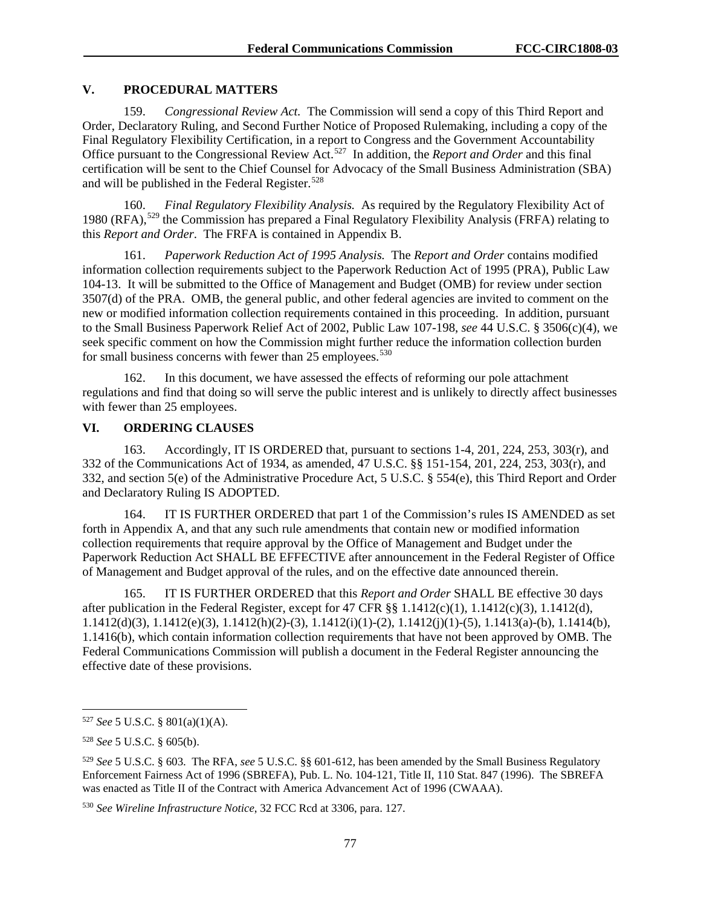### **V. PROCEDURAL MATTERS**

159. *Congressional Review Act.* The Commission will send a copy of this Third Report and Order, Declaratory Ruling, and Second Further Notice of Proposed Rulemaking, including a copy of the Final Regulatory Flexibility Certification, in a report to Congress and the Government Accountability Office pursuant to the Congressional Review Act.[527](#page-77-0) In addition, the *Report and Order* and this final certification will be sent to the Chief Counsel for Advocacy of the Small Business Administration (SBA) and will be published in the Federal Register.<sup>[528](#page-77-1)</sup>

160. *Final Regulatory Flexibility Analysis.* As required by the Regulatory Flexibility Act of 1980 (RFA),<sup>[529](#page-77-2)</sup> the Commission has prepared a Final Regulatory Flexibility Analysis (FRFA) relating to this *Report and Order*. The FRFA is contained in Appendix B.

161. *Paperwork Reduction Act of 1995 Analysis.* The *Report and Order* contains modified information collection requirements subject to the Paperwork Reduction Act of 1995 (PRA), Public Law 104-13. It will be submitted to the Office of Management and Budget (OMB) for review under section 3507(d) of the PRA. OMB, the general public, and other federal agencies are invited to comment on the new or modified information collection requirements contained in this proceeding. In addition, pursuant to the Small Business Paperwork Relief Act of 2002, Public Law 107-198, *see* 44 U.S.C. § 3506(c)(4), we seek specific comment on how the Commission might further reduce the information collection burden for small business concerns with fewer than 25 employees.<sup>[530](#page-77-3)</sup>

162. In this document, we have assessed the effects of reforming our pole attachment regulations and find that doing so will serve the public interest and is unlikely to directly affect businesses with fewer than 25 employees.

# **VI. ORDERING CLAUSES**

163. Accordingly, IT IS ORDERED that, pursuant to sections 1-4, 201, 224, 253, 303(r), and 332 of the Communications Act of 1934, as amended, 47 U.S.C. §§ 151-154, 201, 224, 253, 303(r), and 332, and section 5(e) of the Administrative Procedure Act, 5 U.S.C. § 554(e), this Third Report and Order and Declaratory Ruling IS ADOPTED.

164. IT IS FURTHER ORDERED that part 1 of the Commission's rules IS AMENDED as set forth in Appendix A, and that any such rule amendments that contain new or modified information collection requirements that require approval by the Office of Management and Budget under the Paperwork Reduction Act SHALL BE EFFECTIVE after announcement in the Federal Register of Office of Management and Budget approval of the rules, and on the effective date announced therein.

165. IT IS FURTHER ORDERED that this *Report and Order* SHALL BE effective 30 days after publication in the Federal Register, except for 47 CFR §§ 1.1412(c)(1), 1.1412(c)(3), 1.1412(d), 1.1412(d)(3), 1.1412(e)(3), 1.1412(h)(2)-(3), 1.1412(i)(1)-(2), 1.1412(j)(1)-(5), 1.1413(a)-(b), 1.1414(b), 1.1416(b), which contain information collection requirements that have not been approved by OMB. The Federal Communications Commission will publish a document in the Federal Register announcing the effective date of these provisions.

<span id="page-77-0"></span> <sup>527</sup> *See* 5 U.S.C. § 801(a)(1)(A).

<span id="page-77-1"></span><sup>528</sup> *See* 5 U.S.C. § 605(b).

<span id="page-77-2"></span><sup>529</sup> *See* 5 U.S.C. § 603. The RFA, *see* 5 U.S.C. §§ 601-612, has been amended by the Small Business Regulatory Enforcement Fairness Act of 1996 (SBREFA), Pub. L. No. 104-121, Title II, 110 Stat. 847 (1996). The SBREFA was enacted as Title II of the Contract with America Advancement Act of 1996 (CWAAA).

<span id="page-77-3"></span><sup>530</sup> *See Wireline Infrastructure Notice*, 32 FCC Rcd at 3306, para. 127.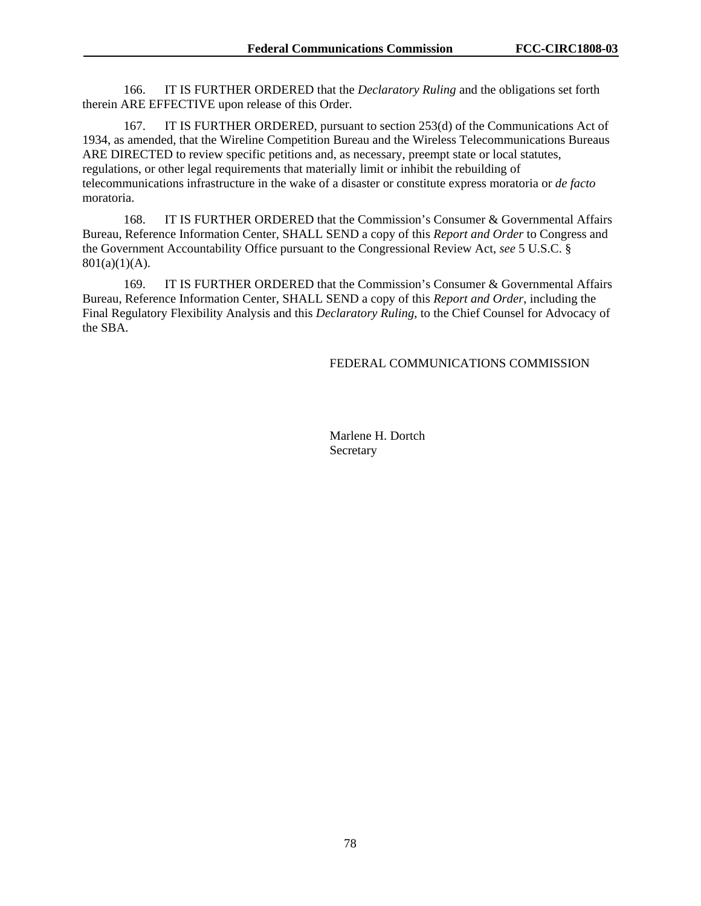166. IT IS FURTHER ORDERED that the *Declaratory Ruling* and the obligations set forth therein ARE EFFECTIVE upon release of this Order.

167. IT IS FURTHER ORDERED, pursuant to section 253(d) of the Communications Act of 1934, as amended, that the Wireline Competition Bureau and the Wireless Telecommunications Bureaus ARE DIRECTED to review specific petitions and, as necessary, preempt state or local statutes, regulations, or other legal requirements that materially limit or inhibit the rebuilding of telecommunications infrastructure in the wake of a disaster or constitute express moratoria or *de facto*  moratoria.

168. IT IS FURTHER ORDERED that the Commission's Consumer & Governmental Affairs Bureau, Reference Information Center, SHALL SEND a copy of this *Report and Order* to Congress and the Government Accountability Office pursuant to the Congressional Review Act, *see* 5 U.S.C. §  $801(a)(1)(A)$ .

169. IT IS FURTHER ORDERED that the Commission's Consumer & Governmental Affairs Bureau, Reference Information Center, SHALL SEND a copy of this *Report and Order*, including the Final Regulatory Flexibility Analysis and this *Declaratory Ruling*, to the Chief Counsel for Advocacy of the SBA.

#### FEDERAL COMMUNICATIONS COMMISSION

Marlene H. Dortch Secretary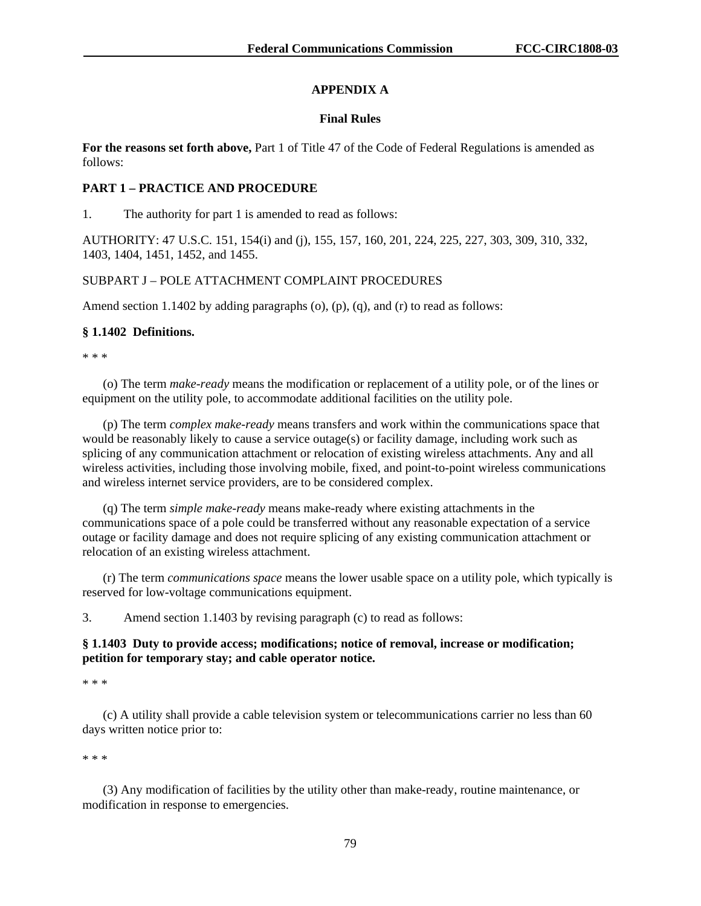# **APPENDIX A**

### **Final Rules**

**For the reasons set forth above,** Part 1 of Title 47 of the Code of Federal Regulations is amended as follows:

### **PART 1 – PRACTICE AND PROCEDURE**

1. The authority for part 1 is amended to read as follows:

AUTHORITY: 47 U.S.C. 151, 154(i) and (j), 155, 157, 160, 201, 224, 225, 227, 303, 309, 310, 332, 1403, 1404, 1451, 1452, and 1455.

## SUBPART J – POLE ATTACHMENT COMPLAINT PROCEDURES

Amend section 1.1402 by adding paragraphs (o), (p), (q), and (r) to read as follows:

### **§ 1.1402 Definitions.**

\* \* \*

(o) The term *make-ready* means the modification or replacement of a utility pole, or of the lines or equipment on the utility pole, to accommodate additional facilities on the utility pole.

(p) The term *complex make-ready* means transfers and work within the communications space that would be reasonably likely to cause a service outage(s) or facility damage, including work such as splicing of any communication attachment or relocation of existing wireless attachments. Any and all wireless activities, including those involving mobile, fixed, and point-to-point wireless communications and wireless internet service providers, are to be considered complex.

(q) The term *simple make-ready* means make-ready where existing attachments in the communications space of a pole could be transferred without any reasonable expectation of a service outage or facility damage and does not require splicing of any existing communication attachment or relocation of an existing wireless attachment.

(r) The term *communications space* means the lower usable space on a utility pole, which typically is reserved for low-voltage communications equipment.

3. Amend section 1.1403 by revising paragraph (c) to read as follows:

## **§ 1.1403 Duty to provide access; modifications; notice of removal, increase or modification; petition for temporary stay; and cable operator notice.**

\* \* \*

(c) A utility shall provide a cable television system or telecommunications carrier no less than 60 days written notice prior to:

\* \* \*

(3) Any modification of facilities by the utility other than make-ready, routine maintenance, or modification in response to emergencies.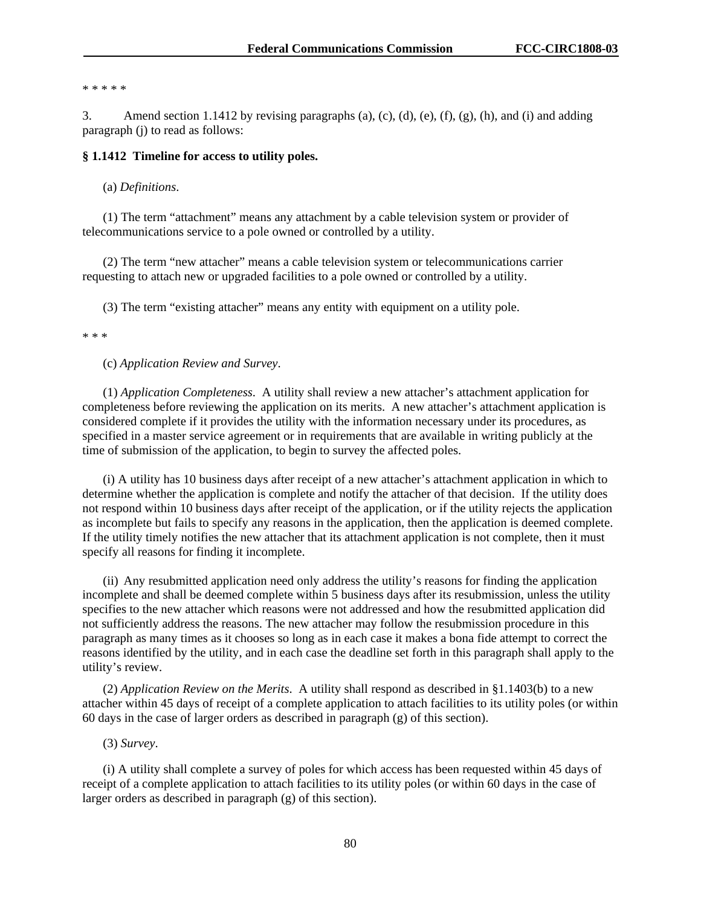\* \* \* \* \*

3. Amend section 1.1412 by revising paragraphs (a), (c), (d), (e), (f), (g), (h), and (i) and adding paragraph (j) to read as follows:

#### **§ 1.1412 Timeline for access to utility poles.**

(a) *Definitions*.

(1) The term "attachment" means any attachment by a cable television system or provider of telecommunications service to a pole owned or controlled by a utility.

(2) The term "new attacher" means a cable television system or telecommunications carrier requesting to attach new or upgraded facilities to a pole owned or controlled by a utility.

(3) The term "existing attacher" means any entity with equipment on a utility pole.

\* \* \*

(c) *Application Review and Survey*.

(1) *Application Completeness*.A utility shall review a new attacher's attachment application for completeness before reviewing the application on its merits. A new attacher's attachment application is considered complete if it provides the utility with the information necessary under its procedures, as specified in a master service agreement or in requirements that are available in writing publicly at the time of submission of the application, to begin to survey the affected poles.

(i) A utility has 10 business days after receipt of a new attacher's attachment application in which to determine whether the application is complete and notify the attacher of that decision. If the utility does not respond within 10 business days after receipt of the application, or if the utility rejects the application as incomplete but fails to specify any reasons in the application, then the application is deemed complete. If the utility timely notifies the new attacher that its attachment application is not complete, then it must specify all reasons for finding it incomplete.

(ii) Any resubmitted application need only address the utility's reasons for finding the application incomplete and shall be deemed complete within 5 business days after its resubmission, unless the utility specifies to the new attacher which reasons were not addressed and how the resubmitted application did not sufficiently address the reasons. The new attacher may follow the resubmission procedure in this paragraph as many times as it chooses so long as in each case it makes a bona fide attempt to correct the reasons identified by the utility, and in each case the deadline set forth in this paragraph shall apply to the utility's review.

(2) *Application Review on the Merits*.A utility shall respond as described in §1.1403(b) to a new attacher within 45 days of receipt of a complete application to attach facilities to its utility poles (or within 60 days in the case of larger orders as described in paragraph (g) of this section).

(3) *Survey*.

(i) A utility shall complete a survey of poles for which access has been requested within 45 days of receipt of a complete application to attach facilities to its utility poles (or within 60 days in the case of larger orders as described in paragraph (g) of this section).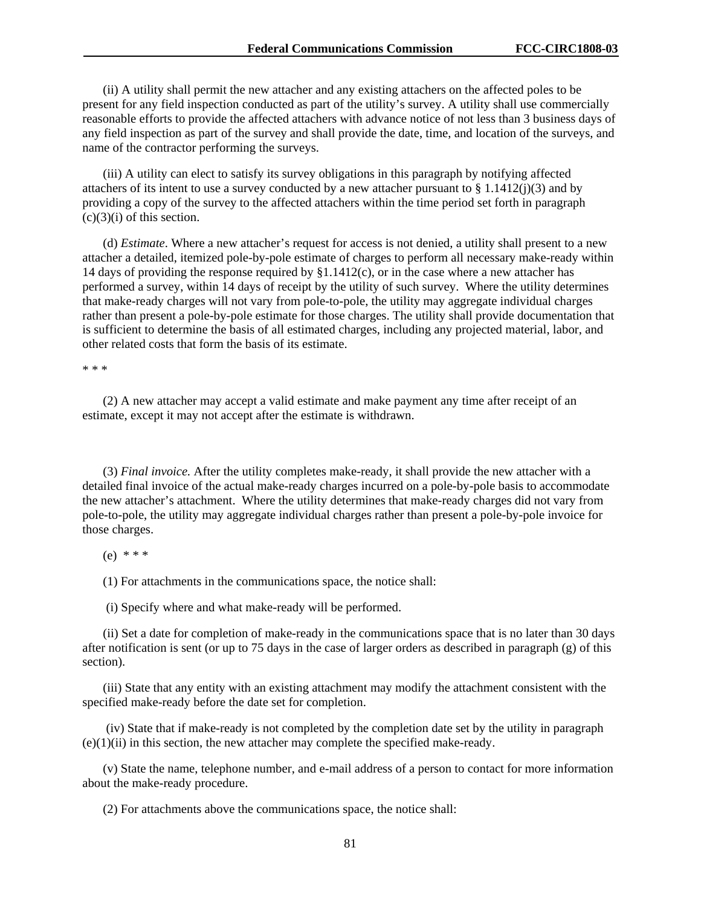(ii) A utility shall permit the new attacher and any existing attachers on the affected poles to be present for any field inspection conducted as part of the utility's survey. A utility shall use commercially reasonable efforts to provide the affected attachers with advance notice of not less than 3 business days of any field inspection as part of the survey and shall provide the date, time, and location of the surveys, and name of the contractor performing the surveys.

(iii) A utility can elect to satisfy its survey obligations in this paragraph by notifying affected attachers of its intent to use a survey conducted by a new attacher pursuant to  $\S 1.1412(j)(3)$  and by providing a copy of the survey to the affected attachers within the time period set forth in paragraph  $(c)(3)(i)$  of this section.

(d) *Estimate*. Where a new attacher's request for access is not denied, a utility shall present to a new attacher a detailed, itemized pole-by-pole estimate of charges to perform all necessary make-ready within 14 days of providing the response required by §1.1412(c), or in the case where a new attacher has performed a survey, within 14 days of receipt by the utility of such survey. Where the utility determines that make-ready charges will not vary from pole-to-pole, the utility may aggregate individual charges rather than present a pole-by-pole estimate for those charges. The utility shall provide documentation that is sufficient to determine the basis of all estimated charges, including any projected material, labor, and other related costs that form the basis of its estimate.

\* \* \*

(2) A new attacher may accept a valid estimate and make payment any time after receipt of an estimate, except it may not accept after the estimate is withdrawn.

(3) *Final invoice.* After the utility completes make-ready, it shall provide the new attacher with a detailed final invoice of the actual make-ready charges incurred on a pole-by-pole basis to accommodate the new attacher's attachment. Where the utility determines that make-ready charges did not vary from pole-to-pole, the utility may aggregate individual charges rather than present a pole-by-pole invoice for those charges.

(e) \* \* \*

(1) For attachments in the communications space, the notice shall:

(i) Specify where and what make-ready will be performed.

(ii) Set a date for completion of make-ready in the communications space that is no later than 30 days after notification is sent (or up to 75 days in the case of larger orders as described in paragraph (g) of this section).

(iii) State that any entity with an existing attachment may modify the attachment consistent with the specified make-ready before the date set for completion.

(iv) State that if make-ready is not completed by the completion date set by the utility in paragraph  $(e)(1)(ii)$  in this section, the new attacher may complete the specified make-ready.

(v) State the name, telephone number, and e-mail address of a person to contact for more information about the make-ready procedure.

(2) For attachments above the communications space, the notice shall: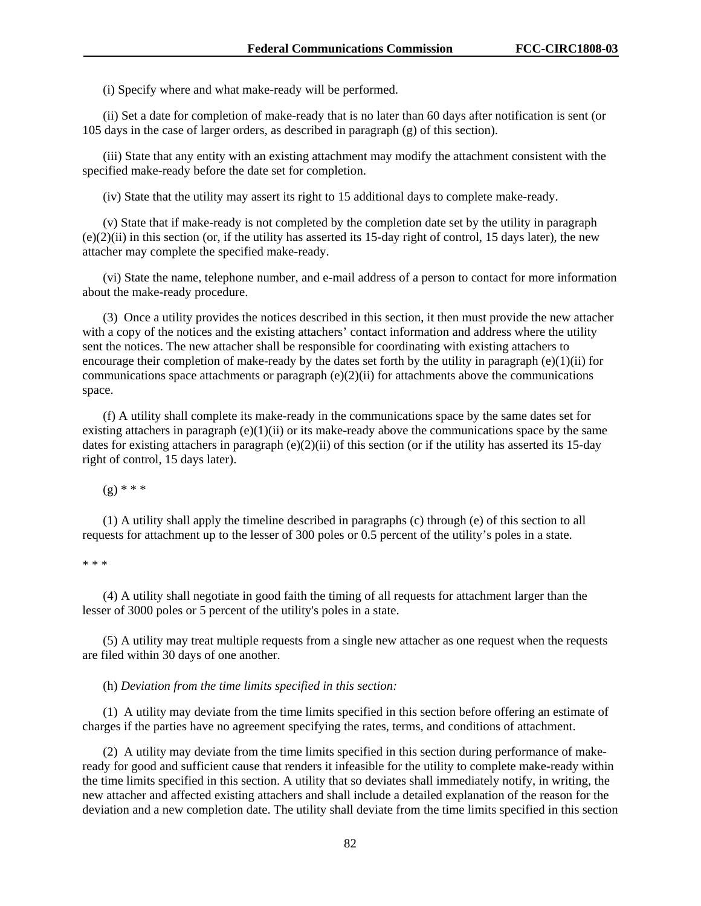(i) Specify where and what make-ready will be performed.

(ii) Set a date for completion of make-ready that is no later than 60 days after notification is sent (or 105 days in the case of larger orders, as described in paragraph (g) of this section).

(iii) State that any entity with an existing attachment may modify the attachment consistent with the specified make-ready before the date set for completion.

(iv) State that the utility may assert its right to 15 additional days to complete make-ready.

(v) State that if make-ready is not completed by the completion date set by the utility in paragraph  $(e)(2)(ii)$  in this section (or, if the utility has asserted its 15-day right of control, 15 days later), the new attacher may complete the specified make-ready.

(vi) State the name, telephone number, and e-mail address of a person to contact for more information about the make-ready procedure.

(3) Once a utility provides the notices described in this section, it then must provide the new attacher with a copy of the notices and the existing attachers' contact information and address where the utility sent the notices. The new attacher shall be responsible for coordinating with existing attachers to encourage their completion of make-ready by the dates set forth by the utility in paragraph  $(e)(1)(ii)$  for communications space attachments or paragraph  $(e)(2)(ii)$  for attachments above the communications space.

(f) A utility shall complete its make-ready in the communications space by the same dates set for existing attachers in paragraph  $(e)(1)(ii)$  or its make-ready above the communications space by the same dates for existing attachers in paragraph (e)(2)(ii) of this section (or if the utility has asserted its 15-day right of control, 15 days later).

 $(g)$  \* \* \*

(1) A utility shall apply the timeline described in paragraphs (c) through (e) of this section to all requests for attachment up to the lesser of 300 poles or 0.5 percent of the utility's poles in a state.

\* \* \*

(4) A utility shall negotiate in good faith the timing of all requests for attachment larger than the lesser of 3000 poles or 5 percent of the utility's poles in a state.

(5) A utility may treat multiple requests from a single new attacher as one request when the requests are filed within 30 days of one another.

(h) *Deviation from the time limits specified in this section:*

(1) A utility may deviate from the time limits specified in this section before offering an estimate of charges if the parties have no agreement specifying the rates, terms, and conditions of attachment.

(2) A utility may deviate from the time limits specified in this section during performance of makeready for good and sufficient cause that renders it infeasible for the utility to complete make-ready within the time limits specified in this section. A utility that so deviates shall immediately notify, in writing, the new attacher and affected existing attachers and shall include a detailed explanation of the reason for the deviation and a new completion date. The utility shall deviate from the time limits specified in this section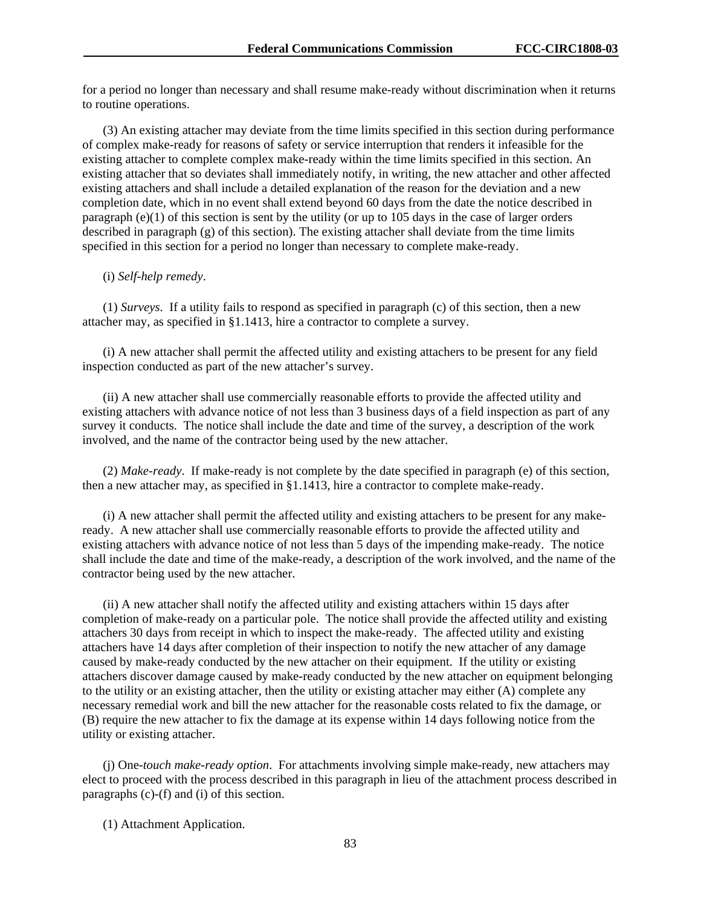for a period no longer than necessary and shall resume make-ready without discrimination when it returns to routine operations.

(3) An existing attacher may deviate from the time limits specified in this section during performance of complex make-ready for reasons of safety or service interruption that renders it infeasible for the existing attacher to complete complex make-ready within the time limits specified in this section. An existing attacher that so deviates shall immediately notify, in writing, the new attacher and other affected existing attachers and shall include a detailed explanation of the reason for the deviation and a new completion date, which in no event shall extend beyond 60 days from the date the notice described in paragraph (e)(1) of this section is sent by the utility (or up to 105 days in the case of larger orders described in paragraph (g) of this section). The existing attacher shall deviate from the time limits specified in this section for a period no longer than necessary to complete make-ready.

(i) *Self-help remedy*.

(1) *Surveys*.If a utility fails to respond as specified in paragraph (c) of this section, then a new attacher may, as specified in §1.1413, hire a contractor to complete a survey.

(i) A new attacher shall permit the affected utility and existing attachers to be present for any field inspection conducted as part of the new attacher's survey.

(ii) A new attacher shall use commercially reasonable efforts to provide the affected utility and existing attachers with advance notice of not less than 3 business days of a field inspection as part of any survey it conducts. The notice shall include the date and time of the survey, a description of the work involved, and the name of the contractor being used by the new attacher.

(2) *Make-ready*.If make-ready is not complete by the date specified in paragraph (e) of this section, then a new attacher may, as specified in §1.1413, hire a contractor to complete make-ready.

(i) A new attacher shall permit the affected utility and existing attachers to be present for any makeready. A new attacher shall use commercially reasonable efforts to provide the affected utility and existing attachers with advance notice of not less than 5 days of the impending make-ready. The notice shall include the date and time of the make-ready, a description of the work involved, and the name of the contractor being used by the new attacher.

(ii) A new attacher shall notify the affected utility and existing attachers within 15 days after completion of make-ready on a particular pole. The notice shall provide the affected utility and existing attachers 30 days from receipt in which to inspect the make-ready. The affected utility and existing attachers have 14 days after completion of their inspection to notify the new attacher of any damage caused by make-ready conducted by the new attacher on their equipment. If the utility or existing attachers discover damage caused by make-ready conducted by the new attacher on equipment belonging to the utility or an existing attacher, then the utility or existing attacher may either (A) complete any necessary remedial work and bill the new attacher for the reasonable costs related to fix the damage, or (B) require the new attacher to fix the damage at its expense within 14 days following notice from the utility or existing attacher.

(j) One*-touch make-ready option*. For attachments involving simple make-ready, new attachers may elect to proceed with the process described in this paragraph in lieu of the attachment process described in paragraphs (c)-(f) and (i) of this section.

(1) Attachment Application.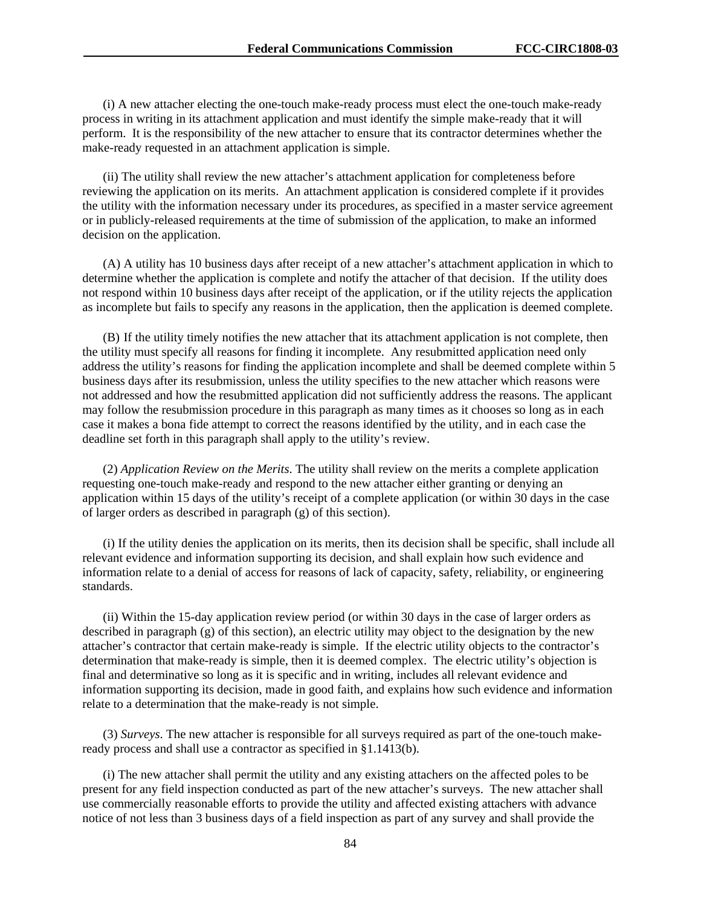(i) A new attacher electing the one-touch make-ready process must elect the one-touch make-ready process in writing in its attachment application and must identify the simple make-ready that it will perform. It is the responsibility of the new attacher to ensure that its contractor determines whether the make-ready requested in an attachment application is simple.

(ii) The utility shall review the new attacher's attachment application for completeness before reviewing the application on its merits. An attachment application is considered complete if it provides the utility with the information necessary under its procedures, as specified in a master service agreement or in publicly-released requirements at the time of submission of the application, to make an informed decision on the application.

(A) A utility has 10 business days after receipt of a new attacher's attachment application in which to determine whether the application is complete and notify the attacher of that decision. If the utility does not respond within 10 business days after receipt of the application, or if the utility rejects the application as incomplete but fails to specify any reasons in the application, then the application is deemed complete.

(B) If the utility timely notifies the new attacher that its attachment application is not complete, then the utility must specify all reasons for finding it incomplete. Any resubmitted application need only address the utility's reasons for finding the application incomplete and shall be deemed complete within 5 business days after its resubmission, unless the utility specifies to the new attacher which reasons were not addressed and how the resubmitted application did not sufficiently address the reasons. The applicant may follow the resubmission procedure in this paragraph as many times as it chooses so long as in each case it makes a bona fide attempt to correct the reasons identified by the utility, and in each case the deadline set forth in this paragraph shall apply to the utility's review.

(2) *Application Review on the Merits*. The utility shall review on the merits a complete application requesting one-touch make-ready and respond to the new attacher either granting or denying an application within 15 days of the utility's receipt of a complete application (or within 30 days in the case of larger orders as described in paragraph (g) of this section).

(i) If the utility denies the application on its merits, then its decision shall be specific, shall include all relevant evidence and information supporting its decision, and shall explain how such evidence and information relate to a denial of access for reasons of lack of capacity, safety, reliability, or engineering standards.

(ii) Within the 15-day application review period (or within 30 days in the case of larger orders as described in paragraph (g) of this section), an electric utility may object to the designation by the new attacher's contractor that certain make-ready is simple. If the electric utility objects to the contractor's determination that make-ready is simple, then it is deemed complex. The electric utility's objection is final and determinative so long as it is specific and in writing, includes all relevant evidence and information supporting its decision, made in good faith, and explains how such evidence and information relate to a determination that the make-ready is not simple.

(3) *Surveys*. The new attacher is responsible for all surveys required as part of the one-touch makeready process and shall use a contractor as specified in §1.1413(b).

(i) The new attacher shall permit the utility and any existing attachers on the affected poles to be present for any field inspection conducted as part of the new attacher's surveys. The new attacher shall use commercially reasonable efforts to provide the utility and affected existing attachers with advance notice of not less than 3 business days of a field inspection as part of any survey and shall provide the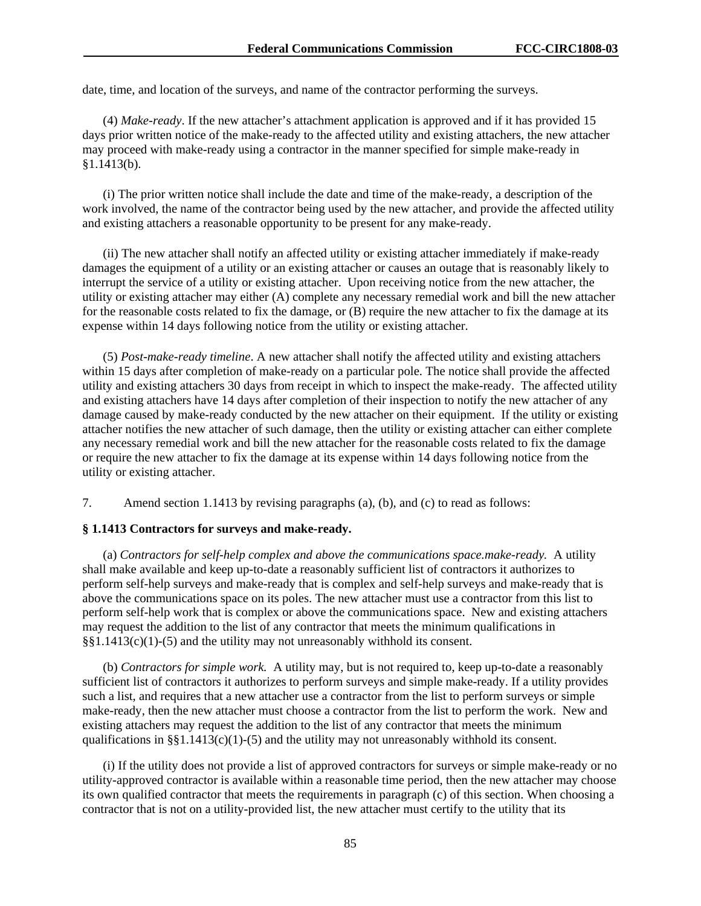date, time, and location of the surveys, and name of the contractor performing the surveys.

(4) *Make-ready*. If the new attacher's attachment application is approved and if it has provided 15 days prior written notice of the make-ready to the affected utility and existing attachers, the new attacher may proceed with make-ready using a contractor in the manner specified for simple make-ready in §1.1413(b).

(i) The prior written notice shall include the date and time of the make-ready, a description of the work involved, the name of the contractor being used by the new attacher, and provide the affected utility and existing attachers a reasonable opportunity to be present for any make-ready.

(ii) The new attacher shall notify an affected utility or existing attacher immediately if make-ready damages the equipment of a utility or an existing attacher or causes an outage that is reasonably likely to interrupt the service of a utility or existing attacher. Upon receiving notice from the new attacher, the utility or existing attacher may either (A) complete any necessary remedial work and bill the new attacher for the reasonable costs related to fix the damage, or (B) require the new attacher to fix the damage at its expense within 14 days following notice from the utility or existing attacher.

(5) *Post-make-ready timeline*. A new attacher shall notify the affected utility and existing attachers within 15 days after completion of make-ready on a particular pole. The notice shall provide the affected utility and existing attachers 30 days from receipt in which to inspect the make-ready. The affected utility and existing attachers have 14 days after completion of their inspection to notify the new attacher of any damage caused by make-ready conducted by the new attacher on their equipment. If the utility or existing attacher notifies the new attacher of such damage, then the utility or existing attacher can either complete any necessary remedial work and bill the new attacher for the reasonable costs related to fix the damage or require the new attacher to fix the damage at its expense within 14 days following notice from the utility or existing attacher.

7. Amend section 1.1413 by revising paragraphs (a), (b), and (c) to read as follows:

#### **§ 1.1413 Contractors for surveys and make-ready.**

(a) *Contractors for self-help complex and above the communications space.make-ready.* A utility shall make available and keep up-to-date a reasonably sufficient list of contractors it authorizes to perform self-help surveys and make-ready that is complex and self-help surveys and make-ready that is above the communications space on its poles. The new attacher must use a contractor from this list to perform self-help work that is complex or above the communications space. New and existing attachers may request the addition to the list of any contractor that meets the minimum qualifications in §§1.1413(c)(1)-(5) and the utility may not unreasonably withhold its consent.

(b) *Contractors for simple work.* A utility may, but is not required to, keep up-to-date a reasonably sufficient list of contractors it authorizes to perform surveys and simple make-ready. If a utility provides such a list, and requires that a new attacher use a contractor from the list to perform surveys or simple make-ready, then the new attacher must choose a contractor from the list to perform the work. New and existing attachers may request the addition to the list of any contractor that meets the minimum qualifications in  $\S$ §1.1413(c)(1)-(5) and the utility may not unreasonably withhold its consent.

(i) If the utility does not provide a list of approved contractors for surveys or simple make-ready or no utility-approved contractor is available within a reasonable time period, then the new attacher may choose its own qualified contractor that meets the requirements in paragraph (c) of this section. When choosing a contractor that is not on a utility-provided list, the new attacher must certify to the utility that its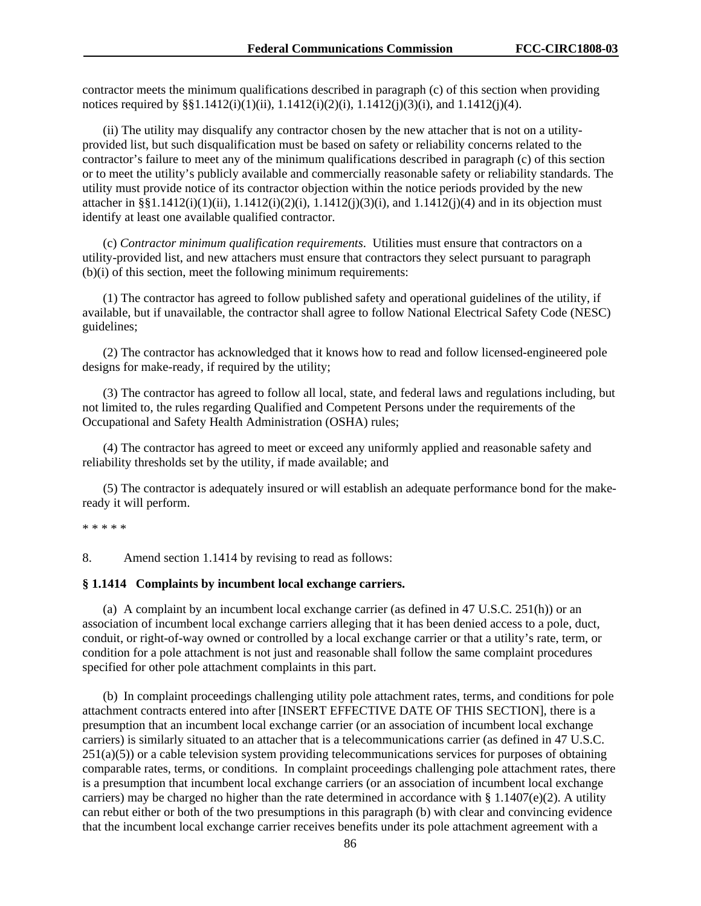contractor meets the minimum qualifications described in paragraph (c) of this section when providing notices required by  $\S$ 1.1412(i)(1)(ii), 1.1412(i)(2)(i), 1.1412(j)(3)(i), and 1.1412(j)(4).

(ii) The utility may disqualify any contractor chosen by the new attacher that is not on a utilityprovided list, but such disqualification must be based on safety or reliability concerns related to the contractor's failure to meet any of the minimum qualifications described in paragraph (c) of this section or to meet the utility's publicly available and commercially reasonable safety or reliability standards. The utility must provide notice of its contractor objection within the notice periods provided by the new attacher in §§1.1412(i)(1)(ii), 1.1412(i)(2)(i), 1.1412(j)(3)(i), and 1.1412(j)(4) and in its objection must identify at least one available qualified contractor.

(c) *Contractor minimum qualification requirements*. Utilities must ensure that contractors on a utility-provided list, and new attachers must ensure that contractors they select pursuant to paragraph (b)(i) of this section, meet the following minimum requirements:

(1) The contractor has agreed to follow published safety and operational guidelines of the utility, if available, but if unavailable, the contractor shall agree to follow National Electrical Safety Code (NESC) guidelines;

(2) The contractor has acknowledged that it knows how to read and follow licensed-engineered pole designs for make-ready, if required by the utility;

(3) The contractor has agreed to follow all local, state, and federal laws and regulations including, but not limited to, the rules regarding Qualified and Competent Persons under the requirements of the Occupational and Safety Health Administration (OSHA) rules;

(4) The contractor has agreed to meet or exceed any uniformly applied and reasonable safety and reliability thresholds set by the utility, if made available; and

(5) The contractor is adequately insured or will establish an adequate performance bond for the makeready it will perform.

\* \* \* \* \*

8. Amend section 1.1414 by revising to read as follows:

#### **§ 1.1414 Complaints by incumbent local exchange carriers.**

(a) A complaint by an incumbent local exchange carrier (as defined in 47 U.S.C. 251(h)) or an association of incumbent local exchange carriers alleging that it has been denied access to a pole, duct, conduit, or right-of-way owned or controlled by a local exchange carrier or that a utility's rate, term, or condition for a pole attachment is not just and reasonable shall follow the same complaint procedures specified for other pole attachment complaints in this part.

(b) In complaint proceedings challenging utility pole attachment rates, terms, and conditions for pole attachment contracts entered into after [INSERT EFFECTIVE DATE OF THIS SECTION], there is a presumption that an incumbent local exchange carrier (or an association of incumbent local exchange carriers) is similarly situated to an attacher that is a telecommunications carrier (as defined in 47 U.S.C.  $251(a)(5)$ ) or a cable television system providing telecommunications services for purposes of obtaining comparable rates, terms, or conditions. In complaint proceedings challenging pole attachment rates, there is a presumption that incumbent local exchange carriers (or an association of incumbent local exchange carriers) may be charged no higher than the rate determined in accordance with § 1.1407(e)(2). A utility can rebut either or both of the two presumptions in this paragraph (b) with clear and convincing evidence that the incumbent local exchange carrier receives benefits under its pole attachment agreement with a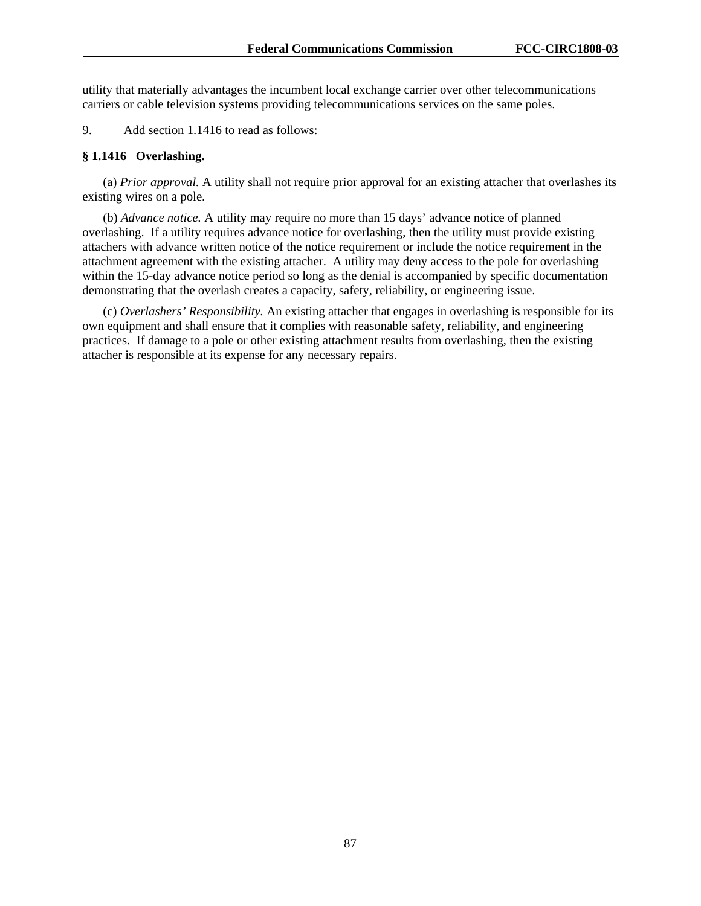utility that materially advantages the incumbent local exchange carrier over other telecommunications carriers or cable television systems providing telecommunications services on the same poles.

9. Add section 1.1416 to read as follows:

### **§ 1.1416 Overlashing.**

(a) *Prior approval.* A utility shall not require prior approval for an existing attacher that overlashes its existing wires on a pole.

(b) *Advance notice.* A utility may require no more than 15 days' advance notice of planned overlashing. If a utility requires advance notice for overlashing, then the utility must provide existing attachers with advance written notice of the notice requirement or include the notice requirement in the attachment agreement with the existing attacher. A utility may deny access to the pole for overlashing within the 15-day advance notice period so long as the denial is accompanied by specific documentation demonstrating that the overlash creates a capacity, safety, reliability, or engineering issue.

(c) *Overlashers' Responsibility.* An existing attacher that engages in overlashing is responsible for its own equipment and shall ensure that it complies with reasonable safety, reliability, and engineering practices. If damage to a pole or other existing attachment results from overlashing, then the existing attacher is responsible at its expense for any necessary repairs.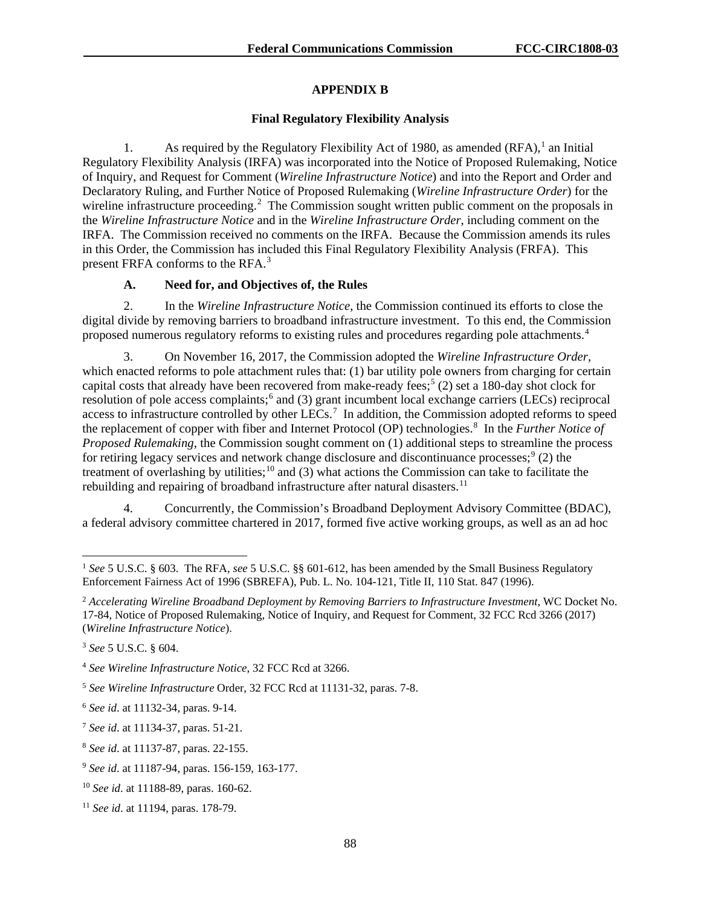## **APPENDIX B**

## **Final Regulatory Flexibility Analysis**

[1](#page-88-0). As required by the Regulatory Flexibility Act of 1980, as amended  $(RFA)$ ,<sup>1</sup> an Initial Regulatory Flexibility Analysis (IRFA) was incorporated into the Notice of Proposed Rulemaking, Notice of Inquiry, and Request for Comment (*Wireline Infrastructure Notice*) and into the Report and Order and Declaratory Ruling, and Further Notice of Proposed Rulemaking (*Wireline Infrastructure Order*) for the wireline infrastructure proceeding.<sup>[2](#page-88-1)</sup> The Commission sought written public comment on the proposals in the *Wireline Infrastructure Notice* and in the *Wireline Infrastructure Order*, including comment on the IRFA. The Commission received no comments on the IRFA. Because the Commission amends its rules in this Order, the Commission has included this Final Regulatory Flexibility Analysis (FRFA). This present FRFA conforms to the RFA.<sup>[3](#page-88-2)</sup>

## **A. Need for, and Objectives of, the Rules**

2. In the *Wireline Infrastructure Notice*, the Commission continued its efforts to close the digital divide by removing barriers to broadband infrastructure investment. To this end, the Commission proposed numerous regulatory reforms to existing rules and procedures regarding pole attachments.<sup>[4](#page-88-3)</sup>

3. On November 16, 2017, the Commission adopted the *Wireline Infrastructure Order*, which enacted reforms to pole attachment rules that: (1) bar utility pole owners from charging for certain capital costs that already have been recovered from make-ready fees;<sup>[5](#page-88-4)</sup> (2) set a 180-day shot clock for resolution of pole access complaints;<sup>[6](#page-88-5)</sup> and (3) grant incumbent local exchange carriers (LECs) reciprocal access to infrastructure controlled by other  $LECs$ .<sup>[7](#page-88-6)</sup> In addition, the Commission adopted reforms to speed the replacement of copper with fiber and Internet Protocol (OP) technologies.<sup>[8](#page-88-7)</sup> In the *Further Notice of Proposed Rulemaking*, the Commission sought comment on (1) additional steps to streamline the process for retiring legacy services and network change disclosure and discontinuance processes;  $\binom{9}{2}$  $\binom{9}{2}$  $\binom{9}{2}$  the treatment of overlashing by utilities;<sup>[10](#page-88-9)</sup> and (3) what actions the Commission can take to facilitate the rebuilding and repairing of broadband infrastructure after natural disasters.<sup>[11](#page-88-10)</sup>

4. Concurrently, the Commission's Broadband Deployment Advisory Committee (BDAC), a federal advisory committee chartered in 2017, formed five active working groups, as well as an ad hoc

<span id="page-88-0"></span> <sup>1</sup> *See* 5 U.S.C. § 603. The RFA, *see* 5 U.S.C. §§ 601-612, has been amended by the Small Business Regulatory Enforcement Fairness Act of 1996 (SBREFA), Pub. L. No. 104-121, Title II, 110 Stat. 847 (1996).

<span id="page-88-1"></span><sup>2</sup> *Accelerating Wireline Broadband Deployment by Removing Barriers to Infrastructure Investment*, WC Docket No. 17-84, Notice of Proposed Rulemaking, Notice of Inquiry, and Request for Comment, 32 FCC Rcd 3266 (2017) (*Wireline Infrastructure Notice*).

<span id="page-88-2"></span><sup>3</sup> *See* 5 U.S.C. § 604.

<span id="page-88-3"></span><sup>4</sup> *See Wireline Infrastructure Notice*, 32 FCC Rcd at 3266.

<span id="page-88-4"></span><sup>5</sup> *See Wireline Infrastructure* Order, 32 FCC Rcd at 11131-32, paras. 7-8.

<span id="page-88-5"></span><sup>6</sup> *See id*. at 11132-34, paras. 9-14.

<span id="page-88-6"></span><sup>7</sup> *See id*. at 11134-37, paras. 51-21.

<span id="page-88-7"></span><sup>8</sup> *See id*. at 11137-87, paras. 22-155.

<span id="page-88-8"></span><sup>9</sup> *See id*. at 11187-94, paras. 156-159, 163-177.

<span id="page-88-9"></span><sup>10</sup> *See id*. at 11188-89, paras. 160-62.

<span id="page-88-10"></span><sup>11</sup> *See id*. at 11194, paras. 178-79.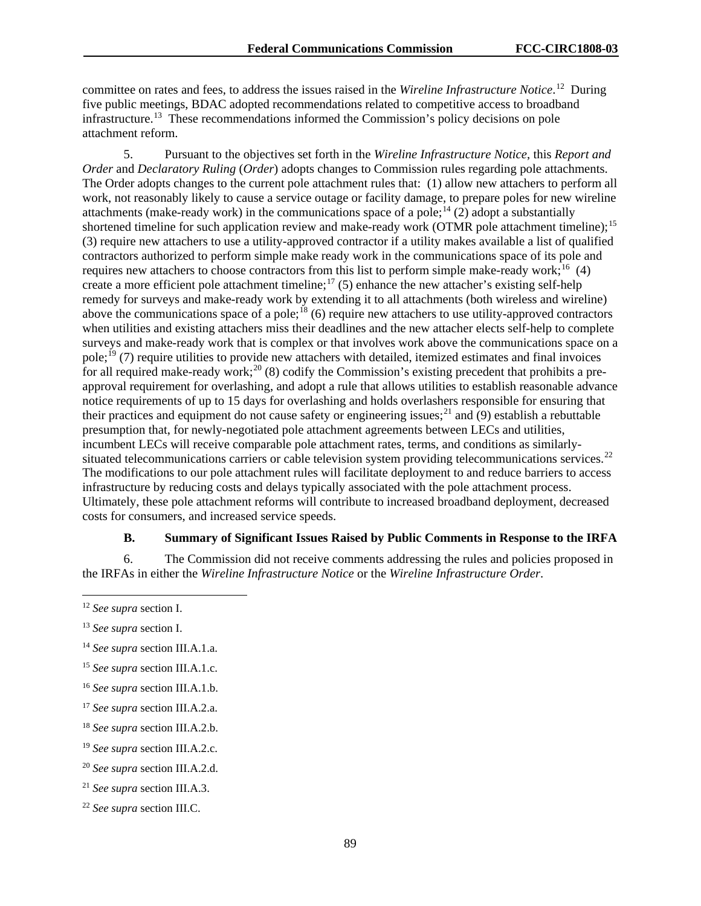committee on rates and fees, to address the issues raised in the *Wireline Infrastructure Notice*. [12](#page-89-0) During five public meetings, BDAC adopted recommendations related to competitive access to broadband infrastructure.<sup>13</sup> These recommendations informed the Commission's policy decisions on pole attachment reform.

5. Pursuant to the objectives set forth in the *Wireline Infrastructure Notice*, this *Report and Order* and *Declaratory Ruling* (*Order*) adopts changes to Commission rules regarding pole attachments. The Order adopts changes to the current pole attachment rules that: (1) allow new attachers to perform all work, not reasonably likely to cause a service outage or facility damage, to prepare poles for new wireline attachments (make-ready work) in the communications space of a pole;<sup>[14](#page-89-2)</sup> (2) adopt a substantially shortened timeline for such application review and make-ready work (OTMR pole attachment timeline);<sup>[15](#page-89-3)</sup> (3) require new attachers to use a utility-approved contractor if a utility makes available a list of qualified contractors authorized to perform simple make ready work in the communications space of its pole and requires new attachers to choose contractors from this list to perform simple make-ready work;<sup>16</sup> (4) create a more efficient pole attachment timeline;<sup>[17](#page-89-5)</sup> (5) enhance the new attacher's existing self-help remedy for surveys and make-ready work by extending it to all attachments (both wireless and wireline) above the communications space of a pole;<sup>[18](#page-89-6)</sup> (6) require new attachers to use utility-approved contractors when utilities and existing attachers miss their deadlines and the new attacher elects self-help to complete surveys and make-ready work that is complex or that involves work above the communications space on a pole;<sup>[19](#page-89-7)</sup> (7) require utilities to provide new attachers with detailed, itemized estimates and final invoices for all required make-ready work;<sup>[20](#page-89-8)</sup> (8) codify the Commission's existing precedent that prohibits a preapproval requirement for overlashing, and adopt a rule that allows utilities to establish reasonable advance notice requirements of up to 15 days for overlashing and holds overlashers responsible for ensuring that their practices and equipment do not cause safety or engineering issues;<sup>[21](#page-89-9)</sup> and (9) establish a rebuttable presumption that, for newly-negotiated pole attachment agreements between LECs and utilities, incumbent LECs will receive comparable pole attachment rates, terms, and conditions as similarly-situated telecommunications carriers or cable television system providing telecommunications services.<sup>[22](#page-89-10)</sup> The modifications to our pole attachment rules will facilitate deployment to and reduce barriers to access infrastructure by reducing costs and delays typically associated with the pole attachment process. Ultimately, these pole attachment reforms will contribute to increased broadband deployment, decreased costs for consumers, and increased service speeds.

### **B. Summary of Significant Issues Raised by Public Comments in Response to the IRFA**

6. The Commission did not receive comments addressing the rules and policies proposed in the IRFAs in either the *Wireline Infrastructure Notice* or the *Wireline Infrastructure Order*.

<span id="page-89-5"></span><sup>17</sup> *See supra* section III.A.2.a.

<span id="page-89-0"></span> <sup>12</sup> *See supra* section I.

<span id="page-89-1"></span><sup>13</sup> *See supra* section I.

<span id="page-89-2"></span><sup>14</sup> *See supra* section III.A.1.a.

<span id="page-89-3"></span><sup>15</sup> *See supra* section III.A.1.c.

<span id="page-89-4"></span><sup>16</sup> *See supra* section III.A.1.b.

<span id="page-89-6"></span><sup>18</sup> *See supra* section III.A.2.b.

<span id="page-89-7"></span><sup>19</sup> *See supra* section III.A.2.c.

<span id="page-89-8"></span><sup>20</sup> *See supra* section III.A.2.d.

<span id="page-89-9"></span><sup>21</sup> *See supra* section III.A.3.

<span id="page-89-10"></span><sup>22</sup> *See supra* section III.C.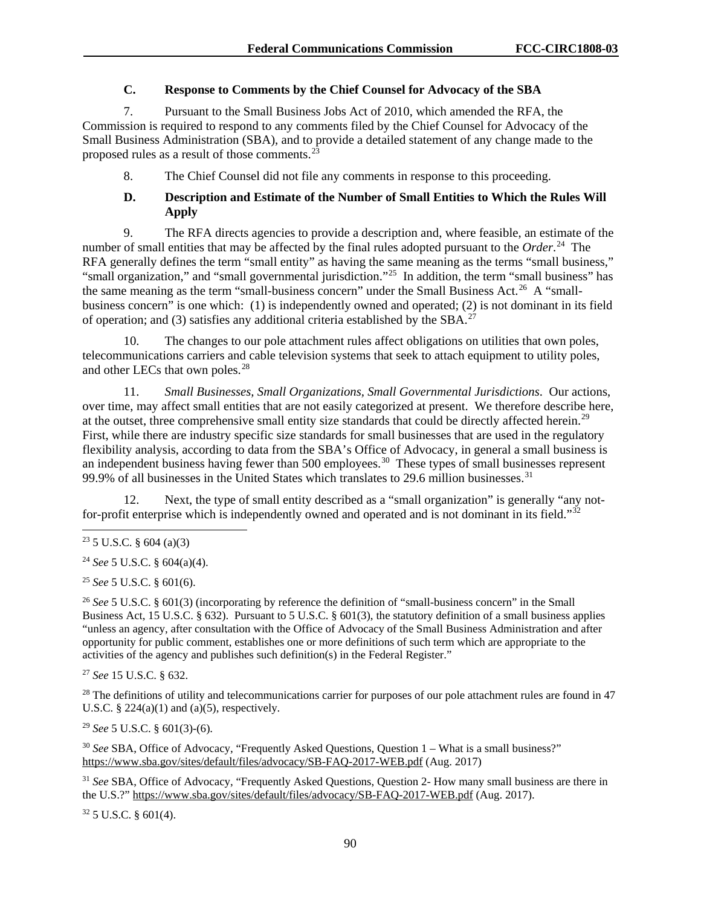## **C. Response to Comments by the Chief Counsel for Advocacy of the SBA**

7. Pursuant to the Small Business Jobs Act of 2010, which amended the RFA, the Commission is required to respond to any comments filed by the Chief Counsel for Advocacy of the Small Business Administration (SBA), and to provide a detailed statement of any change made to the proposed rules as a result of those comments. $2^{\frac{3}{3}}$ 

8. The Chief Counsel did not file any comments in response to this proceeding.

# **D. Description and Estimate of the Number of Small Entities to Which the Rules Will Apply**

9. The RFA directs agencies to provide a description and, where feasible, an estimate of the number of small entities that may be affected by the final rules adopted pursuant to the *Order*. [24](#page-90-1) The RFA generally defines the term "small entity" as having the same meaning as the terms "small business," "small organization," and "small governmental jurisdiction."<sup>25</sup> In addition, the term "small business" has the same meaning as the term "small-business concern" under the Small Business Act.<sup>[26](#page-90-3)</sup> A "smallbusiness concern" is one which: (1) is independently owned and operated; (2) is not dominant in its field of operation; and (3) satisfies any additional criteria established by the SBA.<sup>[27](#page-90-4)</sup>

10. The changes to our pole attachment rules affect obligations on utilities that own poles, telecommunications carriers and cable television systems that seek to attach equipment to utility poles, and other LECs that own poles.<sup>[28](#page-90-5)</sup>

11. *Small Businesses, Small Organizations, Small Governmental Jurisdictions*. Our actions, over time, may affect small entities that are not easily categorized at present. We therefore describe here, at the outset, three comprehensive small entity size standards that could be directly affected herein.[29](#page-90-6) First, while there are industry specific size standards for small businesses that are used in the regulatory flexibility analysis, according to data from the SBA's Office of Advocacy, in general a small business is an independent business having fewer than 500 employees.<sup>[30](#page-90-7)</sup> These types of small businesses represent 99.9% of all businesses in the United States which translates to 29.6 million businesses.<sup>31</sup>

12. Next, the type of small entity described as a "small organization" is generally "any notfor-profit enterprise which is independently owned and operated and is not dominant in its field." $32$ 

<span id="page-90-2"></span><sup>25</sup> *See* 5 U.S.C. § 601(6).

<span id="page-90-3"></span><sup>26</sup> See 5 U.S.C. § 601(3) (incorporating by reference the definition of "small-business concern" in the Small Business Act, 15 U.S.C. § 632). Pursuant to 5 U.S.C. § 601(3), the statutory definition of a small business applies "unless an agency, after consultation with the Office of Advocacy of the Small Business Administration and after opportunity for public comment, establishes one or more definitions of such term which are appropriate to the activities of the agency and publishes such definition(s) in the Federal Register."

<span id="page-90-4"></span><sup>27</sup> *See* 15 U.S.C. § 632.

<span id="page-90-5"></span> $28$  The definitions of utility and telecommunications carrier for purposes of our pole attachment rules are found in 47 U.S.C.  $\S$  224(a)(1) and (a)(5), respectively.

<span id="page-90-6"></span><sup>29</sup> *See* 5 U.S.C. § 601(3)-(6).

<span id="page-90-7"></span><sup>30</sup> *See* SBA, Office of Advocacy, "Frequently Asked Questions, Question 1 – What is a small business?" <https://www.sba.gov/sites/default/files/advocacy/SB-FAQ-2017-WEB.pdf> (Aug. 2017)

<span id="page-90-8"></span><sup>31</sup> *See* SBA, Office of Advocacy, "Frequently Asked Questions, Question 2- How many small business are there in the U.S.?"<https://www.sba.gov/sites/default/files/advocacy/SB-FAQ-2017-WEB.pdf> (Aug. 2017).

<span id="page-90-9"></span> $32$  5 U.S.C. § 601(4).

<span id="page-90-0"></span> $23$  5 U.S.C. § 604 (a)(3)

<span id="page-90-1"></span><sup>24</sup> *See* 5 U.S.C. § 604(a)(4).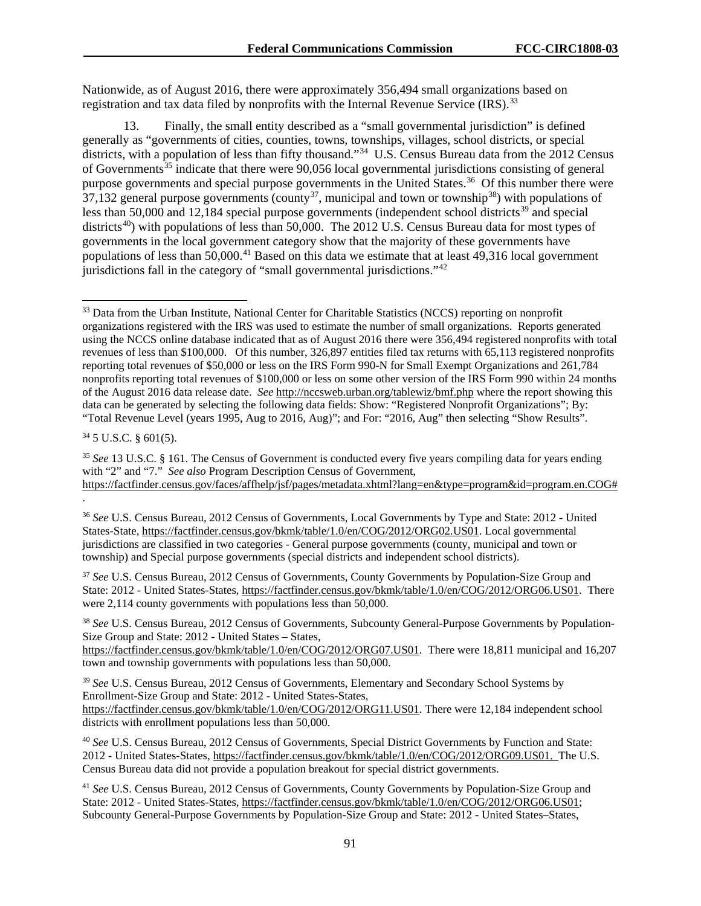Nationwide, as of August 2016, there were approximately 356,494 small organizations based on registration and tax data filed by nonprofits with the Internal Revenue Service (IRS).<sup>33</sup>

13. Finally, the small entity described as a "small governmental jurisdiction" is defined generally as "governments of cities, counties, towns, townships, villages, school districts, or special districts, with a population of less than fifty thousand."<sup>34</sup> U.S. Census Bureau data from the 2012 Census of Governments<sup>[35](#page-91-2)</sup> indicate that there were 90,056 local governmental jurisdictions consisting of general purpose governments and special purpose governments in the United States.<sup>[36](#page-91-3)</sup> Of this number there were  $37,132$  $37,132$  general purpose governments (county<sup>37</sup>, municipal and town or township<sup>38</sup>) with populations of less than 50,000 and 12,184 special purpose governments (independent school districts<sup>[39](#page-91-6)</sup> and special districts<sup>[40](#page-91-7)</sup>) with populations of less than 50,000. The 2012 U.S. Census Bureau data for most types of governments in the local government category show that the majority of these governments have populations of less than 50,000.<sup>[41](#page-91-8)</sup> Based on this data we estimate that at least 49,316 local government jurisdictions fall in the category of "small governmental jurisdictions."[42](#page-91-9)

<span id="page-91-1"></span> $34$  5 U.S.C.  $\frac{601(5)}{20}$ .

<span id="page-91-2"></span><sup>35</sup> *See* 13 U.S.C. § 161. The Census of Government is conducted every five years compiling data for years ending with "2" and "7." *See also* Program Description Census of Government,

<span id="page-91-9"></span><span id="page-91-4"></span><sup>37</sup> *See* U.S. Census Bureau, 2012 Census of Governments, County Governments by Population-Size Group and State: 2012 - United States-States, [https://factfinder.census.gov/bkmk/table/1.0/en/COG/2012/ORG06.US01.](https://factfinder.census.gov/bkmk/table/1.0/en/COG/2012/ORG06.US01) There were 2,114 county governments with populations less than 50,000.

<span id="page-91-5"></span><sup>38</sup> *See* U.S. Census Bureau, 2012 Census of Governments, Subcounty General-Purpose Governments by Population-Size Group and State: 2012 - United States – States,

[https://factfinder.census.gov/bkmk/table/1.0/en/COG/2012/ORG07.US01.](https://factfinder.census.gov/bkmk/table/1.0/en/COG/2012/ORG07.US01) There were 18,811 municipal and 16.207 town and township governments with populations less than 50,000.

<span id="page-91-6"></span><sup>39</sup> *See* U.S. Census Bureau, 2012 Census of Governments, Elementary and Secondary School Systems by Enrollment-Size Group and State: 2012 - United States-States, [https://factfinder.census.gov/bkmk/table/1.0/en/COG/2012/ORG11.US01.](https://factfinder.census.gov/bkmk/table/1.0/en/COG/2012/ORG11.US01) There were 12,184 independent school districts with enrollment populations less than 50,000.

<span id="page-91-7"></span><sup>40</sup> *See* U.S. Census Bureau, 2012 Census of Governments, Special District Governments by Function and State: 2012 - United States-States, [https://factfinder.census.gov/bkmk/table/1.0/en/COG/2012/ORG09.US01.](https://factfinder.census.gov/bkmk/table/1.0/en/COG/2012/ORG09.US01) The U.S. Census Bureau data did not provide a population breakout for special district governments.

<span id="page-91-8"></span><sup>41</sup> *See* U.S. Census Bureau, 2012 Census of Governments, County Governments by Population-Size Group and State: 2012 - United States-States, [https://factfinder.census.gov/bkmk/table/1.0/en/COG/2012/ORG06.US01;](https://factfinder.census.gov/bkmk/table/1.0/en/COG/2012/ORG06.US01) Subcounty General-Purpose Governments by Population-Size Group and State: 2012 - United States–States,

<span id="page-91-0"></span><sup>&</sup>lt;sup>33</sup> Data from the Urban Institute, National Center for Charitable Statistics (NCCS) reporting on nonprofit organizations registered with the IRS was used to estimate the number of small organizations. Reports generated using the NCCS online database indicated that as of August 2016 there were 356,494 registered nonprofits with total revenues of less than \$100,000. Of this number, 326,897 entities filed tax returns with 65,113 registered nonprofits reporting total revenues of \$50,000 or less on the IRS Form 990-N for Small Exempt Organizations and 261,784 nonprofits reporting total revenues of \$100,000 or less on some other version of the IRS Form 990 within 24 months of the August 2016 data release date. *See* <http://nccsweb.urban.org/tablewiz/bmf.php> where the report showing this data can be generated by selecting the following data fields: Show: "Registered Nonprofit Organizations"; By: "Total Revenue Level (years 1995, Aug to 2016, Aug)"; and For: "2016, Aug" then selecting "Show Results".

[https://factfinder.census.gov/faces/affhelp/jsf/pages/metadata.xhtml?lang=en&type=program&id=program.en.COG#](https://factfinder.census.gov/faces/affhelp/jsf/pages/metadata.xhtml?lang=en&type=program&id=program.en.COG) .

<span id="page-91-3"></span><sup>36</sup> *See* U.S. Census Bureau, 2012 Census of Governments, Local Governments by Type and State: 2012 - United States-State, [https://factfinder.census.gov/bkmk/table/1.0/en/COG/2012/ORG02.US01.](https://factfinder.census.gov/bkmk/table/1.0/en/COG/2012/ORG02.US01) Local governmental jurisdictions are classified in two categories - General purpose governments (county, municipal and town or township) and Special purpose governments (special districts and independent school districts).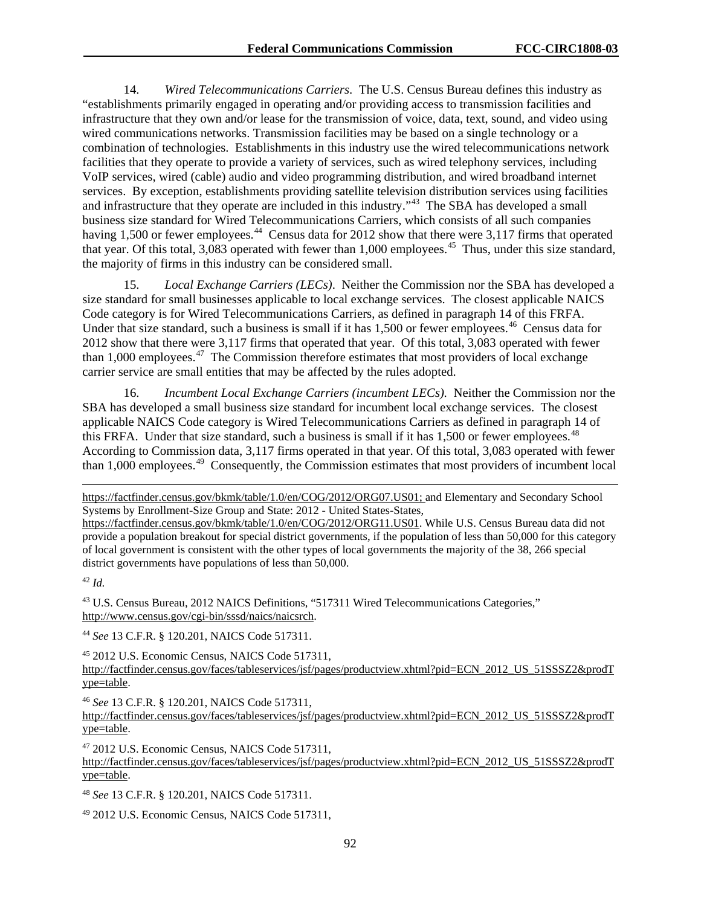14. *Wired Telecommunications Carriers*. The U.S. Census Bureau defines this industry as "establishments primarily engaged in operating and/or providing access to transmission facilities and infrastructure that they own and/or lease for the transmission of voice, data, text, sound, and video using wired communications networks. Transmission facilities may be based on a single technology or a combination of technologies. Establishments in this industry use the wired telecommunications network facilities that they operate to provide a variety of services, such as wired telephony services, including VoIP services, wired (cable) audio and video programming distribution, and wired broadband internet services. By exception, establishments providing satellite television distribution services using facilities and infrastructure that they operate are included in this industry."<sup>43</sup> The SBA has developed a small business size standard for Wired Telecommunications Carriers, which consists of all such companies having 1,500 or fewer employees.<sup>[44](#page-92-1)</sup> Census data for 2012 show that there were 3,117 firms that operated that year. Of this total,  $3,083$  operated with fewer than 1,000 employees.<sup>[45](#page-92-2)</sup> Thus, under this size standard, the majority of firms in this industry can be considered small.

15. *Local Exchange Carriers (LECs)*. Neither the Commission nor the SBA has developed a size standard for small businesses applicable to local exchange services. The closest applicable NAICS Code category is for Wired Telecommunications Carriers, as defined in paragraph 14 of this FRFA. Under that size standard, such a business is small if it has 1,500 or fewer employees.<sup>46</sup> Census data for 2012 show that there were 3,117 firms that operated that year. Of this total, 3,083 operated with fewer than 1,000 employees.[47](#page-92-4) The Commission therefore estimates that most providers of local exchange carrier service are small entities that may be affected by the rules adopted.

16. *Incumbent Local Exchange Carriers (incumbent LECs).*Neither the Commission nor the SBA has developed a small business size standard for incumbent local exchange services. The closest applicable NAICS Code category is Wired Telecommunications Carriers as defined in paragraph 14 of this FRFA. Under that size standard, such a business is small if it has  $1,500$  or fewer employees.<sup>[48](#page-92-5)</sup> According to Commission data, 3,117 firms operated in that year. Of this total, 3,083 operated with fewer than 1,000 employees.[49](#page-92-6) Consequently, the Commission estimates that most providers of incumbent local

[https://factfinder.census.gov/bkmk/table/1.0/en/COG/2012/ORG07.US01;](https://factfinder.census.gov/bkmk/table/1.0/en/COG/2012/ORG07.US01) and Elementary and Secondary School Systems by Enrollment-Size Group and State: 2012 - United States-States,

[https://factfinder.census.gov/bkmk/table/1.0/en/COG/2012/ORG11.US01.](https://factfinder.census.gov/bkmk/table/1.0/en/COG/2012/ORG11.US01) While U.S. Census Bureau data did not provide a population breakout for special district governments, if the population of less than 50,000 for this category of local government is consistent with the other types of local governments the majority of the 38, 266 special district governments have populations of less than 50,000.

<sup>42</sup> *Id.*

 $\overline{a}$ 

<span id="page-92-0"></span><sup>43</sup> U.S. Census Bureau, 2012 NAICS Definitions, "517311 Wired Telecommunications Categories," [http://www.census.gov/cgi-bin/sssd/naics/naicsrch.](http://www.census.gov/cgi-bin/sssd/naics/naicsrch)

<span id="page-92-1"></span><sup>44</sup> *See* 13 C.F.R. § 120.201, NAICS Code 517311.

<span id="page-92-2"></span><sup>45</sup> 2012 U.S. Economic Census, NAICS Code 517311,

[http://factfinder.census.gov/faces/tableservices/jsf/pages/productview.xhtml?pid=ECN\\_2012\\_US\\_51SSSZ2&prodT](http://factfinder.census.gov/faces/tableservices/jsf/pages/productview.xhtml?pid=ECN_2012_US_51SSSZ2&prodType=table) [ype=table.](http://factfinder.census.gov/faces/tableservices/jsf/pages/productview.xhtml?pid=ECN_2012_US_51SSSZ2&prodType=table)

<span id="page-92-3"></span><sup>46</sup> *See* 13 C.F.R. § 120.201, NAICS Code 517311,

[http://factfinder.census.gov/faces/tableservices/jsf/pages/productview.xhtml?pid=ECN\\_2012\\_US\\_51SSSZ2&prodT](http://factfinder.census.gov/faces/tableservices/jsf/pages/productview.xhtml?pid=ECN_2012_US_51SSSZ2&prodType=table) [ype=table.](http://factfinder.census.gov/faces/tableservices/jsf/pages/productview.xhtml?pid=ECN_2012_US_51SSSZ2&prodType=table)

<span id="page-92-4"></span><sup>47</sup> 2012 U.S. Economic Census, NAICS Code 517311, [http://factfinder.census.gov/faces/tableservices/jsf/pages/productview.xhtml?pid=ECN\\_2012\\_US\\_51SSSZ2&prodT](http://factfinder.census.gov/faces/tableservices/jsf/pages/productview.xhtml?pid=ECN_2012_US_51SSSZ2&prodType=table) [ype=table.](http://factfinder.census.gov/faces/tableservices/jsf/pages/productview.xhtml?pid=ECN_2012_US_51SSSZ2&prodType=table)

<span id="page-92-5"></span><sup>48</sup> *See* 13 C.F.R. § 120.201, NAICS Code 517311.

<span id="page-92-6"></span><sup>49</sup> 2012 U.S. Economic Census, NAICS Code 517311,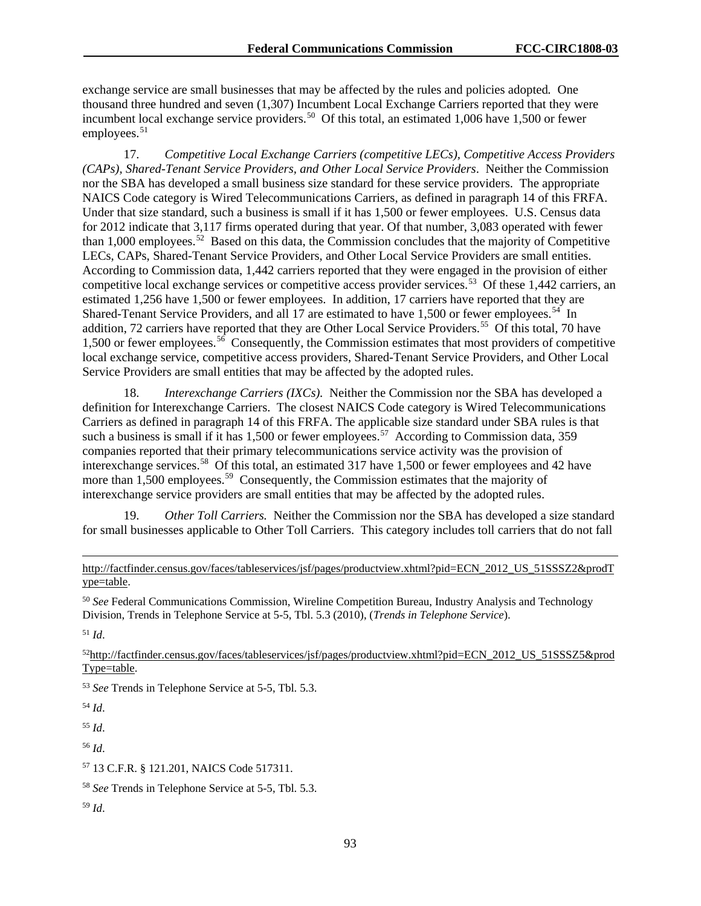exchange service are small businesses that may be affected by the rules and policies adopted*.* One thousand three hundred and seven (1,307) Incumbent Local Exchange Carriers reported that they were incumbent local exchange service providers.<sup>[50](#page-93-0)</sup> Of this total, an estimated 1,006 have 1,500 or fewer employees. $51$ 

17. *Competitive Local Exchange Carriers (competitive LECs), Competitive Access Providers (CAPs), Shared-Tenant Service Providers, and Other Local Service Providers*. Neither the Commission nor the SBA has developed a small business size standard for these service providers. The appropriate NAICS Code category is Wired Telecommunications Carriers, as defined in paragraph 14 of this FRFA. Under that size standard, such a business is small if it has 1,500 or fewer employees. U.S. Census data for 2012 indicate that 3,117 firms operated during that year. Of that number, 3,083 operated with fewer than 1,000 employees.<sup>52</sup> Based on this data, the Commission concludes that the majority of Competitive LECs, CAPs, Shared-Tenant Service Providers, and Other Local Service Providers are small entities. According to Commission data, 1,442 carriers reported that they were engaged in the provision of either competitive local exchange services or competitive access provider services.<sup>53</sup> Of these 1,442 carriers, an estimated 1,256 have 1,500 or fewer employees. In addition, 17 carriers have reported that they are Shared-Tenant Service Providers, and all 17 are estimated to have 1,500 or fewer employees.<sup>[54](#page-93-4)</sup> In addition, 72 carriers have reported that they are Other Local Service Providers.<sup>55</sup> Of this total, 70 have 1,500 or fewer employees.<sup>56</sup> Consequently, the Commission estimates that most providers of competitive local exchange service, competitive access providers, Shared-Tenant Service Providers, and Other Local Service Providers are small entities that may be affected by the adopted rules.

18. *Interexchange Carriers (IXCs).* Neither the Commission nor the SBA has developed a definition for Interexchange Carriers. The closest NAICS Code category is Wired Telecommunications Carriers as defined in paragraph 14 of this FRFA. The applicable size standard under SBA rules is that such a business is small if it has 1,500 or fewer employees.<sup>57</sup> According to Commission data, 359 companies reported that their primary telecommunications service activity was the provision of interexchange services.<sup>[58](#page-93-8)</sup> Of this total, an estimated 317 have 1,500 or fewer employees and 42 have more than 1,500 employees.<sup>59</sup> Consequently, the Commission estimates that the majority of interexchange service providers are small entities that may be affected by the adopted rules.

19. *Other Toll Carriers.* Neither the Commission nor the SBA has developed a size standard for small businesses applicable to Other Toll Carriers. This category includes toll carriers that do not fall

<span id="page-93-0"></span><sup>50</sup> *See* Federal Communications Commission, Wireline Competition Bureau, Industry Analysis and Technology Division, Trends in Telephone Service at 5-5, Tbl. 5.3 (2010), (*Trends in Telephone Service*).

<span id="page-93-1"></span><sup>51</sup> *Id*.

<span id="page-93-2"></span>5[2http://factfinder.census.gov/faces/tableservices/jsf/pages/productview.xhtml?pid=ECN\\_2012\\_US\\_51SSSZ5&prod](http://factfinder.census.gov/faces/tableservices/jsf/pages/productview.xhtml?pid=ECN_2012_US_51SSSZ5&prodType=table) [Type=table.](http://factfinder.census.gov/faces/tableservices/jsf/pages/productview.xhtml?pid=ECN_2012_US_51SSSZ5&prodType=table)

<span id="page-93-3"></span><sup>53</sup> *See* Trends in Telephone Service at 5-5, Tbl. 5.3.

<span id="page-93-4"></span><sup>54</sup> *Id*.

<span id="page-93-5"></span><sup>55</sup> *Id*.

<span id="page-93-6"></span><sup>56</sup> *Id*.

<span id="page-93-7"></span><sup>57</sup> 13 C.F.R. § 121.201, NAICS Code 517311.

<span id="page-93-8"></span><sup>58</sup> *See* Trends in Telephone Service at 5-5, Tbl. 5.3.

<span id="page-93-9"></span><sup>59</sup> *Id*.

 $\overline{a}$ [http://factfinder.census.gov/faces/tableservices/jsf/pages/productview.xhtml?pid=ECN\\_2012\\_US\\_51SSSZ2&prodT](http://factfinder.census.gov/faces/tableservices/jsf/pages/productview.xhtml?pid=ECN_2012_US_51SSSZ2&prodType=table) [ype=table.](http://factfinder.census.gov/faces/tableservices/jsf/pages/productview.xhtml?pid=ECN_2012_US_51SSSZ2&prodType=table)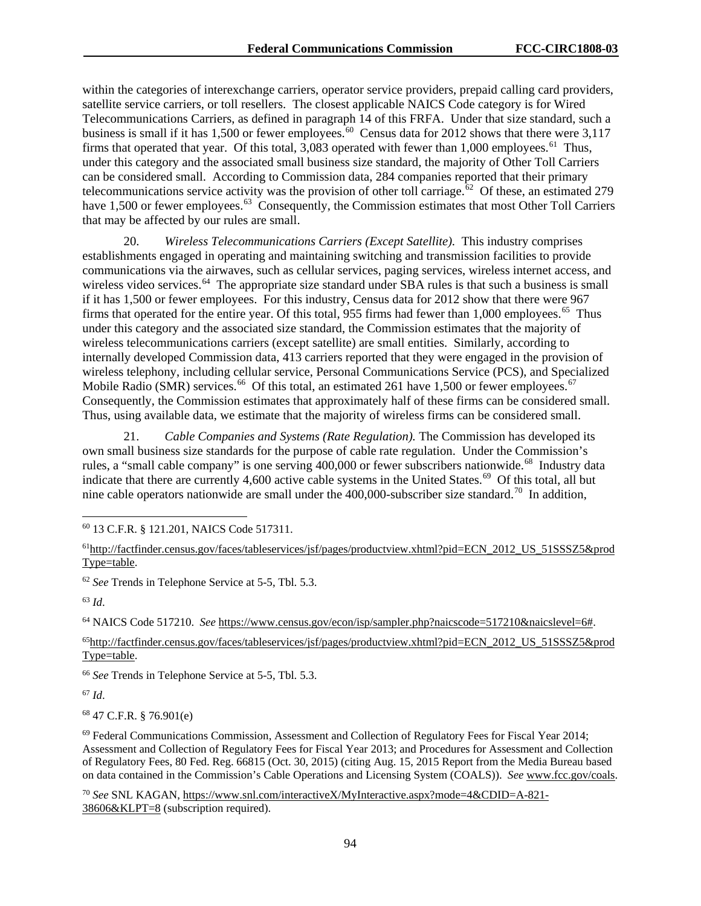within the categories of interexchange carriers, operator service providers, prepaid calling card providers, satellite service carriers, or toll resellers. The closest applicable NAICS Code category is for Wired Telecommunications Carriers, as defined in paragraph 14 of this FRFA. Under that size standard, such a business is small if it has 1,500 or fewer employees.<sup>[60](#page-94-0)</sup> Census data for 2012 shows that there were 3,117 firms that operated that year. Of this total,  $3,083$  operated with fewer than 1,000 employees.<sup>[61](#page-94-1)</sup> Thus, under this category and the associated small business size standard, the majority of Other Toll Carriers can be considered small. According to Commission data, 284 companies reported that their primary telecommunications service activity was the provision of other toll carriage.<sup>62</sup> Of these, an estimated 279 have 1,500 or fewer employees.<sup>[63](#page-94-3)</sup> Consequently, the Commission estimates that most Other Toll Carriers that may be affected by our rules are small.

20. *Wireless Telecommunications Carriers (Except Satellite).* This industry comprises establishments engaged in operating and maintaining switching and transmission facilities to provide communications via the airwaves, such as cellular services, paging services, wireless internet access, and wireless video services.<sup>64</sup> The appropriate size standard under SBA rules is that such a business is small if it has 1,500 or fewer employees. For this industry, Census data for 2012 show that there were 967 firms that operated for the entire year. Of this total, 955 firms had fewer than 1,000 employees.<sup>[65](#page-94-5)</sup> Thus under this category and the associated size standard, the Commission estimates that the majority of wireless telecommunications carriers (except satellite) are small entities. Similarly, according to internally developed Commission data, 413 carriers reported that they were engaged in the provision of wireless telephony, including cellular service, Personal Communications Service (PCS), and Specialized Mobile Radio (SMR) services.<sup>66</sup> Of this total, an estimated 261 have 1,500 or fewer employees.<sup>67</sup> Consequently, the Commission estimates that approximately half of these firms can be considered small. Thus, using available data, we estimate that the majority of wireless firms can be considered small.

21. *Cable Companies and Systems (Rate Regulation).* The Commission has developed its own small business size standards for the purpose of cable rate regulation. Under the Commission's rules, a "small cable company" is one serving 400,000 or fewer subscribers nationwide.<sup>[68](#page-94-8)</sup> Industry data indicate that there are currently 4,600 active cable systems in the United States.<sup>[69](#page-94-9)</sup> Of this total, all but nine cable operators nationwide are small under the  $400,000$ -subscriber size standard.<sup>[70](#page-94-10)</sup> In addition,

<span id="page-94-0"></span>60 13 C.F.R. § 121.201, NAICS Code 517311.

<span id="page-94-2"></span><sup>62</sup> *See* Trends in Telephone Service at 5-5, Tbl. 5.3.

<span id="page-94-3"></span><sup>63</sup> *Id*.

<span id="page-94-4"></span><sup>64</sup> NAICS Code 517210. *See* [https://www.census.gov/econ/isp/sampler.php?naicscode=517210&naicslevel=6#.](https://www.census.gov/econ/isp/sampler.php?naicscode=517210&naicslevel=6)

<span id="page-94-5"></span>6[5http://factfinder.census.gov/faces/tableservices/jsf/pages/productview.xhtml?pid=ECN\\_2012\\_US\\_51SSSZ5&prod](http://factfinder.census.gov/faces/tableservices/jsf/pages/productview.xhtml?pid=ECN_2012_US_51SSSZ5&prodType=table) [Type=table.](http://factfinder.census.gov/faces/tableservices/jsf/pages/productview.xhtml?pid=ECN_2012_US_51SSSZ5&prodType=table)

<span id="page-94-6"></span><sup>66</sup> *See* Trends in Telephone Service at 5-5, Tbl. 5.3.

<span id="page-94-7"></span><sup>67</sup> *Id*.

<span id="page-94-8"></span><sup>68</sup> 47 C.F.R. § 76.901(e)

<span id="page-94-9"></span> $69$  Federal Communications Commission, Assessment and Collection of Regulatory Fees for Fiscal Year 2014; Assessment and Collection of Regulatory Fees for Fiscal Year 2013; and Procedures for Assessment and Collection of Regulatory Fees, 80 Fed. Reg. 66815 (Oct. 30, 2015) (citing Aug. 15, 2015 Report from the Media Bureau based on data contained in the Commission's Cable Operations and Licensing System (COALS)). *See* [www.fcc.gov/coals.](http://www.fcc.gov/coals)

<span id="page-94-10"></span><sup>70</sup> *See* SNL KAGAN, [https://www.snl.com/interactiveX/MyInteractive.aspx?mode=4&CDID=A-821-](https://www.snl.com/interactiveX/MyInteractive.aspx?mode=4&CDID=A-821-38606&KLPT=8) [38606&KLPT=8](https://www.snl.com/interactiveX/MyInteractive.aspx?mode=4&CDID=A-821-38606&KLPT=8) (subscription required).

<span id="page-94-1"></span><sup>6</sup>[1http://factfinder.census.gov/faces/tableservices/jsf/pages/productview.xhtml?pid=ECN\\_2012\\_US\\_51SSSZ5&prod](http://factfinder.census.gov/faces/tableservices/jsf/pages/productview.xhtml?pid=ECN_2012_US_51SSSZ5&prodType=table) [Type=table.](http://factfinder.census.gov/faces/tableservices/jsf/pages/productview.xhtml?pid=ECN_2012_US_51SSSZ5&prodType=table)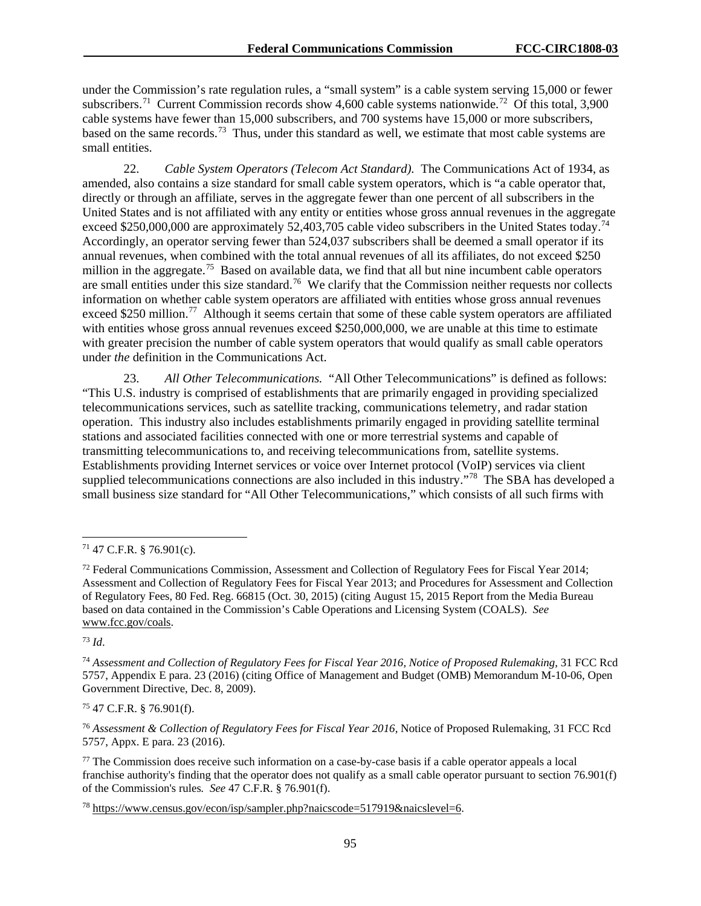under the Commission's rate regulation rules, a "small system" is a cable system serving 15,000 or fewer subscribers.<sup>71</sup> Current Commission records show 4,600 cable systems nationwide.<sup>[72](#page-95-1)</sup> Of this total, 3,900 cable systems have fewer than 15,000 subscribers, and 700 systems have 15,000 or more subscribers, based on the same records.<sup>73</sup> Thus, under this standard as well, we estimate that most cable systems are small entities.

22. *Cable System Operators (Telecom Act Standard).* The Communications Act of 1934, as amended, also contains a size standard for small cable system operators, which is "a cable operator that, directly or through an affiliate, serves in the aggregate fewer than one percent of all subscribers in the United States and is not affiliated with any entity or entities whose gross annual revenues in the aggregate exceed \$250,000,000 are approximately 52,403,705 cable video subscribers in the United States today.<sup>[74](#page-95-3)</sup> Accordingly, an operator serving fewer than 524,037 subscribers shall be deemed a small operator if its annual revenues, when combined with the total annual revenues of all its affiliates, do not exceed \$250 million in the aggregate.<sup>[75](#page-95-4)</sup> Based on available data, we find that all but nine incumbent cable operators are small entities under this size standard.[76](#page-95-5) We clarify that the Commission neither requests nor collects information on whether cable system operators are affiliated with entities whose gross annual revenues exceed \$250 million.<sup>[77](#page-95-6)</sup> Although it seems certain that some of these cable system operators are affiliated with entities whose gross annual revenues exceed \$250,000,000, we are unable at this time to estimate with greater precision the number of cable system operators that would qualify as small cable operators under *the* definition in the Communications Act.

23. *All Other Telecommunications.* "All Other Telecommunications" is defined as follows: "This U.S. industry is comprised of establishments that are primarily engaged in providing specialized telecommunications services, such as satellite tracking, communications telemetry, and radar station operation. This industry also includes establishments primarily engaged in providing satellite terminal stations and associated facilities connected with one or more terrestrial systems and capable of transmitting telecommunications to, and receiving telecommunications from, satellite systems. Establishments providing Internet services or voice over Internet protocol (VoIP) services via client supplied telecommunications connections are also included in this industry."<sup>[78](#page-95-7)</sup> The SBA has developed a small business size standard for "All Other Telecommunications," which consists of all such firms with

<span id="page-95-2"></span><sup>73</sup> *Id*.

<span id="page-95-4"></span><sup>75</sup> 47 C.F.R. § 76.901(f).

<span id="page-95-5"></span><sup>76</sup> *Assessment & Collection of Regulatory Fees for Fiscal Year 2016,* Notice of Proposed Rulemaking, 31 FCC Rcd 5757, Appx. E para. 23 (2016).

<span id="page-95-6"></span><sup>77</sup> The Commission does receive such information on a case-by-case basis if a cable operator appeals a local franchise authority's finding that the operator does not qualify as a small cable operator pursuant to section 76.901(f) of the Commission's rules*. See* 47 C.F.R. § 76.901(f).

<span id="page-95-7"></span><sup>78</sup> [https://www.census.gov/econ/isp/sampler.php?naicscode=517919&naicslevel=6.](https://www.census.gov/econ/isp/sampler.php?naicscode=517919&naicslevel=6)

<span id="page-95-0"></span> $71$  47 C.F.R. § 76.901(c).

<span id="page-95-1"></span><sup>&</sup>lt;sup>72</sup> Federal Communications Commission, Assessment and Collection of Regulatory Fees for Fiscal Year 2014; Assessment and Collection of Regulatory Fees for Fiscal Year 2013; and Procedures for Assessment and Collection of Regulatory Fees, 80 Fed. Reg. 66815 (Oct. 30, 2015) (citing August 15, 2015 Report from the Media Bureau based on data contained in the Commission's Cable Operations and Licensing System (COALS). *See* [www.fcc.gov/coals.](http://www.fcc.gov/coals)

<span id="page-95-3"></span><sup>74</sup> *Assessment and Collection of Regulatory Fees for Fiscal Year 2016, Notice of Proposed Rulemaking*, 31 FCC Rcd 5757, Appendix E para. 23 (2016) (citing Office of Management and Budget (OMB) Memorandum M-10-06, Open Government Directive, Dec. 8, 2009).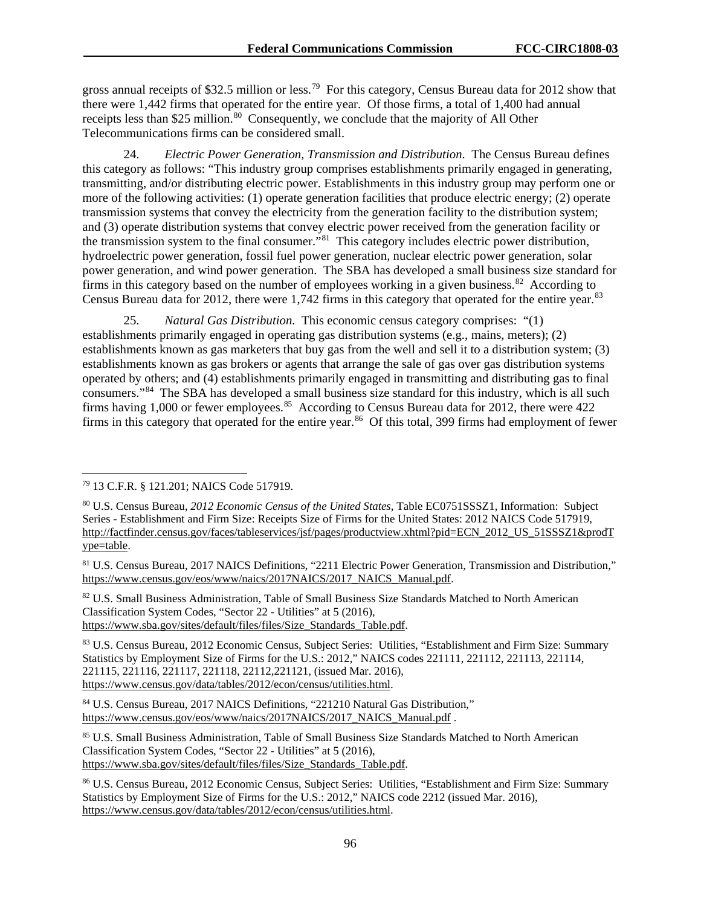gross annual receipts of \$32.5 million or less.[79](#page-96-0) For this category, Census Bureau data for 2012 show that there were 1,442 firms that operated for the entire year. Of those firms, a total of 1,400 had annual receipts less than \$25 million.<sup>[80](#page-96-1)</sup> Consequently, we conclude that the majority of All Other Telecommunications firms can be considered small.

24. *Electric Power Generation, Transmission and Distribution*. The Census Bureau defines this category as follows: "This industry group comprises establishments primarily engaged in generating, transmitting, and/or distributing electric power. Establishments in this industry group may perform one or more of the following activities: (1) operate generation facilities that produce electric energy; (2) operate transmission systems that convey the electricity from the generation facility to the distribution system; and (3) operate distribution systems that convey electric power received from the generation facility or the transmission system to the final consumer."[81](#page-96-2) This category includes electric power distribution, hydroelectric power generation, fossil fuel power generation, nuclear electric power generation, solar power generation, and wind power generation. The SBA has developed a small business size standard for firms in this category based on the number of employees working in a given business.<sup>[82](#page-96-3)</sup> According to Census Bureau data for 2012, there were 1,742 firms in this category that operated for the entire year.<sup>83</sup>

25. *Natural Gas Distribution.* This economic census category comprises: "(1) establishments primarily engaged in operating gas distribution systems (e.g., mains, meters); (2) establishments known as gas marketers that buy gas from the well and sell it to a distribution system; (3) establishments known as gas brokers or agents that arrange the sale of gas over gas distribution systems operated by others; and (4) establishments primarily engaged in transmitting and distributing gas to final consumers."[84](#page-96-5) The SBA has developed a small business size standard for this industry, which is all such firms having 1,000 or fewer employees.<sup>[85](#page-96-6)</sup> According to Census Bureau data for 2012, there were 422 firms in this category that operated for the entire year.<sup>[86](#page-96-7)</sup> Of this total, 399 firms had employment of fewer

<span id="page-96-3"></span><sup>82</sup> U.S. Small Business Administration, Table of Small Business Size Standards Matched to North American Classification System Codes, "Sector 22 - Utilities" at 5 (2016), [https://www.sba.gov/sites/default/files/files/Size\\_Standards\\_Table.pdf.](https://www.sba.gov/sites/default/files/files/Size_Standards_Table.pdf)

<span id="page-96-4"></span><sup>83</sup> U.S. Census Bureau, 2012 Economic Census, Subject Series: Utilities, "Establishment and Firm Size: Summary Statistics by Employment Size of Firms for the U.S.: 2012," NAICS codes 221111, 221112, 221113, 221114, 221115, 221116, 221117, 221118, 22112,221121, (issued Mar. 2016), [https://www.census.gov/data/tables/2012/econ/census/utilities.html.](https://www.census.gov/data/tables/2012/econ/census/utilities.html)

<span id="page-96-6"></span>85 U.S. Small Business Administration, Table of Small Business Size Standards Matched to North American Classification System Codes, "Sector 22 - Utilities" at 5 (2016), [https://www.sba.gov/sites/default/files/files/Size\\_Standards\\_Table.pdf.](https://www.sba.gov/sites/default/files/files/Size_Standards_Table.pdf)

<span id="page-96-0"></span> <sup>79</sup> 13 C.F.R. § 121.201; NAICS Code 517919.

<span id="page-96-1"></span><sup>80</sup> U.S. Census Bureau, *2012 Economic Census of the United States*, Table EC0751SSSZ1, Information: Subject Series - Establishment and Firm Size: Receipts Size of Firms for the United States: 2012 NAICS Code 517919, [http://factfinder.census.gov/faces/tableservices/jsf/pages/productview.xhtml?pid=ECN\\_2012\\_US\\_51SSSZ1&prodT](http://factfinder.census.gov/faces/tableservices/jsf/pages/productview.xhtml?pid=ECN_2012_US_51SSSZ1&prodType=table) [ype=table.](http://factfinder.census.gov/faces/tableservices/jsf/pages/productview.xhtml?pid=ECN_2012_US_51SSSZ1&prodType=table)

<span id="page-96-2"></span><sup>81</sup> U.S. Census Bureau, 2017 NAICS Definitions, "2211 Electric Power Generation, Transmission and Distribution," [https://www.census.gov/eos/www/naics/2017NAICS/2017\\_NAICS\\_Manual.pdf.](https://www.census.gov/eos/www/naics/2017NAICS/2017_NAICS_Manual.pdf)

<span id="page-96-5"></span><sup>84</sup> U.S. Census Bureau, 2017 NAICS Definitions, "221210 Natural Gas Distribution," [https://www.census.gov/eos/www/naics/2017NAICS/2017\\_NAICS\\_Manual.pdf](https://www.census.gov/eos/www/naics/2017NAICS/2017_NAICS_Manual.pdf) .

<span id="page-96-7"></span><sup>86</sup> U.S. Census Bureau, 2012 Economic Census, Subject Series: Utilities, "Establishment and Firm Size: Summary Statistics by Employment Size of Firms for the U.S.: 2012," NAICS code 2212 (issued Mar. 2016), [https://www.census.gov/data/tables/2012/econ/census/utilities.html.](https://www.census.gov/data/tables/2012/econ/census/utilities.html)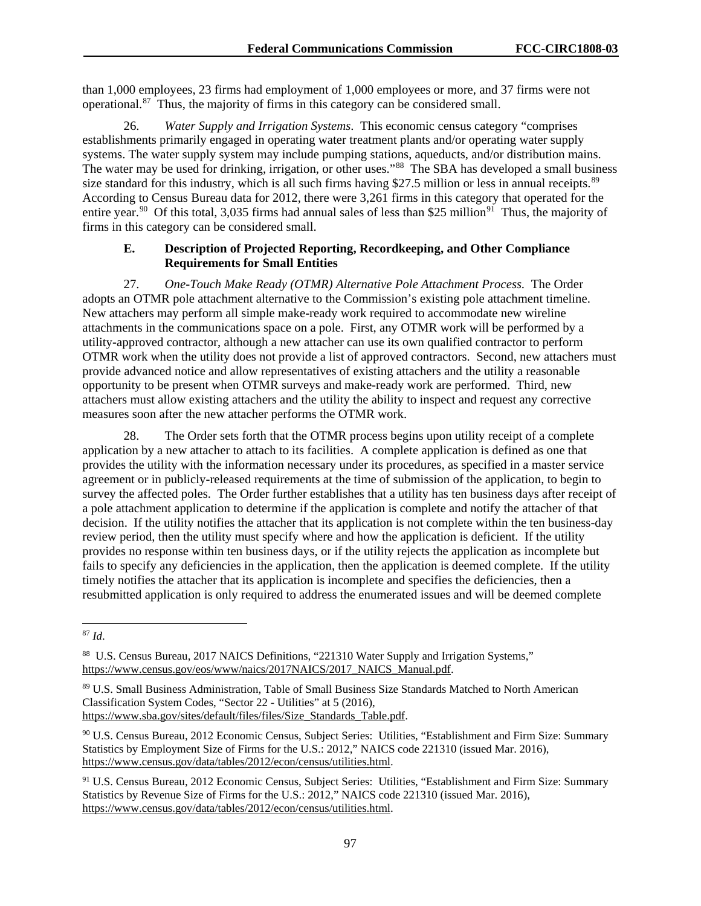than 1,000 employees, 23 firms had employment of 1,000 employees or more, and 37 firms were not operational. $87$  Thus, the majority of firms in this category can be considered small.

26. *Water Supply and Irrigation Systems*. This economic census category "comprises establishments primarily engaged in operating water treatment plants and/or operating water supply systems. The water supply system may include pumping stations, aqueducts, and/or distribution mains. The water may be used for drinking, irrigation, or other uses."[88](#page-97-1) The SBA has developed a small business size standard for this industry, which is all such firms having \$27.5 million or less in annual receipts.<sup>89</sup> According to Census Bureau data for 2012, there were 3,261 firms in this category that operated for the entire year.<sup>[90](#page-97-3)</sup> Of this total, 3,035 firms had annual sales of less than \$25 million<sup>[91](#page-97-4)</sup> Thus, the majority of firms in this category can be considered small.

### **E. Description of Projected Reporting, Recordkeeping, and Other Compliance Requirements for Small Entities**

27. *One-Touch Make Ready (OTMR) Alternative Pole Attachment Process.* The Order adopts an OTMR pole attachment alternative to the Commission's existing pole attachment timeline. New attachers may perform all simple make-ready work required to accommodate new wireline attachments in the communications space on a pole. First, any OTMR work will be performed by a utility-approved contractor, although a new attacher can use its own qualified contractor to perform OTMR work when the utility does not provide a list of approved contractors. Second, new attachers must provide advanced notice and allow representatives of existing attachers and the utility a reasonable opportunity to be present when OTMR surveys and make-ready work are performed. Third, new attachers must allow existing attachers and the utility the ability to inspect and request any corrective measures soon after the new attacher performs the OTMR work.

28. The Order sets forth that the OTMR process begins upon utility receipt of a complete application by a new attacher to attach to its facilities. A complete application is defined as one that provides the utility with the information necessary under its procedures, as specified in a master service agreement or in publicly-released requirements at the time of submission of the application, to begin to survey the affected poles. The Order further establishes that a utility has ten business days after receipt of a pole attachment application to determine if the application is complete and notify the attacher of that decision. If the utility notifies the attacher that its application is not complete within the ten business-day review period, then the utility must specify where and how the application is deficient. If the utility provides no response within ten business days, or if the utility rejects the application as incomplete but fails to specify any deficiencies in the application, then the application is deemed complete. If the utility timely notifies the attacher that its application is incomplete and specifies the deficiencies, then a resubmitted application is only required to address the enumerated issues and will be deemed complete

<span id="page-97-0"></span> <sup>87</sup> *Id*.

<span id="page-97-1"></span><sup>88</sup> U.S. Census Bureau, 2017 NAICS Definitions, "221310 Water Supply and Irrigation Systems," [https://www.census.gov/eos/www/naics/2017NAICS/2017\\_NAICS\\_Manual.pdf.](https://www.census.gov/eos/www/naics/2017NAICS/2017_NAICS_Manual.pdf)

<span id="page-97-2"></span><sup>89</sup> U.S. Small Business Administration, Table of Small Business Size Standards Matched to North American Classification System Codes, "Sector 22 - Utilities" at 5 (2016), [https://www.sba.gov/sites/default/files/files/Size\\_Standards\\_Table.pdf.](https://www.sba.gov/sites/default/files/files/Size_Standards_Table.pdf)

<span id="page-97-3"></span><sup>90</sup> U.S. Census Bureau, 2012 Economic Census, Subject Series: Utilities, "Establishment and Firm Size: Summary Statistics by Employment Size of Firms for the U.S.: 2012," NAICS code 221310 (issued Mar. 2016), [https://www.census.gov/data/tables/2012/econ/census/utilities.html.](https://www.census.gov/data/tables/2012/econ/census/utilities.html)

<span id="page-97-4"></span><sup>&</sup>lt;sup>91</sup> U.S. Census Bureau, 2012 Economic Census, Subject Series: Utilities, "Establishment and Firm Size: Summary Statistics by Revenue Size of Firms for the U.S.: 2012," NAICS code 221310 (issued Mar. 2016), [https://www.census.gov/data/tables/2012/econ/census/utilities.html.](https://www.census.gov/data/tables/2012/econ/census/utilities.html)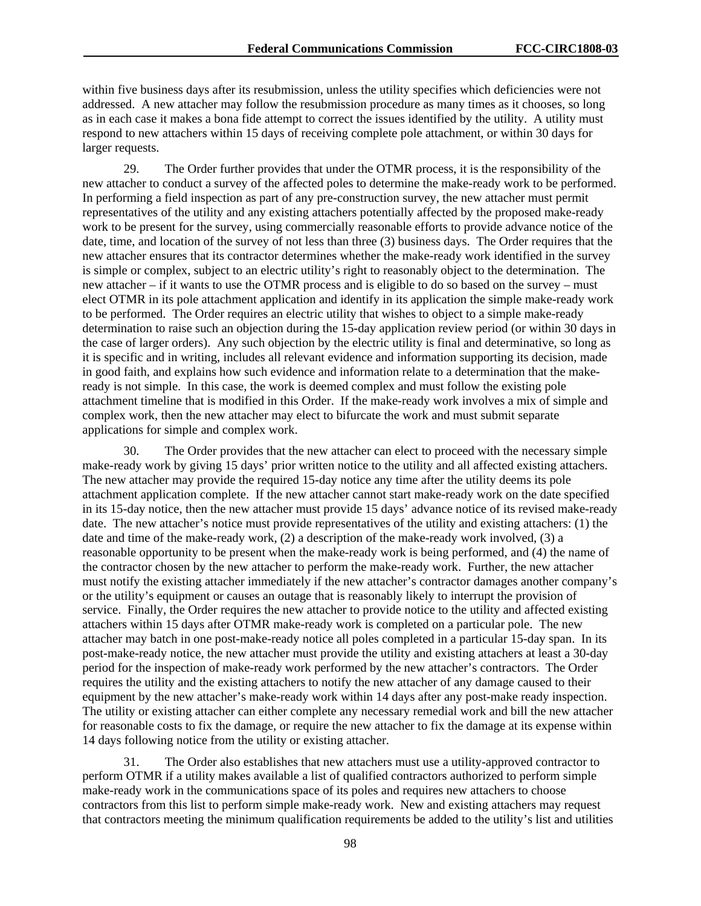within five business days after its resubmission, unless the utility specifies which deficiencies were not addressed. A new attacher may follow the resubmission procedure as many times as it chooses, so long as in each case it makes a bona fide attempt to correct the issues identified by the utility. A utility must respond to new attachers within 15 days of receiving complete pole attachment, or within 30 days for larger requests.

29. The Order further provides that under the OTMR process, it is the responsibility of the new attacher to conduct a survey of the affected poles to determine the make-ready work to be performed. In performing a field inspection as part of any pre-construction survey, the new attacher must permit representatives of the utility and any existing attachers potentially affected by the proposed make-ready work to be present for the survey, using commercially reasonable efforts to provide advance notice of the date, time, and location of the survey of not less than three (3) business days. The Order requires that the new attacher ensures that its contractor determines whether the make-ready work identified in the survey is simple or complex, subject to an electric utility's right to reasonably object to the determination. The new attacher – if it wants to use the OTMR process and is eligible to do so based on the survey – must elect OTMR in its pole attachment application and identify in its application the simple make-ready work to be performed. The Order requires an electric utility that wishes to object to a simple make-ready determination to raise such an objection during the 15-day application review period (or within 30 days in the case of larger orders). Any such objection by the electric utility is final and determinative, so long as it is specific and in writing, includes all relevant evidence and information supporting its decision, made in good faith, and explains how such evidence and information relate to a determination that the makeready is not simple. In this case, the work is deemed complex and must follow the existing pole attachment timeline that is modified in this Order. If the make-ready work involves a mix of simple and complex work, then the new attacher may elect to bifurcate the work and must submit separate applications for simple and complex work.

30. The Order provides that the new attacher can elect to proceed with the necessary simple make-ready work by giving 15 days' prior written notice to the utility and all affected existing attachers. The new attacher may provide the required 15-day notice any time after the utility deems its pole attachment application complete. If the new attacher cannot start make-ready work on the date specified in its 15-day notice, then the new attacher must provide 15 days' advance notice of its revised make-ready date. The new attacher's notice must provide representatives of the utility and existing attachers: (1) the date and time of the make-ready work, (2) a description of the make-ready work involved, (3) a reasonable opportunity to be present when the make-ready work is being performed, and (4) the name of the contractor chosen by the new attacher to perform the make-ready work. Further, the new attacher must notify the existing attacher immediately if the new attacher's contractor damages another company's or the utility's equipment or causes an outage that is reasonably likely to interrupt the provision of service. Finally, the Order requires the new attacher to provide notice to the utility and affected existing attachers within 15 days after OTMR make-ready work is completed on a particular pole. The new attacher may batch in one post-make-ready notice all poles completed in a particular 15-day span. In its post-make-ready notice, the new attacher must provide the utility and existing attachers at least a 30-day period for the inspection of make-ready work performed by the new attacher's contractors. The Order requires the utility and the existing attachers to notify the new attacher of any damage caused to their equipment by the new attacher's make-ready work within 14 days after any post-make ready inspection. The utility or existing attacher can either complete any necessary remedial work and bill the new attacher for reasonable costs to fix the damage, or require the new attacher to fix the damage at its expense within 14 days following notice from the utility or existing attacher.

31. The Order also establishes that new attachers must use a utility-approved contractor to perform OTMR if a utility makes available a list of qualified contractors authorized to perform simple make-ready work in the communications space of its poles and requires new attachers to choose contractors from this list to perform simple make-ready work. New and existing attachers may request that contractors meeting the minimum qualification requirements be added to the utility's list and utilities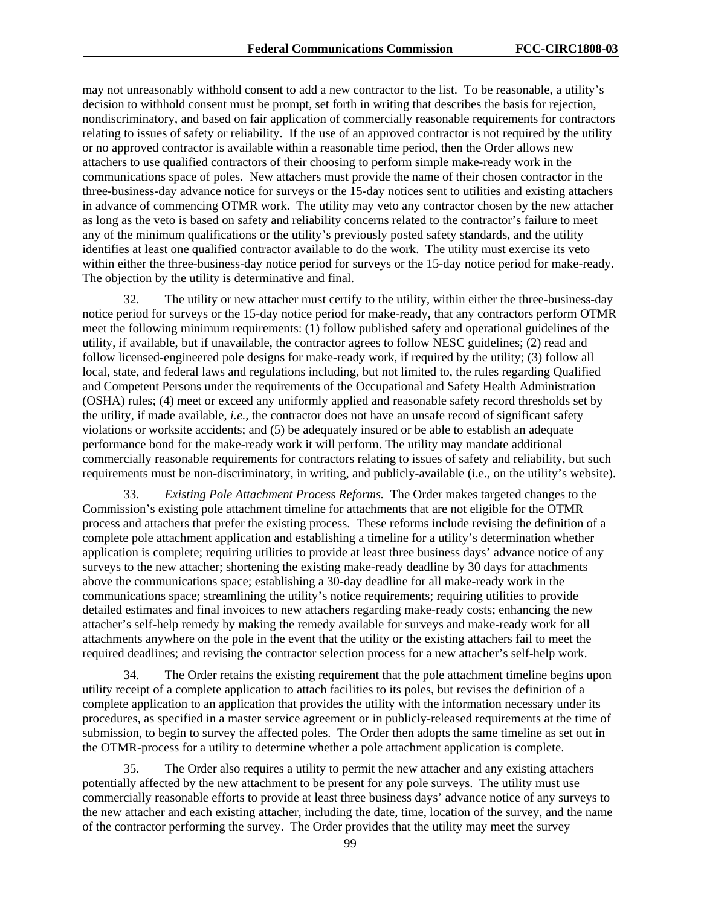may not unreasonably withhold consent to add a new contractor to the list. To be reasonable, a utility's decision to withhold consent must be prompt, set forth in writing that describes the basis for rejection, nondiscriminatory, and based on fair application of commercially reasonable requirements for contractors relating to issues of safety or reliability. If the use of an approved contractor is not required by the utility or no approved contractor is available within a reasonable time period, then the Order allows new attachers to use qualified contractors of their choosing to perform simple make-ready work in the communications space of poles. New attachers must provide the name of their chosen contractor in the three-business-day advance notice for surveys or the 15-day notices sent to utilities and existing attachers in advance of commencing OTMR work. The utility may veto any contractor chosen by the new attacher as long as the veto is based on safety and reliability concerns related to the contractor's failure to meet any of the minimum qualifications or the utility's previously posted safety standards, and the utility identifies at least one qualified contractor available to do the work. The utility must exercise its veto within either the three-business-day notice period for surveys or the 15-day notice period for make-ready. The objection by the utility is determinative and final.

32. The utility or new attacher must certify to the utility, within either the three-business-day notice period for surveys or the 15-day notice period for make-ready, that any contractors perform OTMR meet the following minimum requirements: (1) follow published safety and operational guidelines of the utility, if available, but if unavailable, the contractor agrees to follow NESC guidelines; (2) read and follow licensed-engineered pole designs for make-ready work, if required by the utility; (3) follow all local, state, and federal laws and regulations including, but not limited to, the rules regarding Qualified and Competent Persons under the requirements of the Occupational and Safety Health Administration (OSHA) rules; (4) meet or exceed any uniformly applied and reasonable safety record thresholds set by the utility, if made available, *i.e.,* the contractor does not have an unsafe record of significant safety violations or worksite accidents; and (5) be adequately insured or be able to establish an adequate performance bond for the make-ready work it will perform. The utility may mandate additional commercially reasonable requirements for contractors relating to issues of safety and reliability, but such requirements must be non-discriminatory, in writing, and publicly-available (i.e., on the utility's website).

33. *Existing Pole Attachment Process Reforms.* The Order makes targeted changes to the Commission's existing pole attachment timeline for attachments that are not eligible for the OTMR process and attachers that prefer the existing process. These reforms include revising the definition of a complete pole attachment application and establishing a timeline for a utility's determination whether application is complete; requiring utilities to provide at least three business days' advance notice of any surveys to the new attacher; shortening the existing make-ready deadline by 30 days for attachments above the communications space; establishing a 30-day deadline for all make-ready work in the communications space; streamlining the utility's notice requirements; requiring utilities to provide detailed estimates and final invoices to new attachers regarding make-ready costs; enhancing the new attacher's self-help remedy by making the remedy available for surveys and make-ready work for all attachments anywhere on the pole in the event that the utility or the existing attachers fail to meet the required deadlines; and revising the contractor selection process for a new attacher's self-help work.

34. The Order retains the existing requirement that the pole attachment timeline begins upon utility receipt of a complete application to attach facilities to its poles, but revises the definition of a complete application to an application that provides the utility with the information necessary under its procedures, as specified in a master service agreement or in publicly-released requirements at the time of submission, to begin to survey the affected poles. The Order then adopts the same timeline as set out in the OTMR-process for a utility to determine whether a pole attachment application is complete.

35. The Order also requires a utility to permit the new attacher and any existing attachers potentially affected by the new attachment to be present for any pole surveys. The utility must use commercially reasonable efforts to provide at least three business days' advance notice of any surveys to the new attacher and each existing attacher, including the date, time, location of the survey, and the name of the contractor performing the survey. The Order provides that the utility may meet the survey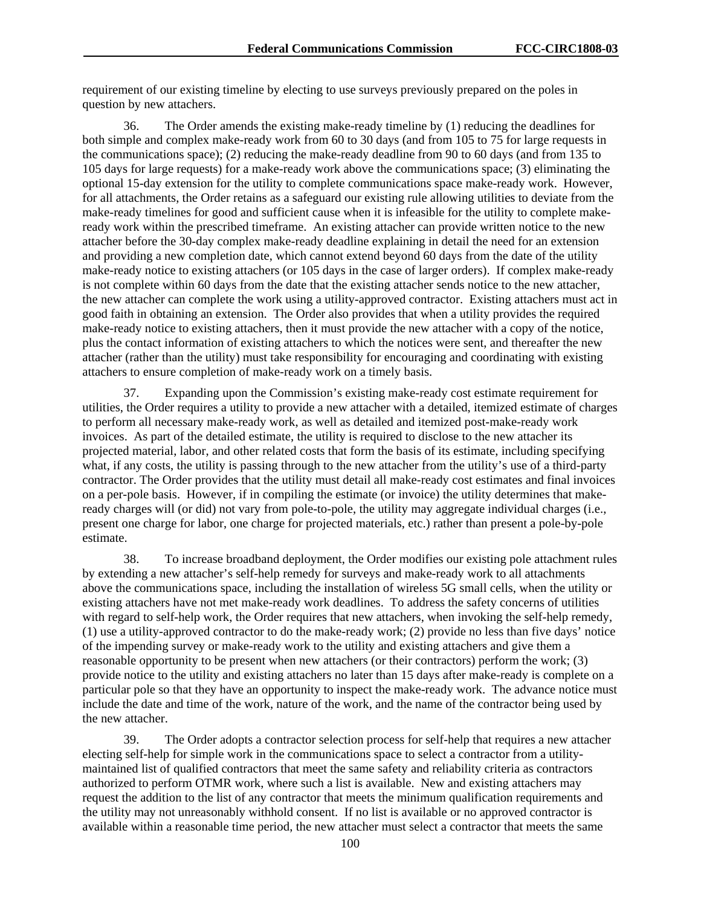requirement of our existing timeline by electing to use surveys previously prepared on the poles in question by new attachers.

36. The Order amends the existing make-ready timeline by (1) reducing the deadlines for both simple and complex make-ready work from 60 to 30 days (and from 105 to 75 for large requests in the communications space); (2) reducing the make-ready deadline from 90 to 60 days (and from 135 to 105 days for large requests) for a make-ready work above the communications space; (3) eliminating the optional 15-day extension for the utility to complete communications space make-ready work. However, for all attachments, the Order retains as a safeguard our existing rule allowing utilities to deviate from the make-ready timelines for good and sufficient cause when it is infeasible for the utility to complete makeready work within the prescribed timeframe. An existing attacher can provide written notice to the new attacher before the 30-day complex make-ready deadline explaining in detail the need for an extension and providing a new completion date, which cannot extend beyond 60 days from the date of the utility make-ready notice to existing attachers (or 105 days in the case of larger orders). If complex make-ready is not complete within 60 days from the date that the existing attacher sends notice to the new attacher, the new attacher can complete the work using a utility-approved contractor. Existing attachers must act in good faith in obtaining an extension. The Order also provides that when a utility provides the required make-ready notice to existing attachers, then it must provide the new attacher with a copy of the notice, plus the contact information of existing attachers to which the notices were sent, and thereafter the new attacher (rather than the utility) must take responsibility for encouraging and coordinating with existing attachers to ensure completion of make-ready work on a timely basis.

37. Expanding upon the Commission's existing make-ready cost estimate requirement for utilities, the Order requires a utility to provide a new attacher with a detailed, itemized estimate of charges to perform all necessary make-ready work, as well as detailed and itemized post-make-ready work invoices. As part of the detailed estimate, the utility is required to disclose to the new attacher its projected material, labor, and other related costs that form the basis of its estimate, including specifying what, if any costs, the utility is passing through to the new attacher from the utility's use of a third-party contractor. The Order provides that the utility must detail all make-ready cost estimates and final invoices on a per-pole basis. However, if in compiling the estimate (or invoice) the utility determines that makeready charges will (or did) not vary from pole-to-pole, the utility may aggregate individual charges (i.e., present one charge for labor, one charge for projected materials, etc.) rather than present a pole-by-pole estimate.

38. To increase broadband deployment, the Order modifies our existing pole attachment rules by extending a new attacher's self-help remedy for surveys and make-ready work to all attachments above the communications space, including the installation of wireless 5G small cells, when the utility or existing attachers have not met make-ready work deadlines. To address the safety concerns of utilities with regard to self-help work, the Order requires that new attachers, when invoking the self-help remedy, (1) use a utility-approved contractor to do the make-ready work; (2) provide no less than five days' notice of the impending survey or make-ready work to the utility and existing attachers and give them a reasonable opportunity to be present when new attachers (or their contractors) perform the work; (3) provide notice to the utility and existing attachers no later than 15 days after make-ready is complete on a particular pole so that they have an opportunity to inspect the make-ready work. The advance notice must include the date and time of the work, nature of the work, and the name of the contractor being used by the new attacher.

39. The Order adopts a contractor selection process for self-help that requires a new attacher electing self-help for simple work in the communications space to select a contractor from a utilitymaintained list of qualified contractors that meet the same safety and reliability criteria as contractors authorized to perform OTMR work, where such a list is available. New and existing attachers may request the addition to the list of any contractor that meets the minimum qualification requirements and the utility may not unreasonably withhold consent. If no list is available or no approved contractor is available within a reasonable time period, the new attacher must select a contractor that meets the same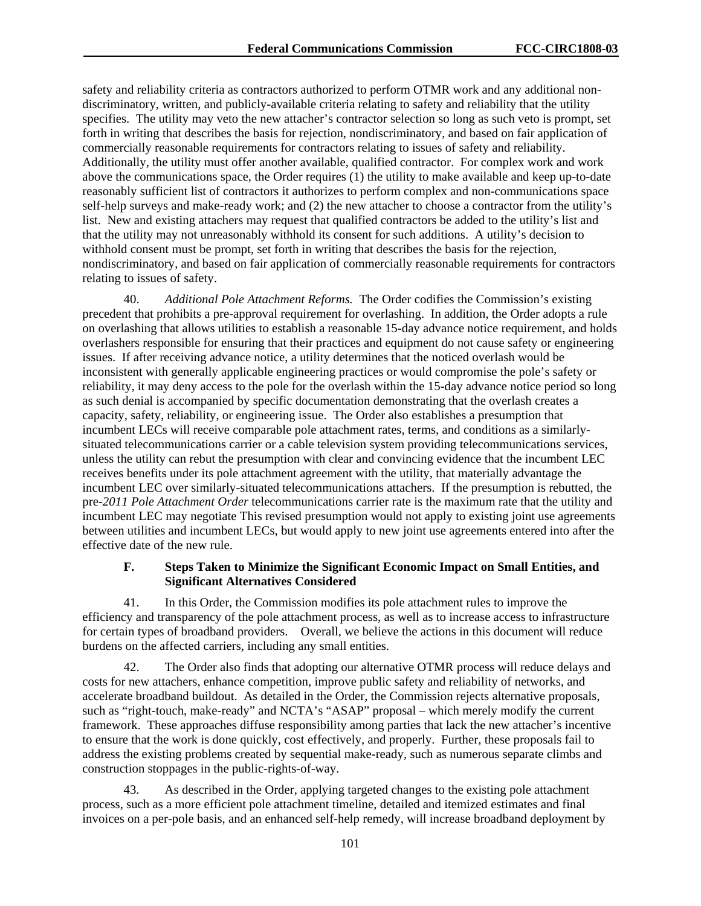safety and reliability criteria as contractors authorized to perform OTMR work and any additional nondiscriminatory, written, and publicly-available criteria relating to safety and reliability that the utility specifies. The utility may veto the new attacher's contractor selection so long as such veto is prompt, set forth in writing that describes the basis for rejection, nondiscriminatory, and based on fair application of commercially reasonable requirements for contractors relating to issues of safety and reliability. Additionally, the utility must offer another available, qualified contractor. For complex work and work above the communications space, the Order requires  $(1)$  the utility to make available and keep up-to-date reasonably sufficient list of contractors it authorizes to perform complex and non-communications space self-help surveys and make-ready work; and (2) the new attacher to choose a contractor from the utility's list. New and existing attachers may request that qualified contractors be added to the utility's list and that the utility may not unreasonably withhold its consent for such additions. A utility's decision to withhold consent must be prompt, set forth in writing that describes the basis for the rejection, nondiscriminatory, and based on fair application of commercially reasonable requirements for contractors relating to issues of safety.

40. *Additional Pole Attachment Reforms.* The Order codifies the Commission's existing precedent that prohibits a pre-approval requirement for overlashing. In addition, the Order adopts a rule on overlashing that allows utilities to establish a reasonable 15-day advance notice requirement, and holds overlashers responsible for ensuring that their practices and equipment do not cause safety or engineering issues. If after receiving advance notice, a utility determines that the noticed overlash would be inconsistent with generally applicable engineering practices or would compromise the pole's safety or reliability, it may deny access to the pole for the overlash within the 15-day advance notice period so long as such denial is accompanied by specific documentation demonstrating that the overlash creates a capacity, safety, reliability, or engineering issue. The Order also establishes a presumption that incumbent LECs will receive comparable pole attachment rates, terms, and conditions as a similarlysituated telecommunications carrier or a cable television system providing telecommunications services, unless the utility can rebut the presumption with clear and convincing evidence that the incumbent LEC receives benefits under its pole attachment agreement with the utility, that materially advantage the incumbent LEC over similarly-situated telecommunications attachers. If the presumption is rebutted, the pre-*2011 Pole Attachment Order* telecommunications carrier rate is the maximum rate that the utility and incumbent LEC may negotiate This revised presumption would not apply to existing joint use agreements between utilities and incumbent LECs, but would apply to new joint use agreements entered into after the effective date of the new rule.

## **F. Steps Taken to Minimize the Significant Economic Impact on Small Entities, and Significant Alternatives Considered**

41. In this Order, the Commission modifies its pole attachment rules to improve the efficiency and transparency of the pole attachment process, as well as to increase access to infrastructure for certain types of broadband providers. Overall, we believe the actions in this document will reduce burdens on the affected carriers, including any small entities.

42. The Order also finds that adopting our alternative OTMR process will reduce delays and costs for new attachers, enhance competition, improve public safety and reliability of networks, and accelerate broadband buildout. As detailed in the Order, the Commission rejects alternative proposals, such as "right-touch, make-ready" and NCTA's "ASAP" proposal – which merely modify the current framework. These approaches diffuse responsibility among parties that lack the new attacher's incentive to ensure that the work is done quickly, cost effectively, and properly. Further, these proposals fail to address the existing problems created by sequential make-ready, such as numerous separate climbs and construction stoppages in the public-rights-of-way.

43. As described in the Order, applying targeted changes to the existing pole attachment process, such as a more efficient pole attachment timeline, detailed and itemized estimates and final invoices on a per-pole basis, and an enhanced self-help remedy, will increase broadband deployment by